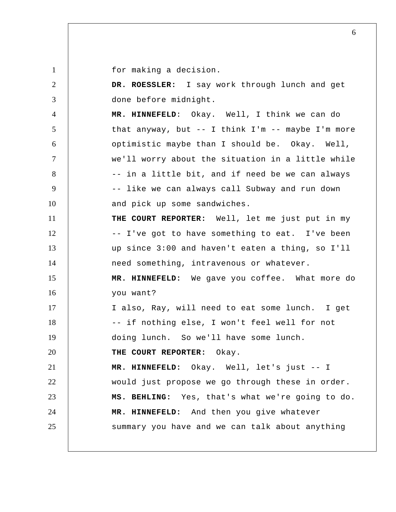for making a decision.

1

2 3 4 5 6 7 8 9 10 11 12 13 14 15 16 17 18 19 20 21 22 23 24 25  **DR. ROESSLER:** I say work through lunch and get done before midnight.  **MR. HINNEFELD**: Okay. Well, I think we can do that anyway, but -- I think I'm -- maybe I'm more optimistic maybe than I should be. Okay. Well, we'll worry about the situation in a little while -- in a little bit, and if need be we can always -- like we can always call Subway and run down and pick up some sandwiches.  **THE COURT REPORTER:** Well, let me just put in my -- I've got to have something to eat. I've been up since 3:00 and haven't eaten a thing, so I'll need something, intravenous or whatever.  **MR. HINNEFELD:** We gave you coffee. What more do you want? I also, Ray, will need to eat some lunch. I get -- if nothing else, I won't feel well for not doing lunch. So we'll have some lunch.  **THE COURT REPORTER:** Okay.  **MR. HINNEFELD:** Okay. Well, let's just -- I would just propose we go through these in order.  **MS. BEHLING:** Yes, that's what we're going to do.  **MR. HINNEFELD:** And then you give whatever summary you have and we can talk about anything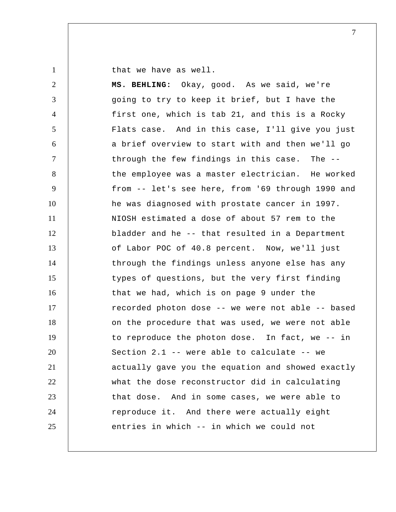that we have as well.

1

| $\overline{2}$ | MS. BEHLING: Okay, good. As we said, we're        |
|----------------|---------------------------------------------------|
| 3              | going to try to keep it brief, but I have the     |
| $\overline{4}$ | first one, which is tab 21, and this is a Rocky   |
| 5              | Flats case. And in this case, I'll give you just  |
| 6              | a brief overview to start with and then we'll go  |
| $\overline{7}$ | through the few findings in this case. The --     |
| 8              | the employee was a master electrician. He worked  |
| 9              | from -- let's see here, from '69 through 1990 and |
| 10             | he was diagnosed with prostate cancer in 1997.    |
| 11             | NIOSH estimated a dose of about 57 rem to the     |
| 12             | bladder and he -- that resulted in a Department   |
| 13             | of Labor POC of 40.8 percent. Now, we'll just     |
| 14             | through the findings unless anyone else has any   |
| 15             | types of questions, but the very first finding    |
| 16             | that we had, which is on page 9 under the         |
| 17             | recorded photon dose -- we were not able -- based |
| 18             | on the procedure that was used, we were not able  |
| 19             | to reproduce the photon dose. In fact, we -- in   |
| 20             | Section 2.1 -- were able to calculate -- we       |
| 21             | actually gave you the equation and showed exactly |
| 22             | what the dose reconstructor did in calculating    |
| 23             | that dose. And in some cases, we were able to     |
| 24             | reproduce it. And there were actually eight       |
| 25             | entries in which -- in which we could not         |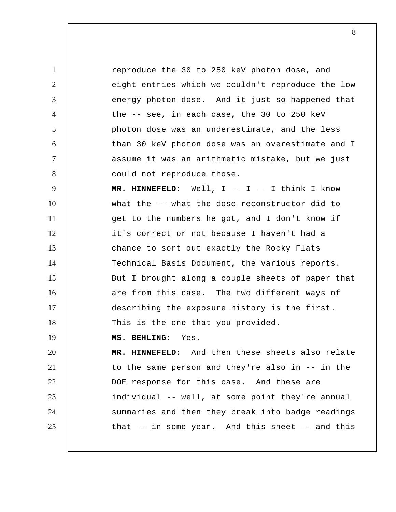1 2 3 4 5 6 7 8 9 10 11 12 13 14 15 16 17 18 19 20 21 22 23 reproduce the 30 to 250 keV photon dose, and eight entries which we couldn't reproduce the low energy photon dose. And it just so happened that the -- see, in each case, the 30 to 250 keV photon dose was an underestimate, and the less than 30 keV photon dose was an overestimate and I assume it was an arithmetic mistake, but we just could not reproduce those. MR. HINNEFELD: Well, I -- I -- I think I know what the -- what the dose reconstructor did to get to the numbers he got, and I don't know if it's correct or not because I haven't had a chance to sort out exactly the Rocky Flats Technical Basis Document, the various reports. But I brought along a couple sheets of paper that are from this case. The two different ways of describing the exposure history is the first. This is the one that you provided.  **MS. BEHLING:** Yes.  **MR. HINNEFELD:** And then these sheets also relate to the same person and they're also in -- in the DOE response for this case. And these are individual -- well, at some point they're annual

summaries and then they break into badge readings

that -- in some year. And this sheet -- and this

24 25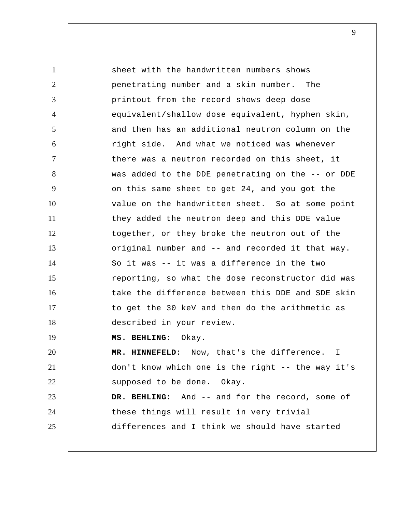1 2 3 4 5 6 7 8 9 10 11 12 13 14 15 16 17 18 19 20 21 22 23 24 25 sheet with the handwritten numbers shows penetrating number and a skin number. The printout from the record shows deep dose equivalent/shallow dose equivalent, hyphen skin, and then has an additional neutron column on the right side. And what we noticed was whenever there was a neutron recorded on this sheet, it was added to the DDE penetrating on the -- or DDE on this same sheet to get 24, and you got the value on the handwritten sheet. So at some point they added the neutron deep and this DDE value together, or they broke the neutron out of the original number and -- and recorded it that way. So it was -- it was a difference in the two reporting, so what the dose reconstructor did was take the difference between this DDE and SDE skin to get the 30 keV and then do the arithmetic as described in your review.  **MS. BEHLING**: Okay.  **MR. HINNEFELD:** Now, that's the difference. I don't know which one is the right -- the way it's supposed to be done. Okay.  **DR. BEHLING:** And -- and for the record, some of these things will result in very trivial differences and I think we should have started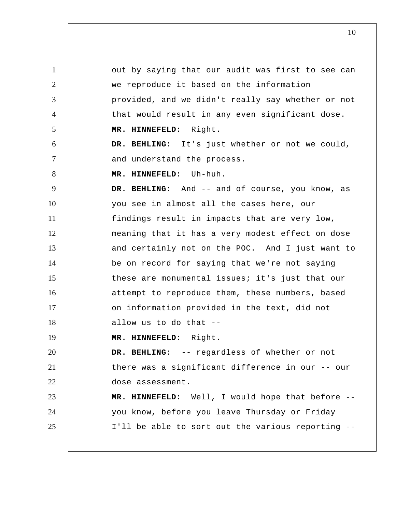1 2 3 4 5 6 7 8 9 10 11 12 13 14 15 16 17 18 19 20 21 22 23 24 25 out by saying that our audit was first to see can we reproduce it based on the information provided, and we didn't really say whether or not that would result in any even significant dose.  **MR. HINNEFELD:** Right.  **DR. BEHLING:** It's just whether or not we could, and understand the process.  **MR. HINNEFELD:** Uh-huh.  **DR. BEHLING:** And -- and of course, you know, as you see in almost all the cases here, our findings result in impacts that are very low, meaning that it has a very modest effect on dose and certainly not on the POC. And I just want to be on record for saying that we're not saying these are monumental issues; it's just that our attempt to reproduce them, these numbers, based on information provided in the text, did not allow us to do that --  **MR. HINNEFELD:** Right.  **DR. BEHLING:** -- regardless of whether or not there was a significant difference in our -- our dose assessment.  **MR. HINNEFELD:** Well, I would hope that before - you know, before you leave Thursday or Friday I'll be able to sort out the various reporting --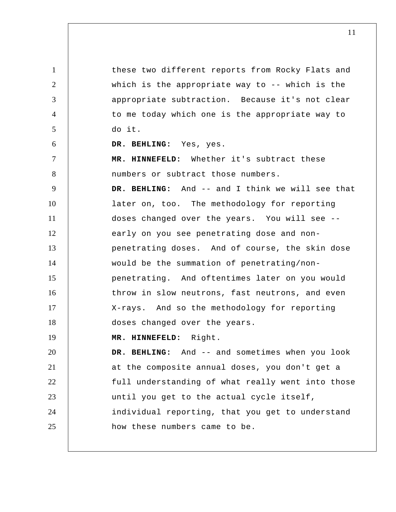1 2 3 4 5 6 7 8 9 10 11 12 13 14 15 16 17 18 19 20 21 22 23 24 25 these two different reports from Rocky Flats and which is the appropriate way to -- which is the appropriate subtraction. Because it's not clear to me today which one is the appropriate way to do it.  **DR. BEHLING:** Yes, yes.  **MR. HINNEFELD:** Whether it's subtract these numbers or subtract those numbers.  **DR. BEHLING:** And -- and I think we will see that later on, too. The methodology for reporting doses changed over the years. You will see - early on you see penetrating dose and nonpenetrating doses. And of course, the skin dose would be the summation of penetrating/nonpenetrating. And oftentimes later on you would throw in slow neutrons, fast neutrons, and even X-rays. And so the methodology for reporting doses changed over the years.  **MR. HINNEFELD:** Right.  **DR. BEHLING:** And -- and sometimes when you look at the composite annual doses, you don't get a full understanding of what really went into those until you get to the actual cycle itself, individual reporting, that you get to understand how these numbers came to be.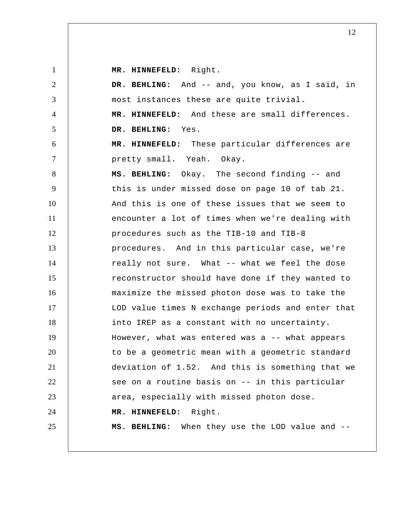**MR. HINNEFELD:** Right.

| $\overline{2}$ | DR. BEHLING: And -- and, you know, as I said, in  |
|----------------|---------------------------------------------------|
| 3              | most instances these are quite trivial.           |
| $\overline{4}$ | MR. HINNEFELD: And these are small differences.   |
| 5              | DR. BEHLING: Yes.                                 |
| 6              | MR. HINNEFELD: These particular differences are   |
| $\tau$         | pretty small. Yeah. Okay.                         |
| 8              | MS. BEHLING: Okay. The second finding -- and      |
| 9              | this is under missed dose on page 10 of tab 21.   |
| 10             | And this is one of these issues that we seem to   |
| 11             | encounter a lot of times when we're dealing with  |
| 12             | procedures such as the TIB-10 and TIB-8           |
| 13             | procedures. And in this particular case, we're    |
| 14             | really not sure. What -- what we feel the dose    |
| 15             | reconstructor should have done if they wanted to  |
| 16             | maximize the missed photon dose was to take the   |
| 17             | LOD value times N exchange periods and enter that |
| 18             | into IREP as a constant with no uncertainty.      |
| 19             | However, what was entered was a -- what appears   |
| 20             | to be a geometric mean with a geometric standard  |
| 21             | deviation of 1.52. And this is something that we  |
| 22             | see on a routine basis on -- in this particular   |
| 23             | area, especially with missed photon dose.         |
| 24             | MR. HINNEFELD: Right.                             |
| 25             | MS. BEHLING: When they use the LOD value and --   |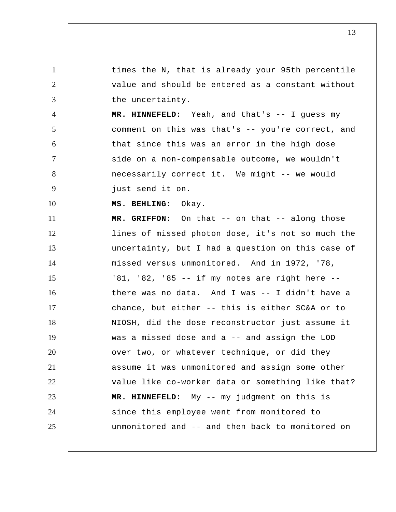1 2 3 4 5 6 7 8 9 10 11 12 13 14 15 16 17 18 19 20 21 22 23 24 25 times the N, that is already your 95th percentile value and should be entered as a constant without the uncertainty.  **MR. HINNEFELD:** Yeah, and that's -- I guess my comment on this was that's -- you're correct, and that since this was an error in the high dose side on a non-compensable outcome, we wouldn't necessarily correct it. We might -- we would just send it on.  **MS. BEHLING:** Okay.  **MR. GRIFFON:** On that -- on that -- along those lines of missed photon dose, it's not so much the uncertainty, but I had a question on this case of missed versus unmonitored. And in 1972, '78, '81, '82, '85 -- if my notes are right here - there was no data. And I was -- I didn't have a chance, but either -- this is either SC&A or to NIOSH, did the dose reconstructor just assume it was a missed dose and a -- and assign the LOD over two, or whatever technique, or did they assume it was unmonitored and assign some other value like co-worker data or something like that?  **MR. HINNEFELD:** My -- my judgment on this is since this employee went from monitored to unmonitored and -- and then back to monitored on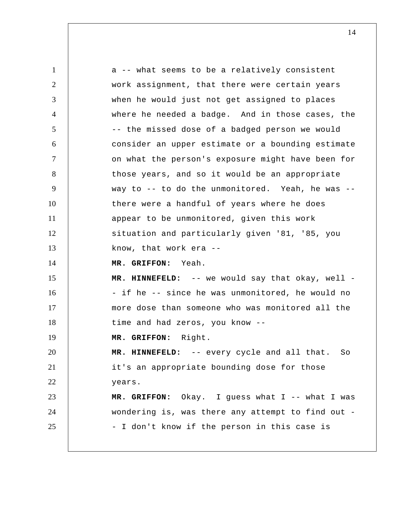1 2 3 4 5 6 7 8 9 10 11 12 13 14 15 16 17 18 19 20 21 22 23 24 25 a -- what seems to be a relatively consistent work assignment, that there were certain years when he would just not get assigned to places where he needed a badge. And in those cases, the -- the missed dose of a badged person we would consider an upper estimate or a bounding estimate on what the person's exposure might have been for those years, and so it would be an appropriate way to -- to do the unmonitored. Yeah, he was - there were a handful of years where he does appear to be unmonitored, given this work situation and particularly given '81, '85, you know, that work era --  **MR. GRIFFON:** Yeah.  **MR. HINNEFELD:** -- we would say that okay, well - - if he -- since he was unmonitored, he would no more dose than someone who was monitored all the time and had zeros, you know --  **MR. GRIFFON:** Right.  **MR. HINNEFELD:** -- every cycle and all that. So it's an appropriate bounding dose for those years.  **MR. GRIFFON:** Okay. I guess what I -- what I was wondering is, was there any attempt to find out - - I don't know if the person in this case is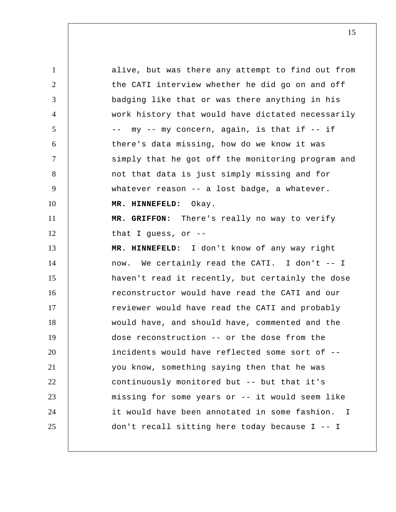1 2 3 4 5 6 7 8 9 10 11 12 13 14 15 16 17 18 19 20 21 22 23 24 25 alive, but was there any attempt to find out from the CATI interview whether he did go on and off badging like that or was there anything in his work history that would have dictated necessarily -- my -- my concern, again, is that if -- if there's data missing, how do we know it was simply that he got off the monitoring program and not that data is just simply missing and for whatever reason -- a lost badge, a whatever.  **MR. HINNEFELD:** Okay.  **MR. GRIFFON:** There's really no way to verify that I guess, or --  **MR. HINNEFELD:** I don't know of any way right now. We certainly read the CATI. I don't -- I haven't read it recently, but certainly the dose reconstructor would have read the CATI and our reviewer would have read the CATI and probably would have, and should have, commented and the dose reconstruction -- or the dose from the incidents would have reflected some sort of - you know, something saying then that he was continuously monitored but -- but that it's missing for some years or -- it would seem like it would have been annotated in some fashion. I don't recall sitting here today because I -- I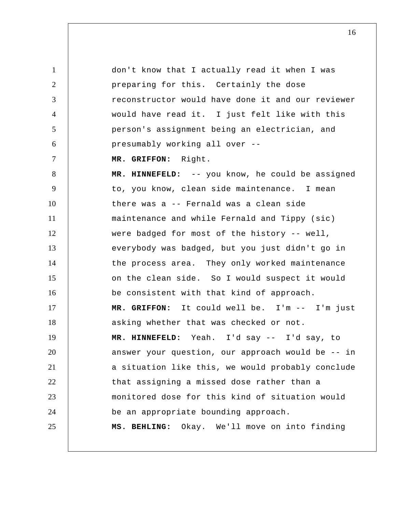1 2 3 4 5 6 7 8 9 10 11 12 13 14 15 16 17 18 19 20 21 22 23 24 25 don't know that I actually read it when I was preparing for this. Certainly the dose reconstructor would have done it and our reviewer would have read it. I just felt like with this person's assignment being an electrician, and presumably working all over --  **MR. GRIFFON:** Right.  **MR. HINNEFELD:** -- you know, he could be assigned to, you know, clean side maintenance. I mean there was a -- Fernald was a clean side maintenance and while Fernald and Tippy (sic) were badged for most of the history -- well, everybody was badged, but you just didn't go in the process area. They only worked maintenance on the clean side. So I would suspect it would be consistent with that kind of approach.  **MR. GRIFFON:** It could well be. I'm -- I'm just asking whether that was checked or not.  **MR. HINNEFELD:** Yeah. I'd say -- I'd say, to answer your question, our approach would be -- in a situation like this, we would probably conclude that assigning a missed dose rather than a monitored dose for this kind of situation would be an appropriate bounding approach.  **MS. BEHLING:** Okay. We'll move on into finding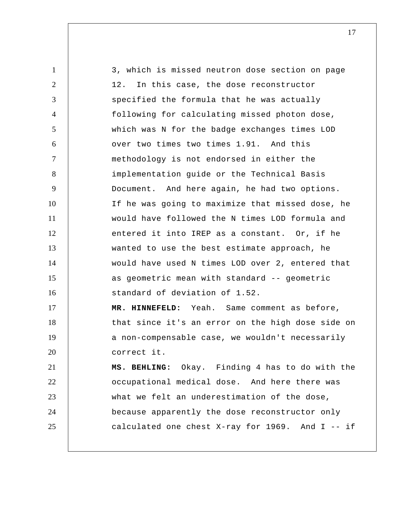1 2 3 4 5 6 7 8 9 10 11 12 13 14 15 16 17 18 19 20 21 22 23 24 25 3, which is missed neutron dose section on page 12. In this case, the dose reconstructor specified the formula that he was actually following for calculating missed photon dose, which was N for the badge exchanges times LOD over two times two times 1.91. And this methodology is not endorsed in either the implementation guide or the Technical Basis Document. And here again, he had two options. If he was going to maximize that missed dose, he would have followed the N times LOD formula and entered it into IREP as a constant. Or, if he wanted to use the best estimate approach, he would have used N times LOD over 2, entered that as geometric mean with standard -- geometric standard of deviation of 1.52.  **MR. HINNEFELD:** Yeah. Same comment as before, that since it's an error on the high dose side on a non-compensable case, we wouldn't necessarily correct it.  **MS. BEHLING:** Okay. Finding 4 has to do with the occupational medical dose. And here there was what we felt an underestimation of the dose, because apparently the dose reconstructor only calculated one chest X-ray for 1969. And I -- if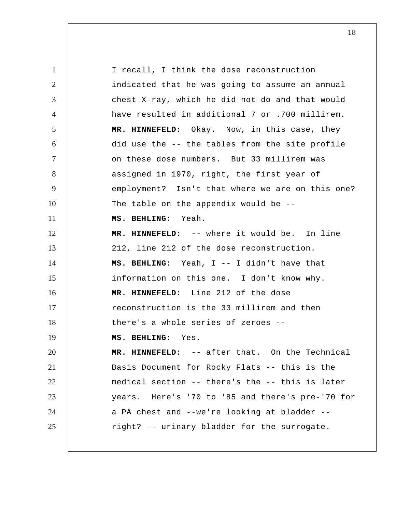1 2 3 4 5 6 7 8 9 10 11 12 13 14 15 16 17 18 19 20 21 22 23 24 25 I recall, I think the dose reconstruction indicated that he was going to assume an annual chest X-ray, which he did not do and that would have resulted in additional 7 or .700 millirem.  **MR. HINNEFELD:** Okay. Now, in this case, they did use the -- the tables from the site profile on these dose numbers. But 33 millirem was assigned in 1970, right, the first year of employment? Isn't that where we are on this one? The table on the appendix would be --  **MS. BEHLING:** Yeah.  **MR. HINNEFELD:** -- where it would be. In line 212, line 212 of the dose reconstruction.  **MS. BEHLING:** Yeah, I -- I didn't have that information on this one. I don't know why.  **MR. HINNEFELD:** Line 212 of the dose reconstruction is the 33 millirem and then there's a whole series of zeroes --  **MS. BEHLING:** Yes.  **MR. HINNEFELD:** -- after that. On the Technical Basis Document for Rocky Flats -- this is the medical section -- there's the -- this is later years. Here's '70 to '85 and there's pre-'70 for a PA chest and --we're looking at bladder - right? -- urinary bladder for the surrogate.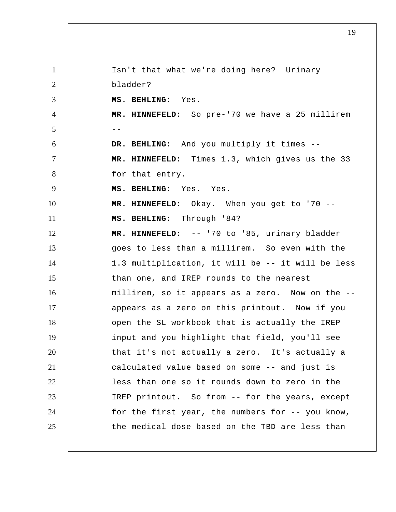1 2 3 4  $5$  --6 7 8 9 10 11 12 13 14 15 16 17 18 19 20 21 22 23 24 25 Isn't that what we're doing here? Urinary bladder?  **MS. BEHLING:** Yes.  **MR. HINNEFELD:** So pre-'70 we have a 25 millirem  **DR. BEHLING:** And you multiply it times --  **MR. HINNEFELD:** Times 1.3, which gives us the 33 for that entry.  **MS. BEHLING:** Yes. Yes.  **MR. HINNEFELD:** Okay. When you get to '70 --  **MS. BEHLING:** Through '84?  **MR. HINNEFELD:** -- '70 to '85, urinary bladder goes to less than a millirem. So even with the 1.3 multiplication, it will be -- it will be less than one, and IREP rounds to the nearest millirem, so it appears as a zero. Now on the - appears as a zero on this printout. Now if you open the SL workbook that is actually the IREP input and you highlight that field, you'll see that it's not actually a zero. It's actually a calculated value based on some -- and just is less than one so it rounds down to zero in the IREP printout. So from -- for the years, except for the first year, the numbers for -- you know, the medical dose based on the TBD are less than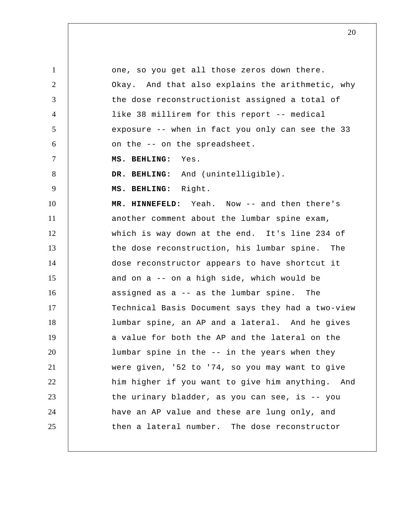1 2 3 4 5 6 7 8 9 10 11 12 13 14 15 16 17 18 19 20 21 22 23 24 25 one, so you get all those zeros down there. Okay. And that also explains the arithmetic, why the dose reconstructionist assigned a total of like 38 millirem for this report -- medical exposure -- when in fact you only can see the 33 on the -- on the spreadsheet.  **MS. BEHLING:** Yes.  **DR. BEHLING:** And (unintelligible).  **MS. BEHLING:** Right.  **MR. HINNEFELD:** Yeah. Now -- and then there's another comment about the lumbar spine exam, which is way down at the end. It's line 234 of the dose reconstruction, his lumbar spine. The dose reconstructor appears to have shortcut it and on a -- on a high side, which would be assigned as a -- as the lumbar spine. The Technical Basis Document says they had a two-view lumbar spine, an AP and a lateral. And he gives a value for both the AP and the lateral on the lumbar spine in the -- in the years when they were given, '52 to '74, so you may want to give him higher if you want to give him anything. And the urinary bladder, as you can see, is -- you have an AP value and these are lung only, and then a lateral number. The dose reconstructor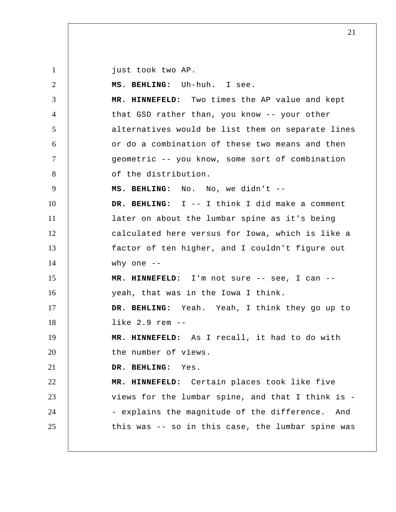1 just took two AP.

2 3 4 5 6 7 8 9 10 11 12 13 14 15 16 17 18 19 20 21 22 23 24 25  **MS. BEHLING:** Uh-huh. I see.  **MR. HINNEFELD:** Two times the AP value and kept that GSD rather than, you know -- your other alternatives would be list them on separate lines or do a combination of these two means and then geometric -- you know, some sort of combination of the distribution.  **MS. BEHLING:** No. No, we didn't --  **DR. BEHLING:** I -- I think I did make a comment later on about the lumbar spine as it's being calculated here versus for Iowa, which is like a factor of ten higher, and I couldn't figure out why one --  **MR. HINNEFELD:** I'm not sure -- see, I can - yeah, that was in the Iowa I think.  **DR. BEHLING:** Yeah. Yeah, I think they go up to like 2.9 rem --  **MR. HINNEFELD:** As I recall, it had to do with the number of views.  **DR. BEHLING:** Yes.  **MR. HINNEFELD:** Certain places took like five views for the lumbar spine, and that I think is - - explains the magnitude of the difference. And this was -- so in this case, the lumbar spine was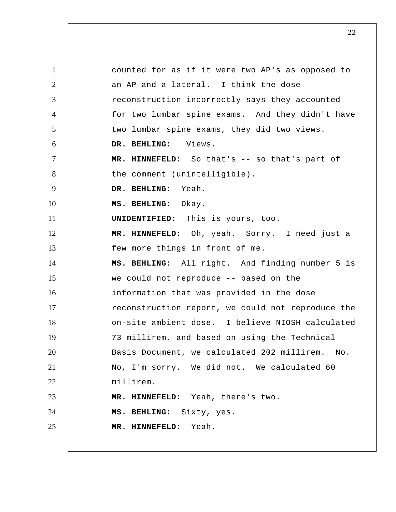1 2 3 4 5 6 7 8 9 10 11 12 13 14 15 16 17 18 19 20 21 22 23 24 25 counted for as if it were two AP's as opposed to an AP and a lateral. I think the dose reconstruction incorrectly says they accounted for two lumbar spine exams. And they didn't have two lumbar spine exams, they did two views.  **DR. BEHLING:** Views.  **MR. HINNEFELD:** So that's -- so that's part of the comment (unintelligible).  **DR. BEHLING:** Yeah.  **MS. BEHLING:** Okay. **UNIDENTIFIED:** This is yours, too.  **MR. HINNEFELD:** Oh, yeah. Sorry. I need just a few more things in front of me.  **MS. BEHLING:** All right. And finding number 5 is we could not reproduce -- based on the information that was provided in the dose reconstruction report, we could not reproduce the on-site ambient dose. I believe NIOSH calculated 73 millirem, and based on using the Technical Basis Document, we calculated 202 millirem. No. No, I'm sorry. We did not. We calculated 60 millirem.  **MR. HINNEFELD:** Yeah, there's two.  **MS. BEHLING:** Sixty, yes.  **MR. HINNEFELD:** Yeah.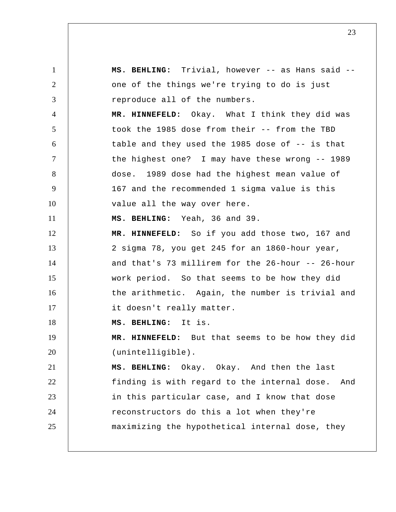1 2 3 4 5 6 7 8 9 10 11 12 13 14 15 16 17 18 19 20 21 22 23 24 25  **MS. BEHLING:** Trivial, however -- as Hans said - one of the things we're trying to do is just reproduce all of the numbers.  **MR. HINNEFELD:** Okay. What I think they did was took the 1985 dose from their -- from the TBD table and they used the 1985 dose of -- is that the highest one? I may have these wrong -- 1989 dose. 1989 dose had the highest mean value of 167 and the recommended 1 sigma value is this value all the way over here.  **MS. BEHLING:** Yeah, 36 and 39.  **MR. HINNEFELD:** So if you add those two, 167 and 2 sigma 78, you get 245 for an 1860-hour year, and that's 73 millirem for the 26-hour -- 26-hour work period. So that seems to be how they did the arithmetic. Again, the number is trivial and it doesn't really matter.  **MS. BEHLING:** It is.  **MR. HINNEFELD:** But that seems to be how they did (unintelligible).  **MS. BEHLING:** Okay. Okay. And then the last finding is with regard to the internal dose. And in this particular case, and I know that dose reconstructors do this a lot when they're maximizing the hypothetical internal dose, they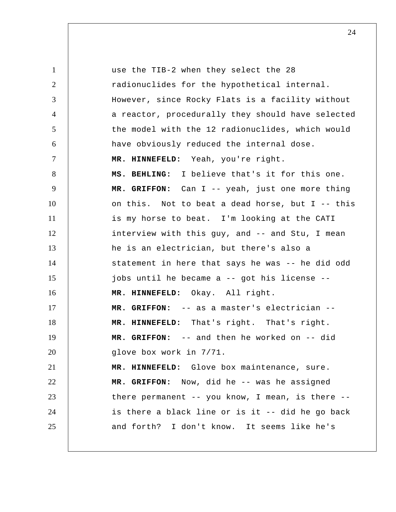1 2 3 4 5 6 7 8 9 10 11 12 13 14 15 16 17 18 19 20 21 22 23 24 25 use the TIB-2 when they select the 28 radionuclides for the hypothetical internal. However, since Rocky Flats is a facility without a reactor, procedurally they should have selected the model with the 12 radionuclides, which would have obviously reduced the internal dose.  **MR. HINNEFELD:** Yeah, you're right.  **MS. BEHLING:** I believe that's it for this one.  **MR. GRIFFON:** Can I -- yeah, just one more thing on this. Not to beat a dead horse, but I -- this is my horse to beat. I'm looking at the CATI interview with this guy, and -- and Stu, I mean he is an electrician, but there's also a statement in here that says he was -- he did odd jobs until he became a -- got his license --  **MR. HINNEFELD:** Okay. All right.  **MR. GRIFFON:** -- as a master's electrician --  **MR. HINNEFELD:** That's right. That's right.  **MR. GRIFFON:** -- and then he worked on -- did glove box work in 7/71.  **MR. HINNEFELD:** Glove box maintenance, sure.  **MR. GRIFFON:** Now, did he -- was he assigned there permanent -- you know, I mean, is there - is there a black line or is it -- did he go back and forth? I don't know. It seems like he's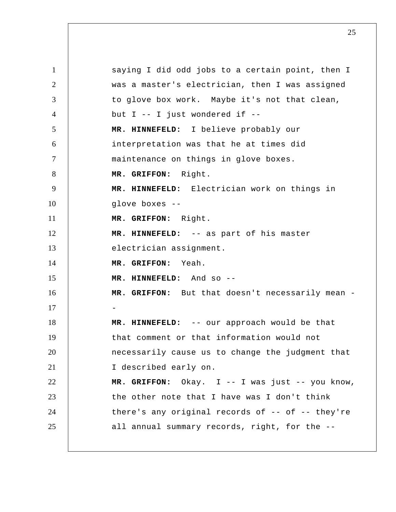1 2 3 4 5 6 7 8 9 10 11 12 13 14 15 16 17 18 19 20 21 22 23 24 25 saying I did odd jobs to a certain point, then I was a master's electrician, then I was assigned to glove box work. Maybe it's not that clean, but I -- I just wondered if --  **MR. HINNEFELD:** I believe probably our interpretation was that he at times did maintenance on things in glove boxes.  **MR. GRIFFON:** Right.  **MR. HINNEFELD:** Electrician work on things in glove boxes --  **MR. GRIFFON:** Right.  **MR. HINNEFELD:** -- as part of his master electrician assignment.  **MR. GRIFFON:** Yeah.  **MR. HINNEFELD:** And so --  **MR. GRIFFON:** But that doesn't necessarily mean - -  **MR. HINNEFELD:** -- our approach would be that that comment or that information would not necessarily cause us to change the judgment that I described early on.  **MR. GRIFFON:** Okay. I -- I was just -- you know, the other note that I have was I don't think there's any original records of -- of -- they're all annual summary records, right, for the --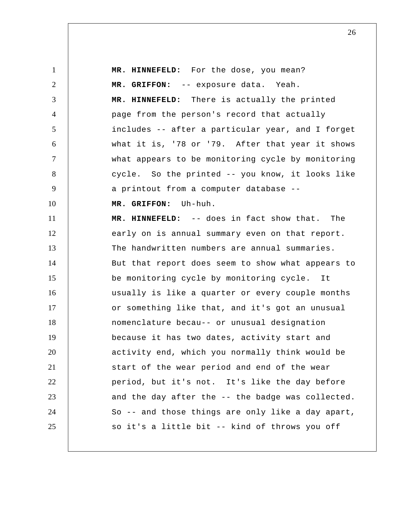1 2 3 4 5 6 7 8 9 10 11 12 13 14 15 16 17 18 19 20 21 22 23 24 25  **MR. HINNEFELD:** For the dose, you mean?  **MR. GRIFFON:** -- exposure data. Yeah.  **MR. HINNEFELD:** There is actually the printed page from the person's record that actually includes -- after a particular year, and I forget what it is, '78 or '79. After that year it shows what appears to be monitoring cycle by monitoring cycle. So the printed -- you know, it looks like a printout from a computer database --  **MR. GRIFFON:** Uh-huh.  **MR. HINNEFELD:** -- does in fact show that. The early on is annual summary even on that report. The handwritten numbers are annual summaries. But that report does seem to show what appears to be monitoring cycle by monitoring cycle. It usually is like a quarter or every couple months or something like that, and it's got an unusual nomenclature becau-- or unusual designation because it has two dates, activity start and activity end, which you normally think would be start of the wear period and end of the wear period, but it's not. It's like the day before and the day after the -- the badge was collected. So -- and those things are only like a day apart, so it's a little bit -- kind of throws you off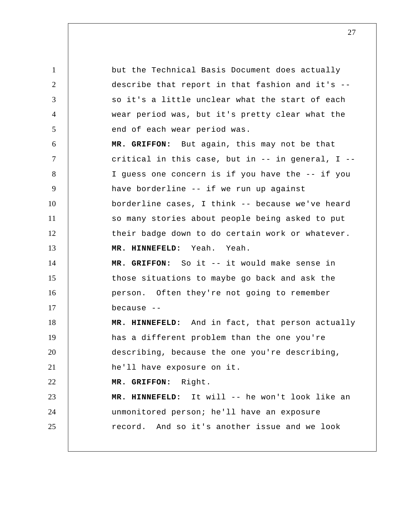1 2 3 4 5 6 7 8 9 10 11 12 13 14 15 16 17 18 19 20 21 22 23 24 25 but the Technical Basis Document does actually describe that report in that fashion and it's - so it's a little unclear what the start of each wear period was, but it's pretty clear what the end of each wear period was.  **MR. GRIFFON:** But again, this may not be that critical in this case, but in  $--$  in general, I  $--$ I guess one concern is if you have the -- if you have borderline -- if we run up against borderline cases, I think -- because we've heard so many stories about people being asked to put their badge down to do certain work or whatever.  **MR. HINNEFELD:** Yeah. Yeah.  **MR. GRIFFON:** So it -- it would make sense in those situations to maybe go back and ask the person. Often they're not going to remember because --  **MR. HINNEFELD:** And in fact, that person actually has a different problem than the one you're describing, because the one you're describing, he'll have exposure on it.  **MR. GRIFFON:** Right.  **MR. HINNEFELD:** It will -- he won't look like an unmonitored person; he'll have an exposure record. And so it's another issue and we look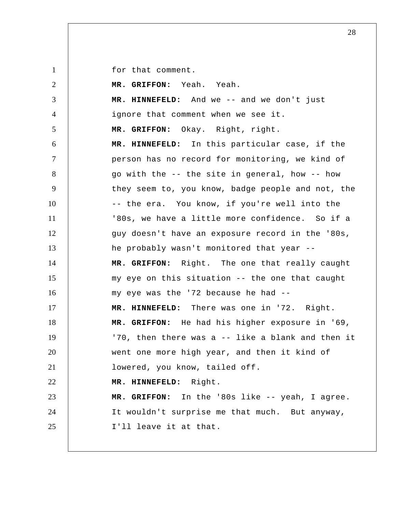for that comment.

| 2              | MR. GRIFFON: Yeah. Yeah.                          |
|----------------|---------------------------------------------------|
| 3              | MR. HINNEFELD: And we -- and we don't just        |
| $\overline{4}$ | ignore that comment when we see it.               |
| 5              | MR. GRIFFON: Okay. Right, right.                  |
| 6              | MR. HINNEFELD: In this particular case, if the    |
| $\tau$         | person has no record for monitoring, we kind of   |
| 8              | go with the -- the site in general, how -- how    |
| 9              | they seem to, you know, badge people and not, the |
| 10             | -- the era. You know, if you're well into the     |
| 11             | '80s, we have a little more confidence. So if a   |
| 12             | guy doesn't have an exposure record in the '80s,  |
| 13             | he probably wasn't monitored that year --         |
| 14             | MR. GRIFFON: Right. The one that really caught    |
| 15             | my eye on this situation -- the one that caught   |
| 16             | my eye was the '72 because he had --              |
| 17             | MR. HINNEFELD: There was one in '72. Right.       |
| 18             | MR. GRIFFON: He had his higher exposure in '69,   |
| 19             | '70, then there was a -- like a blank and then it |
| 20             | went one more high year, and then it kind of      |
| 21             | lowered, you know, tailed off.                    |
| 22             | MR. HINNEFELD: Right.                             |
| 23             | MR. GRIFFON: In the '80s like -- yeah, I agree.   |
| 24             | It wouldn't surprise me that much. But anyway,    |
| 25             | I'll leave it at that.                            |
|                |                                                   |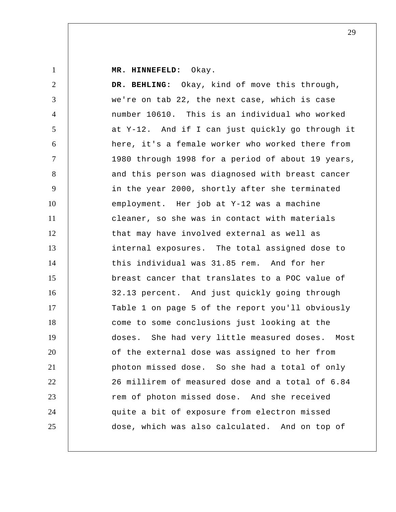1

 **MR. HINNEFELD:** Okay.

2 3 4 5 6 7 8 9 10 11 12 13 14 15 16 17 18 19 20 21 22 23 24 25  **DR. BEHLING:** Okay, kind of move this through, we're on tab 22, the next case, which is case number 10610. This is an individual who worked at Y-12. And if I can just quickly go through it here, it's a female worker who worked there from 1980 through 1998 for a period of about 19 years, and this person was diagnosed with breast cancer in the year 2000, shortly after she terminated employment. Her job at Y-12 was a machine cleaner, so she was in contact with materials that may have involved external as well as internal exposures. The total assigned dose to this individual was 31.85 rem. And for her breast cancer that translates to a POC value of 32.13 percent. And just quickly going through Table 1 on page 5 of the report you'll obviously come to some conclusions just looking at the doses. She had very little measured doses. Most of the external dose was assigned to her from photon missed dose. So she had a total of only 26 millirem of measured dose and a total of 6.84 rem of photon missed dose. And she received quite a bit of exposure from electron missed dose, which was also calculated. And on top of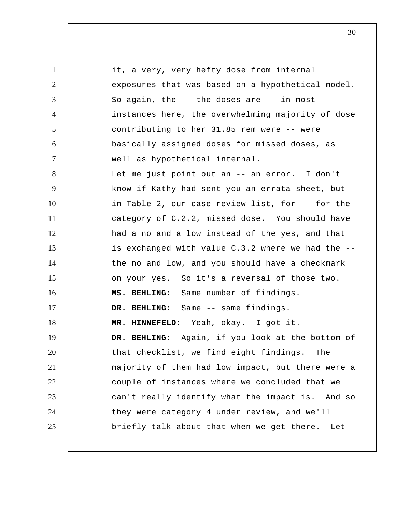1 2 3 4 5 6 7 8 9 10 11 12 13 14 15 16 17 18 19 20 21 22 23 24 25 it, a very, very hefty dose from internal exposures that was based on a hypothetical model. So again, the -- the doses are -- in most instances here, the overwhelming majority of dose contributing to her 31.85 rem were -- were basically assigned doses for missed doses, as well as hypothetical internal. Let me just point out an -- an error. I don't know if Kathy had sent you an errata sheet, but in Table 2, our case review list, for -- for the category of C.2.2, missed dose. You should have had a no and a low instead of the yes, and that is exchanged with value C.3.2 where we had the - the no and low, and you should have a checkmark on your yes. So it's a reversal of those two.  **MS. BEHLING:** Same number of findings.  **DR. BEHLING:** Same -- same findings.  **MR. HINNEFELD:** Yeah, okay. I got it.  **DR. BEHLING:** Again, if you look at the bottom of that checklist, we find eight findings. The majority of them had low impact, but there were a couple of instances where we concluded that we can't really identify what the impact is. And so they were category 4 under review, and we'll briefly talk about that when we get there. Let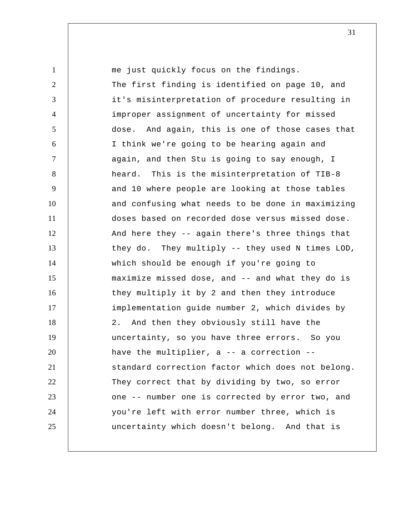1 2 3 4 5 6 7 8 9 10 11 12 13 14 15 16 17 18 19 20 21 22 23 24 25 me just quickly focus on the findings. The first finding is identified on page 10, and it's misinterpretation of procedure resulting in improper assignment of uncertainty for missed dose. And again, this is one of those cases that I think we're going to be hearing again and again, and then Stu is going to say enough, I heard. This is the misinterpretation of TIB-8 and 10 where people are looking at those tables and confusing what needs to be done in maximizing doses based on recorded dose versus missed dose. And here they -- again there's three things that they do. They multiply -- they used N times LOD, which should be enough if you're going to maximize missed dose, and -- and what they do is they multiply it by 2 and then they introduce implementation guide number 2, which divides by 2. And then they obviously still have the uncertainty, so you have three errors. So you have the multiplier, a -- a correction - standard correction factor which does not belong. They correct that by dividing by two, so error one -- number one is corrected by error two, and you're left with error number three, which is uncertainty which doesn't belong. And that is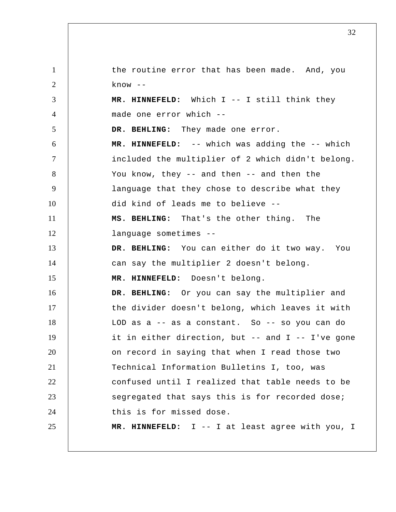1 2 3 4 5 6 7 8 9 10 11 12 13 14 15 16 17 18 19 20 21 22 23 24 25 the routine error that has been made. And, you know --  **MR. HINNEFELD:** Which I -- I still think they made one error which --  **DR. BEHLING:** They made one error.  **MR. HINNEFELD:** -- which was adding the -- which included the multiplier of 2 which didn't belong. You know, they -- and then -- and then the language that they chose to describe what they did kind of leads me to believe --  **MS. BEHLING:** That's the other thing. The language sometimes --  **DR. BEHLING:** You can either do it two way. You can say the multiplier 2 doesn't belong.  **MR. HINNEFELD:** Doesn't belong.  **DR. BEHLING:** Or you can say the multiplier and the divider doesn't belong, which leaves it with LOD as a -- as a constant. So -- so you can do it in either direction, but -- and I -- I've gone on record in saying that when I read those two Technical Information Bulletins I, too, was confused until I realized that table needs to be segregated that says this is for recorded dose; this is for missed dose.  **MR. HINNEFELD:** I -- I at least agree with you, I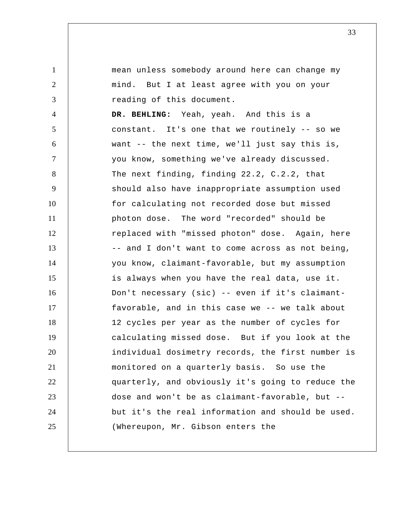1 2 3 4 5 6 7 8 9 10 11 12 13 14 15 16 17 18 19 20 21 22 23 24 25 mean unless somebody around here can change my mind. But I at least agree with you on your reading of this document.  **DR. BEHLING:** Yeah, yeah. And this is a constant. It's one that we routinely -- so we want -- the next time, we'll just say this is, you know, something we've already discussed. The next finding, finding 22.2, C.2.2, that should also have inappropriate assumption used for calculating not recorded dose but missed photon dose. The word "recorded" should be replaced with "missed photon" dose. Again, here -- and I don't want to come across as not being, you know, claimant-favorable, but my assumption is always when you have the real data, use it. Don't necessary (sic) -- even if it's claimantfavorable, and in this case we -- we talk about 12 cycles per year as the number of cycles for calculating missed dose. But if you look at the individual dosimetry records, the first number is monitored on a quarterly basis. So use the quarterly, and obviously it's going to reduce the dose and won't be as claimant-favorable, but - but it's the real information and should be used. (Whereupon, Mr. Gibson enters the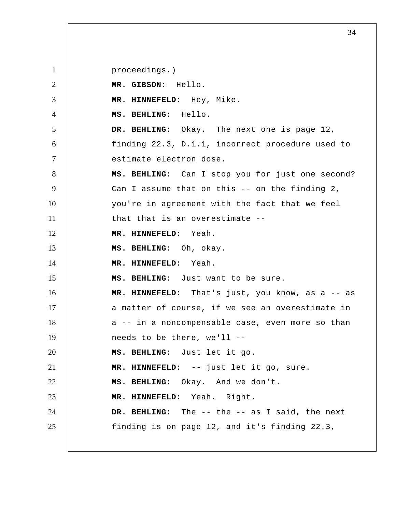1 2 3 4 5 6 7 8 9 10 11 12 13 14 15 16 17 18 19 20 21 22 23 24 25 proceedings.)  **MR. GIBSON:** Hello.  **MR. HINNEFELD:** Hey, Mike.  **MS. BEHLING:** Hello.  **DR. BEHLING:** Okay. The next one is page 12, finding 22.3, D.1.1, incorrect procedure used to estimate electron dose.  **MS. BEHLING:** Can I stop you for just one second? Can I assume that on this -- on the finding 2, you're in agreement with the fact that we feel that that is an overestimate --  **MR. HINNEFELD:** Yeah.  **MS. BEHLING:** Oh, okay.  **MR. HINNEFELD:** Yeah.  **MS. BEHLING:** Just want to be sure.  **MR. HINNEFELD:** That's just, you know, as a -- as a matter of course, if we see an overestimate in a -- in a noncompensable case, even more so than needs to be there, we'll --  **MS. BEHLING:** Just let it go.  **MR. HINNEFELD:** -- just let it go, sure.  **MS. BEHLING:** Okay. And we don't.  **MR. HINNEFELD:** Yeah. Right.  **DR. BEHLING:** The -- the -- as I said, the next finding is on page 12, and it's finding 22.3,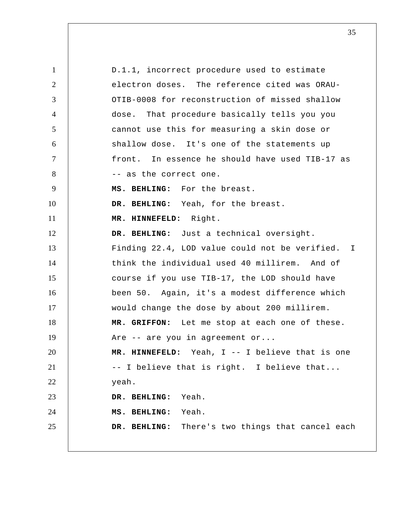1 2 3 4 5 6 7 8 9 10 11 12 13 14 15 16 17 18 19 20 21 22 23 24 25 D.1.1, incorrect procedure used to estimate electron doses. The reference cited was ORAU-OTIB-0008 for reconstruction of missed shallow dose. That procedure basically tells you you cannot use this for measuring a skin dose or shallow dose. It's one of the statements up front. In essence he should have used TIB-17 as -- as the correct one.  **MS. BEHLING:** For the breast.  **DR. BEHLING:** Yeah, for the breast.  **MR. HINNEFELD:** Right.  **DR. BEHLING:** Just a technical oversight. Finding 22.4, LOD value could not be verified. think the individual used 40 millirem. And of course if you use TIB-17, the LOD should have been 50. Again, it's a modest difference which would change the dose by about 200 millirem.  **MR. GRIFFON:** Let me stop at each one of these. Are -- are you in agreement or...  **MR. HINNEFELD:** Yeah, I -- I believe that is one -- I believe that is right. I believe that... yeah.  **DR. BEHLING:** Yeah.  **MS. BEHLING:** Yeah.  **DR. BEHLING:** There's two things that cancel each I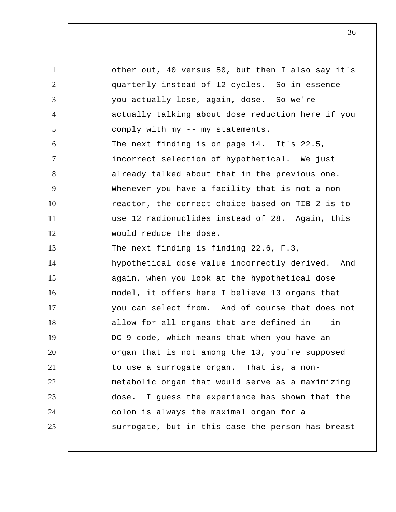1 2 3 4 5 6 7 8 9 10 11 12 13 14 15 16 17 18 19 20 21 22 23 24 25 other out, 40 versus 50, but then I also say it's quarterly instead of 12 cycles. So in essence you actually lose, again, dose. So we're actually talking about dose reduction here if you comply with my -- my statements. The next finding is on page 14. It's 22.5, incorrect selection of hypothetical. We just already talked about that in the previous one. Whenever you have a facility that is not a nonreactor, the correct choice based on TIB-2 is to use 12 radionuclides instead of 28. Again, this would reduce the dose. The next finding is finding 22.6, F.3, hypothetical dose value incorrectly derived. And again, when you look at the hypothetical dose model, it offers here I believe 13 organs that you can select from. And of course that does not allow for all organs that are defined in -- in DC-9 code, which means that when you have an organ that is not among the 13, you're supposed to use a surrogate organ. That is, a nonmetabolic organ that would serve as a maximizing dose. I guess the experience has shown that the colon is always the maximal organ for a surrogate, but in this case the person has breast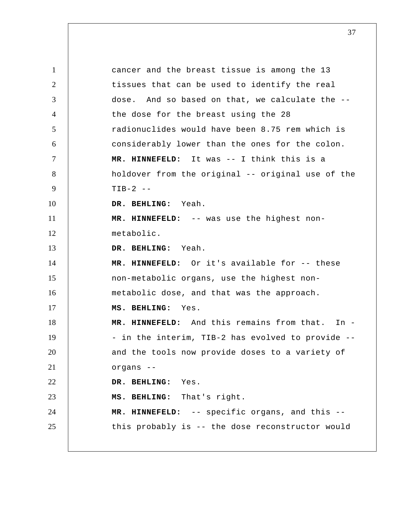1 2 3 4 5 6 7 8 9 10 11 12 13 14 15 16 17 18 19 20 21 22 23 24 25 cancer and the breast tissue is among the 13 tissues that can be used to identify the real dose. And so based on that, we calculate the - the dose for the breast using the 28 radionuclides would have been 8.75 rem which is considerably lower than the ones for the colon.  **MR. HINNEFELD:** It was -- I think this is a holdover from the original -- original use of the  $TIB-2$  -- **DR. BEHLING:** Yeah.  **MR. HINNEFELD:** -- was use the highest nonmetabolic.  **DR. BEHLING:** Yeah.  **MR. HINNEFELD:** Or it's available for -- these non-metabolic organs, use the highest nonmetabolic dose, and that was the approach.  **MS. BEHLING:** Yes.  **MR. HINNEFELD:** And this remains from that. In - - in the interim, TIB-2 has evolved to provide - and the tools now provide doses to a variety of organs --  **DR. BEHLING:** Yes.  **MS. BEHLING:** That's right.  **MR. HINNEFELD:** -- specific organs, and this - this probably is -- the dose reconstructor would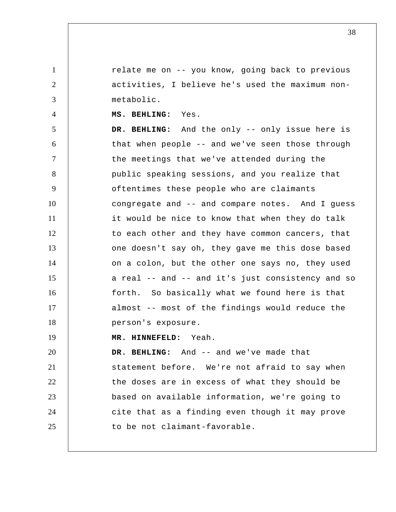relate me on -- you know, going back to previous activities, I believe he's used the maximum nonmetabolic.

 **MS. BEHLING:** Yes.

1

2

3

4

5 6 7 8 9 10 11 12 13 14 15 16 17 18  **DR. BEHLING:** And the only -- only issue here is that when people -- and we've seen those through the meetings that we've attended during the public speaking sessions, and you realize that oftentimes these people who are claimants congregate and -- and compare notes. And I guess it would be nice to know that when they do talk to each other and they have common cancers, that one doesn't say oh, they gave me this dose based on a colon, but the other one says no, they used a real -- and -- and it's just consistency and so forth. So basically what we found here is that almost -- most of the findings would reduce the person's exposure.

19  **MR. HINNEFELD:** Yeah.

20 21 22 23 24 25  **DR. BEHLING:** And -- and we've made that statement before. We're not afraid to say when the doses are in excess of what they should be based on available information, we're going to cite that as a finding even though it may prove to be not claimant-favorable.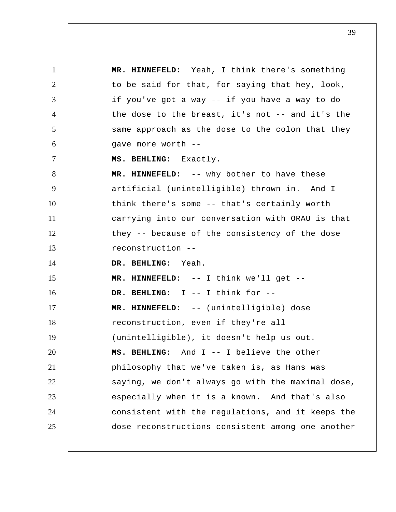1 2 3 4 5 6 7 8 9 10 11 12 13 14 15 16 17 18 19 20 21 22 23 24 25  **MR. HINNEFELD:** Yeah, I think there's something to be said for that, for saying that hey, look, if you've got a way -- if you have a way to do the dose to the breast, it's not -- and it's the same approach as the dose to the colon that they gave more worth --  **MS. BEHLING:** Exactly.  **MR. HINNEFELD:** -- why bother to have these artificial (unintelligible) thrown in. And I think there's some -- that's certainly worth carrying into our conversation with ORAU is that they -- because of the consistency of the dose reconstruction --  **DR. BEHLING:** Yeah.  **MR. HINNEFELD:** -- I think we'll get --  **DR. BEHLING:** I -- I think for --  **MR. HINNEFELD:** -- (unintelligible) dose reconstruction, even if they're all (unintelligible), it doesn't help us out.  **MS. BEHLING:** And I -- I believe the other philosophy that we've taken is, as Hans was saying, we don't always go with the maximal dose, especially when it is a known. And that's also consistent with the regulations, and it keeps the dose reconstructions consistent among one another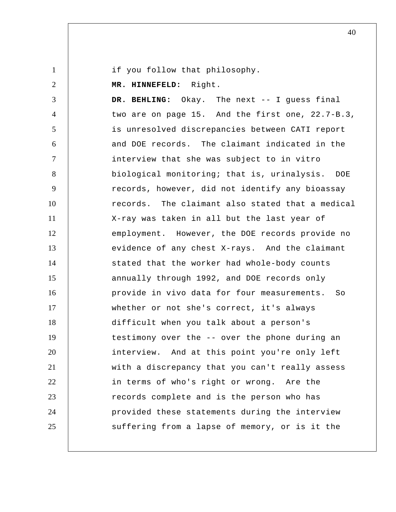if you follow that philosophy.

1

2 3 4 5 6 7 8 9 10 11 12 13 14 15 16 17 18 19 20 21 22 23 24 25  **MR. HINNEFELD:** Right.  **DR. BEHLING:** Okay. The next -- I guess final two are on page 15. And the first one, 22.7-B.3, is unresolved discrepancies between CATI report and DOE records. The claimant indicated in the interview that she was subject to in vitro biological monitoring; that is, urinalysis. DOE records, however, did not identify any bioassay records. The claimant also stated that a medical X-ray was taken in all but the last year of employment. However, the DOE records provide no evidence of any chest X-rays. And the claimant stated that the worker had whole-body counts annually through 1992, and DOE records only provide in vivo data for four measurements. So whether or not she's correct, it's always difficult when you talk about a person's testimony over the -- over the phone during an interview. And at this point you're only left with a discrepancy that you can't really assess in terms of who's right or wrong. Are the records complete and is the person who has provided these statements during the interview suffering from a lapse of memory, or is it the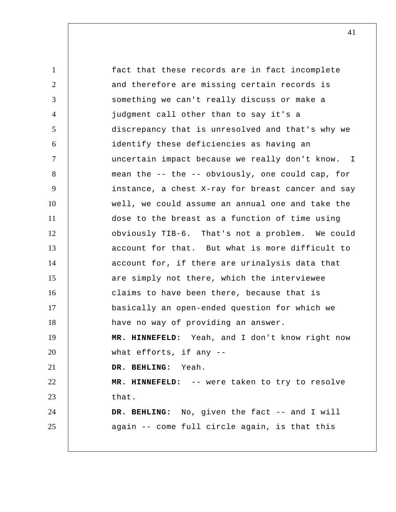1 2 3 4 5 6 7 8 9 10 11 12 13 14 15 16 17 18 19 20 21 22 23 24 25 fact that these records are in fact incomplete and therefore are missing certain records is something we can't really discuss or make a judgment call other than to say it's a discrepancy that is unresolved and that's why we identify these deficiencies as having an uncertain impact because we really don't know. mean the -- the -- obviously, one could cap, for instance, a chest X-ray for breast cancer and say well, we could assume an annual one and take the dose to the breast as a function of time using obviously TIB-6. That's not a problem. We could account for that. But what is more difficult to account for, if there are urinalysis data that are simply not there, which the interviewee claims to have been there, because that is basically an open-ended question for which we have no way of providing an answer.  **MR. HINNEFELD:** Yeah, and I don't know right now what efforts, if any --  **DR. BEHLING:** Yeah.  **MR. HINNEFELD:** -- were taken to try to resolve that. DR. BEHLING: No, given the fact -- and I will again -- come full circle again, is that this I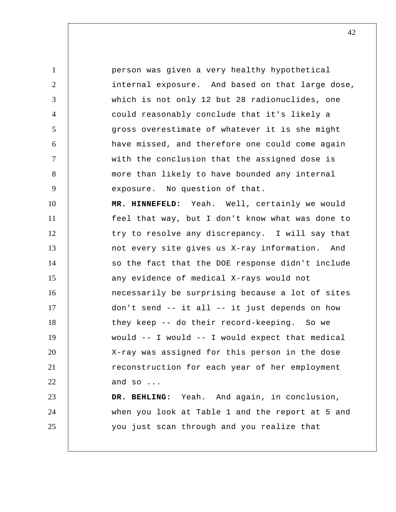1 2 3 4 5 6 7 8 9 10 11 12 13 14 15 16 17 18 19 20 21 22 23 24 25 person was given a very healthy hypothetical internal exposure. And based on that large dose, which is not only 12 but 28 radionuclides, one could reasonably conclude that it's likely a gross overestimate of whatever it is she might have missed, and therefore one could come again with the conclusion that the assigned dose is more than likely to have bounded any internal exposure. No question of that.  **MR. HINNEFELD:** Yeah. Well, certainly we would feel that way, but I don't know what was done to try to resolve any discrepancy. I will say that not every site gives us X-ray information. And so the fact that the DOE response didn't include any evidence of medical X-rays would not necessarily be surprising because a lot of sites don't send -- it all -- it just depends on how they keep -- do their record-keeping. So we would -- I would -- I would expect that medical X-ray was assigned for this person in the dose reconstruction for each year of her employment and so ...  **DR. BEHLING:** Yeah. And again, in conclusion, when you look at Table 1 and the report at 5 and you just scan through and you realize that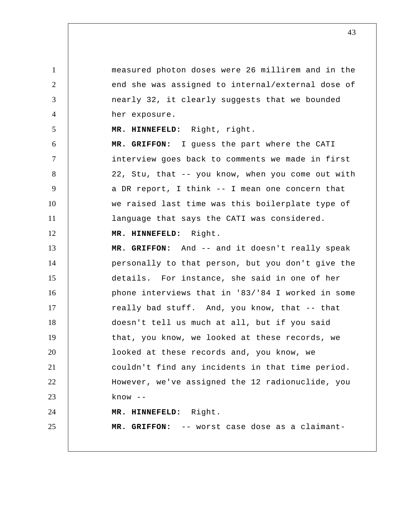measured photon doses were 26 millirem and in the end she was assigned to internal/external dose of nearly 32, it clearly suggests that we bounded her exposure.

 **MR. HINNEFELD:** Right, right.

 **MR. GRIFFON:** I guess the part where the CATI interview goes back to comments we made in first 22, Stu, that -- you know, when you come out with a DR report, I think -- I mean one concern that we raised last time was this boilerplate type of language that says the CATI was considered.

12  **MR. HINNEFELD:** Right.

1

2

3

4

5

6

7

8

9

10

11

13 14 15 16 17 18 19 20 21 22 23 24 25  **MR. GRIFFON:** And -- and it doesn't really speak personally to that person, but you don't give the details. For instance, she said in one of her phone interviews that in '83/'84 I worked in some really bad stuff. And, you know, that -- that doesn't tell us much at all, but if you said that, you know, we looked at these records, we looked at these records and, you know, we couldn't find any incidents in that time period. However, we've assigned the 12 radionuclide, you know --  **MR. HINNEFELD:** Right.  **MR. GRIFFON:** -- worst case dose as a claimant-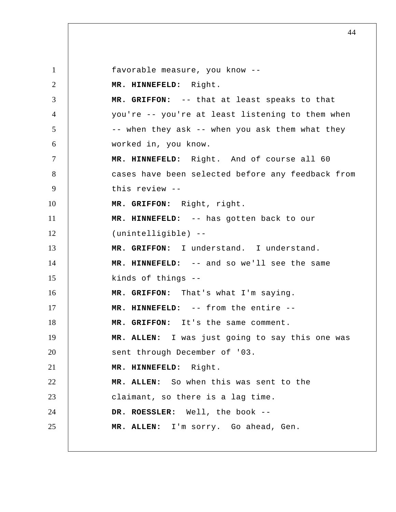1 2 3 4 5 6 7 8 9 10 11 12 13 14 15 16 17 18 19 20 21 22 23 24 25 favorable measure, you know --  **MR. HINNEFELD:** Right.  **MR. GRIFFON:** -- that at least speaks to that you're -- you're at least listening to them when -- when they ask -- when you ask them what they worked in, you know.  **MR. HINNEFELD:** Right. And of course all 60 cases have been selected before any feedback from this review --  **MR. GRIFFON:** Right, right.  **MR. HINNEFELD:** -- has gotten back to our (unintelligible) --  **MR. GRIFFON:** I understand. I understand.  **MR. HINNEFELD:** -- and so we'll see the same kinds of things --  **MR. GRIFFON:** That's what I'm saying.  **MR. HINNEFELD:** -- from the entire --  **MR. GRIFFON:** It's the same comment. **MR. ALLEN:** I was just going to say this one was sent through December of '03.  **MR. HINNEFELD:** Right. **MR. ALLEN:** So when this was sent to the claimant, so there is a lag time. **DR. ROESSLER:** Well, the book -- **MR. ALLEN:** I'm sorry. Go ahead, Gen.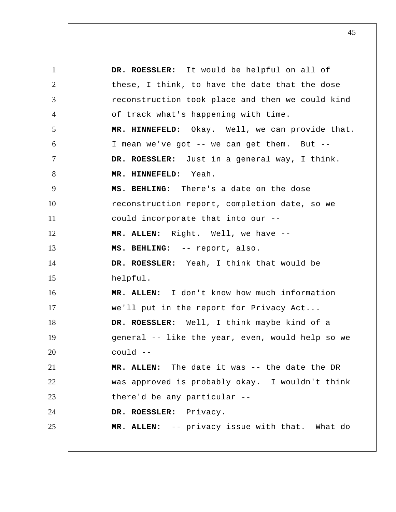1 2 3 4 5 6 7 8 9 10 11 12 13 14 15 16 17 18 19 20 21 22 23 24 25 **DR. ROESSLER:** It would be helpful on all of these, I think, to have the date that the dose reconstruction took place and then we could kind of track what's happening with time.  **MR. HINNEFELD:** Okay. Well, we can provide that. I mean we've got -- we can get them. But -- **DR. ROESSLER:** Just in a general way, I think.  **MR. HINNEFELD:** Yeah.  **MS. BEHLING:** There's a date on the dose reconstruction report, completion date, so we could incorporate that into our -- **MR. ALLEN:** Right. Well, we have --  **MS. BEHLING:** -- report, also. **DR. ROESSLER:** Yeah, I think that would be helpful. **MR. ALLEN:** I don't know how much information we'll put in the report for Privacy Act... **DR. ROESSLER:** Well, I think maybe kind of a general -- like the year, even, would help so we could -- **MR. ALLEN:** The date it was -- the date the DR was approved is probably okay. I wouldn't think there'd be any particular -- **DR. ROESSLER:** Privacy. **MR. ALLEN:** -- privacy issue with that. What do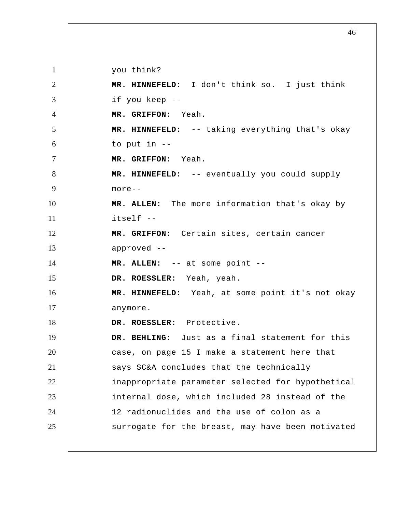1 2 3 4 5 6 7 8 9 10 11 12 13 14 15 16 17 18 19 20 21 22 23 24 25 you think?  **MR. HINNEFELD:** I don't think so. I just think if you keep --  **MR. GRIFFON:** Yeah.  **MR. HINNEFELD:** -- taking everything that's okay to put in --  **MR. GRIFFON:** Yeah.  **MR. HINNEFELD:** -- eventually you could supply more-- **MR. ALLEN:** The more information that's okay by itself --  **MR. GRIFFON:** Certain sites, certain cancer approved -- **MR. ALLEN:** -- at some point -- **DR. ROESSLER:** Yeah, yeah.  **MR. HINNEFELD:** Yeah, at some point it's not okay anymore. **DR. ROESSLER:** Protective.  **DR. BEHLING:** Just as a final statement for this case, on page 15 I make a statement here that says SC&A concludes that the technically inappropriate parameter selected for hypothetical internal dose, which included 28 instead of the 12 radionuclides and the use of colon as a surrogate for the breast, may have been motivated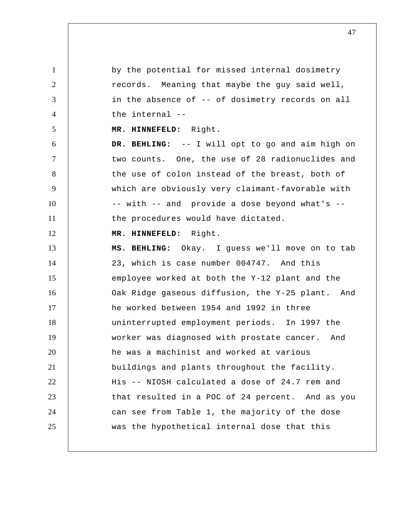1 2 3 4 5 6 7 8 9 10 11 12 13 14 15 16 17 18 19 20 21 22 23 24 25 by the potential for missed internal dosimetry records. Meaning that maybe the guy said well, in the absence of -- of dosimetry records on all the internal --  **MR. HINNEFELD:** Right.  **DR. BEHLING:** -- I will opt to go and aim high on two counts. One, the use of 28 radionuclides and the use of colon instead of the breast, both of which are obviously very claimant-favorable with -- with -- and provide a dose beyond what's - the procedures would have dictated.  **MR. HINNEFELD:** Right.  **MS. BEHLING:** Okay. I guess we'll move on to tab 23, which is case number 004747. And this employee worked at both the Y-12 plant and the Oak Ridge gaseous diffusion, the Y-25 plant. And he worked between 1954 and 1992 in three uninterrupted employment periods. In 1997 the worker was diagnosed with prostate cancer. And he was a machinist and worked at various buildings and plants throughout the facility. His -- NIOSH calculated a dose of 24.7 rem and that resulted in a POC of 24 percent. And as you can see from Table 1, the majority of the dose was the hypothetical internal dose that this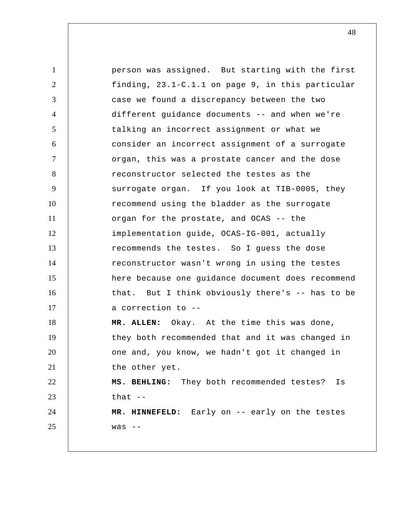1 2 3 4 5 6 7 8 9 10 11 12 13 14 15 16 17 18 19 20 21 22 23 24 25 person was assigned. But starting with the first finding, 23.1-C.1.1 on page 9, in this particular case we found a discrepancy between the two different guidance documents -- and when we're talking an incorrect assignment or what we consider an incorrect assignment of a surrogate organ, this was a prostate cancer and the dose reconstructor selected the testes as the surrogate organ. If you look at TIB-0005, they recommend using the bladder as the surrogate organ for the prostate, and OCAS -- the implementation guide, OCAS-IG-001, actually recommends the testes. So I guess the dose reconstructor wasn't wrong in using the testes here because one guidance document does recommend that. But I think obviously there's -- has to be a correction to -- **MR. ALLEN:** Okay. At the time this was done, they both recommended that and it was changed in one and, you know, we hadn't got it changed in the other yet.  **MS. BEHLING:** They both recommended testes? Is that  $--$  **MR. HINNEFELD:** Early on -- early on the testes was --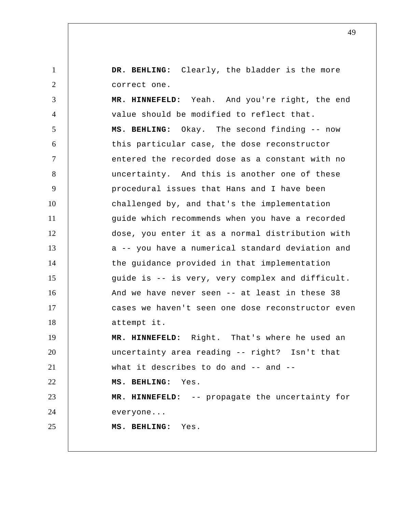1 2  **DR. BEHLING:** Clearly, the bladder is the more correct one.

3 4 5 6 7 8 9 10 11 12 13 14 15 16 17 18 19 20 21 22 23 24 25  **MR. HINNEFELD:** Yeah. And you're right, the end value should be modified to reflect that.  **MS. BEHLING:** Okay. The second finding -- now this particular case, the dose reconstructor entered the recorded dose as a constant with no uncertainty. And this is another one of these procedural issues that Hans and I have been challenged by, and that's the implementation guide which recommends when you have a recorded dose, you enter it as a normal distribution with a -- you have a numerical standard deviation and the guidance provided in that implementation guide is -- is very, very complex and difficult. And we have never seen -- at least in these 38 cases we haven't seen one dose reconstructor even attempt it.  **MR. HINNEFELD:** Right. That's where he used an uncertainty area reading -- right? Isn't that what it describes to do and -- and -- **MS. BEHLING:** Yes.  **MR. HINNEFELD:** -- propagate the uncertainty for everyone...  **MS. BEHLING:** Yes.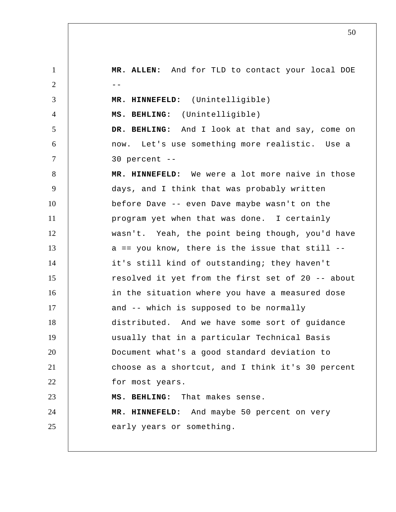1 2  $-$ 3 4 5 6 7 8 9 10 11 12 13 14 15 16 17 18 19 20 21 22 23 24 25 **MR. ALLEN:** And for TLD to contact your local DOE  **MR. HINNEFELD:** (Unintelligible)  **MS. BEHLING:** (Unintelligible)  **DR. BEHLING:** And I look at that and say, come on now. Let's use something more realistic. Use a 30 percent --  **MR. HINNEFELD:** We were a lot more naive in those days, and I think that was probably written before Dave -- even Dave maybe wasn't on the program yet when that was done. I certainly wasn't. Yeah, the point being though, you'd have  $a == you know, there is the issue that still -$ it's still kind of outstanding; they haven't resolved it yet from the first set of 20 -- about in the situation where you have a measured dose and -- which is supposed to be normally distributed. And we have some sort of guidance usually that in a particular Technical Basis Document what's a good standard deviation to choose as a shortcut, and I think it's 30 percent for most years.  **MS. BEHLING:** That makes sense.  **MR. HINNEFELD:** And maybe 50 percent on very early years or something.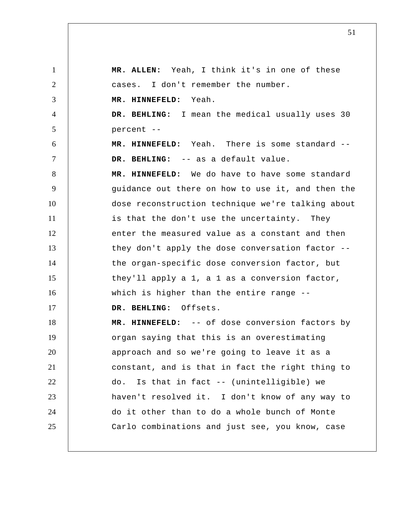1 2 3 4 5 6 7 8 9 10 11 12 13 14 15 16 17 18 19 20 21 22 23 24 25 **MR. ALLEN:** Yeah, I think it's in one of these cases. I don't remember the number.  **MR. HINNEFELD:** Yeah.  **DR. BEHLING:** I mean the medical usually uses 30 percent --  **MR. HINNEFELD:** Yeah. There is some standard --  **DR. BEHLING:** -- as a default value.  **MR. HINNEFELD:** We do have to have some standard guidance out there on how to use it, and then the dose reconstruction technique we're talking about is that the don't use the uncertainty. They enter the measured value as a constant and then they don't apply the dose conversation factor - the organ-specific dose conversion factor, but they'll apply a 1, a 1 as a conversion factor, which is higher than the entire range -- **DR. BEHLING:** Offsets.  **MR. HINNEFELD:** -- of dose conversion factors by organ saying that this is an overestimating approach and so we're going to leave it as a constant, and is that in fact the right thing to do. Is that in fact -- (unintelligible) we haven't resolved it. I don't know of any way to do it other than to do a whole bunch of Monte Carlo combinations and just see, you know, case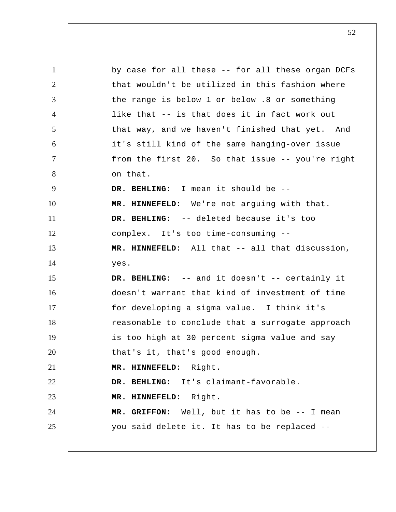1 2 3 4 5 6 7 8 9 10 11 12 13 14 15 16 17 18 19 20 21 22 23 24 25 by case for all these -- for all these organ DCFs that wouldn't be utilized in this fashion where the range is below 1 or below .8 or something like that -- is that does it in fact work out that way, and we haven't finished that yet. And it's still kind of the same hanging-over issue from the first 20. So that issue -- you're right on that.  **DR. BEHLING:** I mean it should be --  **MR. HINNEFELD:** We're not arguing with that.  **DR. BEHLING:** -- deleted because it's too complex. It's too time-consuming --  **MR. HINNEFELD:** All that -- all that discussion, yes.  **DR. BEHLING:** -- and it doesn't -- certainly it doesn't warrant that kind of investment of time for developing a sigma value. I think it's reasonable to conclude that a surrogate approach is too high at 30 percent sigma value and say that's it, that's good enough.  **MR. HINNEFELD:** Right.  **DR. BEHLING:** It's claimant-favorable.  **MR. HINNEFELD:** Right.  **MR. GRIFFON:** Well, but it has to be -- I mean you said delete it. It has to be replaced --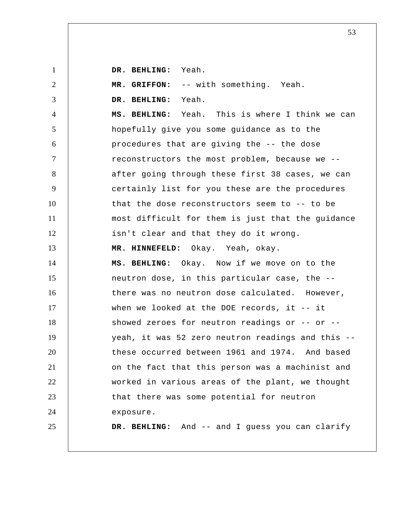| $\mathbf{1}$   | DR. BEHLING: Yeah.                                |
|----------------|---------------------------------------------------|
| $\overline{2}$ | MR. GRIFFON: -- with something. Yeah.             |
| 3              | DR. BEHLING: Yeah.                                |
| $\overline{4}$ | MS. BEHLING: Yeah. This is where I think we can   |
| 5              | hopefully give you some guidance as to the        |
| 6              | procedures that are giving the -- the dose        |
| $\tau$         | reconstructors the most problem, because we --    |
| 8              | after going through these first 38 cases, we can  |
| 9              | certainly list for you these are the procedures   |
| 10             | that the dose reconstructors seem to -- to be     |
| 11             | most difficult for them is just that the guidance |
| 12             | isn't clear and that they do it wrong.            |
| 13             | MR. HINNEFELD: Okay. Yeah, okay.                  |
| 14             | MS. BEHLING: Okay. Now if we move on to the       |
| 15             | neutron dose, in this particular case, the --     |
| 16             | there was no neutron dose calculated. However,    |
| 17             | when we looked at the DOE records, it $-$ it      |
| 18             | showed zeroes for neutron readings or -- or --    |
| 19             | yeah, it was 52 zero neutron readings and this -- |
| 20             | these occurred between 1961 and 1974. And based   |
| 21             | on the fact that this person was a machinist and  |
| 22             | worked in various areas of the plant, we thought  |
| 23             | that there was some potential for neutron         |
| 24             | exposure.                                         |
| 25             | DR. BEHLING: And -- and I guess you can clarify   |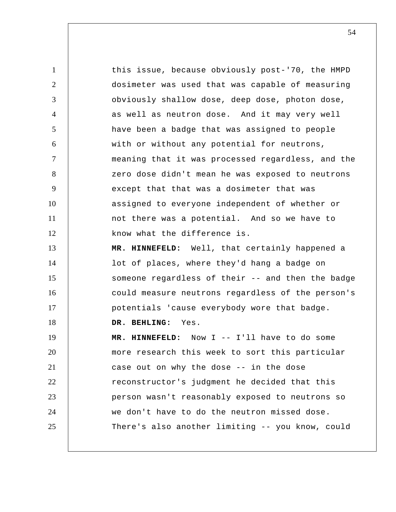this issue, because obviously post-'70, the HMPD dosimeter was used that was capable of measuring obviously shallow dose, deep dose, photon dose, as well as neutron dose. And it may very well have been a badge that was assigned to people with or without any potential for neutrons, meaning that it was processed regardless, and the zero dose didn't mean he was exposed to neutrons except that that was a dosimeter that was assigned to everyone independent of whether or not there was a potential. And so we have to know what the difference is.  **MR. HINNEFELD:** Well, that certainly happened a

lot of places, where they'd hang a badge on someone regardless of their -- and then the badge could measure neutrons regardless of the person's potentials 'cause everybody wore that badge.

 **DR. BEHLING:** Yes.

1

2

3

4

5

6

7

8

9

10

11

12

13

14

15

16

17

18

19 20 21 22 23 24 25  **MR. HINNEFELD:** Now I -- I'll have to do some more research this week to sort this particular case out on why the dose -- in the dose reconstructor's judgment he decided that this person wasn't reasonably exposed to neutrons so we don't have to do the neutron missed dose. There's also another limiting -- you know, could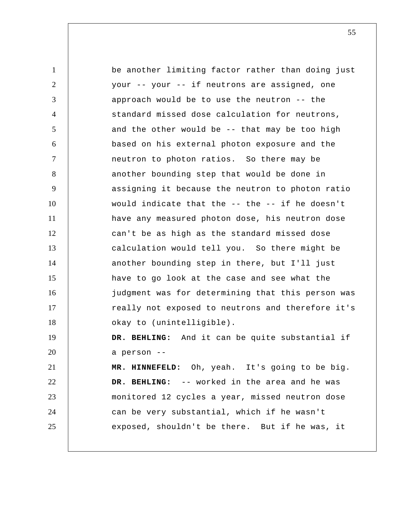1 2 3 4 5 6 7 8 9 10 11 12 13 14 15 16 17 18 19 20 21 22 23 24 25 be another limiting factor rather than doing just your -- your -- if neutrons are assigned, one approach would be to use the neutron -- the standard missed dose calculation for neutrons, and the other would be -- that may be too high based on his external photon exposure and the neutron to photon ratios. So there may be another bounding step that would be done in assigning it because the neutron to photon ratio would indicate that the -- the -- if he doesn't have any measured photon dose, his neutron dose can't be as high as the standard missed dose calculation would tell you. So there might be another bounding step in there, but I'll just have to go look at the case and see what the judgment was for determining that this person was really not exposed to neutrons and therefore it's okay to (unintelligible).  **DR. BEHLING:** And it can be quite substantial if a person --  **MR. HINNEFELD:** Oh, yeah. It's going to be big.  **DR. BEHLING:** -- worked in the area and he was monitored 12 cycles a year, missed neutron dose can be very substantial, which if he wasn't exposed, shouldn't be there. But if he was, it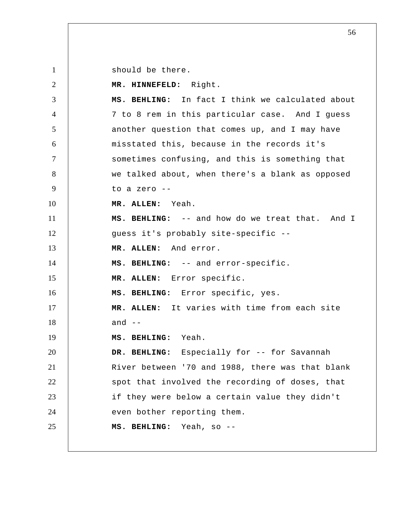should be there.

1

2 3 4 5 6 7 8 9 10 11 12 13 14 15 16 17 18 19 20 21 22 23 24 25  **MR. HINNEFELD:** Right.  **MS. BEHLING:** In fact I think we calculated about 7 to 8 rem in this particular case. And I guess another question that comes up, and I may have misstated this, because in the records it's sometimes confusing, and this is something that we talked about, when there's a blank as opposed to a zero -- **MR. ALLEN:** Yeah.  **MS. BEHLING:** -- and how do we treat that. And I guess it's probably site-specific -- **MR. ALLEN:** And error.  **MS. BEHLING:** -- and error-specific. **MR. ALLEN:** Error specific.  **MS. BEHLING:** Error specific, yes. **MR. ALLEN:** It varies with time from each site and  $-$  **MS. BEHLING:** Yeah.  **DR. BEHLING:** Especially for -- for Savannah River between '70 and 1988, there was that blank spot that involved the recording of doses, that if they were below a certain value they didn't even bother reporting them.  **MS. BEHLING:** Yeah, so --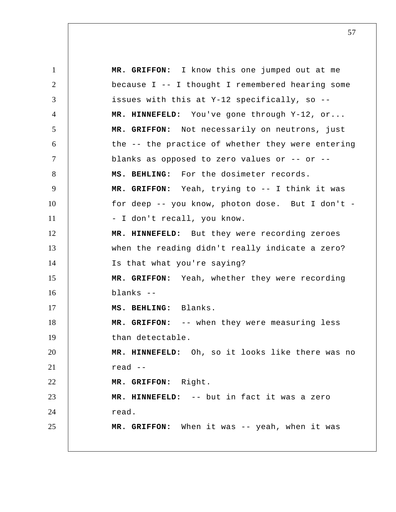1 2 3 4 5 6 7 8 9 10 11 12 13 14 15 16 17 18 19 20 21 22 23 24 25  **MR. GRIFFON:** I know this one jumped out at me because I -- I thought I remembered hearing some issues with this at Y-12 specifically, so --  **MR. HINNEFELD:** You've gone through Y-12, or...  **MR. GRIFFON:** Not necessarily on neutrons, just the -- the practice of whether they were entering blanks as opposed to zero values or -- or --  **MS. BEHLING:** For the dosimeter records.  **MR. GRIFFON:** Yeah, trying to -- I think it was for deep -- you know, photon dose. But I don't - - I don't recall, you know.  **MR. HINNEFELD:** But they were recording zeroes when the reading didn't really indicate a zero? Is that what you're saying?  **MR. GRIFFON:** Yeah, whether they were recording blanks --  **MS. BEHLING:** Blanks.  **MR. GRIFFON:** -- when they were measuring less than detectable.  **MR. HINNEFELD:** Oh, so it looks like there was no read --  **MR. GRIFFON:** Right.  **MR. HINNEFELD:** -- but in fact it was a zero read.  **MR. GRIFFON:** When it was -- yeah, when it was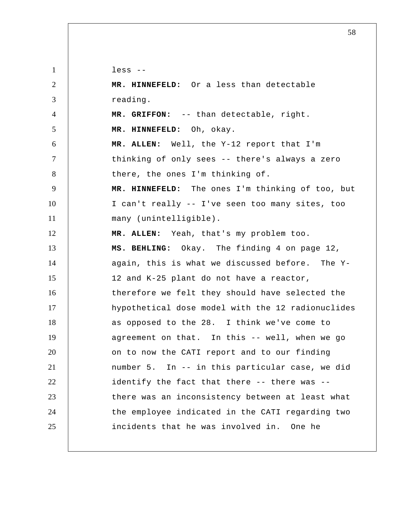1 2 3 4 5 6 7 8 9 10 11 12 13 14 15 16 17 18 19 20 21 22 23 24 25 less --  **MR. HINNEFELD:** Or a less than detectable reading.  **MR. GRIFFON:** -- than detectable, right.  **MR. HINNEFELD:** Oh, okay. **MR. ALLEN:** Well, the Y-12 report that I'm thinking of only sees -- there's always a zero there, the ones I'm thinking of.  **MR. HINNEFELD:** The ones I'm thinking of too, but I can't really -- I've seen too many sites, too many (unintelligible). **MR. ALLEN:** Yeah, that's my problem too.  **MS. BEHLING:** Okay. The finding 4 on page 12, again, this is what we discussed before. The Y-12 and K-25 plant do not have a reactor, therefore we felt they should have selected the hypothetical dose model with the 12 radionuclides as opposed to the 28. I think we've come to agreement on that. In this -- well, when we go on to now the CATI report and to our finding number 5. In -- in this particular case, we did identify the fact that there -- there was - there was an inconsistency between at least what the employee indicated in the CATI regarding two incidents that he was involved in. One he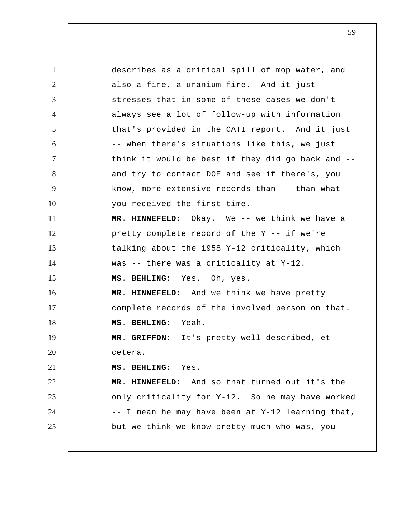1 2 3 4 5 6 7 8 9 10 11 12 13 14 15 16 17 18 19 20 21 22 23 24 25 describes as a critical spill of mop water, and also a fire, a uranium fire. And it just stresses that in some of these cases we don't always see a lot of follow-up with information that's provided in the CATI report. And it just -- when there's situations like this, we just think it would be best if they did go back and - and try to contact DOE and see if there's, you know, more extensive records than -- than what you received the first time.  **MR. HINNEFELD:** Okay. We -- we think we have a pretty complete record of the Y -- if we're talking about the 1958 Y-12 criticality, which was -- there was a criticality at Y-12.  **MS. BEHLING:** Yes. Oh, yes.  **MR. HINNEFELD:** And we think we have pretty complete records of the involved person on that.  **MS. BEHLING:** Yeah.  **MR. GRIFFON:** It's pretty well-described, et cetera.  **MS. BEHLING:** Yes.  **MR. HINNEFELD:** And so that turned out it's the only criticality for Y-12. So he may have worked -- I mean he may have been at Y-12 learning that, but we think we know pretty much who was, you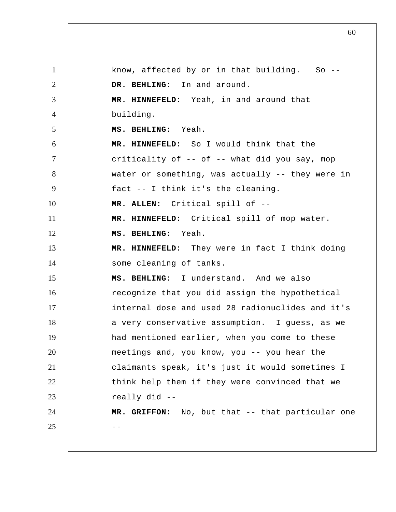1 2 3 4 5 6 7 8 9 10 11 12 13 14 15 16 17 18 19 20 21 22 23 24  $25$  -know, affected by or in that building. So  $-$ - **DR. BEHLING:** In and around.  **MR. HINNEFELD:** Yeah, in and around that building.  **MS. BEHLING:** Yeah.  **MR. HINNEFELD:** So I would think that the criticality of -- of -- what did you say, mop water or something, was actually -- they were in fact -- I think it's the cleaning. **MR. ALLEN:** Critical spill of --  **MR. HINNEFELD:** Critical spill of mop water.  **MS. BEHLING:** Yeah.  **MR. HINNEFELD:** They were in fact I think doing some cleaning of tanks.  **MS. BEHLING:** I understand. And we also recognize that you did assign the hypothetical internal dose and used 28 radionuclides and it's a very conservative assumption. I guess, as we had mentioned earlier, when you come to these meetings and, you know, you -- you hear the claimants speak, it's just it would sometimes I think help them if they were convinced that we really did --  **MR. GRIFFON:** No, but that -- that particular one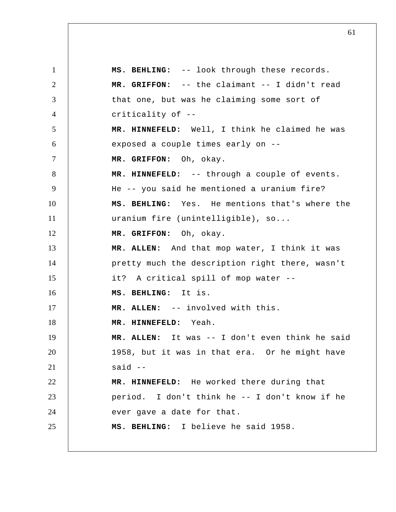1 2 3 4 5 6 7 8 9 10 11 12 13 14 15 16 17 18 19 20 21 22 23 24 25  **MS. BEHLING:** -- look through these records.  **MR. GRIFFON:** -- the claimant -- I didn't read that one, but was he claiming some sort of criticality of --  **MR. HINNEFELD:** Well, I think he claimed he was exposed a couple times early on --  **MR. GRIFFON:** Oh, okay.  **MR. HINNEFELD:** -- through a couple of events. He -- you said he mentioned a uranium fire?  **MS. BEHLING:** Yes. He mentions that's where the uranium fire (unintelligible), so...  **MR. GRIFFON:** Oh, okay. **MR. ALLEN:** And that mop water, I think it was pretty much the description right there, wasn't it? A critical spill of mop water --  **MS. BEHLING:** It is. **MR. ALLEN:** -- involved with this.  **MR. HINNEFELD:** Yeah. **MR. ALLEN:** It was -- I don't even think he said 1958, but it was in that era. Or he might have said --  **MR. HINNEFELD:** He worked there during that period. I don't think he -- I don't know if he ever gave a date for that.  **MS. BEHLING:** I believe he said 1958.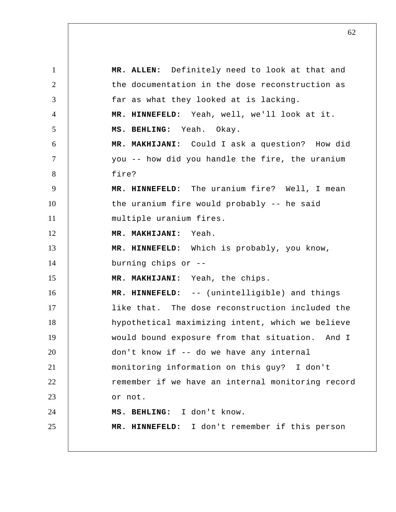1 2 3 4 5 6 7 8 9 10 11 12 13 14 15 16 17 18 19 20 21 22 23 24 25 **MR. ALLEN:** Definitely need to look at that and the documentation in the dose reconstruction as far as what they looked at is lacking.  **MR. HINNEFELD:** Yeah, well, we'll look at it.  **MS. BEHLING:** Yeah. Okay.  **MR. MAKHIJANI:** Could I ask a question? How did you -- how did you handle the fire, the uranium fire?  **MR. HINNEFELD:** The uranium fire? Well, I mean the uranium fire would probably -- he said multiple uranium fires.  **MR. MAKHIJANI:** Yeah.  **MR. HINNEFELD:** Which is probably, you know, burning chips or --  **MR. MAKHIJANI:** Yeah, the chips.  **MR. HINNEFELD:** -- (unintelligible) and things like that. The dose reconstruction included the hypothetical maximizing intent, which we believe would bound exposure from that situation. And I don't know if -- do we have any internal monitoring information on this guy? I don't remember if we have an internal monitoring record or not.  **MS. BEHLING:** I don't know.  **MR. HINNEFELD:** I don't remember if this person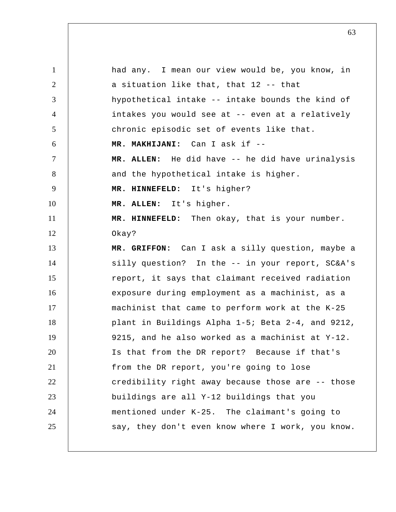1 2 3 4 5 6 7 8 9 10 11 12 13 14 15 16 17 18 19 20 21 22 23 24 25 had any. I mean our view would be, you know, in a situation like that, that 12 -- that hypothetical intake -- intake bounds the kind of intakes you would see at -- even at a relatively chronic episodic set of events like that.  **MR. MAKHIJANI:** Can I ask if -- **MR. ALLEN:** He did have -- he did have urinalysis and the hypothetical intake is higher.  **MR. HINNEFELD:** It's higher? **MR. ALLEN:** It's higher.  **MR. HINNEFELD:** Then okay, that is your number. Okay?  **MR. GRIFFON:** Can I ask a silly question, maybe a silly question? In the -- in your report, SC&A's report, it says that claimant received radiation exposure during employment as a machinist, as a machinist that came to perform work at the K-25 plant in Buildings Alpha 1-5; Beta 2-4, and 9212, 9215, and he also worked as a machinist at Y-12. Is that from the DR report? Because if that's from the DR report, you're going to lose credibility right away because those are -- those buildings are all Y-12 buildings that you mentioned under K-25. The claimant's going to say, they don't even know where I work, you know.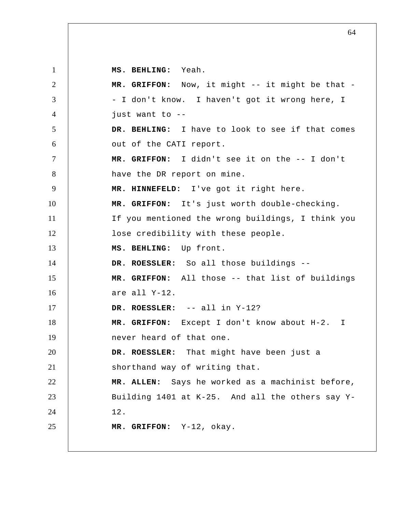1 2 3 4 5 6 7 8 9 10 11 12 13 14 15 16 17 18 19 20 21 22 23 24 25  **MS. BEHLING:** Yeah.  **MR. GRIFFON:** Now, it might -- it might be that - - I don't know. I haven't got it wrong here, I just want to --  **DR. BEHLING:** I have to look to see if that comes out of the CATI report.  **MR. GRIFFON:** I didn't see it on the -- I don't have the DR report on mine.  **MR. HINNEFELD:** I've got it right here.  **MR. GRIFFON:** It's just worth double-checking. If you mentioned the wrong buildings, I think you lose credibility with these people.  **MS. BEHLING:** Up front. **DR. ROESSLER:** So all those buildings --  **MR. GRIFFON:** All those -- that list of buildings are all Y-12. **DR. ROESSLER:** -- all in Y-12?  **MR. GRIFFON:** Except I don't know about H-2. never heard of that one. **DR. ROESSLER:** That might have been just a shorthand way of writing that. **MR. ALLEN:** Says he worked as a machinist before, Building 1401 at K-25. And all the others say Y-12.  **MR. GRIFFON:** Y-12, okay. I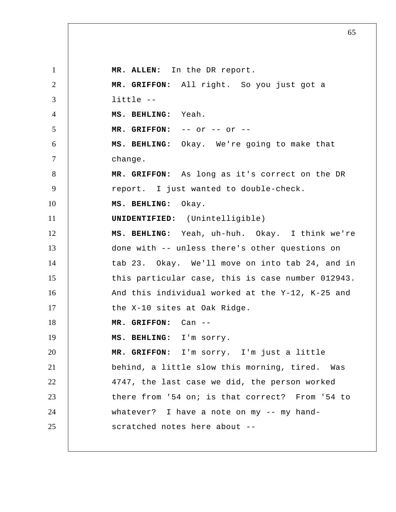1 2 3 4 5 6 7 8 9 10 11 12 13 14 15 16 17 18 19 20 21 22 23 24 25 **MR. ALLEN:** In the DR report.  **MR. GRIFFON:** All right. So you just got a little --  **MS. BEHLING:** Yeah.  **MR. GRIFFON:** -- or -- or --  **MS. BEHLING:** Okay. We're going to make that change.  **MR. GRIFFON:** As long as it's correct on the DR report. I just wanted to double-check.  **MS. BEHLING:** Okay. **UNIDENTIFIED:** (Unintelligible)  **MS. BEHLING:** Yeah, uh-huh. Okay. I think we're done with -- unless there's other questions on tab 23. Okay. We'll move on into tab 24, and in this particular case, this is case number 012943. And this individual worked at the Y-12, K-25 and the X-10 sites at Oak Ridge.  **MR. GRIFFON:** Can --  **MS. BEHLING:** I'm sorry.  **MR. GRIFFON:** I'm sorry. I'm just a little behind, a little slow this morning, tired. Was 4747, the last case we did, the person worked there from '54 on; is that correct? From '54 to whatever? I have a note on my -- my handscratched notes here about --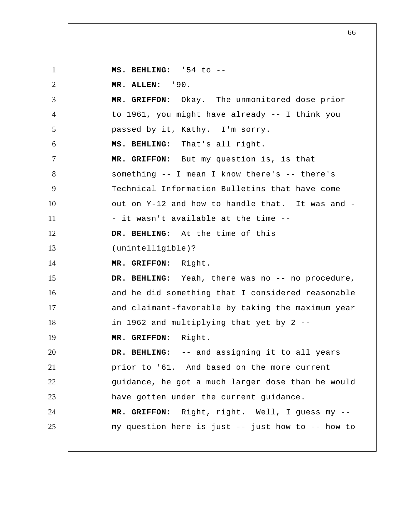1 2 3 4 5 6 7 8 9 10 11 12 13 14 15 16 17 18 19 20 21 22 23 24 25  **MS. BEHLING:** '54 to -- **MR. ALLEN:** '90.  **MR. GRIFFON:** Okay. The unmonitored dose prior to 1961, you might have already -- I think you passed by it, Kathy. I'm sorry.  **MS. BEHLING:** That's all right.  **MR. GRIFFON:** But my question is, is that something -- I mean I know there's -- there's Technical Information Bulletins that have come out on Y-12 and how to handle that. It was and - - it wasn't available at the time --  **DR. BEHLING:** At the time of this (unintelligible)?  **MR. GRIFFON:** Right.  **DR. BEHLING:** Yeah, there was no -- no procedure, and he did something that I considered reasonable and claimant-favorable by taking the maximum year in 1962 and multiplying that yet by 2 --  **MR. GRIFFON:** Right.  **DR. BEHLING:** -- and assigning it to all years prior to '61. And based on the more current guidance, he got a much larger dose than he would have gotten under the current guidance.  **MR. GRIFFON:** Right, right. Well, I guess my - my question here is just -- just how to -- how to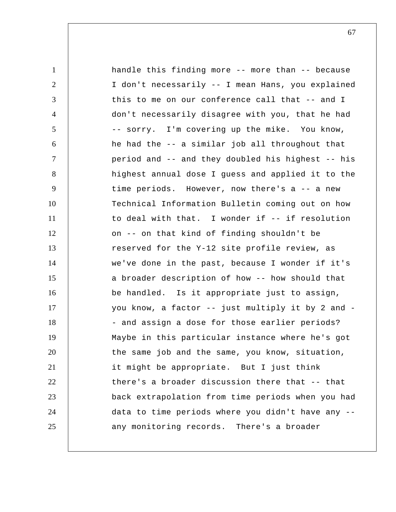1 2 3 4 5 6 7 8 9 10 11 12 13 14 15 16 17 18 19 20 21 22 23 24 25 handle this finding more -- more than -- because I don't necessarily -- I mean Hans, you explained this to me on our conference call that -- and I don't necessarily disagree with you, that he had -- sorry. I'm covering up the mike. You know, he had the -- a similar job all throughout that period and -- and they doubled his highest -- his highest annual dose I guess and applied it to the time periods. However, now there's a -- a new Technical Information Bulletin coming out on how to deal with that. I wonder if -- if resolution on -- on that kind of finding shouldn't be reserved for the Y-12 site profile review, as we've done in the past, because I wonder if it's a broader description of how -- how should that be handled. Is it appropriate just to assign, you know, a factor -- just multiply it by 2 and - - and assign a dose for those earlier periods? Maybe in this particular instance where he's got the same job and the same, you know, situation, it might be appropriate. But I just think there's a broader discussion there that -- that back extrapolation from time periods when you had data to time periods where you didn't have any - any monitoring records. There's a broader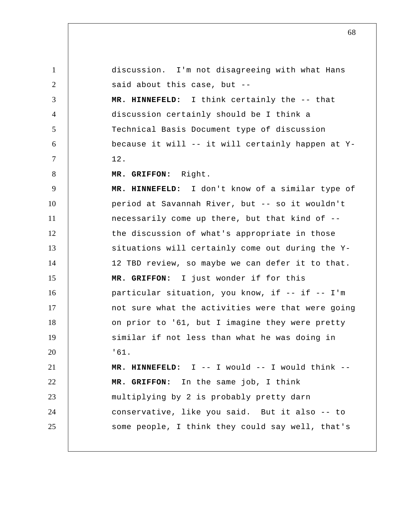1 2 3 4 5 6 7 8 9 10 11 12 13 14 15 16 17 18 19 20 21 22 23 24 25 discussion. I'm not disagreeing with what Hans said about this case, but --  **MR. HINNEFELD:** I think certainly the -- that discussion certainly should be I think a Technical Basis Document type of discussion because it will -- it will certainly happen at Y-12.  **MR. GRIFFON:** Right.  **MR. HINNEFELD:** I don't know of a similar type of period at Savannah River, but -- so it wouldn't necessarily come up there, but that kind of - the discussion of what's appropriate in those situations will certainly come out during the Y-12 TBD review, so maybe we can defer it to that.  **MR. GRIFFON:** I just wonder if for this particular situation, you know, if -- if -- I'm not sure what the activities were that were going on prior to '61, but I imagine they were pretty similar if not less than what he was doing in '61.  **MR. HINNEFELD:** I -- I would -- I would think --  **MR. GRIFFON:** In the same job, I think multiplying by 2 is probably pretty darn conservative, like you said. But it also -- to some people, I think they could say well, that's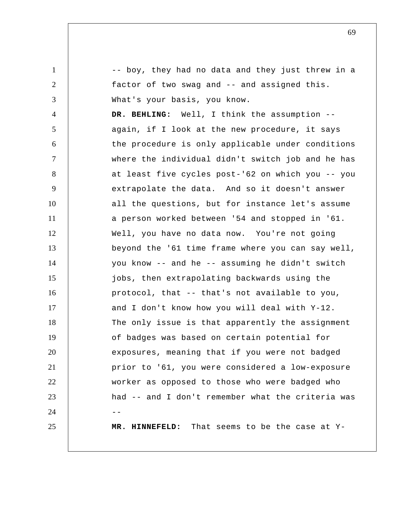1 2 3 4 5 6 7 8 9 10 11 12 13 14 15 16 17 18 19 20 21 22 23  $24$  --25 -- boy, they had no data and they just threw in a factor of two swag and -- and assigned this. What's your basis, you know.  **DR. BEHLING:** Well, I think the assumption - again, if I look at the new procedure, it says the procedure is only applicable under conditions where the individual didn't switch job and he has at least five cycles post-'62 on which you -- you extrapolate the data. And so it doesn't answer all the questions, but for instance let's assume a person worked between '54 and stopped in '61. Well, you have no data now. You're not going beyond the '61 time frame where you can say well, you know -- and he -- assuming he didn't switch jobs, then extrapolating backwards using the protocol, that -- that's not available to you, and I don't know how you will deal with Y-12. The only issue is that apparently the assignment of badges was based on certain potential for exposures, meaning that if you were not badged prior to '61, you were considered a low-exposure worker as opposed to those who were badged who had -- and I don't remember what the criteria was  **MR. HINNEFELD:** That seems to be the case at Y-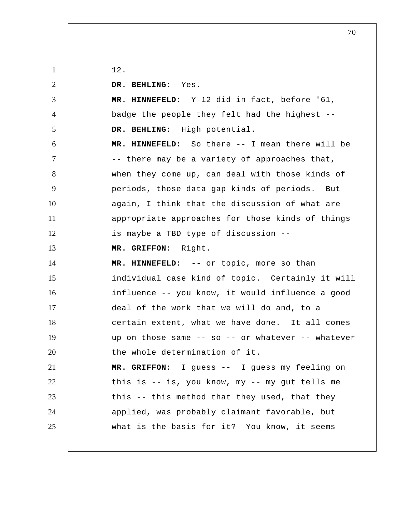| $\mathbf{1}$   | 12.                                               |
|----------------|---------------------------------------------------|
| 2              | DR. BEHLING: Yes.                                 |
| 3              | MR. HINNEFELD: Y-12 did in fact, before '61,      |
| $\overline{4}$ | badge the people they felt had the highest --     |
| 5              | DR. BEHLING: High potential.                      |
| 6              | MR. HINNEFELD: So there -- I mean there will be   |
| $\tau$         | -- there may be a variety of approaches that,     |
| 8              | when they come up, can deal with those kinds of   |
| 9              | periods, those data gap kinds of periods. But     |
| 10             | again, I think that the discussion of what are    |
| 11             | appropriate approaches for those kinds of things  |
| 12             | is maybe a TBD type of discussion --              |
| 13             | MR. GRIFFON: Right.                               |
|                |                                                   |
| 14             | MR. HINNEFELD: -- or topic, more so than          |
| 15             | individual case kind of topic. Certainly it will  |
| 16             | influence -- you know, it would influence a good  |
| 17             | deal of the work that we will do and, to a        |
| 18             | certain extent, what we have done. It all comes   |
| 19             | up on those same -- so -- or whatever -- whatever |
| 20             | the whole determination of it.                    |
| 21             | MR. GRIFFON: I guess -- I guess my feeling on     |
| 22             | this is -- is, you know, my -- my gut tells me    |
| 23             | this -- this method that they used, that they     |
| 24             | applied, was probably claimant favorable, but     |
| 25             | what is the basis for it? You know, it seems      |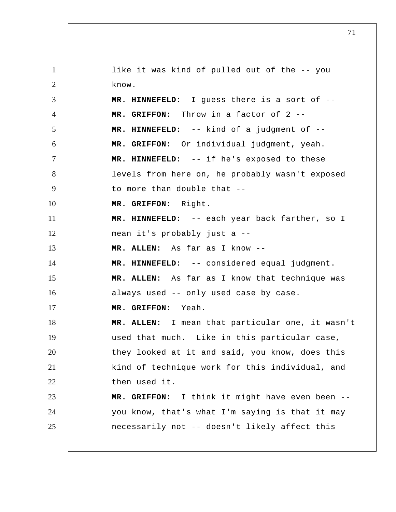1 2 3 4 5 6 7 8 9 10 11 12 13 14 15 16 17 18 19 20 21 22 23 24 25 like it was kind of pulled out of the -- you know.  **MR. HINNEFELD:** I guess there is a sort of --  **MR. GRIFFON:** Throw in a factor of 2 --  **MR. HINNEFELD:** -- kind of a judgment of --  **MR. GRIFFON:** Or individual judgment, yeah.  **MR. HINNEFELD:** -- if he's exposed to these levels from here on, he probably wasn't exposed to more than double that --  **MR. GRIFFON:** Right.  **MR. HINNEFELD:** -- each year back farther, so I mean it's probably just a -- **MR. ALLEN:** As far as I know --  **MR. HINNEFELD:** -- considered equal judgment. **MR. ALLEN:** As far as I know that technique was always used -- only used case by case.  **MR. GRIFFON:** Yeah. **MR. ALLEN:** I mean that particular one, it wasn't used that much. Like in this particular case, they looked at it and said, you know, does this kind of technique work for this individual, and then used it.  **MR. GRIFFON:** I think it might have even been - you know, that's what I'm saying is that it may necessarily not -- doesn't likely affect this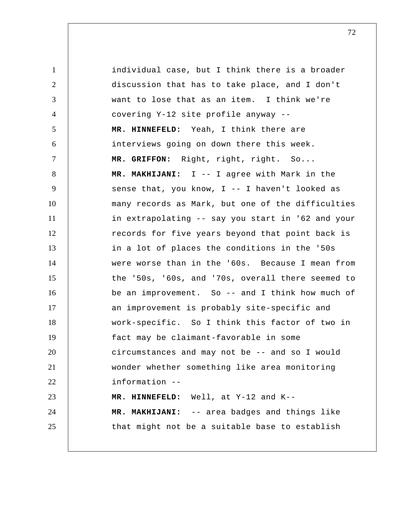1 2 3 4 5 6 7 8 9 10 11 12 13 14 15 16 17 18 19 20 21 22 23 24 25 individual case, but I think there is a broader discussion that has to take place, and I don't want to lose that as an item. I think we're covering Y-12 site profile anyway --  **MR. HINNEFELD:** Yeah, I think there are interviews going on down there this week.  **MR. GRIFFON:** Right, right, right. So...  **MR. MAKHIJANI:** I -- I agree with Mark in the sense that, you know, I -- I haven't looked as many records as Mark, but one of the difficulties in extrapolating -- say you start in '62 and your records for five years beyond that point back is in a lot of places the conditions in the '50s were worse than in the '60s. Because I mean from the '50s, '60s, and '70s, overall there seemed to be an improvement. So -- and I think how much of an improvement is probably site-specific and work-specific. So I think this factor of two in fact may be claimant-favorable in some circumstances and may not be -- and so I would wonder whether something like area monitoring information --  **MR. HINNEFELD:** Well, at Y-12 and K--  **MR. MAKHIJANI:** -- area badges and things like that might not be a suitable base to establish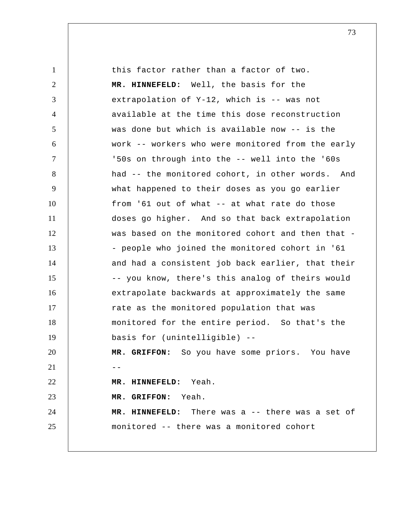1 2 3 4 5 6 7 8 9 10 11 12 13 14 15 16 17 18 19 20 21  $\vert$  --22 23 24 25 this factor rather than a factor of two.  **MR. HINNEFELD:** Well, the basis for the extrapolation of Y-12, which is -- was not available at the time this dose reconstruction was done but which is available now -- is the work -- workers who were monitored from the early '50s on through into the -- well into the '60s had -- the monitored cohort, in other words. And what happened to their doses as you go earlier from '61 out of what -- at what rate do those doses go higher. And so that back extrapolation was based on the monitored cohort and then that - - people who joined the monitored cohort in '61 and had a consistent job back earlier, that their -- you know, there's this analog of theirs would extrapolate backwards at approximately the same rate as the monitored population that was monitored for the entire period. So that's the basis for (unintelligible) --  **MR. GRIFFON:** So you have some priors. You have  **MR. HINNEFELD:** Yeah.  **MR. GRIFFON:** Yeah.  **MR. HINNEFELD:** There was a -- there was a set of monitored -- there was a monitored cohort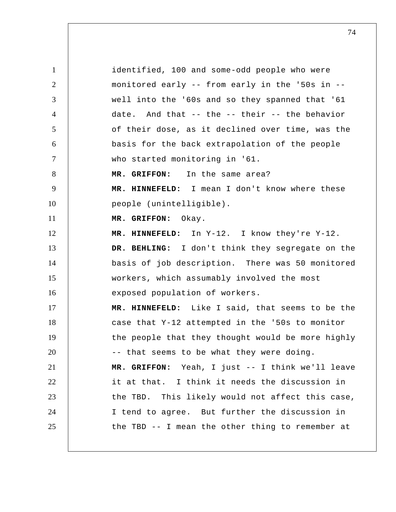1 2 3 4 5 6 7 8 9 10 11 12 13 14 15 16 17 18 19 20 21 22 23 24 25 identified, 100 and some-odd people who were monitored early -- from early in the '50s in - well into the '60s and so they spanned that '61 date. And that -- the -- their -- the behavior of their dose, as it declined over time, was the basis for the back extrapolation of the people who started monitoring in '61.  **MR. GRIFFON:** In the same area?  **MR. HINNEFELD:** I mean I don't know where these people (unintelligible).  **MR. GRIFFON:** Okay.  **MR. HINNEFELD:** In Y-12. I know they're Y-12.  **DR. BEHLING:** I don't think they segregate on the basis of job description. There was 50 monitored workers, which assumably involved the most exposed population of workers.  **MR. HINNEFELD:** Like I said, that seems to be the case that Y-12 attempted in the '50s to monitor the people that they thought would be more highly -- that seems to be what they were doing.  **MR. GRIFFON:** Yeah, I just -- I think we'll leave it at that. I think it needs the discussion in the TBD. This likely would not affect this case, I tend to agree. But further the discussion in the TBD -- I mean the other thing to remember at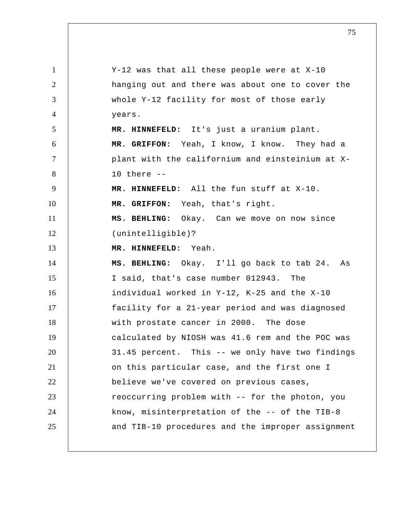1 2 3 4 5 6 7 8 9 10 11 12 13 14 15 16 17 18 19 20 21 22 23 24 25 Y-12 was that all these people were at X-10 hanging out and there was about one to cover the whole Y-12 facility for most of those early years.  **MR. HINNEFELD:** It's just a uranium plant.  **MR. GRIFFON:** Yeah, I know, I know. They had a plant with the californium and einsteinium at X-10 there --  **MR. HINNEFELD:** All the fun stuff at X-10.  **MR. GRIFFON:** Yeah, that's right.  **MS. BEHLING:** Okay. Can we move on now since (unintelligible)?  **MR. HINNEFELD:** Yeah.  **MS. BEHLING:** Okay. I'll go back to tab 24. As I said, that's case number 012943. The individual worked in Y-12, K-25 and the X-10 facility for a 21-year period and was diagnosed with prostate cancer in 2000. The dose calculated by NIOSH was 41.6 rem and the POC was 31.45 percent. This -- we only have two findings on this particular case, and the first one I believe we've covered on previous cases, reoccurring problem with -- for the photon, you know, misinterpretation of the -- of the TIB-8 and TIB-10 procedures and the improper assignment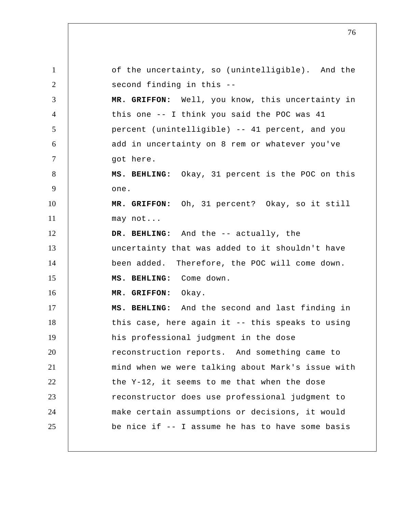1 2 3 4 5 6 7 8 9 10 11 12 13 14 15 16 17 18 19 20 21 22 23 24 25 of the uncertainty, so (unintelligible). And the second finding in this --  **MR. GRIFFON:** Well, you know, this uncertainty in this one -- I think you said the POC was 41 percent (unintelligible) -- 41 percent, and you add in uncertainty on 8 rem or whatever you've got here.  **MS. BEHLING:** Okay, 31 percent is the POC on this one.  **MR. GRIFFON:** Oh, 31 percent? Okay, so it still may not...  **DR. BEHLING:** And the -- actually, the uncertainty that was added to it shouldn't have been added. Therefore, the POC will come down.  **MS. BEHLING:** Come down.  **MR. GRIFFON:** Okay.  **MS. BEHLING:** And the second and last finding in this case, here again it -- this speaks to using his professional judgment in the dose reconstruction reports. And something came to mind when we were talking about Mark's issue with the Y-12, it seems to me that when the dose reconstructor does use professional judgment to make certain assumptions or decisions, it would be nice if -- I assume he has to have some basis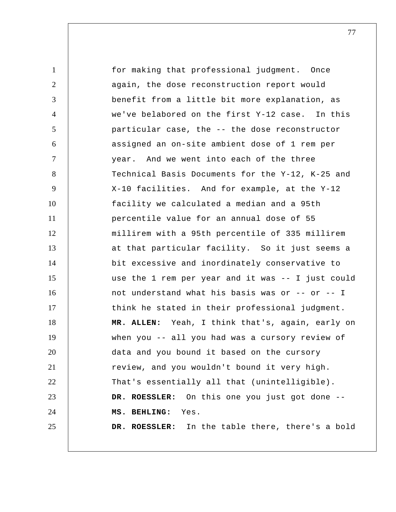1 2 3 4 5 6 7 8 9 10 11 12 13 14 15 16 17 18 19 20 21 22 23 24 25 for making that professional judgment. Once again, the dose reconstruction report would benefit from a little bit more explanation, as we've belabored on the first Y-12 case. In this particular case, the -- the dose reconstructor assigned an on-site ambient dose of 1 rem per year. And we went into each of the three Technical Basis Documents for the Y-12, K-25 and X-10 facilities. And for example, at the Y-12 facility we calculated a median and a 95th percentile value for an annual dose of 55 millirem with a 95th percentile of 335 millirem at that particular facility. So it just seems a bit excessive and inordinately conservative to use the 1 rem per year and it was -- I just could not understand what his basis was or -- or -- I think he stated in their professional judgment. **MR. ALLEN:** Yeah, I think that's, again, early on when you -- all you had was a cursory review of data and you bound it based on the cursory review, and you wouldn't bound it very high. That's essentially all that (unintelligible). **DR. ROESSLER:** On this one you just got done --  **MS. BEHLING:** Yes. **DR. ROESSLER:** In the table there, there's a bold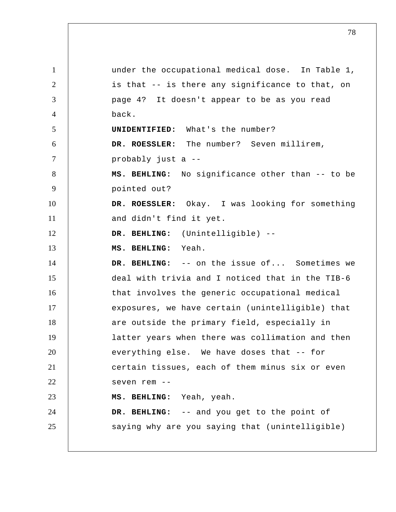1 2 3 4 5 6 7 8 9 10 11 12 13 14 15 16 17 18 19 20 21 22 23 24 25 under the occupational medical dose. In Table 1, is that -- is there any significance to that, on page 4? It doesn't appear to be as you read back. **UNIDENTIFIED:** What's the number? **DR. ROESSLER:** The number? Seven millirem, probably just a --  **MS. BEHLING:** No significance other than -- to be pointed out? **DR. ROESSLER:** Okay. I was looking for something and didn't find it yet.  **DR. BEHLING:** (Unintelligible) --  **MS. BEHLING:** Yeah.  **DR. BEHLING:** -- on the issue of... Sometimes we deal with trivia and I noticed that in the TIB-6 that involves the generic occupational medical exposures, we have certain (unintelligible) that are outside the primary field, especially in latter years when there was collimation and then everything else. We have doses that -- for certain tissues, each of them minus six or even seven rem --  **MS. BEHLING:** Yeah, yeah.  **DR. BEHLING:** -- and you get to the point of saying why are you saying that (unintelligible)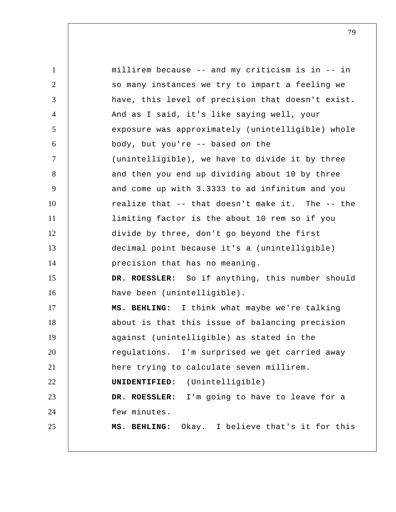1 2 3 4 5 6 7 8 9 10 11 12 13 14 15 16 17 18 19 20 21 22 23 24 25 millirem because -- and my criticism is in -- in so many instances we try to impart a feeling we have, this level of precision that doesn't exist. And as I said, it's like saying well, your exposure was approximately (unintelligible) whole body, but you're -- based on the (unintelligible), we have to divide it by three and then you end up dividing about 10 by three and come up with 3.3333 to ad infinitum and you realize that -- that doesn't make it. The -- the limiting factor is the about 10 rem so if you divide by three, don't go beyond the first decimal point because it's a (unintelligible) precision that has no meaning. **DR. ROESSLER:** So if anything, this number should have been (unintelligible).  **MS. BEHLING:** I think what maybe we're talking about is that this issue of balancing precision against (unintelligible) as stated in the regulations. I'm surprised we get carried away here trying to calculate seven millirem. **UNIDENTIFIED:** (Unintelligible) **DR. ROESSLER:** I'm going to have to leave for a few minutes.  **MS. BEHLING:** Okay. I believe that's it for this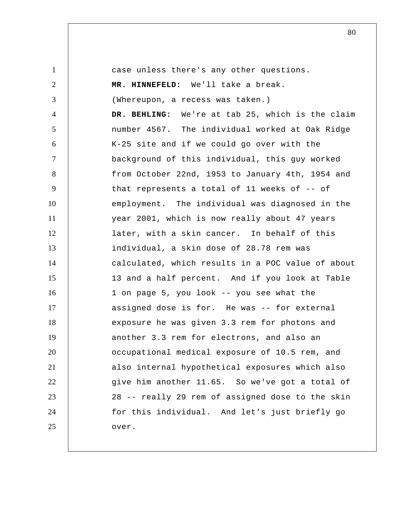1 2 3 4 5 6 7 8 9 10 11 12 13 14 15 16 17 18 19 20 21 22 23 24 25 case unless there's any other questions.  **MR. HINNEFELD:** We'll take a break. (Whereupon, a recess was taken.)  **DR. BEHLING:** We're at tab 25, which is the claim number 4567. The individual worked at Oak Ridge K-25 site and if we could go over with the background of this individual, this guy worked from October 22nd, 1953 to January 4th, 1954 and that represents a total of 11 weeks of -- of employment. The individual was diagnosed in the year 2001, which is now really about 47 years later, with a skin cancer. In behalf of this individual, a skin dose of 28.78 rem was calculated, which results in a POC value of about 13 and a half percent. And if you look at Table 1 on page 5, you look -- you see what the assigned dose is for. He was -- for external exposure he was given 3.3 rem for photons and another 3.3 rem for electrons, and also an occupational medical exposure of 10.5 rem, and also internal hypothetical exposures which also give him another 11.65. So we've got a total of 28 -- really 29 rem of assigned dose to the skin for this individual. And let's just briefly go over.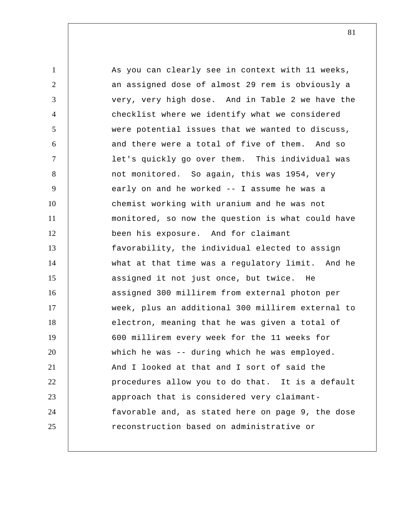1 2 3 4 5 6 7 8 9 10 11 12 13 14 15 16 17 18 19 20 21 22 23 24 25 As you can clearly see in context with 11 weeks, an assigned dose of almost 29 rem is obviously a very, very high dose. And in Table 2 we have the checklist where we identify what we considered were potential issues that we wanted to discuss, and there were a total of five of them. And so let's quickly go over them. This individual was not monitored. So again, this was 1954, very early on and he worked -- I assume he was a chemist working with uranium and he was not monitored, so now the question is what could have been his exposure. And for claimant favorability, the individual elected to assign what at that time was a regulatory limit. And he assigned it not just once, but twice. He assigned 300 millirem from external photon per week, plus an additional 300 millirem external to electron, meaning that he was given a total of 600 millirem every week for the 11 weeks for which he was -- during which he was employed. And I looked at that and I sort of said the procedures allow you to do that. It is a default approach that is considered very claimantfavorable and, as stated here on page 9, the dose reconstruction based on administrative or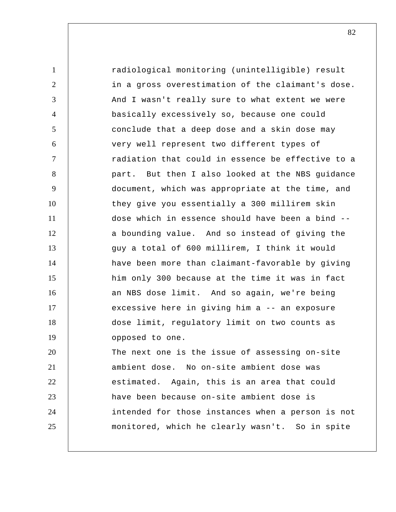1 2 3 4 5 6 7 8 9 10 11 12 13 14 15 16 17 18 19 20 21 22 23 24 25 radiological monitoring (unintelligible) result in a gross overestimation of the claimant's dose. And I wasn't really sure to what extent we were basically excessively so, because one could conclude that a deep dose and a skin dose may very well represent two different types of radiation that could in essence be effective to a part. But then I also looked at the NBS guidance document, which was appropriate at the time, and they give you essentially a 300 millirem skin dose which in essence should have been a bind - a bounding value. And so instead of giving the guy a total of 600 millirem, I think it would have been more than claimant-favorable by giving him only 300 because at the time it was in fact an NBS dose limit. And so again, we're being excessive here in giving him a -- an exposure dose limit, regulatory limit on two counts as opposed to one. The next one is the issue of assessing on-site ambient dose. No on-site ambient dose was estimated. Again, this is an area that could have been because on-site ambient dose is intended for those instances when a person is not monitored, which he clearly wasn't. So in spite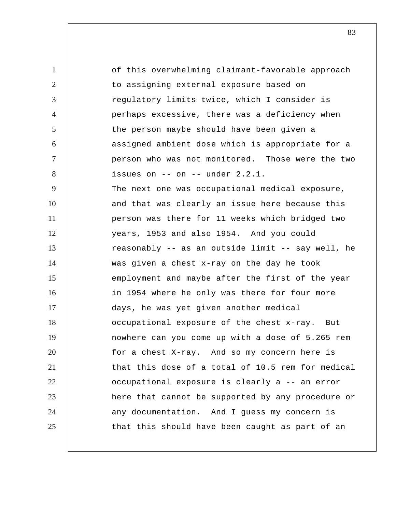1 2 3 4 5 6 7 8 9 10 11 12 13 14 15 16 17 18 19 20 21 22 23 24 25 of this overwhelming claimant-favorable approach to assigning external exposure based on regulatory limits twice, which I consider is perhaps excessive, there was a deficiency when the person maybe should have been given a assigned ambient dose which is appropriate for a person who was not monitored. Those were the two issues on -- on -- under 2.2.1. The next one was occupational medical exposure, and that was clearly an issue here because this person was there for 11 weeks which bridged two years, 1953 and also 1954. And you could reasonably -- as an outside limit -- say well, he was given a chest x-ray on the day he took employment and maybe after the first of the year in 1954 where he only was there for four more days, he was yet given another medical occupational exposure of the chest x-ray. But nowhere can you come up with a dose of 5.265 rem for a chest X-ray. And so my concern here is that this dose of a total of 10.5 rem for medical occupational exposure is clearly a -- an error here that cannot be supported by any procedure or any documentation. And I guess my concern is that this should have been caught as part of an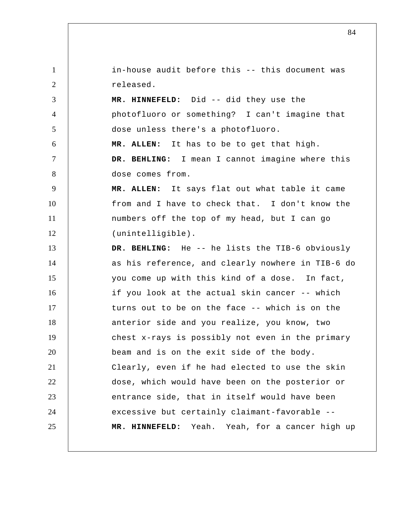1 2 3 4 5 6 7 8 9 10 11 12 13 14 15 16 17 18 19 20 21 22 23 24 25 in-house audit before this -- this document was released.  **MR. HINNEFELD:** Did -- did they use the photofluoro or something? I can't imagine that dose unless there's a photofluoro. **MR. ALLEN:** It has to be to get that high.  **DR. BEHLING:** I mean I cannot imagine where this dose comes from. **MR. ALLEN:** It says flat out what table it came from and I have to check that. I don't know the numbers off the top of my head, but I can go (unintelligible).  **DR. BEHLING:** He -- he lists the TIB-6 obviously as his reference, and clearly nowhere in TIB-6 do you come up with this kind of a dose. In fact, if you look at the actual skin cancer -- which turns out to be on the face -- which is on the anterior side and you realize, you know, two chest x-rays is possibly not even in the primary beam and is on the exit side of the body. Clearly, even if he had elected to use the skin dose, which would have been on the posterior or entrance side, that in itself would have been excessive but certainly claimant-favorable --  **MR. HINNEFELD:** Yeah. Yeah, for a cancer high up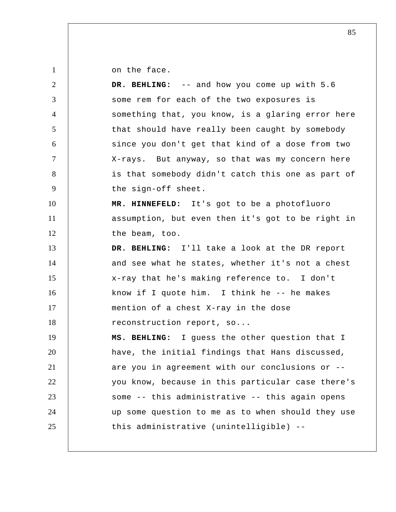on the face.

| 2              | DR. BEHLING: -- and how you come up with 5.6      |
|----------------|---------------------------------------------------|
| 3              | some rem for each of the two exposures is         |
| $\overline{4}$ | something that, you know, is a glaring error here |
| $\mathfrak{S}$ | that should have really been caught by somebody   |
| 6              | since you don't get that kind of a dose from two  |
| $\tau$         | X-rays. But anyway, so that was my concern here   |
| 8              | is that somebody didn't catch this one as part of |
| 9              | the sign-off sheet.                               |
| 10             | MR. HINNEFELD: It's got to be a photofluoro       |
| 11             | assumption, but even then it's got to be right in |
| 12             | the beam, too.                                    |
| 13             | DR. BEHLING: I'll take a look at the DR report    |
| 14             | and see what he states, whether it's not a chest  |
| 15             | x-ray that he's making reference to. I don't      |
| 16             | know if I quote him. I think he -- he makes       |
| 17             | mention of a chest X-ray in the dose              |
| 18             | reconstruction report, so                         |
| 19             | MS. BEHLING: I guess the other question that I    |
| 20             | have, the initial findings that Hans discussed,   |
| 21             | are you in agreement with our conclusions or --   |
| 22             | you know, because in this particular case there's |
| 23             | some -- this administrative -- this again opens   |
| 24             | up some question to me as to when should they use |
| 25             | this administrative (unintelligible) --           |
|                |                                                   |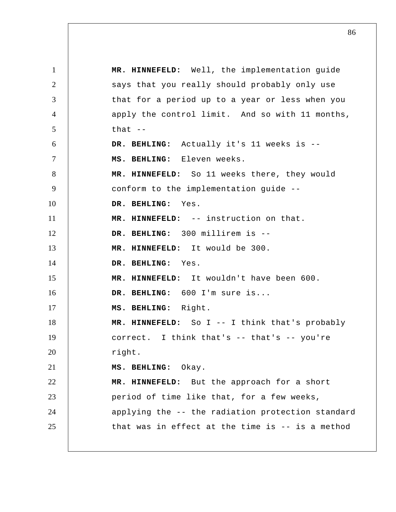1 2 3 4 5 6 7 8 9 10 11 12 13 14 15 16 17 18 19 20 21 22 23 24 25  **MR. HINNEFELD:** Well, the implementation guide says that you really should probably only use that for a period up to a year or less when you apply the control limit. And so with 11 months, that  $--$  **DR. BEHLING:** Actually it's 11 weeks is --  **MS. BEHLING:** Eleven weeks.  **MR. HINNEFELD:** So 11 weeks there, they would conform to the implementation guide --  **DR. BEHLING:** Yes.  **MR. HINNEFELD:** -- instruction on that.  **DR. BEHLING:** 300 millirem is --  **MR. HINNEFELD:** It would be 300.  **DR. BEHLING:** Yes.  **MR. HINNEFELD:** It wouldn't have been 600.  **DR. BEHLING:** 600 I'm sure is...  **MS. BEHLING:** Right.  **MR. HINNEFELD:** So I -- I think that's probably correct. I think that's -- that's -- you're right.  **MS. BEHLING:** Okay.  **MR. HINNEFELD:** But the approach for a short period of time like that, for a few weeks, applying the -- the radiation protection standard that was in effect at the time is -- is a method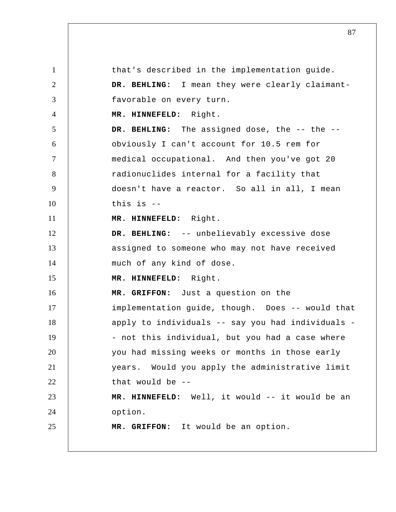1 2 3 4 5 6 7 8 9 10 11 12 13 14 15 16 17 18 19 20 21 22 23 24 25 that's described in the implementation guide.  **DR. BEHLING:** I mean they were clearly claimantfavorable on every turn.  **MR. HINNEFELD:** Right.  **DR. BEHLING:** The assigned dose, the -- the - obviously I can't account for 10.5 rem for medical occupational. And then you've got 20 radionuclides internal for a facility that doesn't have a reactor. So all in all, I mean this is --  **MR. HINNEFELD:** Right.  **DR. BEHLING:** -- unbelievably excessive dose assigned to someone who may not have received much of any kind of dose.  **MR. HINNEFELD:** Right.  **MR. GRIFFON:** Just a question on the implementation guide, though. Does -- would that apply to individuals -- say you had individuals - - not this individual, but you had a case where you had missing weeks or months in those early years. Would you apply the administrative limit that would be --  **MR. HINNEFELD:** Well, it would -- it would be an option.  **MR. GRIFFON:** It would be an option.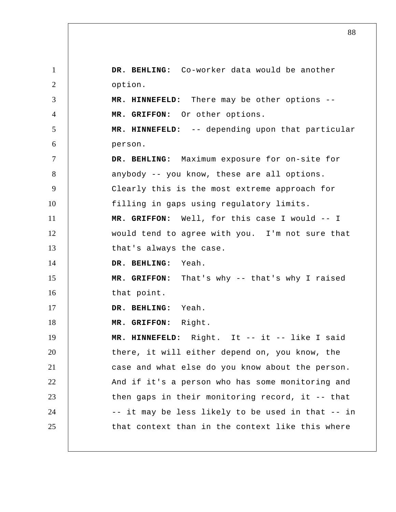1 2 3 4 5 6 7 8 9 10 11 12 13 14 15 16 17 18 19 20 21 22 23 24 25  **DR. BEHLING:** Co-worker data would be another option.  **MR. HINNEFELD:** There may be other options --  **MR. GRIFFON:** Or other options.  **MR. HINNEFELD:** -- depending upon that particular person.  **DR. BEHLING:** Maximum exposure for on-site for anybody -- you know, these are all options. Clearly this is the most extreme approach for filling in gaps using regulatory limits.  **MR. GRIFFON:** Well, for this case I would -- I would tend to agree with you. I'm not sure that that's always the case.  **DR. BEHLING:** Yeah.  **MR. GRIFFON:** That's why -- that's why I raised that point.  **DR. BEHLING:** Yeah.  **MR. GRIFFON:** Right.  **MR. HINNEFELD:** Right. It -- it -- like I said there, it will either depend on, you know, the case and what else do you know about the person. And if it's a person who has some monitoring and then gaps in their monitoring record, it -- that -- it may be less likely to be used in that -- in that context than in the context like this where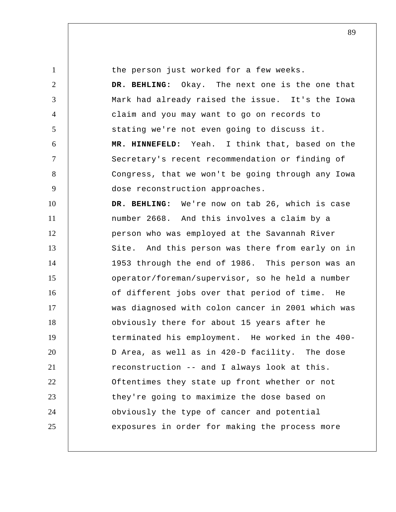1 2 3 4 5 6 7 8 9 10 11 12 13 14 15 16 17 18 19 20 21 22 23 24 25 the person just worked for a few weeks.  **DR. BEHLING:** Okay. The next one is the one that Mark had already raised the issue. It's the Iowa claim and you may want to go on records to stating we're not even going to discuss it.  **MR. HINNEFELD:** Yeah. I think that, based on the Secretary's recent recommendation or finding of Congress, that we won't be going through any Iowa dose reconstruction approaches.  **DR. BEHLING:** We're now on tab 26, which is case number 2668. And this involves a claim by a person who was employed at the Savannah River Site. And this person was there from early on in 1953 through the end of 1986. This person was an operator/foreman/supervisor, so he held a number of different jobs over that period of time. He was diagnosed with colon cancer in 2001 which was obviously there for about 15 years after he terminated his employment. He worked in the 400- D Area, as well as in 420-D facility. The dose reconstruction -- and I always look at this. Oftentimes they state up front whether or not they're going to maximize the dose based on obviously the type of cancer and potential exposures in order for making the process more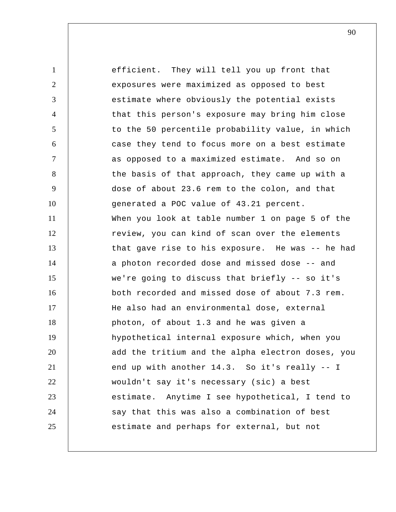1 2 3 4 5 6 7 8 9 10 11 12 13 14 15 16 17 18 19 20 21 22 23 24 25 efficient. They will tell you up front that exposures were maximized as opposed to best estimate where obviously the potential exists that this person's exposure may bring him close to the 50 percentile probability value, in which case they tend to focus more on a best estimate as opposed to a maximized estimate. And so on the basis of that approach, they came up with a dose of about 23.6 rem to the colon, and that generated a POC value of 43.21 percent. When you look at table number 1 on page 5 of the review, you can kind of scan over the elements that gave rise to his exposure. He was -- he had a photon recorded dose and missed dose -- and we're going to discuss that briefly -- so it's both recorded and missed dose of about 7.3 rem. He also had an environmental dose, external photon, of about 1.3 and he was given a hypothetical internal exposure which, when you add the tritium and the alpha electron doses, you end up with another 14.3. So it's really -- I wouldn't say it's necessary (sic) a best estimate. Anytime I see hypothetical, I tend to say that this was also a combination of best estimate and perhaps for external, but not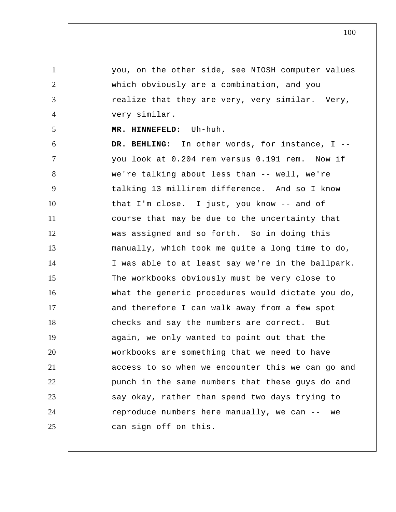you, on the other side, see NIOSH computer values which obviously are a combination, and you realize that they are very, very similar. Very, very similar.

 **MR. HINNEFELD:** Uh-huh.

1

2

3

4

5

6 7 8 9 10 11 12 13 14 15 16 17 18 19 20 21 22 23 24 25  **DR. BEHLING:** In other words, for instance, I - you look at 0.204 rem versus 0.191 rem. Now if we're talking about less than -- well, we're talking 13 millirem difference. And so I know that I'm close. I just, you know -- and of course that may be due to the uncertainty that was assigned and so forth. So in doing this manually, which took me quite a long time to do, I was able to at least say we're in the ballpark. The workbooks obviously must be very close to what the generic procedures would dictate you do, and therefore I can walk away from a few spot checks and say the numbers are correct. But again, we only wanted to point out that the workbooks are something that we need to have access to so when we encounter this we can go and punch in the same numbers that these guys do and say okay, rather than spend two days trying to reproduce numbers here manually, we can -- we can sign off on this.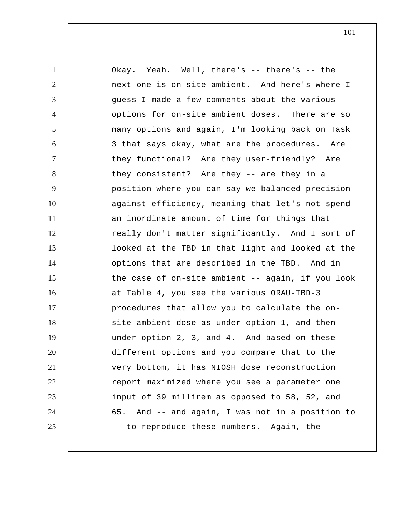1 2 3 4 5 6 7 8 9 10 11 12 13 14 15 16 17 18 19 20 21 22 23 24 25 Okay. Yeah. Well, there's -- there's -- the next one is on-site ambient. And here's where I guess I made a few comments about the various options for on-site ambient doses. There are so many options and again, I'm looking back on Task 3 that says okay, what are the procedures. Are they functional? Are they user-friendly? Are they consistent? Are they -- are they in a position where you can say we balanced precision against efficiency, meaning that let's not spend an inordinate amount of time for things that really don't matter significantly. And I sort of looked at the TBD in that light and looked at the options that are described in the TBD. And in the case of on-site ambient -- again, if you look at Table 4, you see the various ORAU-TBD-3 procedures that allow you to calculate the onsite ambient dose as under option 1, and then under option 2, 3, and 4. And based on these different options and you compare that to the very bottom, it has NIOSH dose reconstruction report maximized where you see a parameter one input of 39 millirem as opposed to 58, 52, and 65. And -- and again, I was not in a position to -- to reproduce these numbers. Again, the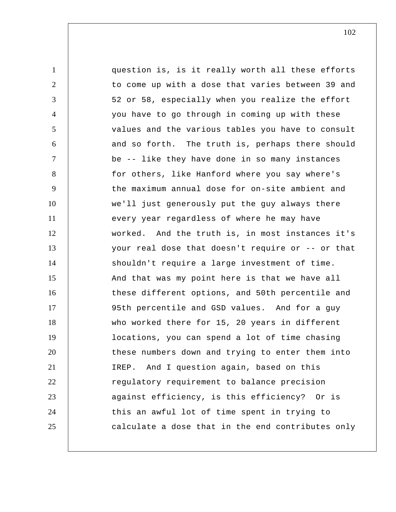1 2 3 4 5 6 7 8 9 10 11 12 13 14 15 16 17 18 19 20 21 22 23 24 25 question is, is it really worth all these efforts to come up with a dose that varies between 39 and 52 or 58, especially when you realize the effort you have to go through in coming up with these values and the various tables you have to consult and so forth. The truth is, perhaps there should be -- like they have done in so many instances for others, like Hanford where you say where's the maximum annual dose for on-site ambient and we'll just generously put the guy always there every year regardless of where he may have worked. And the truth is, in most instances it's your real dose that doesn't require or -- or that shouldn't require a large investment of time. And that was my point here is that we have all these different options, and 50th percentile and 95th percentile and GSD values. And for a guy who worked there for 15, 20 years in different locations, you can spend a lot of time chasing these numbers down and trying to enter them into IREP. And I question again, based on this regulatory requirement to balance precision against efficiency, is this efficiency? Or is this an awful lot of time spent in trying to calculate a dose that in the end contributes only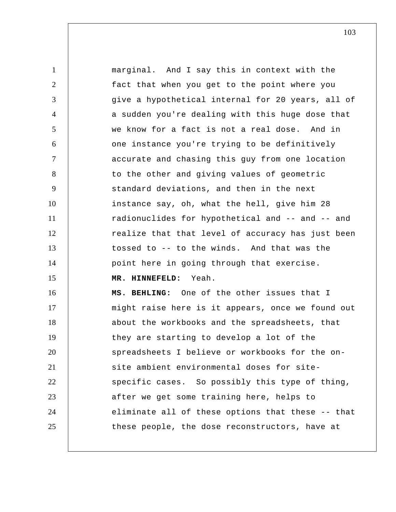1 2 3 4 5 6 7 8 9 10 11 12 13 14 15 16 17 18 19 20 21 22 23 24 25 marginal. And I say this in context with the fact that when you get to the point where you give a hypothetical internal for 20 years, all of a sudden you're dealing with this huge dose that we know for a fact is not a real dose. And in one instance you're trying to be definitively accurate and chasing this guy from one location to the other and giving values of geometric standard deviations, and then in the next instance say, oh, what the hell, give him 28 radionuclides for hypothetical and -- and -- and realize that that level of accuracy has just been tossed to -- to the winds. And that was the point here in going through that exercise.  **MR. HINNEFELD:** Yeah.  **MS. BEHLING:** One of the other issues that I might raise here is it appears, once we found out about the workbooks and the spreadsheets, that they are starting to develop a lot of the spreadsheets I believe or workbooks for the onsite ambient environmental doses for sitespecific cases. So possibly this type of thing, after we get some training here, helps to eliminate all of these options that these -- that these people, the dose reconstructors, have at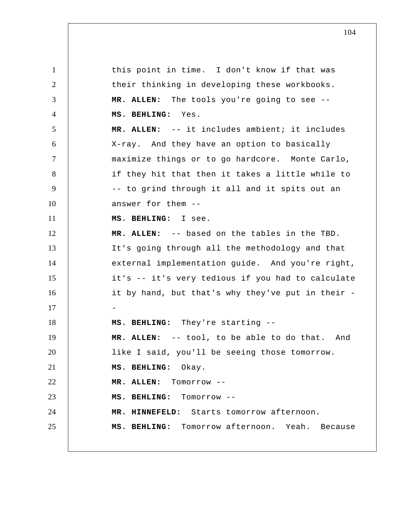1 2 3 4 5 6 7 8 9 10 11 12 13 14 15 16 17 18 19 20 21 22 23 24 25 this point in time. I don't know if that was their thinking in developing these workbooks. **MR. ALLEN:** The tools you're going to see --  **MS. BEHLING:** Yes. **MR. ALLEN:** -- it includes ambient; it includes X-ray. And they have an option to basically maximize things or to go hardcore. Monte Carlo, if they hit that then it takes a little while to -- to grind through it all and it spits out an answer for them --  **MS. BEHLING:** I see. **MR. ALLEN:** -- based on the tables in the TBD. It's going through all the methodology and that external implementation guide. And you're right, it's -- it's very tedious if you had to calculate it by hand, but that's why they've put in their - -  **MS. BEHLING:** They're starting -- **MR. ALLEN:** -- tool, to be able to do that. And like I said, you'll be seeing those tomorrow.  **MS. BEHLING:** Okay. **MR. ALLEN:** Tomorrow --  **MS. BEHLING:** Tomorrow --  **MR. HINNEFELD:** Starts tomorrow afternoon.  **MS. BEHLING:** Tomorrow afternoon. Yeah. Because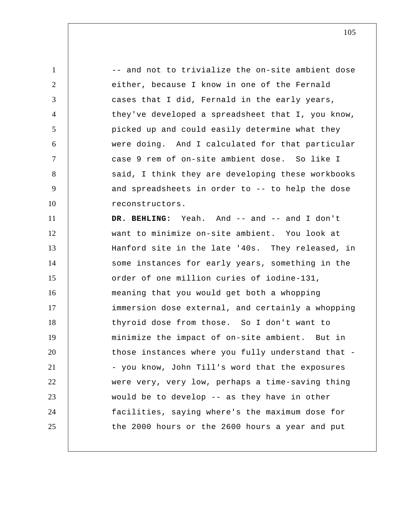1 2 3 4 5 6 7 8 9 10 11 12 13 14 15 16 17 18 19 20 21 22 23 24 25 -- and not to trivialize the on-site ambient dose either, because I know in one of the Fernald cases that I did, Fernald in the early years, they've developed a spreadsheet that I, you know, picked up and could easily determine what they were doing. And I calculated for that particular case 9 rem of on-site ambient dose. So like I said, I think they are developing these workbooks and spreadsheets in order to -- to help the dose reconstructors.  **DR. BEHLING:** Yeah. And -- and -- and I don't want to minimize on-site ambient. You look at Hanford site in the late '40s. They released, in some instances for early years, something in the order of one million curies of iodine-131, meaning that you would get both a whopping immersion dose external, and certainly a whopping thyroid dose from those. So I don't want to minimize the impact of on-site ambient. But in those instances where you fully understand that - - you know, John Till's word that the exposures were very, very low, perhaps a time-saving thing would be to develop -- as they have in other facilities, saying where's the maximum dose for the 2000 hours or the 2600 hours a year and put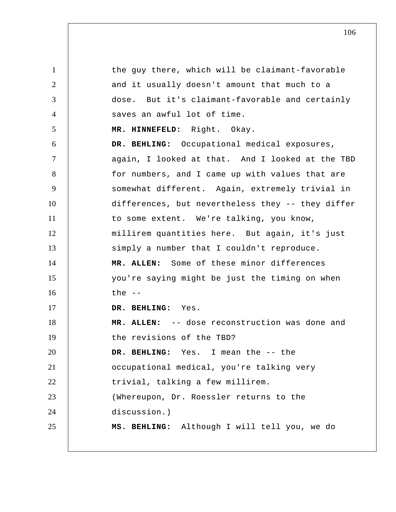1 2 3 4 5 6 7 8 9 10 11 12 13 14 15 16 17 18 19 20 21 22 23 24 25 the guy there, which will be claimant-favorable and it usually doesn't amount that much to a dose. But it's claimant-favorable and certainly saves an awful lot of time.  **MR. HINNEFELD:** Right. Okay.  **DR. BEHLING:** Occupational medical exposures, again, I looked at that. And I looked at the TBD for numbers, and I came up with values that are somewhat different. Again, extremely trivial in differences, but nevertheless they -- they differ to some extent. We're talking, you know, millirem quantities here. But again, it's just simply a number that I couldn't reproduce. **MR. ALLEN:** Some of these minor differences you're saying might be just the timing on when  $the --$  **DR. BEHLING:** Yes. **MR. ALLEN:** -- dose reconstruction was done and the revisions of the TBD?  **DR. BEHLING:** Yes. I mean the -- the occupational medical, you're talking very trivial, talking a few millirem. (Whereupon, Dr. Roessler returns to the discussion.)  **MS. BEHLING:** Although I will tell you, we do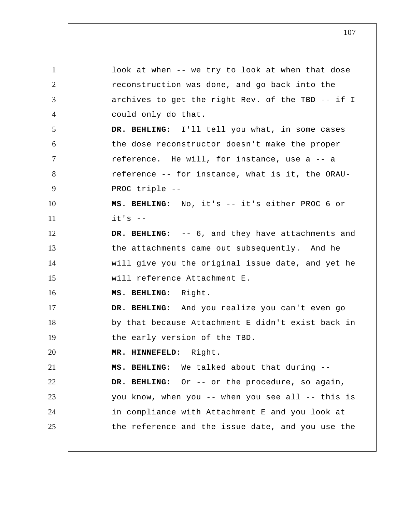1 2 3 4 5 6 7 8 9 10 11 12 13 14 15 16 17 18 19 20 21 22 23 24 25 look at when -- we try to look at when that dose reconstruction was done, and go back into the archives to get the right Rev. of the TBD -- if I could only do that.  **DR. BEHLING:** I'll tell you what, in some cases the dose reconstructor doesn't make the proper reference. He will, for instance, use a -- a reference -- for instance, what is it, the ORAU-PROC triple --  **MS. BEHLING:** No, it's -- it's either PROC 6 or  $it's$  -- **DR. BEHLING:** -- 6, and they have attachments and the attachments came out subsequently. And he will give you the original issue date, and yet he will reference Attachment E.  **MS. BEHLING:** Right.  **DR. BEHLING:** And you realize you can't even go by that because Attachment E didn't exist back in the early version of the TBD.  **MR. HINNEFELD:** Right.  **MS. BEHLING:** We talked about that during --  **DR. BEHLING:** Or -- or the procedure, so again, you know, when you -- when you see all -- this is in compliance with Attachment E and you look at the reference and the issue date, and you use the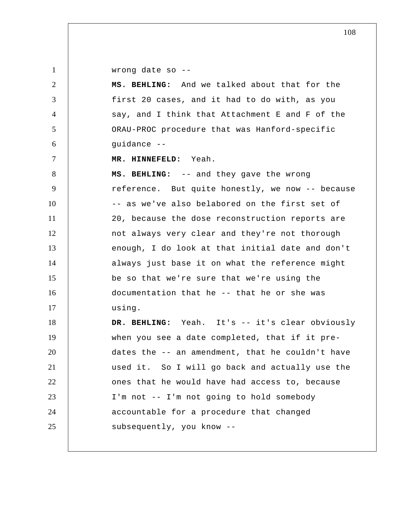1

2

3

4

5

6

7

wrong date so --

 **MS. BEHLING:** And we talked about that for the first 20 cases, and it had to do with, as you say, and I think that Attachment E and F of the ORAU-PROC procedure that was Hanford-specific guidance --

 **MR. HINNEFELD:** Yeah.

8 9 10 11 12 13 14 15 16 17  **MS. BEHLING:** -- and they gave the wrong reference. But quite honestly, we now -- because -- as we've also belabored on the first set of 20, because the dose reconstruction reports are not always very clear and they're not thorough enough, I do look at that initial date and don't always just base it on what the reference might be so that we're sure that we're using the documentation that he -- that he or she was using.

18 19 20 21 22 23 24 25  **DR. BEHLING:** Yeah. It's -- it's clear obviously when you see a date completed, that if it predates the -- an amendment, that he couldn't have used it. So I will go back and actually use the ones that he would have had access to, because I'm not -- I'm not going to hold somebody accountable for a procedure that changed subsequently, you know --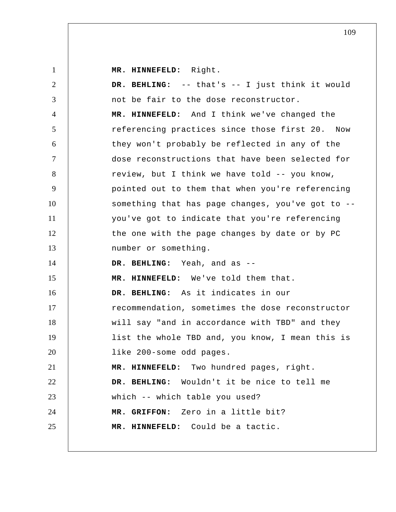**MR. HINNEFELD:** Right.

1

2 3 4 5 6 7 8 9 10 11 12 13 14 15 16 17 18 19 20 21 22 23 24 25  **DR. BEHLING:** -- that's -- I just think it would not be fair to the dose reconstructor.  **MR. HINNEFELD:** And I think we've changed the referencing practices since those first 20. Now they won't probably be reflected in any of the dose reconstructions that have been selected for review, but I think we have told -- you know, pointed out to them that when you're referencing something that has page changes, you've got to - you've got to indicate that you're referencing the one with the page changes by date or by PC number or something.  **DR. BEHLING:** Yeah, and as --  **MR. HINNEFELD:** We've told them that.  **DR. BEHLING:** As it indicates in our recommendation, sometimes the dose reconstructor will say "and in accordance with TBD" and they list the whole TBD and, you know, I mean this is like 200-some odd pages.  **MR. HINNEFELD:** Two hundred pages, right.  **DR. BEHLING:** Wouldn't it be nice to tell me which -- which table you used?  **MR. GRIFFON:** Zero in a little bit?  **MR. HINNEFELD:** Could be a tactic.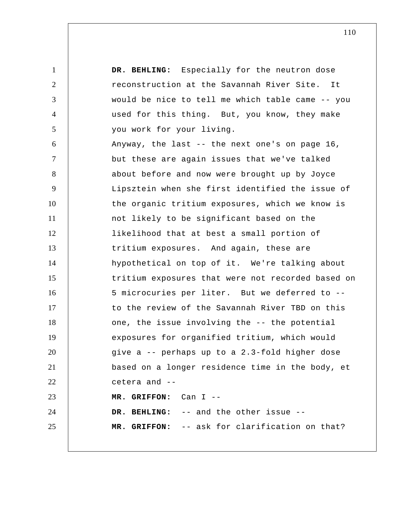1 2 3 4 5 6 7 8 9 10 11 12 13 14 15 16 17 18 19 20 21 22 23 24 25  **DR. BEHLING:** Especially for the neutron dose reconstruction at the Savannah River Site. It would be nice to tell me which table came -- you used for this thing. But, you know, they make you work for your living. Anyway, the last -- the next one's on page 16, but these are again issues that we've talked about before and now were brought up by Joyce Lipsztein when she first identified the issue of the organic tritium exposures, which we know is not likely to be significant based on the likelihood that at best a small portion of tritium exposures. And again, these are hypothetical on top of it. We're talking about tritium exposures that were not recorded based on 5 microcuries per liter. But we deferred to - to the review of the Savannah River TBD on this one, the issue involving the -- the potential exposures for organified tritium, which would give a -- perhaps up to a 2.3-fold higher dose based on a longer residence time in the body, et cetera and --  **MR. GRIFFON:** Can I --  **DR. BEHLING:** -- and the other issue --  **MR. GRIFFON:** -- ask for clarification on that?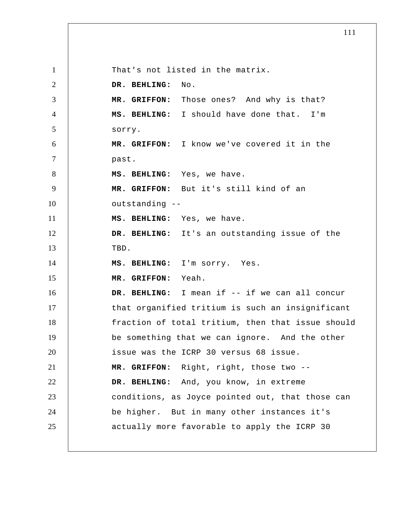1 2 3 4 5 6 7 8 9 10 11 12 13 14 15 16 17 18 19 20 21 22 23 24 25 That's not listed in the matrix.  **DR. BEHLING:** No.  **MR. GRIFFON:** Those ones? And why is that?  **MS. BEHLING:** I should have done that. I'm sorry.  **MR. GRIFFON:** I know we've covered it in the past.  **MS. BEHLING:** Yes, we have.  **MR. GRIFFON:** But it's still kind of an outstanding --  **MS. BEHLING:** Yes, we have.  **DR. BEHLING:** It's an outstanding issue of the TBD.  **MS. BEHLING:** I'm sorry. Yes.  **MR. GRIFFON:** Yeah.  **DR. BEHLING:** I mean if -- if we can all concur that organified tritium is such an insignificant fraction of total tritium, then that issue should be something that we can ignore. And the other issue was the ICRP 30 versus 68 issue.  **MR. GRIFFON:** Right, right, those two --  **DR. BEHLING:** And, you know, in extreme conditions, as Joyce pointed out, that those can be higher. But in many other instances it's actually more favorable to apply the ICRP 30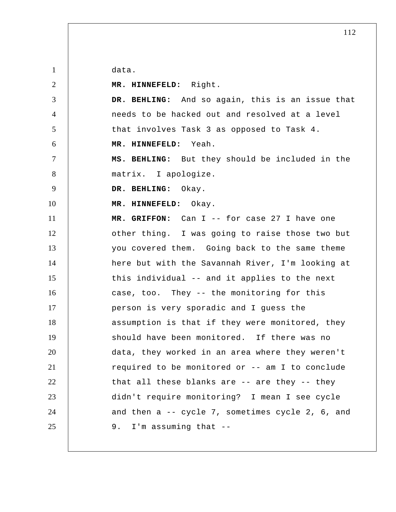data.

| MR. HINNEFELD: Right.                            |
|--------------------------------------------------|
| DR. BEHLING: And so again, this is an issue that |
| needs to be hacked out and resolved at a level   |
| that involves Task 3 as opposed to Task 4.       |
| MR. HINNEFELD: Yeah.                             |
| MS. BEHLING: But they should be included in the  |
| matrix. I apologize.                             |
| DR. BEHLING: Okay.                               |
| MR. HINNEFELD: Okay.                             |
| MR. GRIFFON: Can I -- for case 27 I have one     |
| other thing. I was going to raise those two but  |
| you covered them. Going back to the same theme   |
| here but with the Savannah River, I'm looking at |
| this individual -- and it applies to the next    |
| case, too. They -- the monitoring for this       |
| person is very sporadic and I guess the          |
| assumption is that if they were monitored, they  |
| should have been monitored. If there was no      |
|                                                  |
| data, they worked in an area where they weren't  |
| required to be monitored or -- am I to conclude  |
| that all these blanks are -- are they -- they    |
| didn't require monitoring? I mean I see cycle    |
| and then a -- cycle 7, sometimes cycle 2, 6, and |
|                                                  |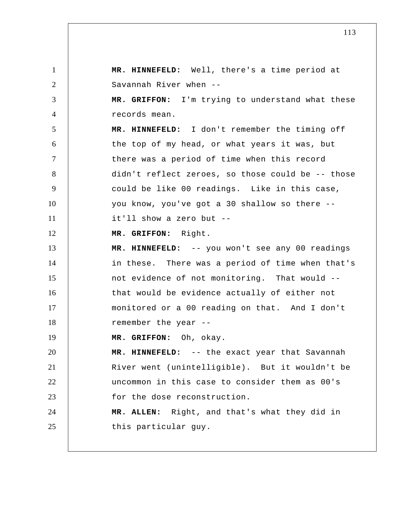1 2 3 4 5 6 7 8 9 10 11 12 13 14 15 16 17 18 19 20 21 22 23 24 25  **MR. HINNEFELD:** Well, there's a time period at Savannah River when --  **MR. GRIFFON:** I'm trying to understand what these records mean.  **MR. HINNEFELD:** I don't remember the timing off the top of my head, or what years it was, but there was a period of time when this record didn't reflect zeroes, so those could be -- those could be like 00 readings. Like in this case, you know, you've got a 30 shallow so there - it'll show a zero but --  **MR. GRIFFON:** Right.  **MR. HINNEFELD:** -- you won't see any 00 readings in these. There was a period of time when that's not evidence of not monitoring. That would - that would be evidence actually of either not monitored or a 00 reading on that. And I don't remember the year --  **MR. GRIFFON:** Oh, okay.  **MR. HINNEFELD:** -- the exact year that Savannah River went (unintelligible). But it wouldn't be uncommon in this case to consider them as 00's for the dose reconstruction. **MR. ALLEN:** Right, and that's what they did in this particular guy.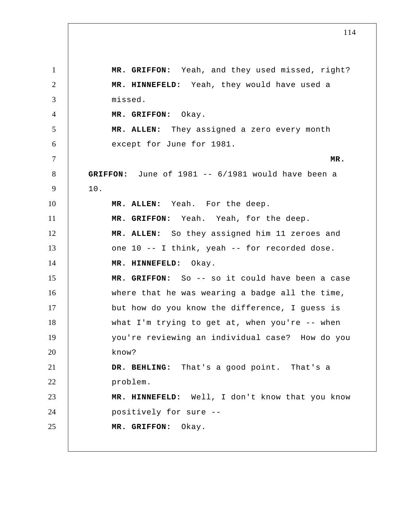1 2 3 4 5 6 7 8 9 10 11 12 13 14 15 16 17 18 19 20 21 22 23 24 25  **MR. GRIFFON:** Yeah, and they used missed, right?  **MR. HINNEFELD:** Yeah, they would have used a missed.  **MR. GRIFFON:** Okay. **MR. ALLEN:** They assigned a zero every month except for June for 1981. **MR. GRIFFON:** June of 1981 -- 6/1981 would have been a 10. **MR. ALLEN:** Yeah. For the deep.  **MR. GRIFFON:** Yeah. Yeah, for the deep. **MR. ALLEN:** So they assigned him 11 zeroes and one 10 -- I think, yeah -- for recorded dose.  **MR. HINNEFELD:** Okay.  **MR. GRIFFON:** So -- so it could have been a case where that he was wearing a badge all the time, but how do you know the difference, I guess is what I'm trying to get at, when you're -- when you're reviewing an individual case? How do you know?  **DR. BEHLING:** That's a good point. That's a problem.  **MR. HINNEFELD:** Well, I don't know that you know positively for sure --  **MR. GRIFFON:** Okay.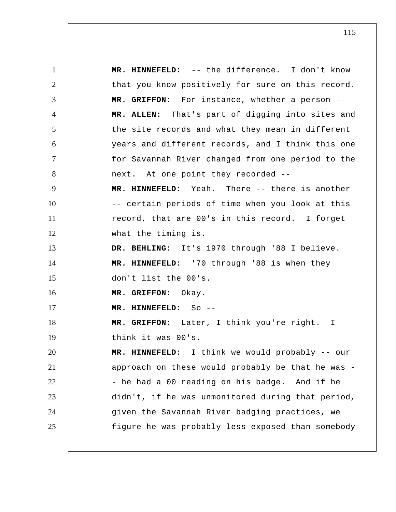1 2 3 4 5 6 7 8 9 10 11 12 13 14 15 16 17 18 19 20 21 22 23 24 25  **MR. HINNEFELD:** -- the difference. I don't know that you know positively for sure on this record.  **MR. GRIFFON:** For instance, whether a person -- **MR. ALLEN:** That's part of digging into sites and the site records and what they mean in different years and different records, and I think this one for Savannah River changed from one period to the next. At one point they recorded --  **MR. HINNEFELD:** Yeah. There -- there is another -- certain periods of time when you look at this record, that are 00's in this record. I forget what the timing is.  **DR. BEHLING:** It's 1970 through '88 I believe.  **MR. HINNEFELD:** '70 through '88 is when they don't list the 00's.  **MR. GRIFFON:** Okay.  **MR. HINNEFELD:** So --  **MR. GRIFFON:** Later, I think you're right. I think it was 00's.  **MR. HINNEFELD:** I think we would probably -- our approach on these would probably be that he was - - he had a 00 reading on his badge. And if he didn't, if he was unmonitored during that period, given the Savannah River badging practices, we figure he was probably less exposed than somebody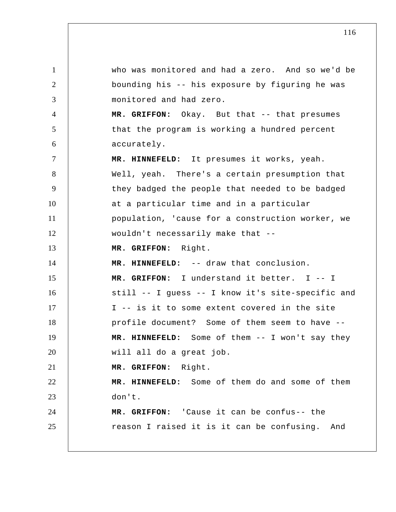1 2 3 4 5 6 7 8 9 10 11 12 13 14 15 16 17 18 19 20 21 22 23 24 25 who was monitored and had a zero. And so we'd be bounding his -- his exposure by figuring he was monitored and had zero.  **MR. GRIFFON:** Okay. But that -- that presumes that the program is working a hundred percent accurately.  **MR. HINNEFELD:** It presumes it works, yeah. Well, yeah. There's a certain presumption that they badged the people that needed to be badged at a particular time and in a particular population, 'cause for a construction worker, we wouldn't necessarily make that --  **MR. GRIFFON:** Right.  **MR. HINNEFELD:** -- draw that conclusion.  **MR. GRIFFON:** I understand it better. I -- I still -- I guess -- I know it's site-specific and I -- is it to some extent covered in the site profile document? Some of them seem to have --  **MR. HINNEFELD:** Some of them -- I won't say they will all do a great job.  **MR. GRIFFON:** Right.  **MR. HINNEFELD:** Some of them do and some of them don't.  **MR. GRIFFON:** 'Cause it can be confus-- the reason I raised it is it can be confusing. And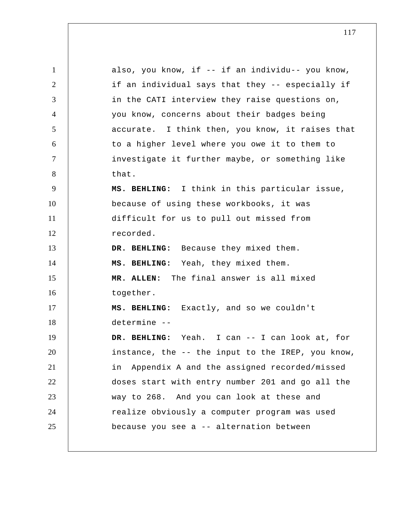1 2 3 4 5 6 7 8 9 10 11 12 13 14 15 16 17 18 19 20 21 22 23 24 25 also, you know, if -- if an individu-- you know, if an individual says that they -- especially if in the CATI interview they raise questions on, you know, concerns about their badges being accurate. I think then, you know, it raises that to a higher level where you owe it to them to investigate it further maybe, or something like that.  **MS. BEHLING:** I think in this particular issue, because of using these workbooks, it was difficult for us to pull out missed from recorded.  **DR. BEHLING:** Because they mixed them.  **MS. BEHLING:** Yeah, they mixed them. **MR. ALLEN:** The final answer is all mixed together.  **MS. BEHLING:** Exactly, and so we couldn't determine --  **DR. BEHLING:** Yeah. I can -- I can look at, for instance, the -- the input to the IREP, you know, in Appendix A and the assigned recorded/missed doses start with entry number 201 and go all the way to 268. And you can look at these and realize obviously a computer program was used because you see a -- alternation between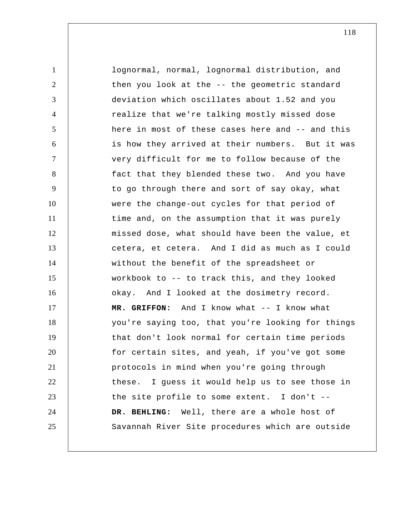1 2 3 4 5 6 7 8 9 10 11 12 13 14 15 16 17 18 19 20 21 22 23 24 25 lognormal, normal, lognormal distribution, and then you look at the -- the geometric standard deviation which oscillates about 1.52 and you realize that we're talking mostly missed dose here in most of these cases here and -- and this is how they arrived at their numbers. But it was very difficult for me to follow because of the fact that they blended these two. And you have to go through there and sort of say okay, what were the change-out cycles for that period of time and, on the assumption that it was purely missed dose, what should have been the value, et cetera, et cetera. And I did as much as I could without the benefit of the spreadsheet or workbook to -- to track this, and they looked okay. And I looked at the dosimetry record.  **MR. GRIFFON:** And I know what -- I know what you're saying too, that you're looking for things that don't look normal for certain time periods for certain sites, and yeah, if you've got some protocols in mind when you're going through these. I guess it would help us to see those in the site profile to some extent. I don't --  **DR. BEHLING:** Well, there are a whole host of Savannah River Site procedures which are outside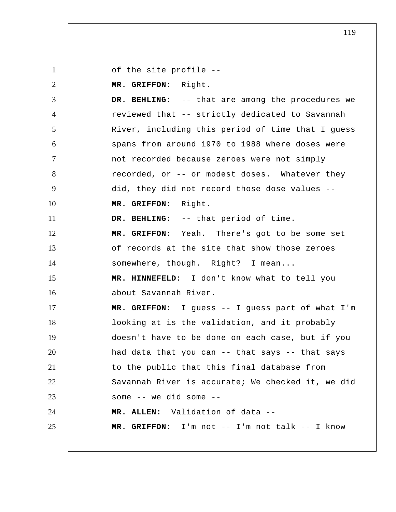1 2 3 4 5 6 7 8 9 10 11 12 13 14 15 16 17 18 19 20 21 22 23 24 25 of the site profile --  **MR. GRIFFON:** Right.  **DR. BEHLING:** -- that are among the procedures we reviewed that -- strictly dedicated to Savannah River, including this period of time that I guess spans from around 1970 to 1988 where doses were not recorded because zeroes were not simply recorded, or -- or modest doses. Whatever they did, they did not record those dose values --  **MR. GRIFFON:** Right.  **DR. BEHLING:** -- that period of time.  **MR. GRIFFON:** Yeah. There's got to be some set of records at the site that show those zeroes somewhere, though. Right? I mean...  **MR. HINNEFELD:** I don't know what to tell you about Savannah River.  **MR. GRIFFON:** I guess -- I guess part of what I'm looking at is the validation, and it probably doesn't have to be done on each case, but if you had data that you can -- that says -- that says to the public that this final database from Savannah River is accurate; We checked it, we did some -- we did some -- **MR. ALLEN:** Validation of data --  **MR. GRIFFON:** I'm not -- I'm not talk -- I know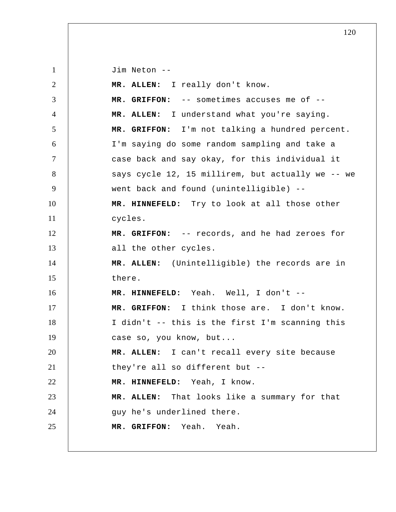1 2 3 4 5 6 7 8 9 10 11 12 13 14 15 16 17 18 19 20 21 22 23 24 25 Jim Neton -- **MR. ALLEN:** I really don't know.  **MR. GRIFFON:** -- sometimes accuses me of -- **MR. ALLEN:** I understand what you're saying.  **MR. GRIFFON:** I'm not talking a hundred percent. I'm saying do some random sampling and take a case back and say okay, for this individual it says cycle 12, 15 millirem, but actually we -- we went back and found (unintelligible) --  **MR. HINNEFELD:** Try to look at all those other cycles.  **MR. GRIFFON:** -- records, and he had zeroes for all the other cycles. **MR. ALLEN:** (Unintelligible) the records are in there.  **MR. HINNEFELD:** Yeah. Well, I don't --  **MR. GRIFFON:** I think those are. I don't know. I didn't -- this is the first I'm scanning this case so, you know, but... **MR. ALLEN:** I can't recall every site because they're all so different but --  **MR. HINNEFELD:** Yeah, I know. **MR. ALLEN:** That looks like a summary for that guy he's underlined there.  **MR. GRIFFON:** Yeah. Yeah.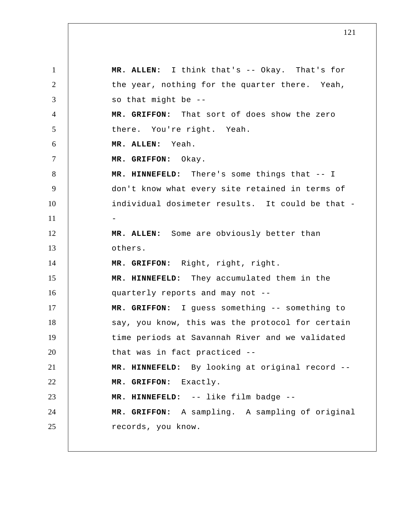1 2 3 4 5 6 7 8 9 10 11 12 13 14 15 16 17 18 19 20 21 22 23 24 25 **MR. ALLEN:** I think that's -- Okay. That's for the year, nothing for the quarter there. Yeah, so that might be --  **MR. GRIFFON:** That sort of does show the zero there. You're right. Yeah. **MR. ALLEN:** Yeah.  **MR. GRIFFON:** Okay.  **MR. HINNEFELD:** There's some things that -- I don't know what every site retained in terms of individual dosimeter results. It could be that - - **MR. ALLEN:** Some are obviously better than others.  **MR. GRIFFON:** Right, right, right.  **MR. HINNEFELD:** They accumulated them in the quarterly reports and may not --  **MR. GRIFFON:** I guess something -- something to say, you know, this was the protocol for certain time periods at Savannah River and we validated that was in fact practiced --  **MR. HINNEFELD:** By looking at original record --  **MR. GRIFFON:** Exactly.  **MR. HINNEFELD:** -- like film badge --  **MR. GRIFFON:** A sampling. A sampling of original records, you know.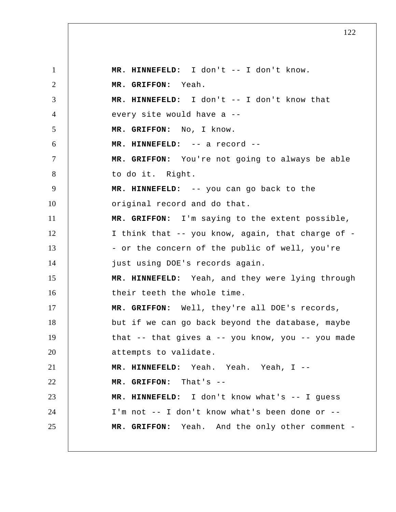1 2 3 4 5 6 7 8 9 10 11 12 13 14 15 16 17 18 19 20 21 22 23 24 25  **MR. HINNEFELD:** I don't -- I don't know.  **MR. GRIFFON:** Yeah.  **MR. HINNEFELD:** I don't -- I don't know that every site would have a --  **MR. GRIFFON:** No, I know.  **MR. HINNEFELD:** -- a record --  **MR. GRIFFON:** You're not going to always be able to do it. Right.  **MR. HINNEFELD:** -- you can go back to the original record and do that.  **MR. GRIFFON:** I'm saying to the extent possible, I think that -- you know, again, that charge of - - or the concern of the public of well, you're just using DOE's records again.  **MR. HINNEFELD:** Yeah, and they were lying through their teeth the whole time.  **MR. GRIFFON:** Well, they're all DOE's records, but if we can go back beyond the database, maybe that -- that gives a -- you know, you -- you made attempts to validate.  **MR. HINNEFELD:** Yeah. Yeah. Yeah, I --  **MR. GRIFFON:** That's --  **MR. HINNEFELD:** I don't know what's -- I guess I'm not -- I don't know what's been done or --  **MR. GRIFFON:** Yeah. And the only other comment -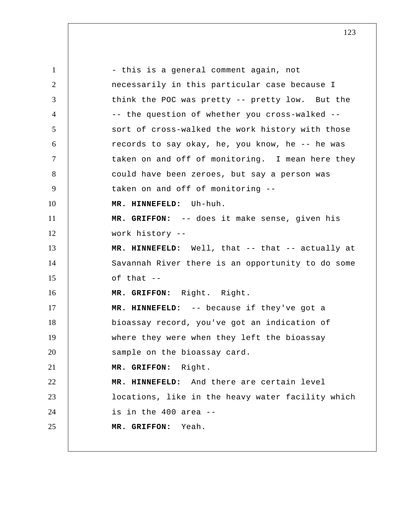1 2 3 4 5 6 7 8 9 10 11 12 13 14 15 16 17 18 19 20 21 22 23 24 25 - this is a general comment again, not necessarily in this particular case because I think the POC was pretty -- pretty low. But the -- the question of whether you cross-walked - sort of cross-walked the work history with those records to say okay, he, you know, he -- he was taken on and off of monitoring. I mean here they could have been zeroes, but say a person was taken on and off of monitoring --  **MR. HINNEFELD:** Uh-huh.  **MR. GRIFFON:** -- does it make sense, given his work history --  **MR. HINNEFELD:** Well, that -- that -- actually at Savannah River there is an opportunity to do some of that --  **MR. GRIFFON:** Right. Right.  **MR. HINNEFELD:** -- because if they've got a bioassay record, you've got an indication of where they were when they left the bioassay sample on the bioassay card.  **MR. GRIFFON:** Right.  **MR. HINNEFELD:** And there are certain level locations, like in the heavy water facility which is in the 400 area --  **MR. GRIFFON:** Yeah.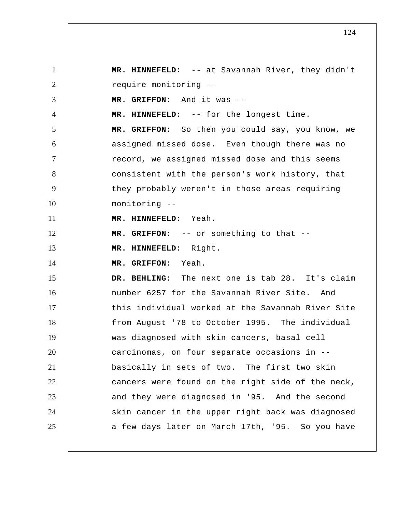1 2 3 4 5 6 7 8 9 10 11 12 13 14 15 16 17 18 19 20 21 22 23 24 25  **MR. HINNEFELD:** -- at Savannah River, they didn't require monitoring --  **MR. GRIFFON:** And it was --  **MR. HINNEFELD:** -- for the longest time.  **MR. GRIFFON:** So then you could say, you know, we assigned missed dose. Even though there was no record, we assigned missed dose and this seems consistent with the person's work history, that they probably weren't in those areas requiring monitoring --  **MR. HINNEFELD:** Yeah.  **MR. GRIFFON:** -- or something to that --  **MR. HINNEFELD:** Right.  **MR. GRIFFON:** Yeah.  **DR. BEHLING:** The next one is tab 28. It's claim number 6257 for the Savannah River Site. And this individual worked at the Savannah River Site from August '78 to October 1995. The individual was diagnosed with skin cancers, basal cell carcinomas, on four separate occasions in - basically in sets of two. The first two skin cancers were found on the right side of the neck, and they were diagnosed in '95. And the second skin cancer in the upper right back was diagnosed a few days later on March 17th, '95. So you have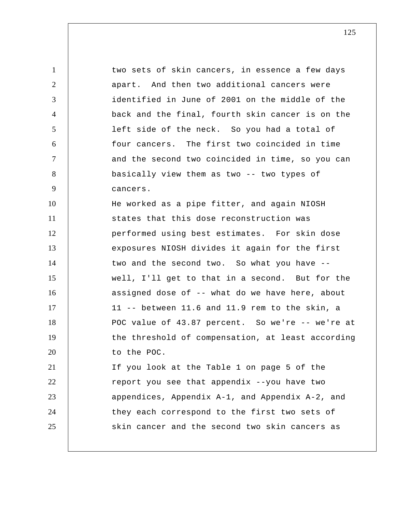1 2 3 4 5 6 7 8 9 10 11 12 13 14 15 16 17 18 19 20 21 22 23 24 25 two sets of skin cancers, in essence a few days apart. And then two additional cancers were identified in June of 2001 on the middle of the back and the final, fourth skin cancer is on the left side of the neck. So you had a total of four cancers. The first two coincided in time and the second two coincided in time, so you can basically view them as two -- two types of cancers. He worked as a pipe fitter, and again NIOSH states that this dose reconstruction was performed using best estimates. For skin dose exposures NIOSH divides it again for the first two and the second two. So what you have - well, I'll get to that in a second. But for the assigned dose of -- what do we have here, about 11 -- between 11.6 and 11.9 rem to the skin, a POC value of 43.87 percent. So we're -- we're at the threshold of compensation, at least according to the POC. If you look at the Table 1 on page 5 of the report you see that appendix --you have two appendices, Appendix A-1, and Appendix A-2, and they each correspond to the first two sets of skin cancer and the second two skin cancers as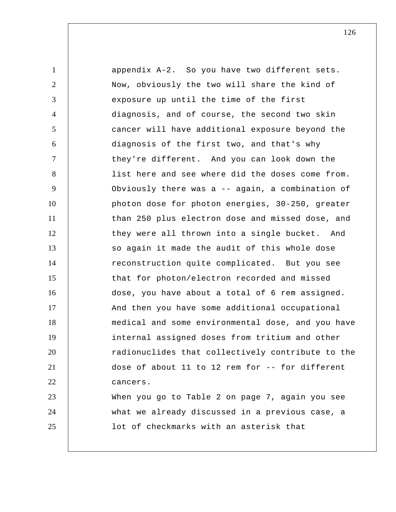1 2 3 4 5 6 7 8 9 10 11 12 13 14 15 16 17 18 19 20 21 22 23 24 25 appendix A-2. So you have two different sets. Now, obviously the two will share the kind of exposure up until the time of the first diagnosis, and of course, the second two skin cancer will have additional exposure beyond the diagnosis of the first two, and that's why they're different. And you can look down the list here and see where did the doses come from. Obviously there was a -- again, a combination of photon dose for photon energies, 30-250, greater than 250 plus electron dose and missed dose, and they were all thrown into a single bucket. And so again it made the audit of this whole dose reconstruction quite complicated. But you see that for photon/electron recorded and missed dose, you have about a total of 6 rem assigned. And then you have some additional occupational medical and some environmental dose, and you have internal assigned doses from tritium and other radionuclides that collectively contribute to the dose of about 11 to 12 rem for -- for different cancers. When you go to Table 2 on page 7, again you see what we already discussed in a previous case, a lot of checkmarks with an asterisk that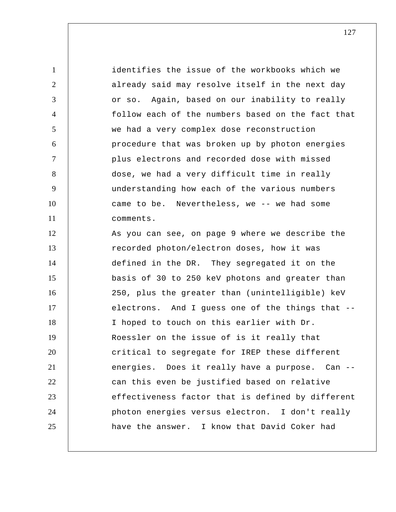identifies the issue of the workbooks which we already said may resolve itself in the next day or so. Again, based on our inability to really follow each of the numbers based on the fact that we had a very complex dose reconstruction procedure that was broken up by photon energies plus electrons and recorded dose with missed dose, we had a very difficult time in really understanding how each of the various numbers came to be. Nevertheless, we -- we had some comments. As you can see, on page 9 where we describe the recorded photon/electron doses, how it was

1

2

3

4

5

6

7

8

9

10

11

12

13 14 15 16 17 18 19 20 21 22 23 24 25 defined in the DR. They segregated it on the basis of 30 to 250 keV photons and greater than 250, plus the greater than (unintelligible) keV electrons. And I guess one of the things that -- I hoped to touch on this earlier with Dr. Roessler on the issue of is it really that critical to segregate for IREP these different energies. Does it really have a purpose. Can - can this even be justified based on relative effectiveness factor that is defined by different photon energies versus electron. I don't really have the answer. I know that David Coker had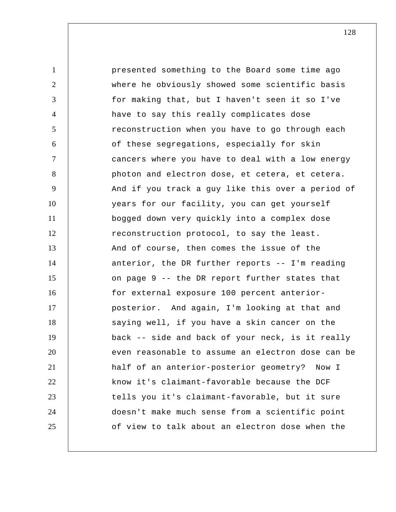1 2 3 4 5 6 7 8 9 10 11 12 13 14 15 16 17 18 19 20 21 22 23 24 25 presented something to the Board some time ago where he obviously showed some scientific basis for making that, but I haven't seen it so I've have to say this really complicates dose reconstruction when you have to go through each of these segregations, especially for skin cancers where you have to deal with a low energy photon and electron dose, et cetera, et cetera. And if you track a guy like this over a period of years for our facility, you can get yourself bogged down very quickly into a complex dose reconstruction protocol, to say the least. And of course, then comes the issue of the anterior, the DR further reports -- I'm reading on page 9 -- the DR report further states that for external exposure 100 percent anteriorposterior. And again, I'm looking at that and saying well, if you have a skin cancer on the back -- side and back of your neck, is it really even reasonable to assume an electron dose can be half of an anterior-posterior geometry? Now I know it's claimant-favorable because the DCF tells you it's claimant-favorable, but it sure doesn't make much sense from a scientific point of view to talk about an electron dose when the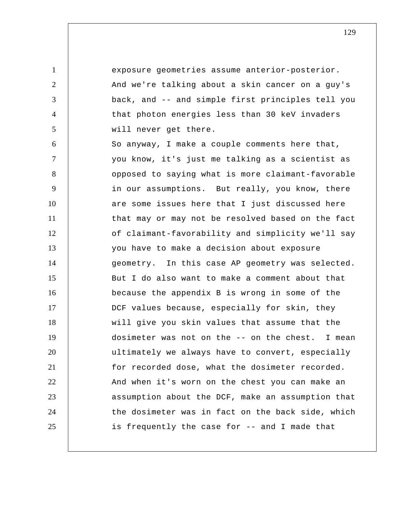1 2 3 4 5 6 7 8 9 10 11 12 13 14 15 16 17 18 19 20 21 22 23 24 25 exposure geometries assume anterior-posterior. And we're talking about a skin cancer on a guy's back, and -- and simple first principles tell you that photon energies less than 30 keV invaders will never get there. So anyway, I make a couple comments here that, you know, it's just me talking as a scientist as opposed to saying what is more claimant-favorable in our assumptions. But really, you know, there are some issues here that I just discussed here that may or may not be resolved based on the fact of claimant-favorability and simplicity we'll say you have to make a decision about exposure geometry. In this case AP geometry was selected. But I do also want to make a comment about that because the appendix B is wrong in some of the DCF values because, especially for skin, they will give you skin values that assume that the dosimeter was not on the -- on the chest. I mean ultimately we always have to convert, especially for recorded dose, what the dosimeter recorded. And when it's worn on the chest you can make an assumption about the DCF, make an assumption that the dosimeter was in fact on the back side, which is frequently the case for -- and I made that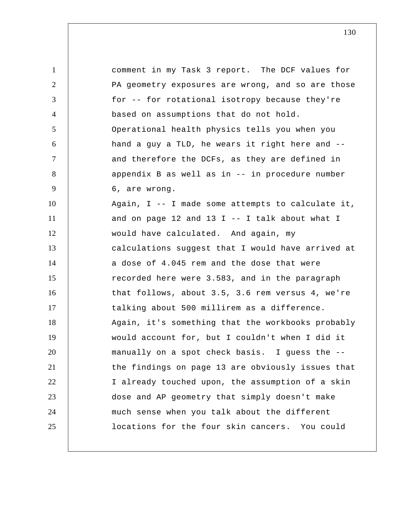1 2 3 4 5 6 7 8 9 10 11 12 13 14 15 16 17 18 19 20 21 22 23 24 25 comment in my Task 3 report. The DCF values for PA geometry exposures are wrong, and so are those for -- for rotational isotropy because they're based on assumptions that do not hold. Operational health physics tells you when you hand a guy a TLD, he wears it right here and - and therefore the DCFs, as they are defined in appendix B as well as in -- in procedure number 6, are wrong. Again, I -- I made some attempts to calculate it, and on page 12 and 13  $I$  -- I talk about what I would have calculated. And again, my calculations suggest that I would have arrived at a dose of 4.045 rem and the dose that were recorded here were 3.583, and in the paragraph that follows, about 3.5, 3.6 rem versus 4, we're talking about 500 millirem as a difference. Again, it's something that the workbooks probably would account for, but I couldn't when I did it manually on a spot check basis. I guess the - the findings on page 13 are obviously issues that I already touched upon, the assumption of a skin dose and AP geometry that simply doesn't make much sense when you talk about the different locations for the four skin cancers. You could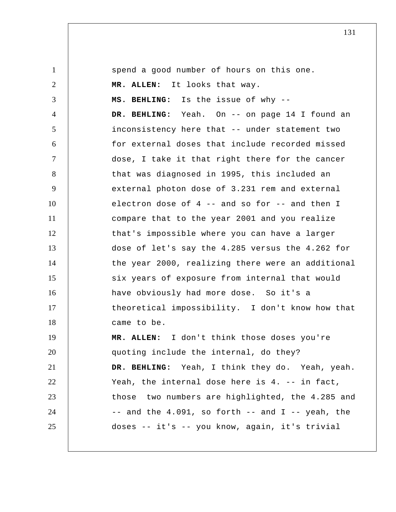1 2 3 4 5 6 7 8 9 10 11 12 13 14 15 16 17 18 19 20 21 22 23 24 25 spend a good number of hours on this one. **MR. ALLEN:** It looks that way.  **MS. BEHLING:** Is the issue of why --  **DR. BEHLING:** Yeah. On -- on page 14 I found an inconsistency here that -- under statement two for external doses that include recorded missed dose, I take it that right there for the cancer that was diagnosed in 1995, this included an external photon dose of 3.231 rem and external electron dose of 4 -- and so for -- and then I compare that to the year 2001 and you realize that's impossible where you can have a larger dose of let's say the 4.285 versus the 4.262 for the year 2000, realizing there were an additional six years of exposure from internal that would have obviously had more dose. So it's a theoretical impossibility. I don't know how that came to be. **MR. ALLEN:** I don't think those doses you're quoting include the internal, do they?  **DR. BEHLING:** Yeah, I think they do. Yeah, yeah. Yeah, the internal dose here is 4. -- in fact, those two numbers are highlighted, the 4.285 and  $--$  and the  $4.091$ , so forth  $--$  and I  $--$  yeah, the doses -- it's -- you know, again, it's trivial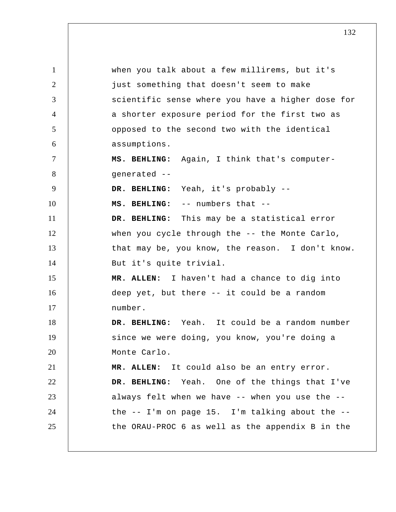1 2 3 4 5 6 7 8 9 10 11 12 13 14 15 16 17 18 19 20 21 22 23 24 25 when you talk about a few millirems, but it's just something that doesn't seem to make scientific sense where you have a higher dose for a shorter exposure period for the first two as opposed to the second two with the identical assumptions.  **MS. BEHLING:** Again, I think that's computergenerated --  **DR. BEHLING:** Yeah, it's probably --  **MS. BEHLING:** -- numbers that --  **DR. BEHLING:** This may be a statistical error when you cycle through the -- the Monte Carlo, that may be, you know, the reason. I don't know. But it's quite trivial. **MR. ALLEN:** I haven't had a chance to dig into deep yet, but there -- it could be a random number.  **DR. BEHLING:** Yeah. It could be a random number since we were doing, you know, you're doing a Monte Carlo. **MR. ALLEN:** It could also be an entry error.  **DR. BEHLING:** Yeah. One of the things that I've always felt when we have -- when you use the - the -- I'm on page 15. I'm talking about the - the ORAU-PROC 6 as well as the appendix B in the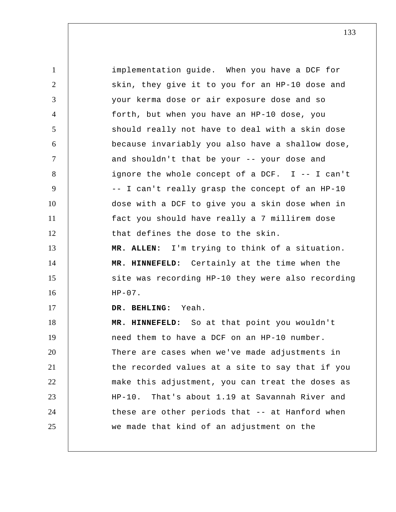1 2 3 4 5 6 7 8 9 10 11 12 13 14 15 16 17 18 19 20 21 22 23 24 25 implementation guide. When you have a DCF for skin, they give it to you for an HP-10 dose and your kerma dose or air exposure dose and so forth, but when you have an HP-10 dose, you should really not have to deal with a skin dose because invariably you also have a shallow dose, and shouldn't that be your -- your dose and ignore the whole concept of a DCF. I -- I can't -- I can't really grasp the concept of an HP-10 dose with a DCF to give you a skin dose when in fact you should have really a 7 millirem dose that defines the dose to the skin. **MR. ALLEN:** I'm trying to think of a situation.  **MR. HINNEFELD:** Certainly at the time when the site was recording HP-10 they were also recording  $HP-07$ .  **DR. BEHLING:** Yeah.  **MR. HINNEFELD:** So at that point you wouldn't need them to have a DCF on an HP-10 number. There are cases when we've made adjustments in the recorded values at a site to say that if you make this adjustment, you can treat the doses as HP-10. That's about 1.19 at Savannah River and these are other periods that -- at Hanford when we made that kind of an adjustment on the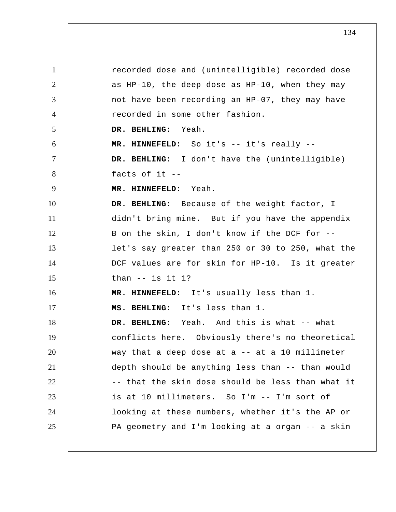1 2 3 4 5 6 7 8 9 10 11 12 13 14 15 16 17 18 19 20 21 22 23 24 25 recorded dose and (unintelligible) recorded dose as HP-10, the deep dose as HP-10, when they may not have been recording an HP-07, they may have recorded in some other fashion.  **DR. BEHLING:** Yeah.  **MR. HINNEFELD:** So it's -- it's really --  **DR. BEHLING:** I don't have the (unintelligible) facts of it --  **MR. HINNEFELD:** Yeah.  **DR. BEHLING:** Because of the weight factor, I didn't bring mine. But if you have the appendix B on the skin, I don't know if the DCF for - let's say greater than 250 or 30 to 250, what the DCF values are for skin for HP-10. Is it greater than -- is it 1?  **MR. HINNEFELD:** It's usually less than 1.  **MS. BEHLING:** It's less than 1.  **DR. BEHLING:** Yeah. And this is what -- what conflicts here. Obviously there's no theoretical way that a deep dose at a  $-$  at a 10 millimeter depth should be anything less than -- than would -- that the skin dose should be less than what it is at 10 millimeters. So I'm -- I'm sort of looking at these numbers, whether it's the AP or PA geometry and I'm looking at a organ -- a skin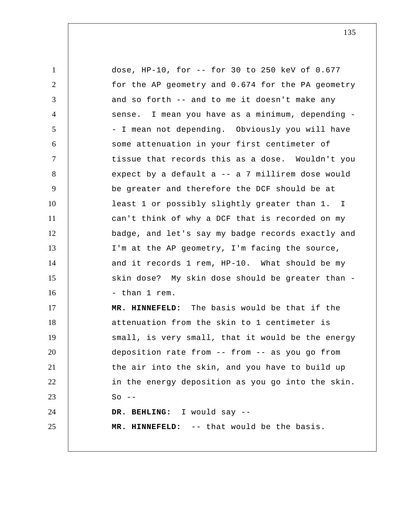1 2 3 4 5 6 7 8 9 10 11 12 13 14 15 16 17 18 19 20 21 22 23 24 25 dose, HP-10, for -- for 30 to 250 keV of 0.677 for the AP geometry and 0.674 for the PA geometry and so forth -- and to me it doesn't make any sense. I mean you have as a minimum, depending - - I mean not depending. Obviously you will have some attenuation in your first centimeter of tissue that records this as a dose. Wouldn't you expect by a default a -- a 7 millirem dose would be greater and therefore the DCF should be at least 1 or possibly slightly greater than 1. I can't think of why a DCF that is recorded on my badge, and let's say my badge records exactly and I'm at the AP geometry, I'm facing the source, and it records 1 rem, HP-10. What should be my skin dose? My skin dose should be greater than - - than 1 rem.  **MR. HINNEFELD:** The basis would be that if the attenuation from the skin to 1 centimeter is small, is very small, that it would be the energy deposition rate from -- from -- as you go from the air into the skin, and you have to build up in the energy deposition as you go into the skin.  $So$   $-$  **DR. BEHLING:** I would say --  **MR. HINNEFELD:** -- that would be the basis.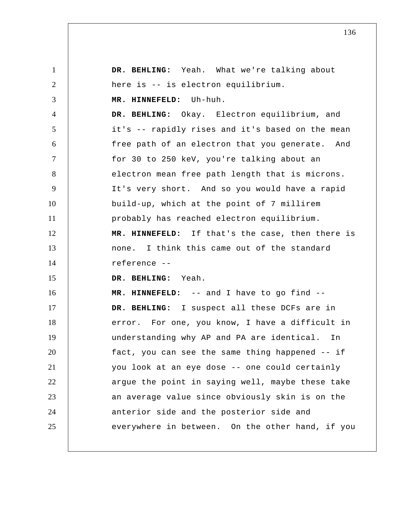1 2 3 4 5 6 7 8 9 10 11 12 13 14 15 16 17 18 19 20 21 22 23 24 25  **DR. BEHLING:** Yeah. What we're talking about here is -- is electron equilibrium.  **MR. HINNEFELD:** Uh-huh.  **DR. BEHLING:** Okay. Electron equilibrium, and it's -- rapidly rises and it's based on the mean free path of an electron that you generate. And for 30 to 250 keV, you're talking about an electron mean free path length that is microns. It's very short. And so you would have a rapid build-up, which at the point of 7 millirem probably has reached electron equilibrium.  **MR. HINNEFELD:** If that's the case, then there is none. I think this came out of the standard reference --  **DR. BEHLING:** Yeah.  **MR. HINNEFELD:** -- and I have to go find --  **DR. BEHLING:** I suspect all these DCFs are in error. For one, you know, I have a difficult in understanding why AP and PA are identical. In fact, you can see the same thing happened -- if you look at an eye dose -- one could certainly argue the point in saying well, maybe these take an average value since obviously skin is on the anterior side and the posterior side and everywhere in between. On the other hand, if you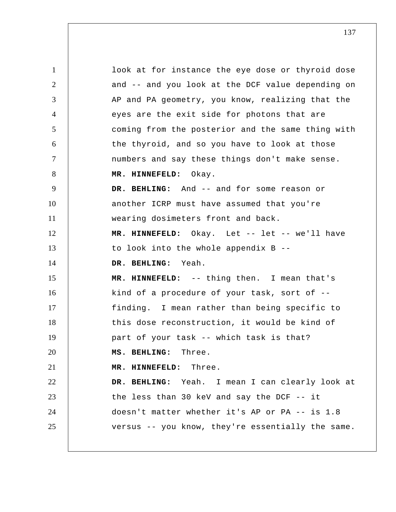1 2 3 4 5 6 7 8 9 10 11 12 13 14 15 16 17 18 19 20 21 22 23 24 25 look at for instance the eye dose or thyroid dose and -- and you look at the DCF value depending on AP and PA geometry, you know, realizing that the eyes are the exit side for photons that are coming from the posterior and the same thing with the thyroid, and so you have to look at those numbers and say these things don't make sense.  **MR. HINNEFELD:** Okay.  **DR. BEHLING:** And -- and for some reason or another ICRP must have assumed that you're wearing dosimeters front and back.  **MR. HINNEFELD:** Okay. Let -- let -- we'll have to look into the whole appendix B --  **DR. BEHLING:** Yeah.  **MR. HINNEFELD:** -- thing then. I mean that's kind of a procedure of your task, sort of - finding. I mean rather than being specific to this dose reconstruction, it would be kind of part of your task -- which task is that?  **MS. BEHLING:** Three.  **MR. HINNEFELD:** Three.  **DR. BEHLING:** Yeah. I mean I can clearly look at the less than 30 keV and say the DCF -- it doesn't matter whether it's AP or PA -- is 1.8 versus -- you know, they're essentially the same.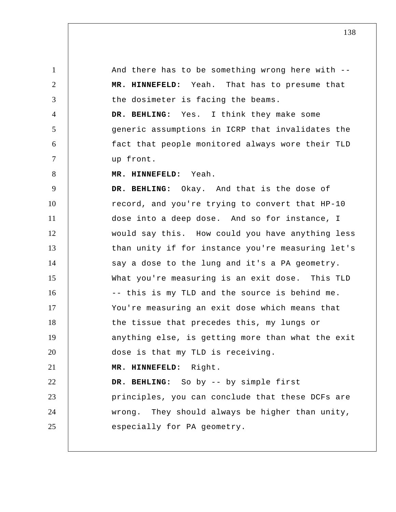1 2 3 4 5 6 7 8 9 10 11 12 13 14 15 16 17 18 19 20 And there has to be something wrong here with --  **MR. HINNEFELD:** Yeah. That has to presume that the dosimeter is facing the beams.  **DR. BEHLING:** Yes. I think they make some generic assumptions in ICRP that invalidates the fact that people monitored always wore their TLD up front.  **MR. HINNEFELD:** Yeah.  **DR. BEHLING:** Okay. And that is the dose of record, and you're trying to convert that HP-10 dose into a deep dose. And so for instance, I would say this. How could you have anything less than unity if for instance you're measuring let's say a dose to the lung and it's a PA geometry. What you're measuring is an exit dose. This TLD -- this is my TLD and the source is behind me. You're measuring an exit dose which means that the tissue that precedes this, my lungs or anything else, is getting more than what the exit dose is that my TLD is receiving.

## 21  **MR. HINNEFELD:** Right.

22 23 24 25  **DR. BEHLING:** So by -- by simple first principles, you can conclude that these DCFs are wrong. They should always be higher than unity, especially for PA geometry.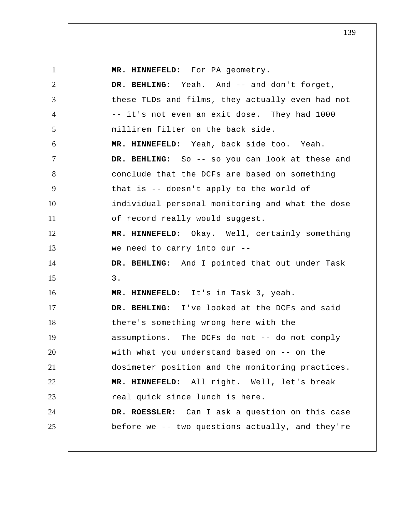1 2 3 4 5 6 7 8 9 10 11 12 13 14 15 16 17 18 19 20 21 22 23 24 25  **MR. HINNEFELD:** For PA geometry.  **DR. BEHLING:** Yeah. And -- and don't forget, these TLDs and films, they actually even had not -- it's not even an exit dose. They had 1000 millirem filter on the back side.  **MR. HINNEFELD:** Yeah, back side too. Yeah.  **DR. BEHLING:** So -- so you can look at these and conclude that the DCFs are based on something that is -- doesn't apply to the world of individual personal monitoring and what the dose of record really would suggest.  **MR. HINNEFELD:** Okay. Well, certainly something we need to carry into our --  **DR. BEHLING:** And I pointed that out under Task 3.  **MR. HINNEFELD:** It's in Task 3, yeah.  **DR. BEHLING:** I've looked at the DCFs and said there's something wrong here with the assumptions. The DCFs do not -- do not comply with what you understand based on -- on the dosimeter position and the monitoring practices.  **MR. HINNEFELD:** All right. Well, let's break real quick since lunch is here. **DR. ROESSLER:** Can I ask a question on this case before we -- two questions actually, and they're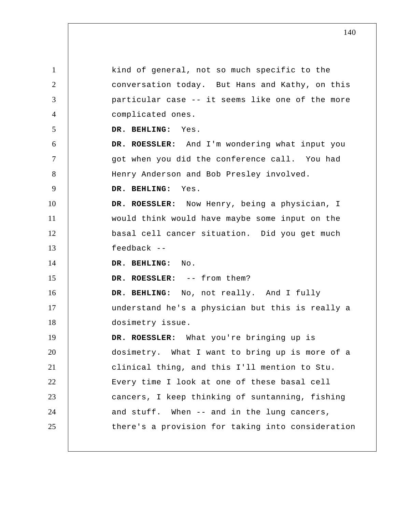1 2 3 4 5 6 7 8 9 10 11 12 13 14 15 16 17 18 19 20 21 22 23 24 25 kind of general, not so much specific to the conversation today. But Hans and Kathy, on this particular case -- it seems like one of the more complicated ones.  **DR. BEHLING:** Yes. **DR. ROESSLER:** And I'm wondering what input you got when you did the conference call. You had Henry Anderson and Bob Presley involved.  **DR. BEHLING:** Yes. **DR. ROESSLER:** Now Henry, being a physician, I would think would have maybe some input on the basal cell cancer situation. Did you get much feedback --  **DR. BEHLING:** No. **DR. ROESSLER:** -- from them?  **DR. BEHLING:** No, not really. And I fully understand he's a physician but this is really a dosimetry issue. **DR. ROESSLER:** What you're bringing up is dosimetry. What I want to bring up is more of a clinical thing, and this I'll mention to Stu. Every time I look at one of these basal cell cancers, I keep thinking of suntanning, fishing and stuff. When -- and in the lung cancers, there's a provision for taking into consideration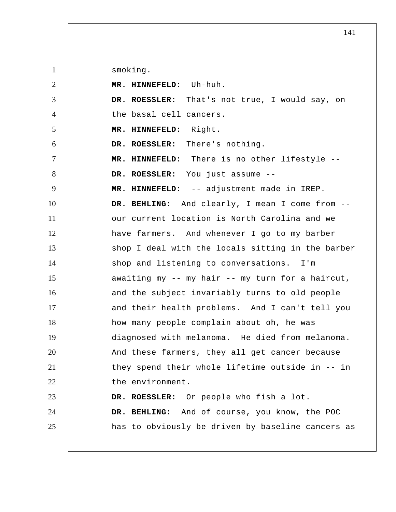smoking.

| 2              | MR. HINNEFELD: Uh-huh.                            |
|----------------|---------------------------------------------------|
| 3              | DR. ROESSLER: That's not true, I would say, on    |
| $\overline{4}$ | the basal cell cancers.                           |
| $\mathfrak{S}$ | MR. HINNEFELD: Right.                             |
| 6              | DR. ROESSLER: There's nothing.                    |
| $\tau$         | MR. HINNEFELD: There is no other lifestyle --     |
| 8              | DR. ROESSLER: You just assume --                  |
| 9              | MR. HINNEFELD: -- adjustment made in IREP.        |
| 10             | DR. BEHLING: And clearly, I mean I come from --   |
| 11             | our current location is North Carolina and we     |
| 12             | have farmers. And whenever I go to my barber      |
| 13             | shop I deal with the locals sitting in the barber |
| 14             | shop and listening to conversations. I'm          |
| 15             | awaiting my -- my hair -- my turn for a haircut,  |
| 16             | and the subject invariably turns to old people    |
| 17             | and their health problems. And I can't tell you   |
| 18             | how many people complain about oh, he was         |
| 19             | diagnosed with melanoma. He died from melanoma.   |
| 20             | And these farmers, they all get cancer because    |
| 21             | they spend their whole lifetime outside in -- in  |
| 22             | the environment.                                  |
| 23             | DR. ROESSLER: Or people who fish a lot.           |
| 24             | DR. BEHLING: And of course, you know, the POC     |
| 25             | has to obviously be driven by baseline cancers as |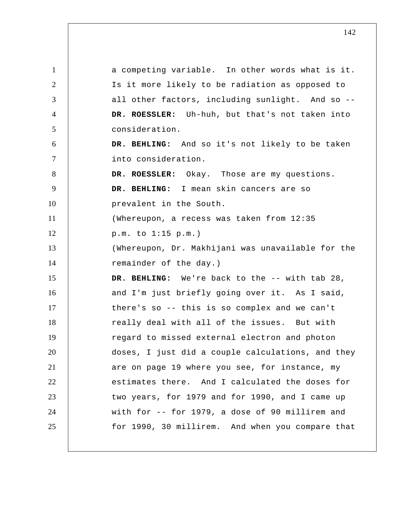1 2 3 4 5 6 7 8 9 10 11 12 13 14 15 16 17 18 19 20 21 22 23 24 25 a competing variable. In other words what is it. Is it more likely to be radiation as opposed to all other factors, including sunlight. And so -- **DR. ROESSLER:** Uh-huh, but that's not taken into consideration.  **DR. BEHLING:** And so it's not likely to be taken into consideration. **DR. ROESSLER:** Okay. Those are my questions.  **DR. BEHLING:** I mean skin cancers are so prevalent in the South. (Whereupon, a recess was taken from 12:35 p.m. to 1:15 p.m.) (Whereupon, Dr. Makhijani was unavailable for the remainder of the day.) DR. BEHLING: We're back to the -- with tab 28, and I'm just briefly going over it. As I said, there's so -- this is so complex and we can't really deal with all of the issues. But with regard to missed external electron and photon doses, I just did a couple calculations, and they are on page 19 where you see, for instance, my estimates there. And I calculated the doses for two years, for 1979 and for 1990, and I came up with for -- for 1979, a dose of 90 millirem and for 1990, 30 millirem. And when you compare that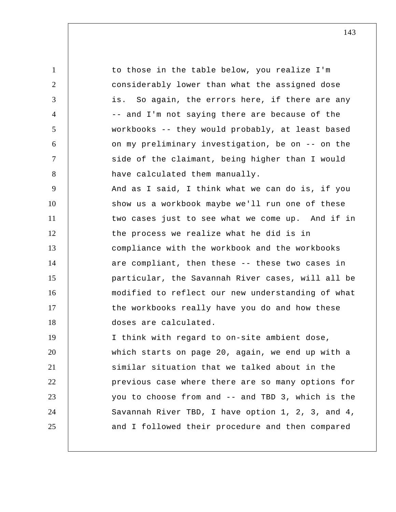1 2 3 4 5 6 7 8 9 10 11 12 13 14 15 16 17 18 19 20 21 22 23 24 25 to those in the table below, you realize I'm considerably lower than what the assigned dose is. So again, the errors here, if there are any -- and I'm not saying there are because of the workbooks -- they would probably, at least based on my preliminary investigation, be on -- on the side of the claimant, being higher than I would have calculated them manually. And as I said, I think what we can do is, if you show us a workbook maybe we'll run one of these two cases just to see what we come up. And if in the process we realize what he did is in compliance with the workbook and the workbooks are compliant, then these -- these two cases in particular, the Savannah River cases, will all be modified to reflect our new understanding of what the workbooks really have you do and how these doses are calculated. I think with regard to on-site ambient dose, which starts on page 20, again, we end up with a similar situation that we talked about in the previous case where there are so many options for you to choose from and -- and TBD 3, which is the Savannah River TBD, I have option 1, 2, 3, and 4, and I followed their procedure and then compared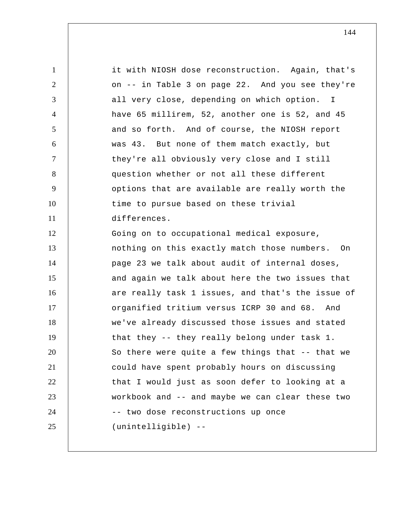1 2 3 4 5 6 7 8 9 10 11 12 13 14 15 16 17 18 19 20 21 22 23 24 25 it with NIOSH dose reconstruction. Again, that's on -- in Table 3 on page 22. And you see they're all very close, depending on which option. I have 65 millirem, 52, another one is 52, and 45 and so forth. And of course, the NIOSH report was 43. But none of them match exactly, but they're all obviously very close and I still question whether or not all these different options that are available are really worth the time to pursue based on these trivial differences. Going on to occupational medical exposure, nothing on this exactly match those numbers. On page 23 we talk about audit of internal doses, and again we talk about here the two issues that are really task 1 issues, and that's the issue of organified tritium versus ICRP 30 and 68. And we've already discussed those issues and stated that they -- they really belong under task 1. So there were quite a few things that -- that we could have spent probably hours on discussing that I would just as soon defer to looking at a workbook and -- and maybe we can clear these two -- two dose reconstructions up once (unintelligible) --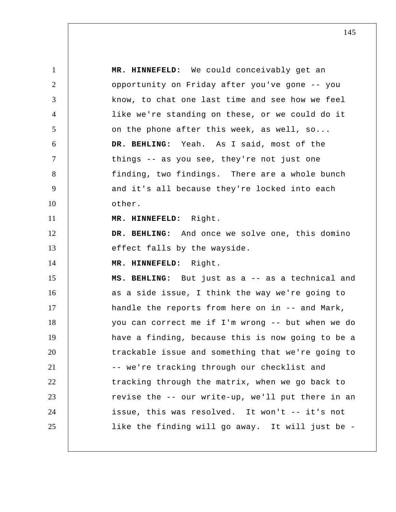1 2 3 4 5 6 7 8 9 10 11 12 13 14 15 16 17 18 19 20 21 22 23 24 25  **MR. HINNEFELD:** We could conceivably get an opportunity on Friday after you've gone -- you know, to chat one last time and see how we feel like we're standing on these, or we could do it on the phone after this week, as well, so...  **DR. BEHLING:** Yeah. As I said, most of the things -- as you see, they're not just one finding, two findings. There are a whole bunch and it's all because they're locked into each other.  **MR. HINNEFELD:** Right.  **DR. BEHLING:** And once we solve one, this domino effect falls by the wayside.  **MR. HINNEFELD:** Right.  **MS. BEHLING:** But just as a -- as a technical and as a side issue, I think the way we're going to handle the reports from here on in -- and Mark, you can correct me if I'm wrong -- but when we do have a finding, because this is now going to be a trackable issue and something that we're going to -- we're tracking through our checklist and tracking through the matrix, when we go back to revise the -- our write-up, we'll put there in an issue, this was resolved. It won't -- it's not like the finding will go away. It will just be -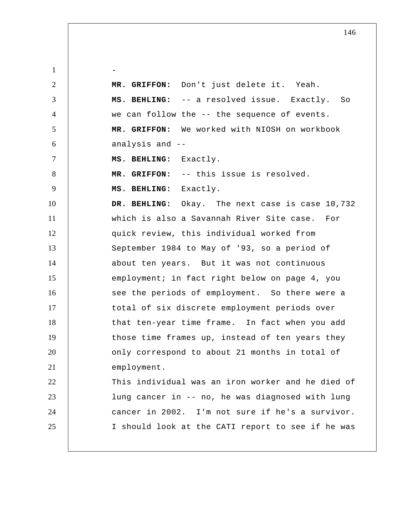1 2 3 4 5 6 7 8 9 10 11 12 13 14 15 16 17 18 19 20 21 22 23 24 25 -  **MR. GRIFFON:** Don't just delete it. Yeah.  **MS. BEHLING:** -- a resolved issue. Exactly. So we can follow the -- the sequence of events.  **MR. GRIFFON:** We worked with NIOSH on workbook analysis and --  **MS. BEHLING:** Exactly.  **MR. GRIFFON:** -- this issue is resolved.  **MS. BEHLING:** Exactly.  **DR. BEHLING:** Okay. The next case is case 10,732 which is also a Savannah River Site case. For quick review, this individual worked from September 1984 to May of '93, so a period of about ten years. But it was not continuous employment; in fact right below on page 4, you see the periods of employment. So there were a total of six discrete employment periods over that ten-year time frame. In fact when you add those time frames up, instead of ten years they only correspond to about 21 months in total of employment. This individual was an iron worker and he died of lung cancer in -- no, he was diagnosed with lung cancer in 2002. I'm not sure if he's a survivor. I should look at the CATI report to see if he was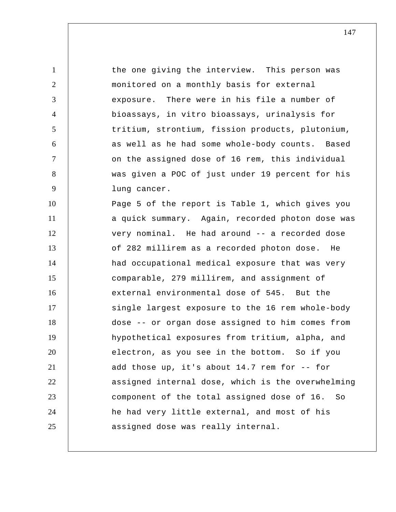1 2 3 4 5 6 7 8 9 10 11 12 13 14 15 16 17 18 19 20 21 22 23 24 25 the one giving the interview. This person was monitored on a monthly basis for external exposure. There were in his file a number of bioassays, in vitro bioassays, urinalysis for tritium, strontium, fission products, plutonium, as well as he had some whole-body counts. Based on the assigned dose of 16 rem, this individual was given a POC of just under 19 percent for his lung cancer. Page 5 of the report is Table 1, which gives you a quick summary. Again, recorded photon dose was very nominal. He had around -- a recorded dose of 282 millirem as a recorded photon dose. He had occupational medical exposure that was very comparable, 279 millirem, and assignment of external environmental dose of 545. But the single largest exposure to the 16 rem whole-body dose -- or organ dose assigned to him comes from hypothetical exposures from tritium, alpha, and electron, as you see in the bottom. So if you add those up, it's about 14.7 rem for -- for assigned internal dose, which is the overwhelming component of the total assigned dose of 16. So he had very little external, and most of his assigned dose was really internal.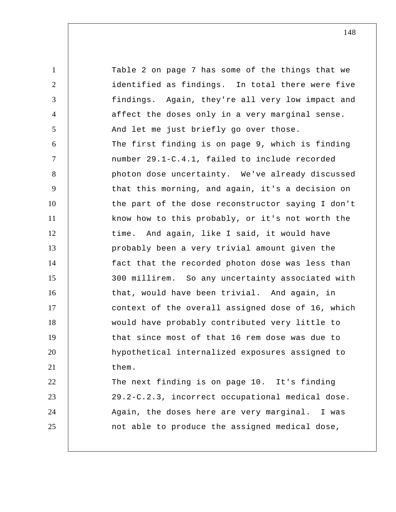1 2 3 4 5 6 7 8 9 10 11 12 13 14 15 16 17 18 19 20 21 22 23 24 25 Table 2 on page 7 has some of the things that we identified as findings. In total there were five findings. Again, they're all very low impact and affect the doses only in a very marginal sense. And let me just briefly go over those. The first finding is on page 9, which is finding number 29.1-C.4.1, failed to include recorded photon dose uncertainty. We've already discussed that this morning, and again, it's a decision on the part of the dose reconstructor saying I don't know how to this probably, or it's not worth the time. And again, like I said, it would have probably been a very trivial amount given the fact that the recorded photon dose was less than 300 millirem. So any uncertainty associated with that, would have been trivial. And again, in context of the overall assigned dose of 16, which would have probably contributed very little to that since most of that 16 rem dose was due to hypothetical internalized exposures assigned to them. The next finding is on page 10. It's finding 29.2-C.2.3, incorrect occupational medical dose. Again, the doses here are very marginal. I was not able to produce the assigned medical dose,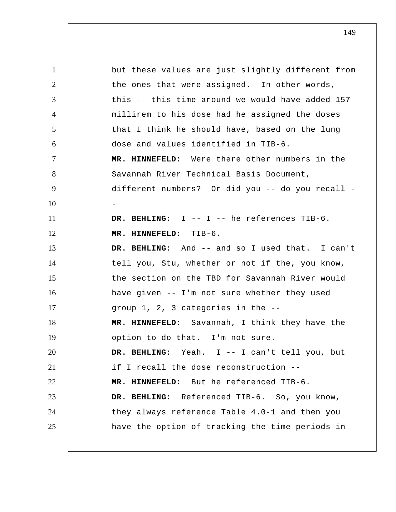1 2 3 4 5 6 7 8 9 10 11 12 13 14 15 16 17 18 19 20 21 22 23 24 25 but these values are just slightly different from the ones that were assigned. In other words, this -- this time around we would have added 157 millirem to his dose had he assigned the doses that I think he should have, based on the lung dose and values identified in TIB-6.  **MR. HINNEFELD:** Were there other numbers in the Savannah River Technical Basis Document, different numbers? Or did you -- do you recall - -  **DR. BEHLING:** I -- I -- he references TIB-6.  **MR. HINNEFELD:** TIB-6.  **DR. BEHLING:** And -- and so I used that. I can't tell you, Stu, whether or not if the, you know, the section on the TBD for Savannah River would have given -- I'm not sure whether they used group 1, 2, 3 categories in the --  **MR. HINNEFELD:** Savannah, I think they have the option to do that. I'm not sure.  **DR. BEHLING:** Yeah. I -- I can't tell you, but if I recall the dose reconstruction --  **MR. HINNEFELD:** But he referenced TIB-6.  **DR. BEHLING:** Referenced TIB-6. So, you know, they always reference Table 4.0-1 and then you have the option of tracking the time periods in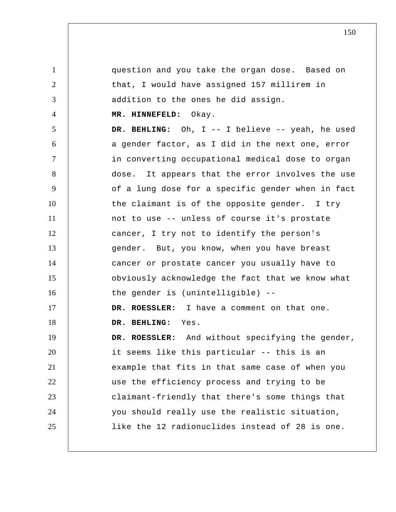question and you take the organ dose. Based on that, I would have assigned 157 millirem in addition to the ones he did assign.

## **MR. HINNEFELD:** Okay.

1

2

3

4

5 6 7 8 9 10 11 12 13 14 15 16 17 18 19 20 21 22 23 24 25  **DR. BEHLING:** Oh, I -- I believe -- yeah, he used a gender factor, as I did in the next one, error in converting occupational medical dose to organ dose. It appears that the error involves the use of a lung dose for a specific gender when in fact the claimant is of the opposite gender. I try not to use -- unless of course it's prostate cancer, I try not to identify the person's gender. But, you know, when you have breast cancer or prostate cancer you usually have to obviously acknowledge the fact that we know what the gender is (unintelligible) -- **DR. ROESSLER:** I have a comment on that one.  **DR. BEHLING:** Yes. **DR. ROESSLER:** And without specifying the gender, it seems like this particular -- this is an example that fits in that same case of when you use the efficiency process and trying to be claimant-friendly that there's some things that you should really use the realistic situation, like the 12 radionuclides instead of 28 is one.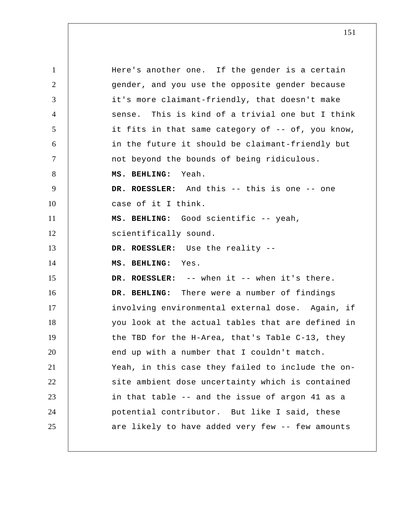1 2 3 4 5 6 7 8 9 10 11 12 13 14 15 16 17 18 19 20 21 22 23 24 25 Here's another one. If the gender is a certain gender, and you use the opposite gender because it's more claimant-friendly, that doesn't make sense. This is kind of a trivial one but I think it fits in that same category of -- of, you know, in the future it should be claimant-friendly but not beyond the bounds of being ridiculous.  **MS. BEHLING:** Yeah. **DR. ROESSLER:** And this -- this is one -- one case of it I think.  **MS. BEHLING:** Good scientific -- yeah, scientifically sound. **DR. ROESSLER:** Use the reality --  **MS. BEHLING:** Yes. **DR. ROESSLER:** -- when it -- when it's there.  **DR. BEHLING:** There were a number of findings involving environmental external dose. Again, if you look at the actual tables that are defined in the TBD for the H-Area, that's Table C-13, they end up with a number that I couldn't match. Yeah, in this case they failed to include the onsite ambient dose uncertainty which is contained in that table -- and the issue of argon 41 as a potential contributor. But like I said, these are likely to have added very few -- few amounts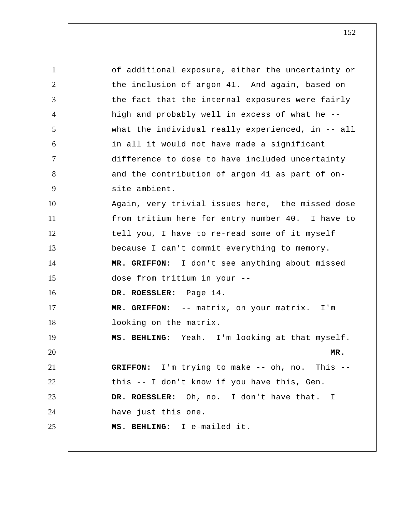1 2 3 4 5 6 7 8 9 10 11 12 13 14 15 16 17 18 19 20 21 22 23 24 25 of additional exposure, either the uncertainty or the inclusion of argon 41. And again, based on the fact that the internal exposures were fairly high and probably well in excess of what he - what the individual really experienced, in -- all in all it would not have made a significant difference to dose to have included uncertainty and the contribution of argon 41 as part of onsite ambient. Again, very trivial issues here, the missed dose from tritium here for entry number 40. I have to tell you, I have to re-read some of it myself because I can't commit everything to memory.  **MR. GRIFFON:** I don't see anything about missed dose from tritium in your -- **DR. ROESSLER:** Page 14.  **MR. GRIFFON:** -- matrix, on your matrix. I'm looking on the matrix.  **MS. BEHLING:** Yeah. I'm looking at that myself. **MR. GRIFFON:** I'm trying to make -- oh, no. This - this -- I don't know if you have this, Gen. **DR. ROESSLER:** Oh, no. I don't have that. I have just this one.  **MS. BEHLING:** I e-mailed it.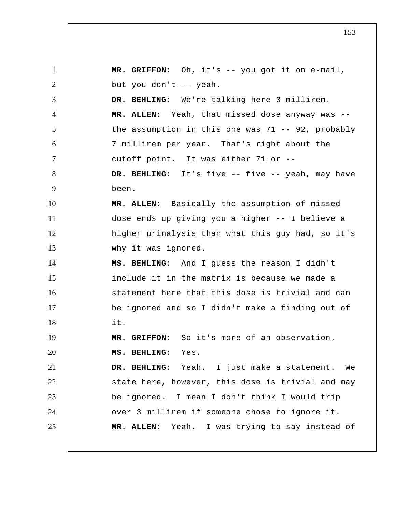1 2 3 4 5 6 7 8 9 10 11 12 13 14 15 16 17 18 19 20 21 22 23 24 25  **MR. GRIFFON:** Oh, it's -- you got it on e-mail, but you don't -- yeah.  **DR. BEHLING:** We're talking here 3 millirem. **MR. ALLEN:** Yeah, that missed dose anyway was - the assumption in this one was  $71$  -- 92, probably 7 millirem per year. That's right about the cutoff point. It was either 71 or --  **DR. BEHLING:** It's five -- five -- yeah, may have been. **MR. ALLEN:** Basically the assumption of missed dose ends up giving you a higher -- I believe a higher urinalysis than what this guy had, so it's why it was ignored.  **MS. BEHLING:** And I guess the reason I didn't include it in the matrix is because we made a statement here that this dose is trivial and can be ignored and so I didn't make a finding out of it.  **MR. GRIFFON:** So it's more of an observation.  **MS. BEHLING:** Yes.  **DR. BEHLING:** Yeah. I just make a statement. We state here, however, this dose is trivial and may be ignored. I mean I don't think I would trip over 3 millirem if someone chose to ignore it. **MR. ALLEN:** Yeah. I was trying to say instead of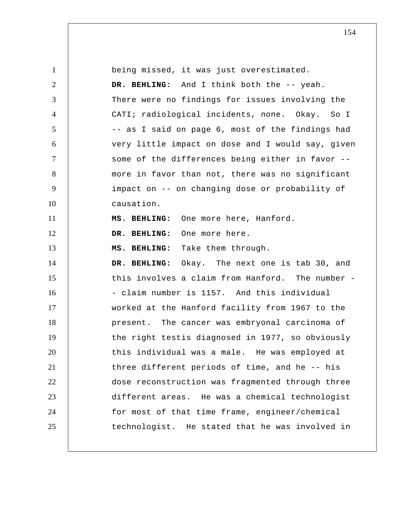| $\mathbf{1}$   | being missed, it was just overestimated.          |
|----------------|---------------------------------------------------|
| $\overline{2}$ | DR. BEHLING: And I think both the -- yeah.        |
| 3              | There were no findings for issues involving the   |
| $\overline{4}$ | CATI; radiological incidents, none. Okay. So I    |
| 5              | -- as I said on page 6, most of the findings had  |
| 6              | very little impact on dose and I would say, given |
| $\tau$         | some of the differences being either in favor --  |
| 8              | more in favor than not, there was no significant  |
| 9              | impact on -- on changing dose or probability of   |
| 10             | causation.                                        |
| 11             | MS. BEHLING: One more here, Hanford.              |
| 12             | DR. BEHLING: One more here.                       |
| 13             | MS. BEHLING: Take them through.                   |
| 14             | DR. BEHLING: Okay. The next one is tab 30, and    |
| 15             | this involves a claim from Hanford. The number -  |
| 16             | - claim number is 1157. And this individual       |
| 17             | worked at the Hanford facility from 1967 to the   |
| 18             | present. The cancer was embryonal carcinoma of    |
| 19             | the right testis diagnosed in 1977, so obviously  |
| 20             | this individual was a male. He was employed at    |
| 21             | three different periods of time, and he -- his    |
|                | dose reconstruction was fragmented through three  |
| 22             |                                                   |
| 23             | different areas. He was a chemical technologist   |
| 24             | for most of that time frame, engineer/chemical    |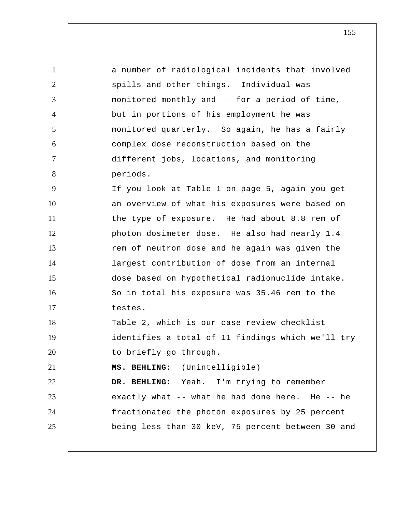| $\mathbf{1}$   | a number of radiological incidents that involved  |
|----------------|---------------------------------------------------|
| 2              | spills and other things. Individual was           |
| 3              | monitored monthly and -- for a period of time,    |
| $\overline{4}$ | but in portions of his employment he was          |
| 5              | monitored quarterly. So again, he has a fairly    |
| 6              | complex dose reconstruction based on the          |
| $\tau$         | different jobs, locations, and monitoring         |
| 8              | periods.                                          |
| 9              | If you look at Table 1 on page 5, again you get   |
| 10             | an overview of what his exposures were based on   |
| 11             | the type of exposure. He had about 8.8 rem of     |
| 12             | photon dosimeter dose. He also had nearly 1.4     |
| 13             | rem of neutron dose and he again was given the    |
| 14             | largest contribution of dose from an internal     |
| 15             | dose based on hypothetical radionuclide intake.   |
| 16             | So in total his exposure was 35.46 rem to the     |
| 17             | testes.                                           |
| 18             | Table 2, which is our case review checklist       |
| 19             | identifies a total of 11 findings which we'll try |
| 20             | to briefly go through.                            |
| 21             | MS. BEHLING: (Unintelligible)                     |
| 22             | DR. BEHLING: Yeah. I'm trying to remember         |
| 23             | exactly what -- what he had done here. He -- he   |
| 24             | fractionated the photon exposures by 25 percent   |
| 25             | being less than 30 keV, 75 percent between 30 and |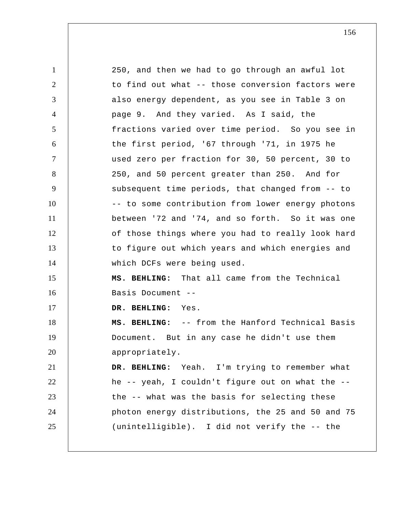1 2 3 4 5 6 7 8 9 10 11 12 13 14 15 16 17 18 19 20 21 22 23 24 25 250, and then we had to go through an awful lot to find out what -- those conversion factors were also energy dependent, as you see in Table 3 on page 9. And they varied. As I said, the fractions varied over time period. So you see in the first period, '67 through '71, in 1975 he used zero per fraction for 30, 50 percent, 30 to 250, and 50 percent greater than 250. And for subsequent time periods, that changed from -- to -- to some contribution from lower energy photons between '72 and '74, and so forth. So it was one of those things where you had to really look hard to figure out which years and which energies and which DCFs were being used.  **MS. BEHLING:** That all came from the Technical Basis Document --  **DR. BEHLING:** Yes.  **MS. BEHLING:** -- from the Hanford Technical Basis Document. But in any case he didn't use them appropriately.  **DR. BEHLING:** Yeah. I'm trying to remember what he -- yeah, I couldn't figure out on what the - the -- what was the basis for selecting these photon energy distributions, the 25 and 50 and 75 (unintelligible). I did not verify the -- the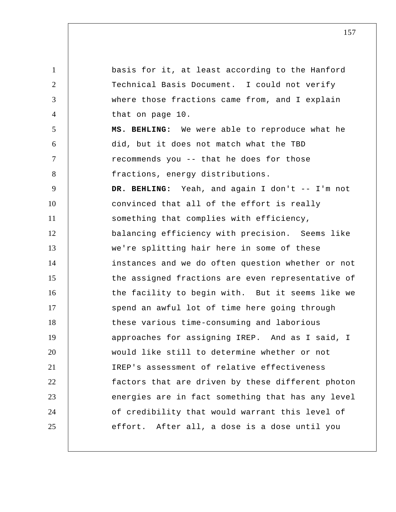1 2 3 4 5 6 7 8 9 10 11 12 13 14 15 16 17 18 19 20 21 22 23 24 25 basis for it, at least according to the Hanford Technical Basis Document. I could not verify where those fractions came from, and I explain that on page 10.  **MS. BEHLING:** We were able to reproduce what he did, but it does not match what the TBD recommends you -- that he does for those fractions, energy distributions.  **DR. BEHLING:** Yeah, and again I don't -- I'm not convinced that all of the effort is really something that complies with efficiency, balancing efficiency with precision. Seems like we're splitting hair here in some of these instances and we do often question whether or not the assigned fractions are even representative of the facility to begin with. But it seems like we spend an awful lot of time here going through these various time-consuming and laborious approaches for assigning IREP. And as I said, I would like still to determine whether or not IREP's assessment of relative effectiveness factors that are driven by these different photon energies are in fact something that has any level of credibility that would warrant this level of effort. After all, a dose is a dose until you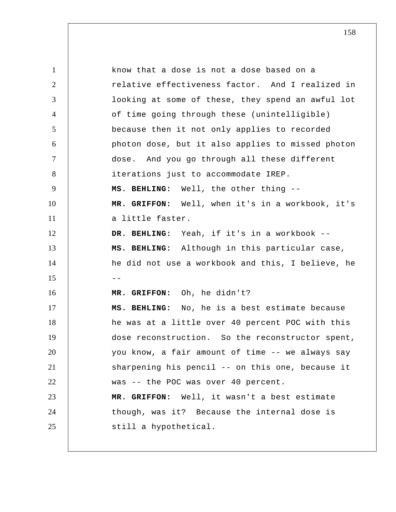1 2 3 4 5 6 7 8 9 10 11 12 13 14  $15$  --16 17 18 19 20 21 22 23 24 25 know that a dose is not a dose based on a relative effectiveness factor. And I realized in looking at some of these, they spend an awful lot of time going through these (unintelligible) because then it not only applies to recorded photon dose, but it also applies to missed photon dose. And you go through all these different iterations just to accommodate IREP.  **MS. BEHLING:** Well, the other thing --  **MR. GRIFFON:** Well, when it's in a workbook, it's a little faster.  **DR. BEHLING:** Yeah, if it's in a workbook --  **MS. BEHLING:** Although in this particular case, he did not use a workbook and this, I believe, he  **MR. GRIFFON:** Oh, he didn't?  **MS. BEHLING:** No, he is a best estimate because he was at a little over 40 percent POC with this dose reconstruction. So the reconstructor spent, you know, a fair amount of time -- we always say sharpening his pencil -- on this one, because it was -- the POC was over 40 percent.  **MR. GRIFFON:** Well, it wasn't a best estimate though, was it? Because the internal dose is still a hypothetical.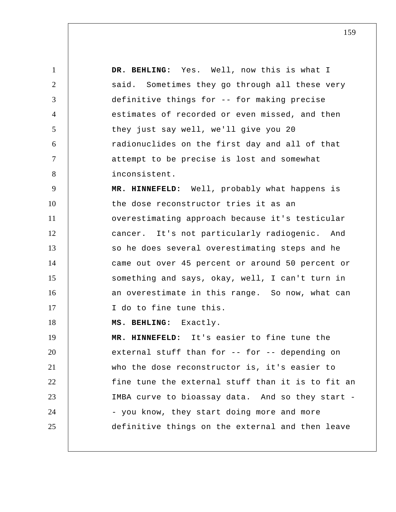1 2 3 4 5 6 7 8  **DR. BEHLING:** Yes. Well, now this is what I said. Sometimes they go through all these very definitive things for -- for making precise estimates of recorded or even missed, and then they just say well, we'll give you 20 radionuclides on the first day and all of that attempt to be precise is lost and somewhat inconsistent.

9 10 11 12 13 14 15 16 17  **MR. HINNEFELD:** Well, probably what happens is the dose reconstructor tries it as an overestimating approach because it's testicular cancer. It's not particularly radiogenic. And so he does several overestimating steps and he came out over 45 percent or around 50 percent or something and says, okay, well, I can't turn in an overestimate in this range. So now, what can I do to fine tune this.

 **MS. BEHLING:** Exactly.

18

19 20 21 22 23 24 25  **MR. HINNEFELD:** It's easier to fine tune the external stuff than for -- for -- depending on who the dose reconstructor is, it's easier to fine tune the external stuff than it is to fit an IMBA curve to bioassay data. And so they start - - you know, they start doing more and more definitive things on the external and then leave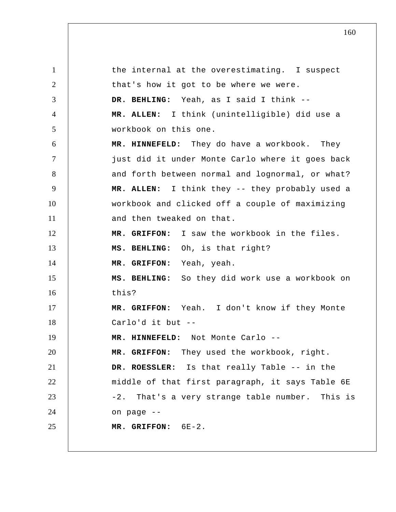1 2 3 4 5 6 7 8 9 10 11 12 13 14 15 16 17 18 19 20 21 22 23 24 25 the internal at the overestimating. I suspect that's how it got to be where we were.  **DR. BEHLING:** Yeah, as I said I think -- **MR. ALLEN:** I think (unintelligible) did use a workbook on this one.  **MR. HINNEFELD:** They do have a workbook. They just did it under Monte Carlo where it goes back and forth between normal and lognormal, or what? **MR. ALLEN:** I think they -- they probably used a workbook and clicked off a couple of maximizing and then tweaked on that.  **MR. GRIFFON:** I saw the workbook in the files.  **MS. BEHLING:** Oh, is that right?  **MR. GRIFFON:** Yeah, yeah.  **MS. BEHLING:** So they did work use a workbook on this?  **MR. GRIFFON:** Yeah. I don't know if they Monte Carlo'd it but --  **MR. HINNEFELD:** Not Monte Carlo --  **MR. GRIFFON:** They used the workbook, right. **DR. ROESSLER:** Is that really Table -- in the middle of that first paragraph, it says Table 6E -2. That's a very strange table number. This is on page --  **MR. GRIFFON:** 6E-2.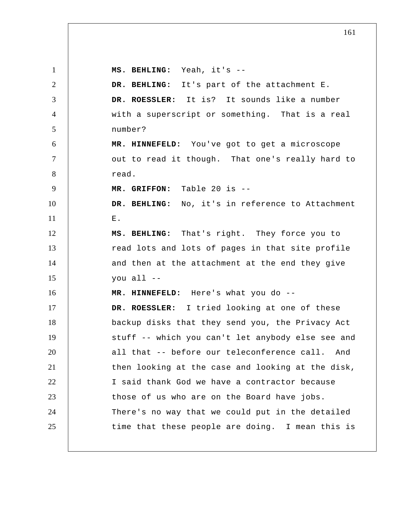1 2 3 4 5 6 7 8 9 10 11 12 13 14 15 16 17 18 19 20 21 22 23 24 25  **MS. BEHLING:** Yeah, it's --  **DR. BEHLING:** It's part of the attachment E. **DR. ROESSLER:** It is? It sounds like a number with a superscript or something. That is a real number?  **MR. HINNEFELD:** You've got to get a microscope out to read it though. That one's really hard to read.  **MR. GRIFFON:** Table 20 is --  **DR. BEHLING:** No, it's in reference to Attachment  $\mathbf{F}$ .  **MS. BEHLING:** That's right. They force you to read lots and lots of pages in that site profile and then at the attachment at the end they give you all --  **MR. HINNEFELD:** Here's what you do -- **DR. ROESSLER:** I tried looking at one of these backup disks that they send you, the Privacy Act stuff -- which you can't let anybody else see and all that -- before our teleconference call. And then looking at the case and looking at the disk, I said thank God we have a contractor because those of us who are on the Board have jobs. There's no way that we could put in the detailed time that these people are doing. I mean this is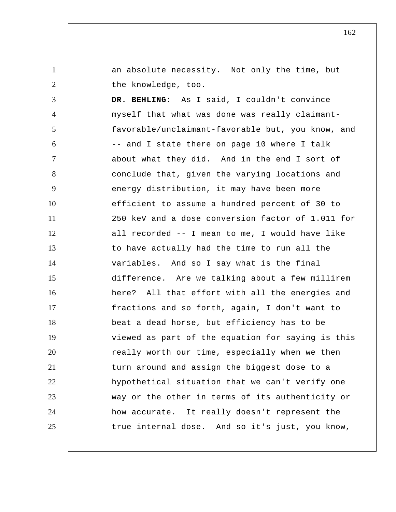1 2 3 4 5 6 7 an absolute necessity. Not only the time, but the knowledge, too.  **DR. BEHLING:** As I said, I couldn't convince myself that what was done was really claimantfavorable/unclaimant-favorable but, you know, and -- and I state there on page 10 where I talk about what they did. And in the end I sort of

8 9 10 11 12 13 14 15 16 17 18 19 20 21 22 23 24 25 conclude that, given the varying locations and energy distribution, it may have been more efficient to assume a hundred percent of 30 to 250 keV and a dose conversion factor of 1.011 for all recorded -- I mean to me, I would have like to have actually had the time to run all the variables. And so I say what is the final difference. Are we talking about a few millirem here? All that effort with all the energies and fractions and so forth, again, I don't want to beat a dead horse, but efficiency has to be viewed as part of the equation for saying is this really worth our time, especially when we then turn around and assign the biggest dose to a hypothetical situation that we can't verify one way or the other in terms of its authenticity or how accurate. It really doesn't represent the true internal dose. And so it's just, you know,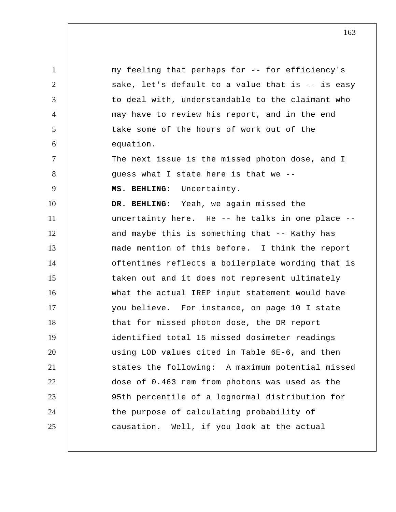1 2 3 4 5 6 7 8 9 10 11 12 13 14 15 16 17 18 19 20 21 22 23 24 25 my feeling that perhaps for -- for efficiency's sake, let's default to a value that is -- is easy to deal with, understandable to the claimant who may have to review his report, and in the end take some of the hours of work out of the equation. The next issue is the missed photon dose, and I guess what I state here is that we --  **MS. BEHLING:** Uncertainty.  **DR. BEHLING:** Yeah, we again missed the uncertainty here. He -- he talks in one place - and maybe this is something that -- Kathy has made mention of this before. I think the report oftentimes reflects a boilerplate wording that is taken out and it does not represent ultimately what the actual IREP input statement would have you believe. For instance, on page 10 I state that for missed photon dose, the DR report identified total 15 missed dosimeter readings using LOD values cited in Table 6E-6, and then states the following: A maximum potential missed dose of 0.463 rem from photons was used as the 95th percentile of a lognormal distribution for the purpose of calculating probability of causation. Well, if you look at the actual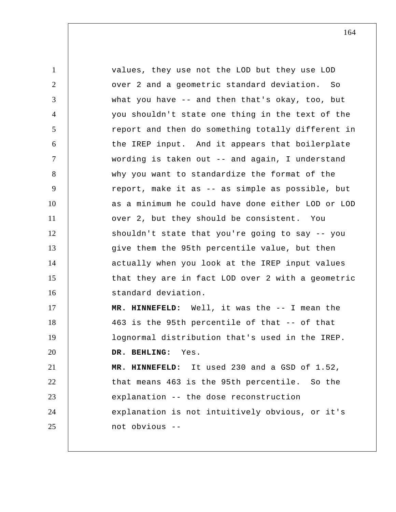1 2 3 4 5 6 7 8 9 10 11 12 13 14 15 16 17 18 19 20 21 22 23 24 25 values, they use not the LOD but they use LOD over 2 and a geometric standard deviation. So what you have -- and then that's okay, too, but you shouldn't state one thing in the text of the report and then do something totally different in the IREP input. And it appears that boilerplate wording is taken out -- and again, I understand why you want to standardize the format of the report, make it as -- as simple as possible, but as a minimum he could have done either LOD or LOD over 2, but they should be consistent. You shouldn't state that you're going to say -- you give them the 95th percentile value, but then actually when you look at the IREP input values that they are in fact LOD over 2 with a geometric standard deviation.  **MR. HINNEFELD:** Well, it was the -- I mean the 463 is the 95th percentile of that -- of that lognormal distribution that's used in the IREP.  **DR. BEHLING:** Yes.  **MR. HINNEFELD:** It used 230 and a GSD of 1.52, that means 463 is the 95th percentile. So the explanation -- the dose reconstruction explanation is not intuitively obvious, or it's not obvious --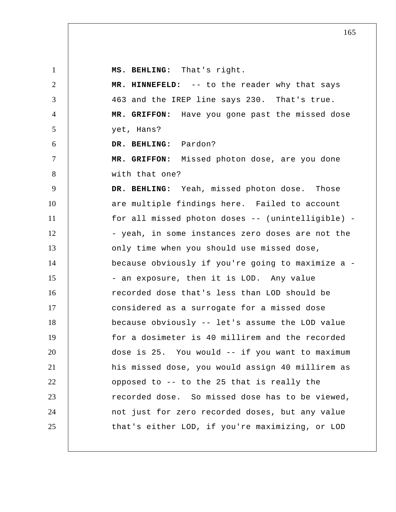1 2 3 4 5 6 7 8 9 10 11 12 13 14 15 16 17 18 19 20 21 22 23 24 25  **MS. BEHLING:** That's right.  **MR. HINNEFELD:** -- to the reader why that says 463 and the IREP line says 230. That's true.  **MR. GRIFFON:** Have you gone past the missed dose yet, Hans?  **DR. BEHLING:** Pardon?  **MR. GRIFFON:** Missed photon dose, are you done with that one?  **DR. BEHLING:** Yeah, missed photon dose. Those are multiple findings here. Failed to account for all missed photon doses -- (unintelligible) - - yeah, in some instances zero doses are not the only time when you should use missed dose, because obviously if you're going to maximize a - - an exposure, then it is LOD. Any value recorded dose that's less than LOD should be considered as a surrogate for a missed dose because obviously -- let's assume the LOD value for a dosimeter is 40 millirem and the recorded dose is 25. You would -- if you want to maximum his missed dose, you would assign 40 millirem as opposed to -- to the 25 that is really the recorded dose. So missed dose has to be viewed, not just for zero recorded doses, but any value that's either LOD, if you're maximizing, or LOD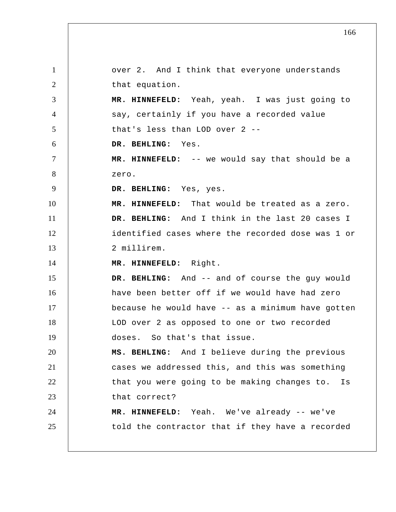1 2 3 4 5 6 7 8 9 10 11 12 13 14 15 16 17 18 19 20 21 22 23 24 25 over 2. And I think that everyone understands that equation.  **MR. HINNEFELD:** Yeah, yeah. I was just going to say, certainly if you have a recorded value that's less than LOD over 2 --  **DR. BEHLING:** Yes.  **MR. HINNEFELD:** -- we would say that should be a zero.  **DR. BEHLING:** Yes, yes.  **MR. HINNEFELD:** That would be treated as a zero.  **DR. BEHLING:** And I think in the last 20 cases I identified cases where the recorded dose was 1 or 2 millirem.  **MR. HINNEFELD:** Right.  **DR. BEHLING:** And -- and of course the guy would have been better off if we would have had zero because he would have -- as a minimum have gotten LOD over 2 as opposed to one or two recorded doses. So that's that issue.  **MS. BEHLING:** And I believe during the previous cases we addressed this, and this was something that you were going to be making changes to. Is that correct?  **MR. HINNEFELD:** Yeah. We've already -- we've told the contractor that if they have a recorded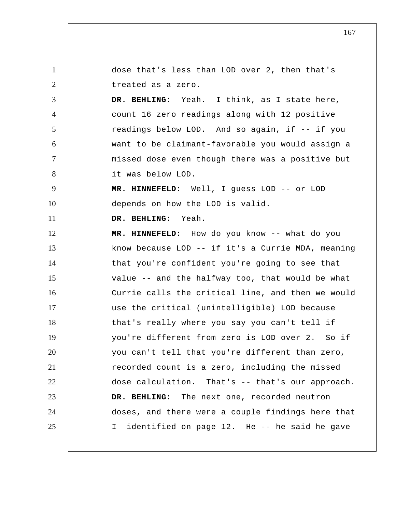1 2 3 4 5 6 7 8 9 10 11 12 13 14 15 16 17 18 19 20 21 22 23 24 25 dose that's less than LOD over 2, then that's treated as a zero.  **DR. BEHLING:** Yeah. I think, as I state here, count 16 zero readings along with 12 positive readings below LOD. And so again, if -- if you want to be claimant-favorable you would assign a missed dose even though there was a positive but it was below LOD.  **MR. HINNEFELD:** Well, I guess LOD -- or LOD depends on how the LOD is valid.  **DR. BEHLING:** Yeah.  **MR. HINNEFELD:** How do you know -- what do you know because LOD -- if it's a Currie MDA, meaning that you're confident you're going to see that value -- and the halfway too, that would be what Currie calls the critical line, and then we would use the critical (unintelligible) LOD because that's really where you say you can't tell if you're different from zero is LOD over 2. So if you can't tell that you're different than zero, recorded count is a zero, including the missed dose calculation. That's -- that's our approach.  **DR. BEHLING:** The next one, recorded neutron doses, and there were a couple findings here that I identified on page 12. He -- he said he gave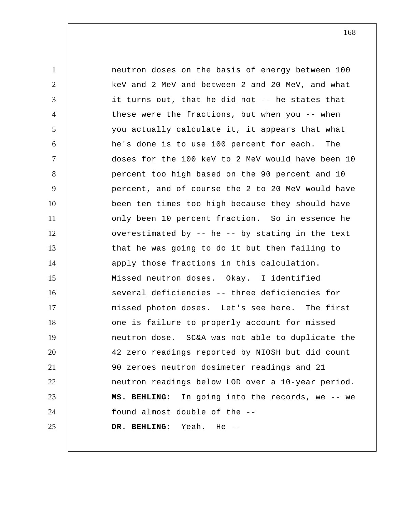1 2 3 4 5 6 7 8 9 10 11 12 13 14 15 16 17 18 19 20 21 22 23 24 25 neutron doses on the basis of energy between 100 keV and 2 MeV and between 2 and 20 MeV, and what it turns out, that he did not -- he states that these were the fractions, but when you -- when you actually calculate it, it appears that what he's done is to use 100 percent for each. The doses for the 100 keV to 2 MeV would have been 10 percent too high based on the 90 percent and 10 percent, and of course the 2 to 20 MeV would have been ten times too high because they should have only been 10 percent fraction. So in essence he overestimated by -- he -- by stating in the text that he was going to do it but then failing to apply those fractions in this calculation. Missed neutron doses. Okay. I identified several deficiencies -- three deficiencies for missed photon doses. Let's see here. The first one is failure to properly account for missed neutron dose. SC&A was not able to duplicate the 42 zero readings reported by NIOSH but did count 90 zeroes neutron dosimeter readings and 21 neutron readings below LOD over a 10-year period.  **MS. BEHLING:** In going into the records, we -- we found almost double of the --  **DR. BEHLING:** Yeah. He --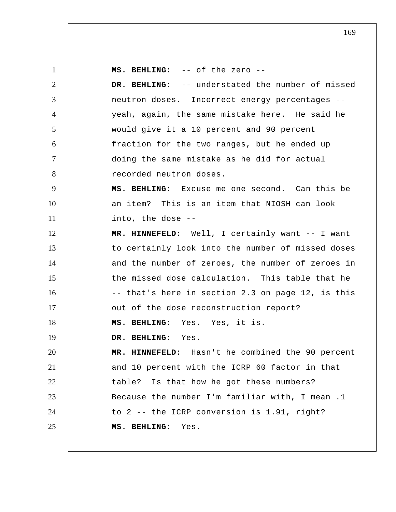1 2 3 4 5 6 7 8 9 10 11 12 13 14 15 16 17 18 19 20 21 22 23 24 25  **MS. BEHLING:** -- of the zero --  **DR. BEHLING:** -- understated the number of missed neutron doses. Incorrect energy percentages - yeah, again, the same mistake here. He said he would give it a 10 percent and 90 percent fraction for the two ranges, but he ended up doing the same mistake as he did for actual recorded neutron doses.  **MS. BEHLING:** Excuse me one second. Can this be an item? This is an item that NIOSH can look into, the dose --  **MR. HINNEFELD:** Well, I certainly want -- I want to certainly look into the number of missed doses and the number of zeroes, the number of zeroes in the missed dose calculation. This table that he -- that's here in section 2.3 on page 12, is this out of the dose reconstruction report?  **MS. BEHLING:** Yes. Yes, it is.  **DR. BEHLING:** Yes.  **MR. HINNEFELD:** Hasn't he combined the 90 percent and 10 percent with the ICRP 60 factor in that table? Is that how he got these numbers? Because the number I'm familiar with, I mean .1 to 2 -- the ICRP conversion is 1.91, right?  **MS. BEHLING:** Yes.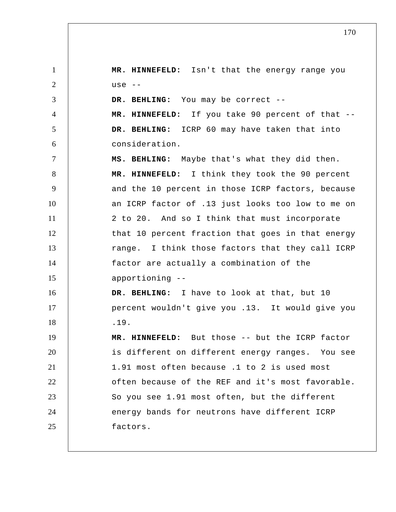1 2 3 4 5 6 7 8 9 10 11 12 13 14 15 16 17 18 19 20 21 22 23 24 25  **MR. HINNEFELD:** Isn't that the energy range you use --  **DR. BEHLING:** You may be correct --  **MR. HINNEFELD:** If you take 90 percent of that --  **DR. BEHLING:** ICRP 60 may have taken that into consideration.  **MS. BEHLING:** Maybe that's what they did then.  **MR. HINNEFELD:** I think they took the 90 percent and the 10 percent in those ICRP factors, because an ICRP factor of .13 just looks too low to me on 2 to 20. And so I think that must incorporate that 10 percent fraction that goes in that energy range. I think those factors that they call ICRP factor are actually a combination of the apportioning --  **DR. BEHLING:** I have to look at that, but 10 percent wouldn't give you .13. It would give you .19.  **MR. HINNEFELD:** But those -- but the ICRP factor is different on different energy ranges. You see 1.91 most often because .1 to 2 is used most often because of the REF and it's most favorable. So you see 1.91 most often, but the different energy bands for neutrons have different ICRP factors.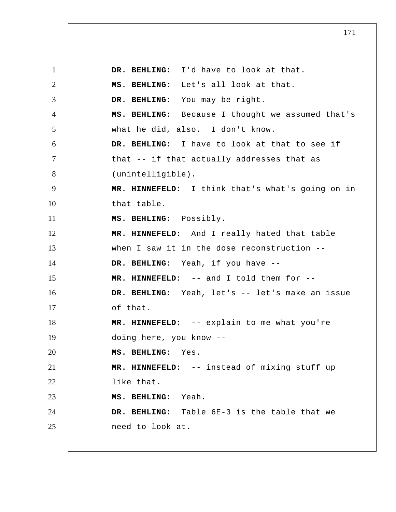1 2 3 4 5 6 7 8 9 10 11 12 13 14 15 16 17 18 19 20 21 22 23 24 25  **DR. BEHLING:** I'd have to look at that.  **MS. BEHLING:** Let's all look at that.  **DR. BEHLING:** You may be right.  **MS. BEHLING:** Because I thought we assumed that's what he did, also. I don't know.  **DR. BEHLING:** I have to look at that to see if that -- if that actually addresses that as (unintelligible).  **MR. HINNEFELD:** I think that's what's going on in that table.  **MS. BEHLING:** Possibly.  **MR. HINNEFELD:** And I really hated that table when I saw it in the dose reconstruction -- **DR. BEHLING:** Yeah, if you have --  **MR. HINNEFELD:** -- and I told them for -- DR. BEHLING: Yeah, let's -- let's make an issue of that.  **MR. HINNEFELD:** -- explain to me what you're doing here, you know --  **MS. BEHLING:** Yes.  **MR. HINNEFELD:** -- instead of mixing stuff up like that.  **MS. BEHLING:** Yeah.  **DR. BEHLING:** Table 6E-3 is the table that we need to look at.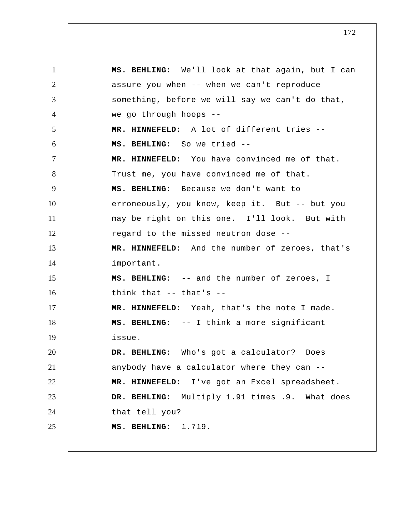1 2 3 4 5 6 7 8 9 10 11 12 13 14 15 16 17 18 19 20 21 22 23 24 25  **MS. BEHLING:** We'll look at that again, but I can assure you when -- when we can't reproduce something, before we will say we can't do that, we go through hoops --  **MR. HINNEFELD:** A lot of different tries --  **MS. BEHLING:** So we tried --  **MR. HINNEFELD:** You have convinced me of that. Trust me, you have convinced me of that.  **MS. BEHLING:** Because we don't want to erroneously, you know, keep it. But -- but you may be right on this one. I'll look. But with regard to the missed neutron dose --  **MR. HINNEFELD:** And the number of zeroes, that's important.  **MS. BEHLING:** -- and the number of zeroes, I think that -- that's --  **MR. HINNEFELD:** Yeah, that's the note I made.  **MS. BEHLING:** -- I think a more significant issue.  **DR. BEHLING:** Who's got a calculator? Does anybody have a calculator where they can --  **MR. HINNEFELD:** I've got an Excel spreadsheet.  **DR. BEHLING:** Multiply 1.91 times .9. What does that tell you?  **MS. BEHLING:** 1.719.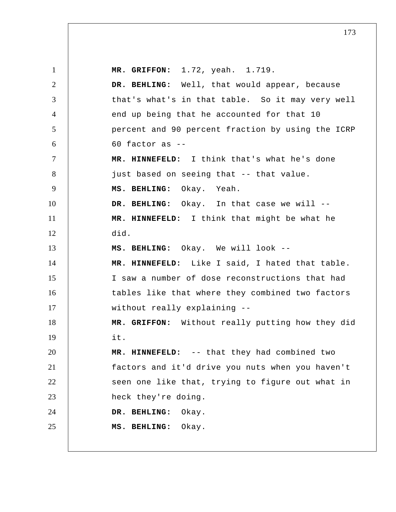1 2 3 4 5 6 7 8 9 10 11 12 13 14 15 16 17 18 19 20 21 22 23 24 25  **MR. GRIFFON:** 1.72, yeah. 1.719.  **DR. BEHLING:** Well, that would appear, because that's what's in that table. So it may very well end up being that he accounted for that 10 percent and 90 percent fraction by using the ICRP 60 factor as --  **MR. HINNEFELD:** I think that's what he's done just based on seeing that -- that value.  **MS. BEHLING:** Okay. Yeah.  **DR. BEHLING:** Okay. In that case we will --  **MR. HINNEFELD:** I think that might be what he did.  **MS. BEHLING:** Okay. We will look --  **MR. HINNEFELD:** Like I said, I hated that table. I saw a number of dose reconstructions that had tables like that where they combined two factors without really explaining --  **MR. GRIFFON:** Without really putting how they did it.  **MR. HINNEFELD:** -- that they had combined two factors and it'd drive you nuts when you haven't seen one like that, trying to figure out what in heck they're doing.  **DR. BEHLING:** Okay.  **MS. BEHLING:** Okay.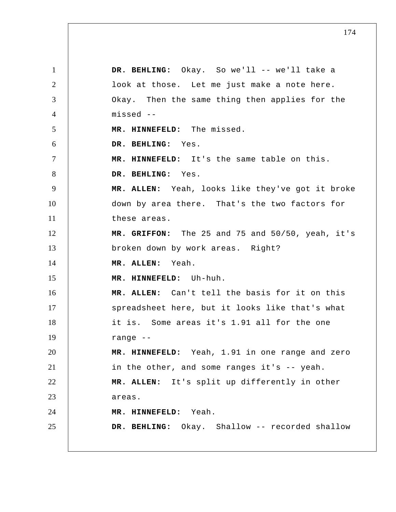1 2 3 4 5 6 7 8 9 10 11 12 13 14 15 16 17 18 19 20 21 22 23 24 25  **DR. BEHLING:** Okay. So we'll -- we'll take a look at those. Let me just make a note here. Okay. Then the same thing then applies for the missed --  **MR. HINNEFELD:** The missed.  **DR. BEHLING:** Yes.  **MR. HINNEFELD:** It's the same table on this.  **DR. BEHLING:** Yes. **MR. ALLEN:** Yeah, looks like they've got it broke down by area there. That's the two factors for these areas.  **MR. GRIFFON:** The 25 and 75 and 50/50, yeah, it's broken down by work areas. Right? **MR. ALLEN:** Yeah.  **MR. HINNEFELD:** Uh-huh. **MR. ALLEN:** Can't tell the basis for it on this spreadsheet here, but it looks like that's what it is. Some areas it's 1.91 all for the one range --  **MR. HINNEFELD:** Yeah, 1.91 in one range and zero in the other, and some ranges it's -- yeah. **MR. ALLEN:** It's split up differently in other areas.  **MR. HINNEFELD:** Yeah.  **DR. BEHLING:** Okay. Shallow -- recorded shallow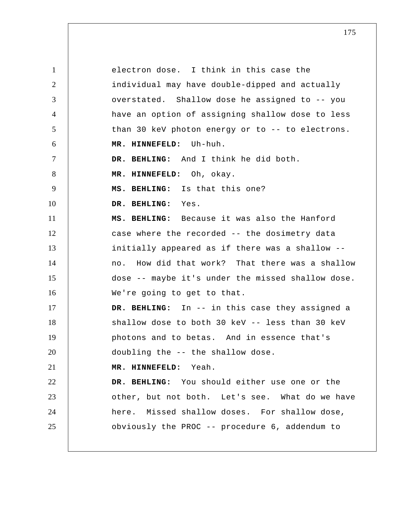1 2 3 4 5 6 7 8 9 10 11 12 13 14 15 16 17 18 19 20 21 22 23 24 25 electron dose. I think in this case the individual may have double-dipped and actually overstated. Shallow dose he assigned to -- you have an option of assigning shallow dose to less than 30 keV photon energy or to -- to electrons.  **MR. HINNEFELD:** Uh-huh.  **DR. BEHLING:** And I think he did both.  **MR. HINNEFELD:** Oh, okay.  **MS. BEHLING:** Is that this one?  **DR. BEHLING:** Yes.  **MS. BEHLING:** Because it was also the Hanford case where the recorded -- the dosimetry data initially appeared as if there was a shallow - no. How did that work? That there was a shallow dose -- maybe it's under the missed shallow dose. We're going to get to that.  **DR. BEHLING:** In -- in this case they assigned a shallow dose to both 30 keV -- less than 30 keV photons and to betas. And in essence that's doubling the -- the shallow dose.  **MR. HINNEFELD:** Yeah.  **DR. BEHLING:** You should either use one or the other, but not both. Let's see. What do we have here. Missed shallow doses. For shallow dose, obviously the PROC -- procedure 6, addendum to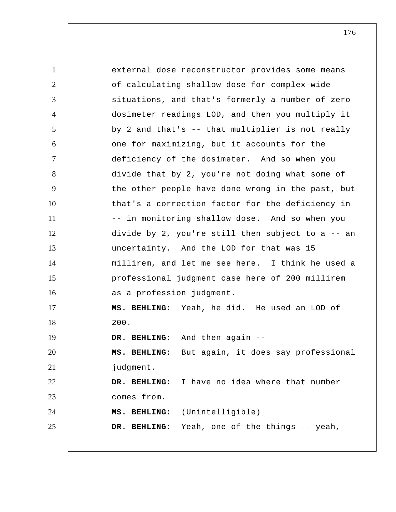1 2 3 4 5 6 7 8 9 10 11 12 13 14 15 16 17 18 19 20 21 22 23 24 25 external dose reconstructor provides some means of calculating shallow dose for complex-wide situations, and that's formerly a number of zero dosimeter readings LOD, and then you multiply it by 2 and that's -- that multiplier is not really one for maximizing, but it accounts for the deficiency of the dosimeter. And so when you divide that by 2, you're not doing what some of the other people have done wrong in the past, but that's a correction factor for the deficiency in -- in monitoring shallow dose. And so when you divide by 2, you're still then subject to a -- an uncertainty. And the LOD for that was 15 millirem, and let me see here. I think he used a professional judgment case here of 200 millirem as a profession judgment.  **MS. BEHLING:** Yeah, he did. He used an LOD of 200.  **DR. BEHLING:** And then again --  **MS. BEHLING:** But again, it does say professional judgment.  **DR. BEHLING:** I have no idea where that number comes from.  **MS. BEHLING:** (Unintelligible)  **DR. BEHLING:** Yeah, one of the things -- yeah,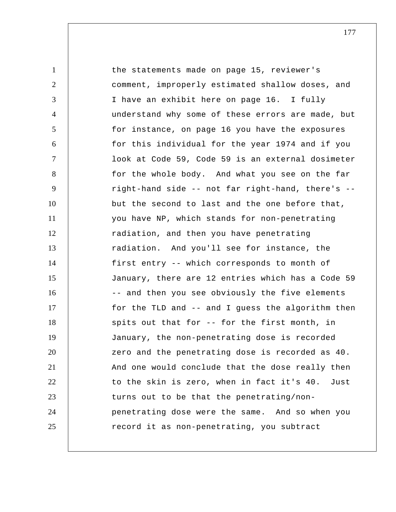1 2 3 4 5 6 7 8 9 10 11 12 13 14 15 16 17 18 19 20 21 22 23 24 25 the statements made on page 15, reviewer's comment, improperly estimated shallow doses, and I have an exhibit here on page 16. I fully understand why some of these errors are made, but for instance, on page 16 you have the exposures for this individual for the year 1974 and if you look at Code 59, Code 59 is an external dosimeter for the whole body. And what you see on the far right-hand side -- not far right-hand, there's - but the second to last and the one before that, you have NP, which stands for non-penetrating radiation, and then you have penetrating radiation. And you'll see for instance, the first entry -- which corresponds to month of January, there are 12 entries which has a Code 59 -- and then you see obviously the five elements for the TLD and -- and I guess the algorithm then spits out that for -- for the first month, in January, the non-penetrating dose is recorded zero and the penetrating dose is recorded as 40. And one would conclude that the dose really then to the skin is zero, when in fact it's 40. Just turns out to be that the penetrating/nonpenetrating dose were the same. And so when you record it as non-penetrating, you subtract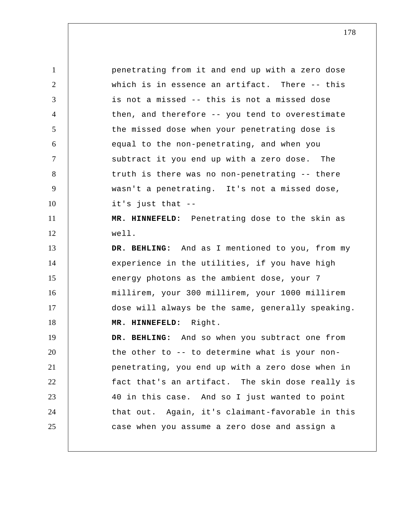1 2 3 4 5 6 7 8 9 10 11 12 13 14 15 16 17 18 19 20 21 22 23 24 25 penetrating from it and end up with a zero dose which is in essence an artifact. There -- this is not a missed -- this is not a missed dose then, and therefore -- you tend to overestimate the missed dose when your penetrating dose is equal to the non-penetrating, and when you subtract it you end up with a zero dose. The truth is there was no non-penetrating -- there wasn't a penetrating. It's not a missed dose, it's just that --  **MR. HINNEFELD:** Penetrating dose to the skin as well.  **DR. BEHLING:** And as I mentioned to you, from my experience in the utilities, if you have high energy photons as the ambient dose, your 7 millirem, your 300 millirem, your 1000 millirem dose will always be the same, generally speaking.  **MR. HINNEFELD:** Right.  **DR. BEHLING:** And so when you subtract one from the other to -- to determine what is your nonpenetrating, you end up with a zero dose when in fact that's an artifact. The skin dose really is 40 in this case. And so I just wanted to point that out. Again, it's claimant-favorable in this case when you assume a zero dose and assign a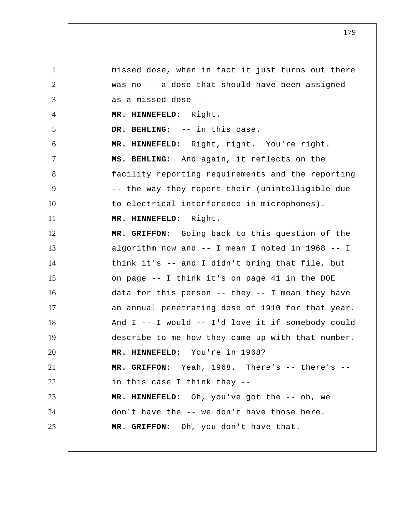1 2 3 4 5 6 7 8 9 10 11 12 13 14 15 16 17 18 19 20 21 22 23 24 25 missed dose, when in fact it just turns out there was no -- a dose that should have been assigned as a missed dose --  **MR. HINNEFELD:** Right.  **DR. BEHLING:** -- in this case.  **MR. HINNEFELD:** Right, right. You're right.  **MS. BEHLING:** And again, it reflects on the facility reporting requirements and the reporting -- the way they report their (unintelligible due to electrical interference in microphones).  **MR. HINNEFELD:** Right.  **MR. GRIFFON:** Going back to this question of the algorithm now and -- I mean I noted in 1968 -- I think it's -- and I didn't bring that file, but on page -- I think it's on page 41 in the DOE data for this person -- they -- I mean they have an annual penetrating dose of 1910 for that year. And I -- I would -- I'd love it if somebody could describe to me how they came up with that number.  **MR. HINNEFELD:** You're in 1968?  **MR. GRIFFON:** Yeah, 1968. There's -- there's - in this case I think they --  **MR. HINNEFELD:** Oh, you've got the -- oh, we don't have the -- we don't have those here.  **MR. GRIFFON:** Oh, you don't have that.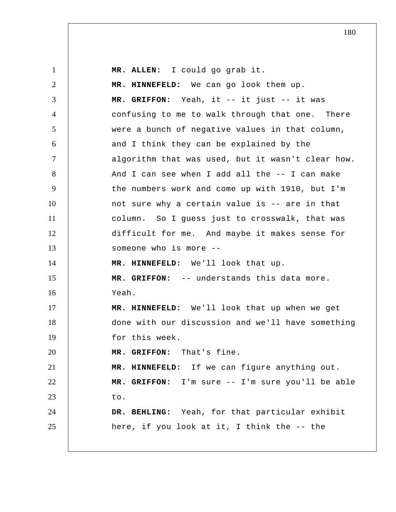1 2 3 4 5 6 7 8 9 10 11 12 13 14 15 16 17 18 19 20 21 22 23 24 25 **MR. ALLEN:** I could go grab it.  **MR. HINNEFELD:** We can go look them up.  **MR. GRIFFON:** Yeah, it -- it just -- it was confusing to me to walk through that one. There were a bunch of negative values in that column, and I think they can be explained by the algorithm that was used, but it wasn't clear how. And I can see when I add all the -- I can make the numbers work and come up with 1910, but I'm not sure why a certain value is -- are in that column. So I guess just to crosswalk, that was difficult for me. And maybe it makes sense for someone who is more --  **MR. HINNEFELD:** We'll look that up.  **MR. GRIFFON:** -- understands this data more. Yeah.  **MR. HINNEFELD:** We'll look that up when we get done with our discussion and we'll have something for this week.  **MR. GRIFFON:** That's fine.  **MR. HINNEFELD:** If we can figure anything out.  **MR. GRIFFON:** I'm sure -- I'm sure you'll be able to.  **DR. BEHLING:** Yeah, for that particular exhibit here, if you look at it, I think the -- the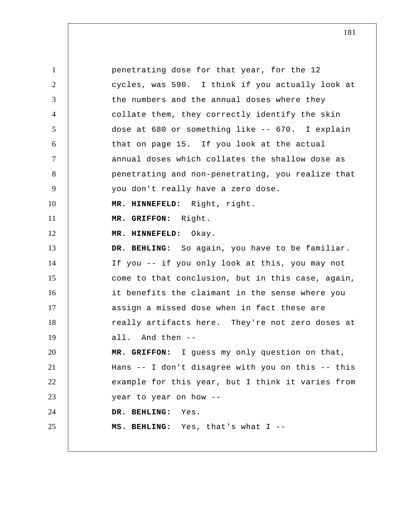1 2 3 4 5 6 7 8 9 10 11 12 13 14 15 16 17 18 19 20 21 22 23 24 25 penetrating dose for that year, for the 12 cycles, was 590. I think if you actually look at the numbers and the annual doses where they collate them, they correctly identify the skin dose at 680 or something like -- 670. I explain that on page 15. If you look at the actual annual doses which collates the shallow dose as penetrating and non-penetrating, you realize that you don't really have a zero dose.  **MR. HINNEFELD:** Right, right.  **MR. GRIFFON:** Right.  **MR. HINNEFELD:** Okay.  **DR. BEHLING:** So again, you have to be familiar. If you -- if you only look at this, you may not come to that conclusion, but in this case, again, it benefits the claimant in the sense where you assign a missed dose when in fact these are really artifacts here. They're not zero doses at all. And then --  **MR. GRIFFON:** I guess my only question on that, Hans -- I don't disagree with you on this -- this example for this year, but I think it varies from year to year on how --  **DR. BEHLING:** Yes.  **MS. BEHLING:** Yes, that's what I --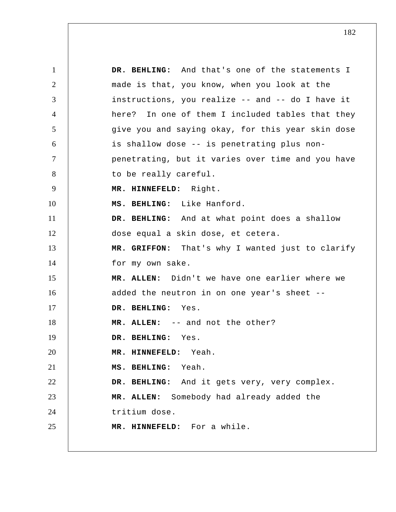1 2 3 4 5 6 7 8 9 10 11 12 13 14 15 16 17 18 19 20 21 22 23 24 25  **DR. BEHLING:** And that's one of the statements I made is that, you know, when you look at the instructions, you realize -- and -- do I have it here? In one of them I included tables that they give you and saying okay, for this year skin dose is shallow dose -- is penetrating plus nonpenetrating, but it varies over time and you have to be really careful.  **MR. HINNEFELD:** Right.  **MS. BEHLING:** Like Hanford.  **DR. BEHLING:** And at what point does a shallow dose equal a skin dose, et cetera.  **MR. GRIFFON:** That's why I wanted just to clarify for my own sake. **MR. ALLEN:** Didn't we have one earlier where we added the neutron in on one year's sheet --  **DR. BEHLING:** Yes. **MR. ALLEN:** -- and not the other?  **DR. BEHLING:** Yes.  **MR. HINNEFELD:** Yeah.  **MS. BEHLING:** Yeah.  **DR. BEHLING:** And it gets very, very complex. **MR. ALLEN:** Somebody had already added the tritium dose.  **MR. HINNEFELD:** For a while.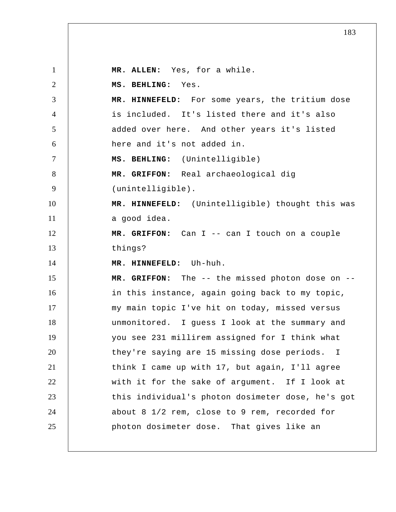1 2 3 4 5 6 7 8 9 10 11 12 13 14 15 16 17 18 19 20 21 22 23 24 25 **MR. ALLEN:** Yes, for a while.  **MS. BEHLING:** Yes.  **MR. HINNEFELD:** For some years, the tritium dose is included. It's listed there and it's also added over here. And other years it's listed here and it's not added in.  **MS. BEHLING:** (Unintelligible)  **MR. GRIFFON:** Real archaeological dig (unintelligible).  **MR. HINNEFELD:** (Unintelligible) thought this was a good idea.  **MR. GRIFFON:** Can I -- can I touch on a couple things?  **MR. HINNEFELD:** Uh-huh.  **MR. GRIFFON:** The -- the missed photon dose on - in this instance, again going back to my topic, my main topic I've hit on today, missed versus unmonitored. I guess I look at the summary and you see 231 millirem assigned for I think what they're saying are 15 missing dose periods. I think I came up with 17, but again, I'll agree with it for the sake of argument. If I look at this individual's photon dosimeter dose, he's got about 8 1/2 rem, close to 9 rem, recorded for photon dosimeter dose. That gives like an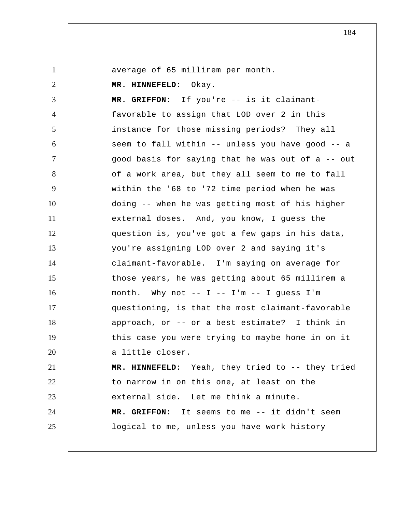average of 65 millirem per month.

 **MR. HINNEFELD:** Okay.

3 4 5 6 7 8 9 10 11 12 13 14 15 16 17 18 19 20 21 22 23  **MR. GRIFFON:** If you're -- is it claimantfavorable to assign that LOD over 2 in this instance for those missing periods? They all seem to fall within -- unless you have good -- a good basis for saying that he was out of a -- out of a work area, but they all seem to me to fall within the '68 to '72 time period when he was doing -- when he was getting most of his higher external doses. And, you know, I guess the question is, you've got a few gaps in his data, you're assigning LOD over 2 and saying it's claimant-favorable. I'm saying on average for those years, he was getting about 65 millirem a month. Why not  $-- I -- I'm -- I guess I'm$ questioning, is that the most claimant-favorable approach, or -- or a best estimate? I think in this case you were trying to maybe hone in on it a little closer.  **MR. HINNEFELD:** Yeah, they tried to -- they tried to narrow in on this one, at least on the external side. Let me think a minute.

 **MR. GRIFFON:** It seems to me -- it didn't seem

logical to me, unless you have work history

24 25

1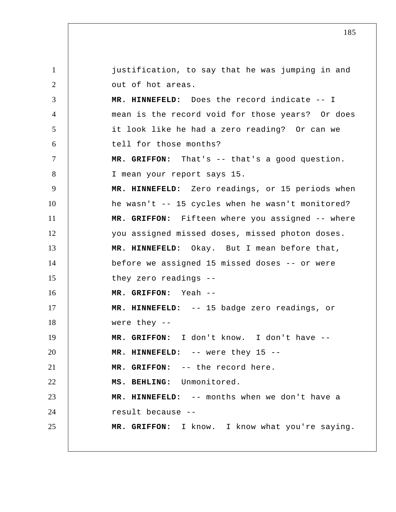1 2 3 4 5 6 7 8 9 10 11 12 13 14 15 16 17 18 19 20 21 22 23 24 25 justification, to say that he was jumping in and out of hot areas.  **MR. HINNEFELD:** Does the record indicate -- I mean is the record void for those years? Or does it look like he had a zero reading? Or can we tell for those months?  **MR. GRIFFON:** That's -- that's a good question. I mean your report says 15.  **MR. HINNEFELD:** Zero readings, or 15 periods when he wasn't -- 15 cycles when he wasn't monitored?  **MR. GRIFFON:** Fifteen where you assigned -- where you assigned missed doses, missed photon doses.  **MR. HINNEFELD:** Okay. But I mean before that, before we assigned 15 missed doses -- or were they zero readings --  **MR. GRIFFON:** Yeah --  **MR. HINNEFELD:** -- 15 badge zero readings, or were they --  **MR. GRIFFON:** I don't know. I don't have --  **MR. HINNEFELD:** -- were they 15 --  **MR. GRIFFON:** -- the record here.  **MS. BEHLING:** Unmonitored.  **MR. HINNEFELD:** -- months when we don't have a result because --  **MR. GRIFFON:** I know. I know what you're saying.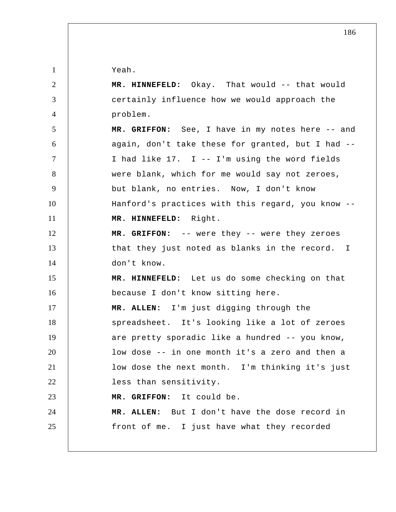Yeah.

1

2

3

4

24

25

 **MR. HINNEFELD:** Okay. That would -- that would certainly influence how we would approach the problem.

5 6 7 8 9 10 11  **MR. GRIFFON:** See, I have in my notes here -- and again, don't take these for granted, but I had -- I had like 17. I -- I'm using the word fields were blank, which for me would say not zeroes, but blank, no entries. Now, I don't know Hanford's practices with this regard, you know --  **MR. HINNEFELD:** Right.

12 13 14  **MR. GRIFFON:** -- were they -- were they zeroes that they just noted as blanks in the record. I don't know.

15 16  **MR. HINNEFELD:** Let us do some checking on that because I don't know sitting here.

17 18 19 20 21 22 **MR. ALLEN:** I'm just digging through the spreadsheet. It's looking like a lot of zeroes are pretty sporadic like a hundred -- you know, low dose -- in one month it's a zero and then a low dose the next month. I'm thinking it's just less than sensitivity.

23  **MR. GRIFFON:** It could be.

**MR. ALLEN:** But I don't have the dose record in front of me. I just have what they recorded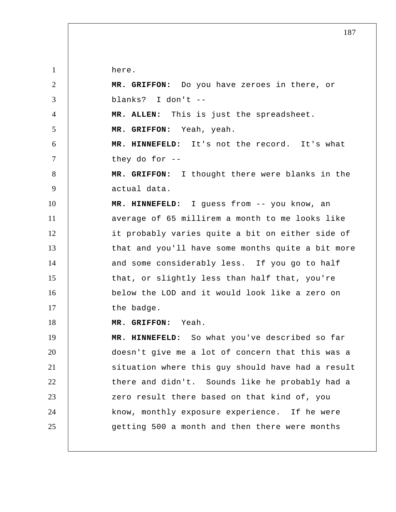here.

1

2 3 4 5 6 7 8 9 10 11 12 13 14 15 16 17 18 19 20 21 22 23 24 25  **MR. GRIFFON:** Do you have zeroes in there, or blanks? I don't -- **MR. ALLEN:** This is just the spreadsheet.  **MR. GRIFFON:** Yeah, yeah.  **MR. HINNEFELD:** It's not the record. It's what they do for --  **MR. GRIFFON:** I thought there were blanks in the actual data.  **MR. HINNEFELD:** I guess from -- you know, an average of 65 millirem a month to me looks like it probably varies quite a bit on either side of that and you'll have some months quite a bit more and some considerably less. If you go to half that, or slightly less than half that, you're below the LOD and it would look like a zero on the badge.  **MR. GRIFFON:** Yeah.  **MR. HINNEFELD:** So what you've described so far doesn't give me a lot of concern that this was a situation where this guy should have had a result there and didn't. Sounds like he probably had a zero result there based on that kind of, you know, monthly exposure experience. If he were getting 500 a month and then there were months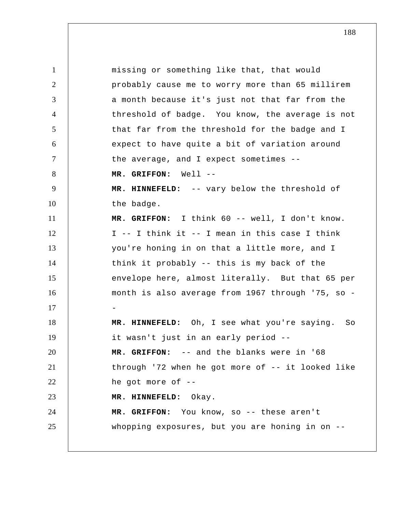1 2 3 4 5 6 7 8 9 10 11 12 13 14 15 16 17 18 19 20 21 22 23 24 25 missing or something like that, that would probably cause me to worry more than 65 millirem a month because it's just not that far from the threshold of badge. You know, the average is not that far from the threshold for the badge and I expect to have quite a bit of variation around the average, and I expect sometimes --  **MR. GRIFFON:** Well --  **MR. HINNEFELD:** -- vary below the threshold of the badge.  **MR. GRIFFON:** I think 60 -- well, I don't know. I -- I think it -- I mean in this case I think you're honing in on that a little more, and I think it probably -- this is my back of the envelope here, almost literally. But that 65 per month is also average from 1967 through '75, so - -  **MR. HINNEFELD:** Oh, I see what you're saying. So it wasn't just in an early period --  **MR. GRIFFON:** -- and the blanks were in '68 through '72 when he got more of -- it looked like he got more of --  **MR. HINNEFELD:** Okay.  **MR. GRIFFON:** You know, so -- these aren't whopping exposures, but you are honing in on --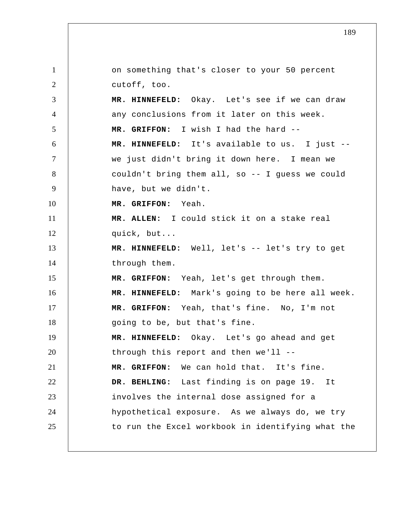1 2 3 4 5 6 7 8 9 10 11 12 13 14 15 16 17 18 19 20 21 22 23 24 25 on something that's closer to your 50 percent cutoff, too.  **MR. HINNEFELD:** Okay. Let's see if we can draw any conclusions from it later on this week.  **MR. GRIFFON:** I wish I had the hard --  **MR. HINNEFELD:** It's available to us. I just - we just didn't bring it down here. I mean we couldn't bring them all, so -- I guess we could have, but we didn't.  **MR. GRIFFON:** Yeah. **MR. ALLEN:** I could stick it on a stake real quick, but...  **MR. HINNEFELD:** Well, let's -- let's try to get through them.  **MR. GRIFFON:** Yeah, let's get through them.  **MR. HINNEFELD:** Mark's going to be here all week.  **MR. GRIFFON:** Yeah, that's fine. No, I'm not going to be, but that's fine.  **MR. HINNEFELD:** Okay. Let's go ahead and get through this report and then we'll --  **MR. GRIFFON:** We can hold that. It's fine.  **DR. BEHLING:** Last finding is on page 19. It involves the internal dose assigned for a hypothetical exposure. As we always do, we try to run the Excel workbook in identifying what the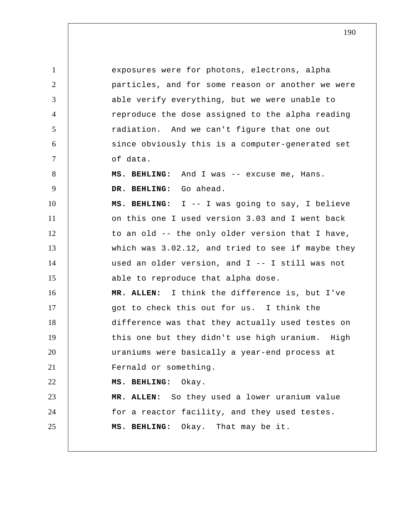1 2 3 4 5 6 7 8 9 10 11 12 13 14 15 16 17 18 19 20 21 22 23 24 25 exposures were for photons, electrons, alpha particles, and for some reason or another we were able verify everything, but we were unable to reproduce the dose assigned to the alpha reading radiation. And we can't figure that one out since obviously this is a computer-generated set of data.  **MS. BEHLING:** And I was -- excuse me, Hans. DR. BEHLING: Go ahead.  **MS. BEHLING:** I -- I was going to say, I believe on this one I used version 3.03 and I went back to an old -- the only older version that I have, which was 3.02.12, and tried to see if maybe they used an older version, and I -- I still was not able to reproduce that alpha dose. **MR. ALLEN:** I think the difference is, but I've got to check this out for us. I think the difference was that they actually used testes on this one but they didn't use high uranium. High uraniums were basically a year-end process at Fernald or something.  **MS. BEHLING:** Okay. **MR. ALLEN:** So they used a lower uranium value for a reactor facility, and they used testes.  **MS. BEHLING:** Okay. That may be it.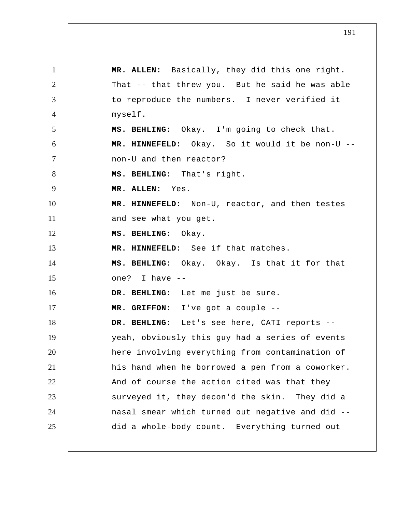1 2 3 4 5 6 7 8 9 10 11 12 13 14 15 16 17 18 19 20 21 22 23 24 25 **MR. ALLEN:** Basically, they did this one right. That -- that threw you. But he said he was able to reproduce the numbers. I never verified it myself.  **MS. BEHLING:** Okay. I'm going to check that.  **MR. HINNEFELD:** Okay. So it would it be non-U - non-U and then reactor?  **MS. BEHLING:** That's right. **MR. ALLEN:** Yes.  **MR. HINNEFELD:** Non-U, reactor, and then testes and see what you get.  **MS. BEHLING:** Okay.  **MR. HINNEFELD:** See if that matches.  **MS. BEHLING:** Okay. Okay. Is that it for that one? I have --  **DR. BEHLING:** Let me just be sure.  **MR. GRIFFON:** I've got a couple --  **DR. BEHLING:** Let's see here, CATI reports - yeah, obviously this guy had a series of events here involving everything from contamination of his hand when he borrowed a pen from a coworker. And of course the action cited was that they surveyed it, they decon'd the skin. They did a nasal smear which turned out negative and did - did a whole-body count. Everything turned out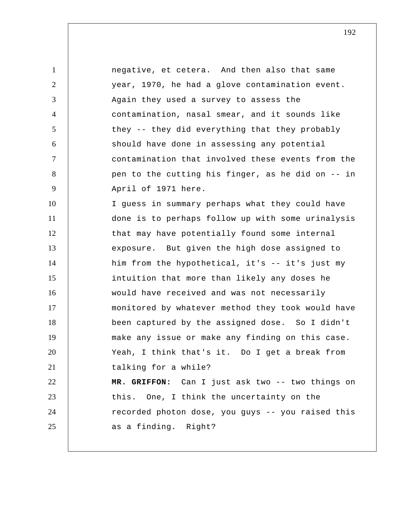1 2 3 4 5 6 7 8 9 10 11 12 13 14 15 16 17 18 19 20 21 22 23 24 25 negative, et cetera. And then also that same year, 1970, he had a glove contamination event. Again they used a survey to assess the contamination, nasal smear, and it sounds like they -- they did everything that they probably should have done in assessing any potential contamination that involved these events from the pen to the cutting his finger, as he did on -- in April of 1971 here. I guess in summary perhaps what they could have done is to perhaps follow up with some urinalysis that may have potentially found some internal exposure. But given the high dose assigned to him from the hypothetical, it's -- it's just my intuition that more than likely any doses he would have received and was not necessarily monitored by whatever method they took would have been captured by the assigned dose. So I didn't make any issue or make any finding on this case. Yeah, I think that's it. Do I get a break from talking for a while?  **MR. GRIFFON:** Can I just ask two -- two things on this. One, I think the uncertainty on the recorded photon dose, you guys -- you raised this as a finding. Right?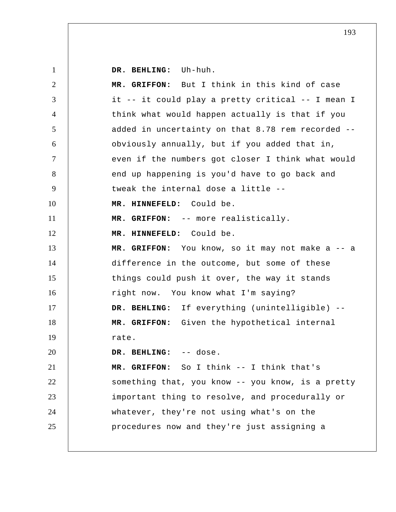1 2 3 4 5 6 7 8 9 10 11 12 13 14 15 16 17 18 19 20 21 22 23 24 25  **DR. BEHLING:** Uh-huh.  **MR. GRIFFON:** But I think in this kind of case it -- it could play a pretty critical -- I mean I think what would happen actually is that if you added in uncertainty on that 8.78 rem recorded - obviously annually, but if you added that in, even if the numbers got closer I think what would end up happening is you'd have to go back and tweak the internal dose a little --  **MR. HINNEFELD:** Could be.  **MR. GRIFFON:** -- more realistically.  **MR. HINNEFELD:** Could be.  **MR. GRIFFON:** You know, so it may not make a -- a difference in the outcome, but some of these things could push it over, the way it stands right now. You know what I'm saying?  **DR. BEHLING:** If everything (unintelligible) --  **MR. GRIFFON:** Given the hypothetical internal rate.  **DR. BEHLING:** -- dose.  **MR. GRIFFON:** So I think -- I think that's something that, you know -- you know, is a pretty important thing to resolve, and procedurally or whatever, they're not using what's on the procedures now and they're just assigning a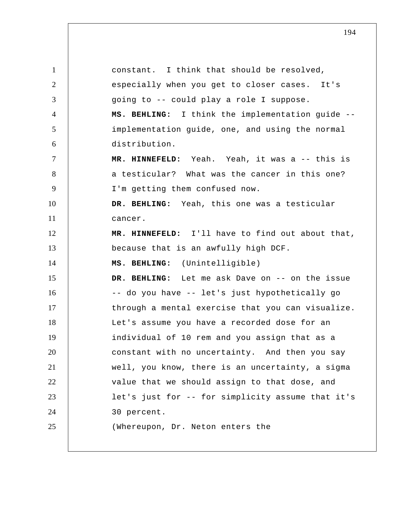1 2 3 4 5 6 7 8 9 10 11 12 13 14 15 16 17 18 19 20 21 22 23 24 25 constant. I think that should be resolved, especially when you get to closer cases. It's going to -- could play a role I suppose.  **MS. BEHLING:** I think the implementation guide - implementation guide, one, and using the normal distribution.  **MR. HINNEFELD:** Yeah. Yeah, it was a -- this is a testicular? What was the cancer in this one? I'm getting them confused now.  **DR. BEHLING:** Yeah, this one was a testicular cancer.  **MR. HINNEFELD:** I'll have to find out about that, because that is an awfully high DCF.  **MS. BEHLING:** (Unintelligible)  **DR. BEHLING:** Let me ask Dave on -- on the issue -- do you have -- let's just hypothetically go through a mental exercise that you can visualize. Let's assume you have a recorded dose for an individual of 10 rem and you assign that as a constant with no uncertainty. And then you say well, you know, there is an uncertainty, a sigma value that we should assign to that dose, and let's just for -- for simplicity assume that it's 30 percent. (Whereupon, Dr. Neton enters the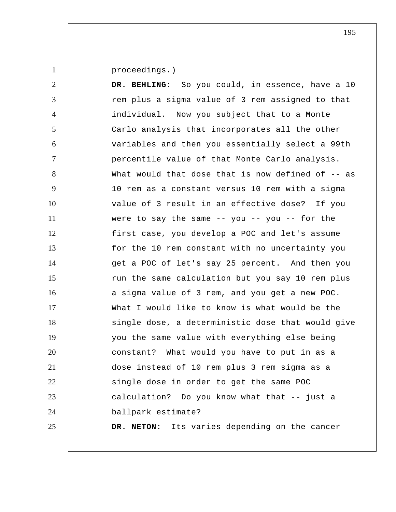proceedings.)

1

2 3 4 5 6 7 8 9 10 11 12 13 14 15 16 17 18 19 20 21 22 23 24 25  **DR. BEHLING:** So you could, in essence, have a 10 rem plus a sigma value of 3 rem assigned to that individual. Now you subject that to a Monte Carlo analysis that incorporates all the other variables and then you essentially select a 99th percentile value of that Monte Carlo analysis. What would that dose that is now defined of  $-$ - as 10 rem as a constant versus 10 rem with a sigma value of 3 result in an effective dose? If you were to say the same  $-$ - you  $-$ - you  $-$ - for the first case, you develop a POC and let's assume for the 10 rem constant with no uncertainty you get a POC of let's say 25 percent. And then you run the same calculation but you say 10 rem plus a sigma value of 3 rem, and you get a new POC. What I would like to know is what would be the single dose, a deterministic dose that would give you the same value with everything else being constant? What would you have to put in as a dose instead of 10 rem plus 3 rem sigma as a single dose in order to get the same POC calculation? Do you know what that -- just a ballpark estimate? **DR. NETON:** Its varies depending on the cancer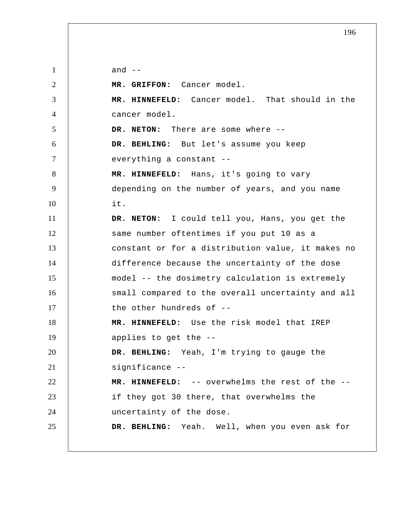1 2 3 4 5 6 7 8 9 10 11 12 13 14 15 16 17 18 19 20 21 22 23 24 25 and  $--$  **MR. GRIFFON:** Cancer model.  **MR. HINNEFELD:** Cancer model. That should in the cancer model. **DR. NETON:** There are some where --  **DR. BEHLING:** But let's assume you keep everything a constant --  **MR. HINNEFELD:** Hans, it's going to vary depending on the number of years, and you name it. **DR. NETON:** I could tell you, Hans, you get the same number oftentimes if you put 10 as a constant or for a distribution value, it makes no difference because the uncertainty of the dose model -- the dosimetry calculation is extremely small compared to the overall uncertainty and all the other hundreds of --  **MR. HINNEFELD:** Use the risk model that IREP applies to get the --  **DR. BEHLING:** Yeah, I'm trying to gauge the significance --  **MR. HINNEFELD:** -- overwhelms the rest of the - if they got 30 there, that overwhelms the uncertainty of the dose.  **DR. BEHLING:** Yeah. Well, when you even ask for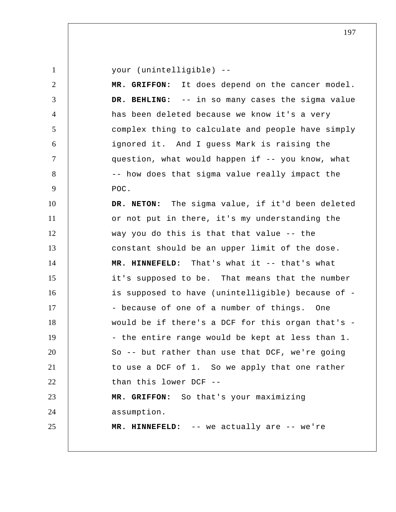| $\mathbf{1}$   | your (unintelligible) --                          |
|----------------|---------------------------------------------------|
| $\overline{2}$ | MR. GRIFFON: It does depend on the cancer model.  |
| 3              | DR. BEHLING: -- in so many cases the sigma value  |
| $\overline{4}$ | has been deleted because we know it's a very      |
| 5              | complex thing to calculate and people have simply |
| 6              | ignored it. And I guess Mark is raising the       |
| $\tau$         | question, what would happen if -- you know, what  |
| 8              | -- how does that sigma value really impact the    |
| 9              | POC.                                              |
| 10             | DR. NETON: The sigma value, if it'd been deleted  |
| 11             | or not put in there, it's my understanding the    |
| 12             | way you do this is that that value -- the         |
| 13             | constant should be an upper limit of the dose.    |
| 14             | MR. HINNEFELD: That's what it -- that's what      |
| 15             | it's supposed to be. That means that the number   |
| 16             | is supposed to have (unintelligible) because of - |
| 17             | - because of one of a number of things. One       |
| 18             | would be if there's a DCF for this organ that's - |
| 19             | - the entire range would be kept at less than 1.  |
| 20             | So -- but rather than use that DCF, we're going   |
| 21             | to use a DCF of 1. So we apply that one rather    |
| 22             | than this lower DCF --                            |
| 23             | MR. GRIFFON: So that's your maximizing            |
| 24             | assumption.                                       |
| 25             | MR. HINNEFELD: -- we actually are -- we're        |
|                |                                                   |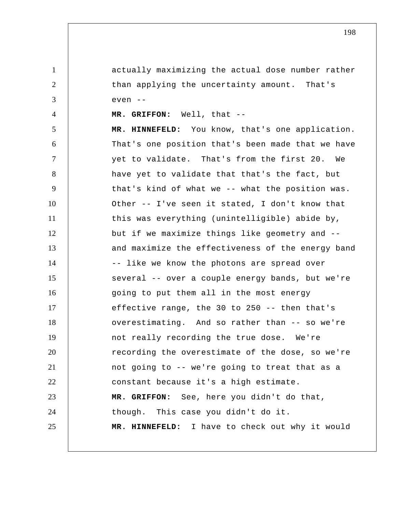actually maximizing the actual dose number rather than applying the uncertainty amount. That's even --

 **MR. GRIFFON:** Well, that --

1

2

3

4

5 6 7 8 9 10 11 12 13 14 15 16 17 18 19 20 21 22 23 24 25  **MR. HINNEFELD:** You know, that's one application. That's one position that's been made that we have yet to validate. That's from the first 20. We have yet to validate that that's the fact, but that's kind of what we -- what the position was. Other -- I've seen it stated, I don't know that this was everything (unintelligible) abide by, but if we maximize things like geometry and - and maximize the effectiveness of the energy band -- like we know the photons are spread over several -- over a couple energy bands, but we're going to put them all in the most energy effective range, the 30 to 250 -- then that's overestimating. And so rather than -- so we're not really recording the true dose. We're recording the overestimate of the dose, so we're not going to -- we're going to treat that as a constant because it's a high estimate.  **MR. GRIFFON:** See, here you didn't do that, though. This case you didn't do it.  **MR. HINNEFELD:** I have to check out why it would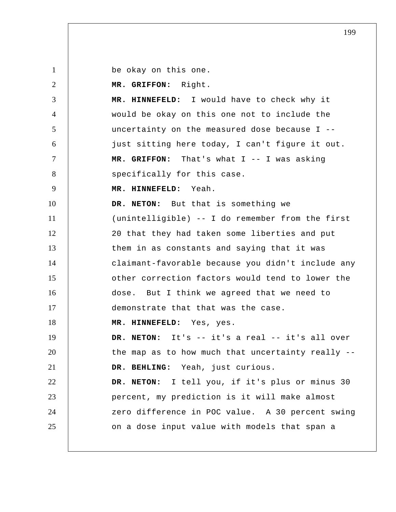be okay on this one.

1

2

 **MR. GRIFFON:** Right.

3 4 5 6 7 8  **MR. HINNEFELD:** I would have to check why it would be okay on this one not to include the uncertainty on the measured dose because I - just sitting here today, I can't figure it out.  **MR. GRIFFON:** That's what I -- I was asking specifically for this case.

9  **MR. HINNEFELD:** Yeah.

10 11 12 13 14 15 16 17 **DR. NETON:** But that is something we (unintelligible) -- I do remember from the first 20 that they had taken some liberties and put them in as constants and saying that it was claimant-favorable because you didn't include any other correction factors would tend to lower the dose. But I think we agreed that we need to demonstrate that that was the case.

18  **MR. HINNEFELD:** Yes, yes.

19 20 21 22 **DR. NETON:** It's -- it's a real -- it's all over the map as to how much that uncertainty really --  **DR. BEHLING:** Yeah, just curious. **DR. NETON:** I tell you, if it's plus or minus 30

23 24 25 percent, my prediction is it will make almost zero difference in POC value. A 30 percent swing on a dose input value with models that span a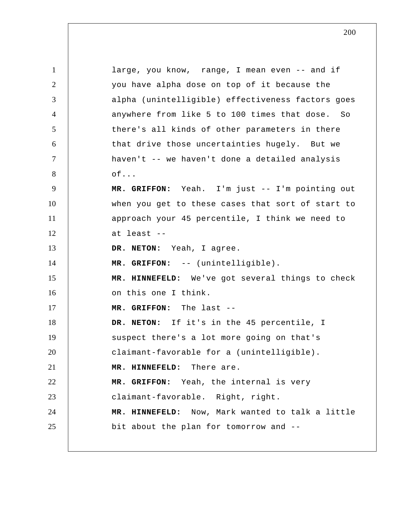1 2 3 4 5 6 7 8 9 10 11 12 13 14 15 16 17 18 19 20 21 22 23 24 25 large, you know, range, I mean even -- and if you have alpha dose on top of it because the alpha (unintelligible) effectiveness factors goes anywhere from like 5 to 100 times that dose. So there's all kinds of other parameters in there that drive those uncertainties hugely. But we haven't -- we haven't done a detailed analysis of...  **MR. GRIFFON:** Yeah. I'm just -- I'm pointing out when you get to these cases that sort of start to approach your 45 percentile, I think we need to at least -- **DR. NETON:** Yeah, I agree.  **MR. GRIFFON:** -- (unintelligible).  **MR. HINNEFELD:** We've got several things to check on this one I think.  **MR. GRIFFON:** The last -- **DR. NETON:** If it's in the 45 percentile, I suspect there's a lot more going on that's claimant-favorable for a (unintelligible).  **MR. HINNEFELD:** There are.  **MR. GRIFFON:** Yeah, the internal is very claimant-favorable. Right, right.  **MR. HINNEFELD:** Now, Mark wanted to talk a little bit about the plan for tomorrow and --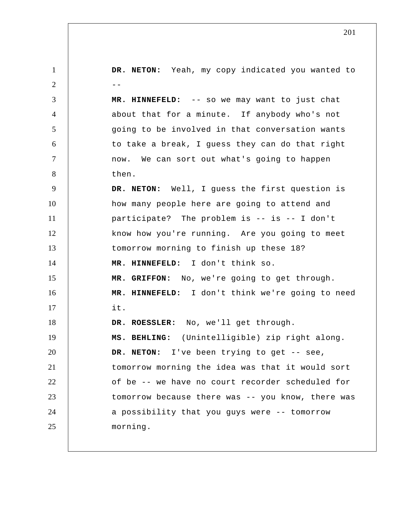1 2  $-$ 3 4 5 6 7 8 9 10 11 12 13 14 15 16 17 18 19 20 21 22 23 24 25 **DR. NETON:** Yeah, my copy indicated you wanted to  **MR. HINNEFELD:** -- so we may want to just chat about that for a minute. If anybody who's not going to be involved in that conversation wants to take a break, I guess they can do that right now. We can sort out what's going to happen then. **DR. NETON:** Well, I guess the first question is how many people here are going to attend and participate? The problem is -- is -- I don't know how you're running. Are you going to meet tomorrow morning to finish up these 18?  **MR. HINNEFELD:** I don't think so.  **MR. GRIFFON:** No, we're going to get through.  **MR. HINNEFELD:** I don't think we're going to need it. **DR. ROESSLER:** No, we'll get through.  **MS. BEHLING:** (Unintelligible) zip right along. DR. NETON: I've been trying to get -- see, tomorrow morning the idea was that it would sort of be -- we have no court recorder scheduled for tomorrow because there was -- you know, there was a possibility that you guys were -- tomorrow morning.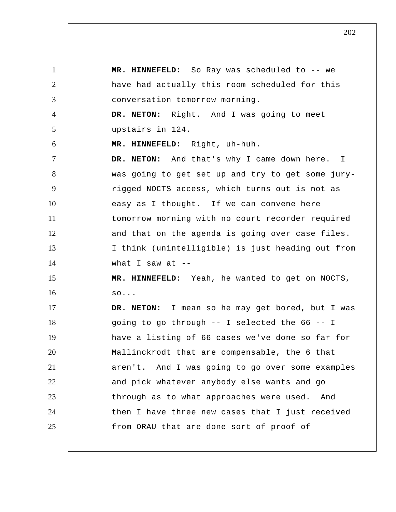1 2 3 4 5 6 7 8 9 10 11 12 13 14 15 16 17 18 19 20 21 22 23 24 25  **MR. HINNEFELD:** So Ray was scheduled to -- we have had actually this room scheduled for this conversation tomorrow morning. **DR. NETON:** Right. And I was going to meet upstairs in 124.  **MR. HINNEFELD:** Right, uh-huh. **DR. NETON:** And that's why I came down here. was going to get set up and try to get some juryrigged NOCTS access, which turns out is not as easy as I thought. If we can convene here tomorrow morning with no court recorder required and that on the agenda is going over case files. I think (unintelligible) is just heading out from what I saw at  $-$  **MR. HINNEFELD:** Yeah, he wanted to get on NOCTS, so... **DR. NETON:** I mean so he may get bored, but I was going to go through -- I selected the 66 -- I have a listing of 66 cases we've done so far for Mallinckrodt that are compensable, the 6 that aren't. And I was going to go over some examples and pick whatever anybody else wants and go through as to what approaches were used. And then I have three new cases that I just received from ORAU that are done sort of proof of I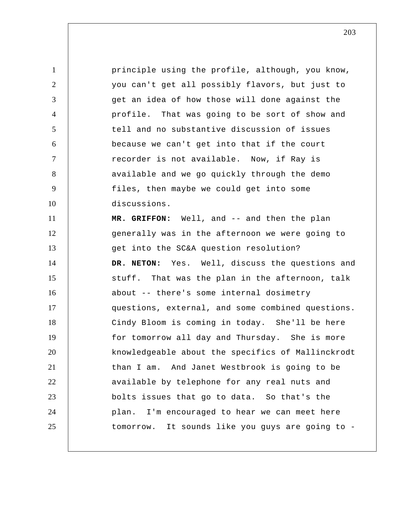1 2 3 4 5 6 7 8 9 10 11 12 13 14 15 16 17 18 19 20 21 22 23 24 25 principle using the profile, although, you know, you can't get all possibly flavors, but just to get an idea of how those will done against the profile. That was going to be sort of show and tell and no substantive discussion of issues because we can't get into that if the court recorder is not available. Now, if Ray is available and we go quickly through the demo files, then maybe we could get into some discussions.  **MR. GRIFFON:** Well, and -- and then the plan generally was in the afternoon we were going to get into the SC&A question resolution? **DR. NETON:** Yes. Well, discuss the questions and stuff. That was the plan in the afternoon, talk about -- there's some internal dosimetry questions, external, and some combined questions. Cindy Bloom is coming in today. She'll be here for tomorrow all day and Thursday. She is more knowledgeable about the specifics of Mallinckrodt than I am. And Janet Westbrook is going to be available by telephone for any real nuts and bolts issues that go to data. So that's the plan. I'm encouraged to hear we can meet here tomorrow. It sounds like you guys are going to -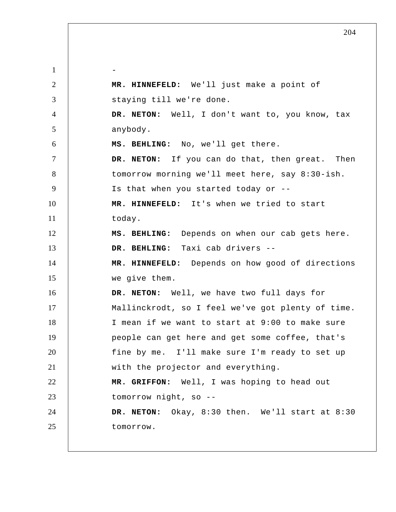1 2 3 4 5 6 7 8 9 10 11 12 13 14 15 16 17 18 19 20 21 22 23 24 25 -  **MR. HINNEFELD:** We'll just make a point of staying till we're done. **DR. NETON:** Well, I don't want to, you know, tax anybody.  **MS. BEHLING:** No, we'll get there. **DR. NETON:** If you can do that, then great. Then tomorrow morning we'll meet here, say 8:30-ish. Is that when you started today or --  **MR. HINNEFELD:** It's when we tried to start today.  **MS. BEHLING:** Depends on when our cab gets here.  **DR. BEHLING:** Taxi cab drivers --  **MR. HINNEFELD:** Depends on how good of directions we give them. **DR. NETON:** Well, we have two full days for Mallinckrodt, so I feel we've got plenty of time. I mean if we want to start at 9:00 to make sure people can get here and get some coffee, that's fine by me. I'll make sure I'm ready to set up with the projector and everything.  **MR. GRIFFON:** Well, I was hoping to head out tomorrow night, so -- **DR. NETON:** Okay, 8:30 then. We'll start at 8:30 tomorrow.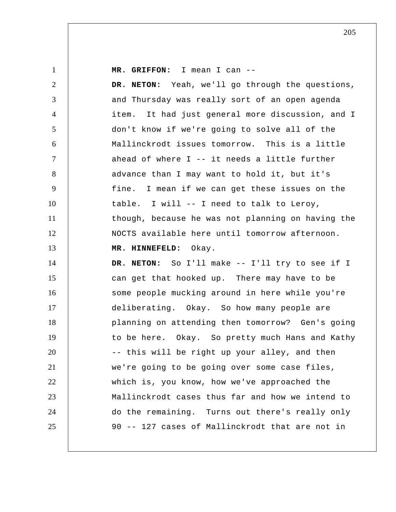1

 **MR. GRIFFON:** I mean I can --

2 3 4 5 6 7 8 9 10 11 12 13 14 15 16 17 18 19 20 21 22 23 24 25 **DR. NETON:** Yeah, we'll go through the questions, and Thursday was really sort of an open agenda item. It had just general more discussion, and I don't know if we're going to solve all of the Mallinckrodt issues tomorrow. This is a little ahead of where  $I$  -- it needs a little further advance than I may want to hold it, but it's fine. I mean if we can get these issues on the table. I will -- I need to talk to Leroy, though, because he was not planning on having the NOCTS available here until tomorrow afternoon.  **MR. HINNEFELD:** Okay. **DR. NETON:** So I'll make -- I'll try to see if I can get that hooked up. There may have to be some people mucking around in here while you're deliberating. Okay. So how many people are planning on attending then tomorrow? Gen's going to be here. Okay. So pretty much Hans and Kathy -- this will be right up your alley, and then we're going to be going over some case files, which is, you know, how we've approached the Mallinckrodt cases thus far and how we intend to do the remaining. Turns out there's really only 90 -- 127 cases of Mallinckrodt that are not in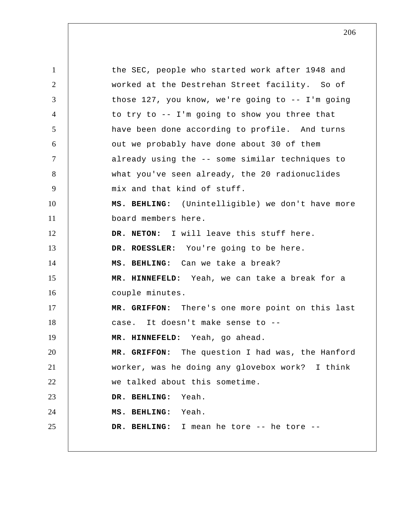1 2 3 4 5 6 7 8 9 10 11 12 13 14 15 16 17 18 19 20 21 22 23 24 25 the SEC, people who started work after 1948 and worked at the Destrehan Street facility. So of those 127, you know, we're going to -- I'm going to try to -- I'm going to show you three that have been done according to profile. And turns out we probably have done about 30 of them already using the -- some similar techniques to what you've seen already, the 20 radionuclides mix and that kind of stuff.  **MS. BEHLING:** (Unintelligible) we don't have more board members here. **DR. NETON:** I will leave this stuff here. **DR. ROESSLER:** You're going to be here.  **MS. BEHLING:** Can we take a break?  **MR. HINNEFELD:** Yeah, we can take a break for a couple minutes.  **MR. GRIFFON:** There's one more point on this last case. It doesn't make sense to --  **MR. HINNEFELD:** Yeah, go ahead.  **MR. GRIFFON:** The question I had was, the Hanford worker, was he doing any glovebox work? I think we talked about this sometime.  **DR. BEHLING:** Yeah.  **MS. BEHLING:** Yeah.  **DR. BEHLING:** I mean he tore -- he tore --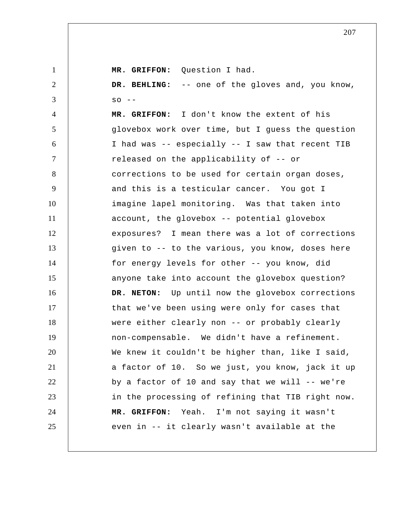1 2 3 4 5 6 7 8 9 10 11 12 13 14 15 16 17 18 19 20 21 22 23 24 25 MR. GRIFFON: Ouestion I had.  **DR. BEHLING:** -- one of the gloves and, you know,  $SO$  -- **MR. GRIFFON:** I don't know the extent of his glovebox work over time, but I guess the question I had was -- especially -- I saw that recent TIB released on the applicability of -- or corrections to be used for certain organ doses, and this is a testicular cancer. You got I imagine lapel monitoring. Was that taken into account, the glovebox -- potential glovebox exposures? I mean there was a lot of corrections given to -- to the various, you know, doses here for energy levels for other -- you know, did anyone take into account the glovebox question? **DR. NETON:** Up until now the glovebox corrections that we've been using were only for cases that were either clearly non -- or probably clearly non-compensable. We didn't have a refinement. We knew it couldn't be higher than, like I said, a factor of 10. So we just, you know, jack it up by a factor of 10 and say that we will  $-$ - we're in the processing of refining that TIB right now.  **MR. GRIFFON:** Yeah. I'm not saying it wasn't even in -- it clearly wasn't available at the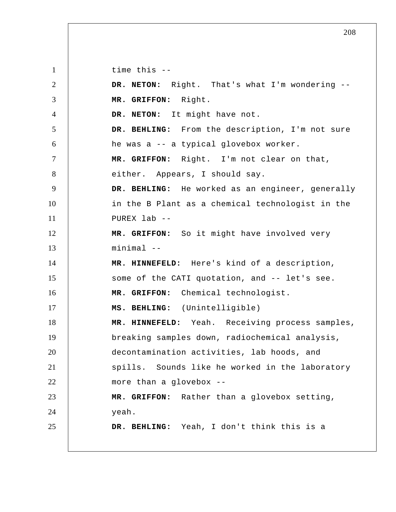1 2 3 4 5 6 7 8 9 10 11 12 13 14 15 16 17 18 19 20 21 22 23 24 25 time this -- **DR. NETON:** Right. That's what I'm wondering --  **MR. GRIFFON:** Right. **DR. NETON:** It might have not.  **DR. BEHLING:** From the description, I'm not sure he was a -- a typical glovebox worker.  **MR. GRIFFON:** Right. I'm not clear on that, either. Appears, I should say.  **DR. BEHLING:** He worked as an engineer, generally in the B Plant as a chemical technologist in the PUREX lab --  **MR. GRIFFON:** So it might have involved very  $minima1 - -$  **MR. HINNEFELD:** Here's kind of a description, some of the CATI quotation, and -- let's see.  **MR. GRIFFON:** Chemical technologist.  **MS. BEHLING:** (Unintelligible)  **MR. HINNEFELD:** Yeah. Receiving process samples, breaking samples down, radiochemical analysis, decontamination activities, lab hoods, and spills. Sounds like he worked in the laboratory more than a glovebox --  **MR. GRIFFON:** Rather than a glovebox setting, yeah.  **DR. BEHLING:** Yeah, I don't think this is a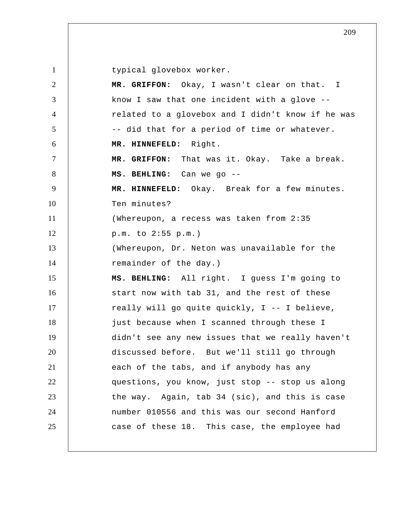typical glovebox worker.

| $\overline{2}$ | MR. GRIFFON: Okay, I wasn't clear on that. I      |
|----------------|---------------------------------------------------|
| 3              | know I saw that one incident with a glove --      |
| $\overline{4}$ | related to a glovebox and I didn't know if he was |
| $\mathfrak{S}$ | -- did that for a period of time or whatever.     |
| 6              | MR. HINNEFELD: Right.                             |
| $\tau$         | MR. GRIFFON: That was it. Okay. Take a break.     |
| 8              | MS. BEHLING: Can we go --                         |
| 9              | MR. HINNEFELD: Okay. Break for a few minutes.     |
| 10             | Ten minutes?                                      |
| 11             | (Whereupon, a recess was taken from 2:35          |
| 12             | p.m. to 2:55 p.m.)                                |
| 13             | (Whereupon, Dr. Neton was unavailable for the     |
| 14             | remainder of the day.)                            |
| 15             | MS. BEHLING: All right. I guess I'm going to      |
| 16             | start now with tab 31, and the rest of these      |
| 17             | really will go quite quickly, I -- I believe,     |
| 18             | just because when I scanned through these I       |
| 19             | didn't see any new issues that we really haven't  |
| 20             | discussed before. But we'll still go through      |
| 21             | each of the tabs, and if anybody has any          |
| 22             | questions, you know, just stop -- stop us along   |
| 23             | the way. Again, tab 34 (sic), and this is case    |
| 24             | number 010556 and this was our second Hanford     |
| 25             | case of these 18. This case, the employee had     |
|                |                                                   |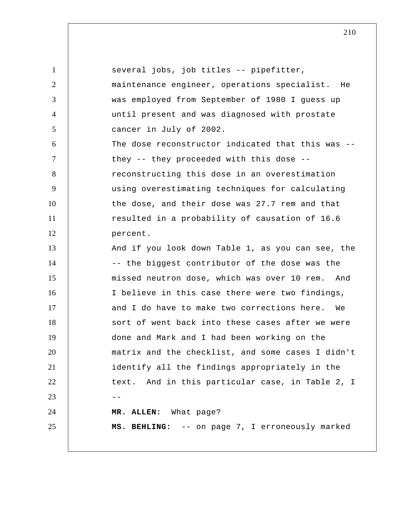| $\mathbf{1}$   | several jobs, job titles -- pipefitter,           |
|----------------|---------------------------------------------------|
| $\overline{2}$ | maintenance engineer, operations specialist. He   |
| 3              | was employed from September of 1980 I guess up    |
| $\overline{4}$ | until present and was diagnosed with prostate     |
| 5              | cancer in July of 2002.                           |
| 6              | The dose reconstructor indicated that this was -- |
| $\tau$         | they -- they proceeded with this dose --          |
| 8              | reconstructing this dose in an overestimation     |
| 9              | using overestimating techniques for calculating   |
| 10             | the dose, and their dose was 27.7 rem and that    |
| 11             | resulted in a probability of causation of 16.6    |
| 12             | percent.                                          |
| 13             | And if you look down Table 1, as you can see, the |
| 14             | -- the biggest contributor of the dose was the    |
| 15             | missed neutron dose, which was over 10 rem. And   |
| 16             | I believe in this case there were two findings,   |
| 17             | and I do have to make two corrections here.<br>We |
| 18             | sort of went back into these cases after we were  |
| 19             | done and Mark and I had been working on the       |
| 20             | matrix and the checklist, and some cases I didn't |
| 21             | identify all the findings appropriately in the    |
| 22             | text. And in this particular case, in Table 2, I  |
| 23             |                                                   |
| 24             | MR. ALLEN: What page?                             |
| 25             | MS. BEHLING: -- on page 7, I erroneously marked   |
|                |                                                   |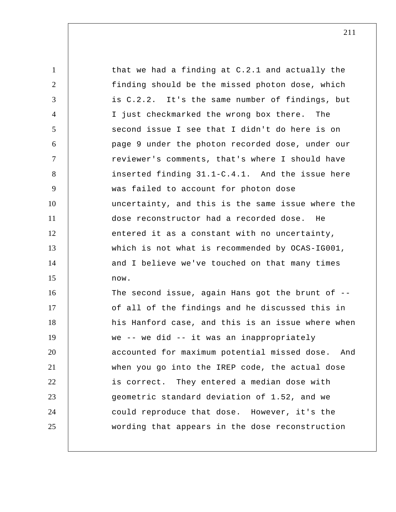1 2 3 4 5 6 7 8 9 10 11 12 13 14 15 16 17 18 19 20 21 22 23 24 25 that we had a finding at C.2.1 and actually the finding should be the missed photon dose, which is C.2.2. It's the same number of findings, but I just checkmarked the wrong box there. The second issue I see that I didn't do here is on page 9 under the photon recorded dose, under our reviewer's comments, that's where I should have inserted finding 31.1-C.4.1. And the issue here was failed to account for photon dose uncertainty, and this is the same issue where the dose reconstructor had a recorded dose. He entered it as a constant with no uncertainty, which is not what is recommended by OCAS-IG001, and I believe we've touched on that many times now. The second issue, again Hans got the brunt of -of all of the findings and he discussed this in his Hanford case, and this is an issue where when we -- we did -- it was an inappropriately accounted for maximum potential missed dose. And when you go into the IREP code, the actual dose is correct. They entered a median dose with geometric standard deviation of 1.52, and we could reproduce that dose. However, it's the wording that appears in the dose reconstruction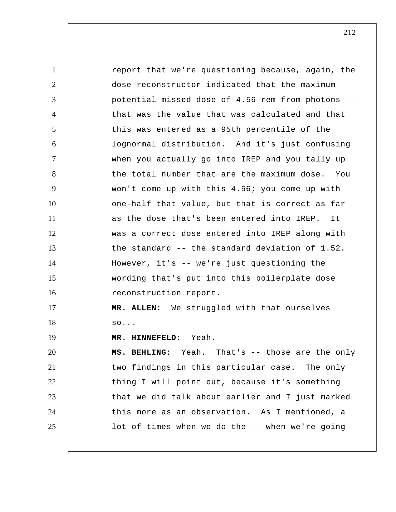1 2 3 4 5 6 7 8 9 10 11 12 13 14 15 16 17 18 19 20 21 22 23 24 25 report that we're questioning because, again, the dose reconstructor indicated that the maximum potential missed dose of 4.56 rem from photons - that was the value that was calculated and that this was entered as a 95th percentile of the lognormal distribution. And it's just confusing when you actually go into IREP and you tally up the total number that are the maximum dose. You won't come up with this 4.56; you come up with one-half that value, but that is correct as far as the dose that's been entered into IREP. It was a correct dose entered into IREP along with the standard -- the standard deviation of 1.52. However, it's -- we're just questioning the wording that's put into this boilerplate dose reconstruction report. **MR. ALLEN:** We struggled with that ourselves so...  **MR. HINNEFELD:** Yeah.  **MS. BEHLING:** Yeah. That's -- those are the only two findings in this particular case. The only thing I will point out, because it's something that we did talk about earlier and I just marked this more as an observation. As I mentioned, a lot of times when we do the -- when we're going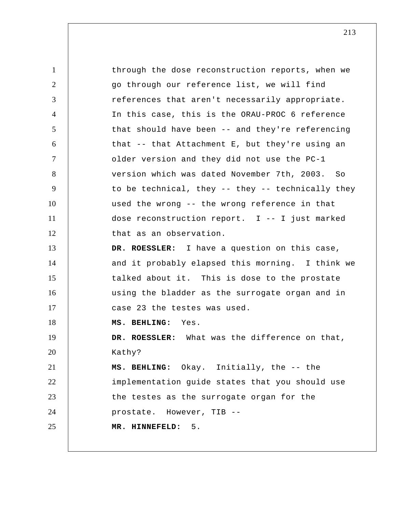1 2 3 4 5 6 7 8 9 10 11 12 13 14 15 16 17 18 19 20 21 22 23 24 25 through the dose reconstruction reports, when we go through our reference list, we will find references that aren't necessarily appropriate. In this case, this is the ORAU-PROC 6 reference that should have been -- and they're referencing that -- that Attachment E, but they're using an older version and they did not use the PC-1 version which was dated November 7th, 2003. So to be technical, they -- they -- technically they used the wrong -- the wrong reference in that dose reconstruction report. I -- I just marked that as an observation. **DR. ROESSLER:** I have a question on this case, and it probably elapsed this morning. I think we talked about it. This is dose to the prostate using the bladder as the surrogate organ and in case 23 the testes was used.  **MS. BEHLING:** Yes. **DR. ROESSLER:** What was the difference on that, Kathy?  **MS. BEHLING:** Okay. Initially, the -- the implementation guide states that you should use the testes as the surrogate organ for the prostate. However, TIB --  **MR. HINNEFELD:** 5.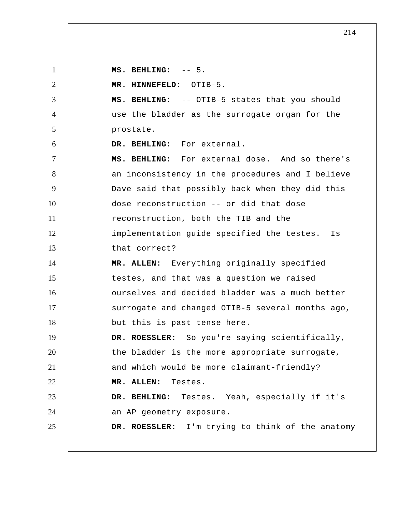**MS. BEHLING:** -- 5.

1

2 3 4 5 6 7 8 9 10 11 12 13 14 15 16 17 18 19 20 21 22 23 24 25  **MR. HINNEFELD:** OTIB-5.  **MS. BEHLING:** -- OTIB-5 states that you should use the bladder as the surrogate organ for the prostate.  **DR. BEHLING:** For external.  **MS. BEHLING:** For external dose. And so there's an inconsistency in the procedures and I believe Dave said that possibly back when they did this dose reconstruction -- or did that dose reconstruction, both the TIB and the implementation guide specified the testes. Is that correct? **MR. ALLEN:** Everything originally specified testes, and that was a question we raised ourselves and decided bladder was a much better surrogate and changed OTIB-5 several months ago, but this is past tense here. **DR. ROESSLER:** So you're saying scientifically, the bladder is the more appropriate surrogate, and which would be more claimant-friendly? **MR. ALLEN:** Testes.  **DR. BEHLING:** Testes. Yeah, especially if it's an AP geometry exposure. **DR. ROESSLER:** I'm trying to think of the anatomy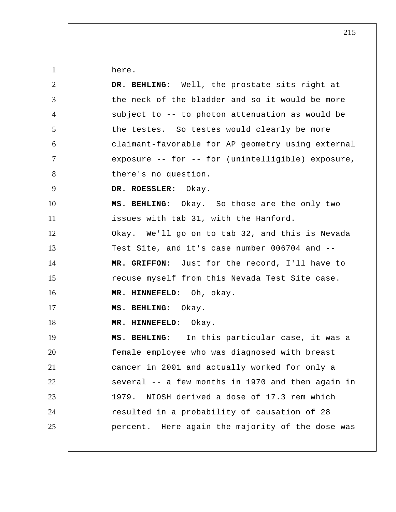here.

1

| $\overline{2}$ | DR. BEHLING: Well, the prostate sits right at     |
|----------------|---------------------------------------------------|
| 3              | the neck of the bladder and so it would be more   |
| $\overline{4}$ | subject to -- to photon attenuation as would be   |
| 5              | the testes. So testes would clearly be more       |
| 6              | claimant-favorable for AP geometry using external |
| $\tau$         | exposure -- for -- for (unintelligible) exposure, |
| 8              | there's no question.                              |
| 9              | DR. ROESSLER: Okay.                               |
| 10             | MS. BEHLING: Okay. So those are the only two      |
| 11             | issues with tab 31, with the Hanford.             |
| 12             | Okay. We'll go on to tab 32, and this is Nevada   |
| 13             | Test Site, and it's case number 006704 and --     |
| 14             | MR. GRIFFON: Just for the record, I'll have to    |
| 15             | recuse myself from this Nevada Test Site case.    |
| 16             | MR. HINNEFELD: Oh, okay.                          |
| 17             | MS. BEHLING: Okay.                                |
| 18             | MR. HINNEFELD: Okay.                              |
| 19             | MS. BEHLING: In this particular case, it was a    |
| 20             | female employee who was diagnosed with breast     |
| 21             | cancer in 2001 and actually worked for only a     |
| 22             | several -- a few months in 1970 and then again in |
| 23             | NIOSH derived a dose of 17.3 rem which<br>1979.   |
| 24             | resulted in a probability of causation of 28      |
| 25             | percent. Here again the majority of the dose was  |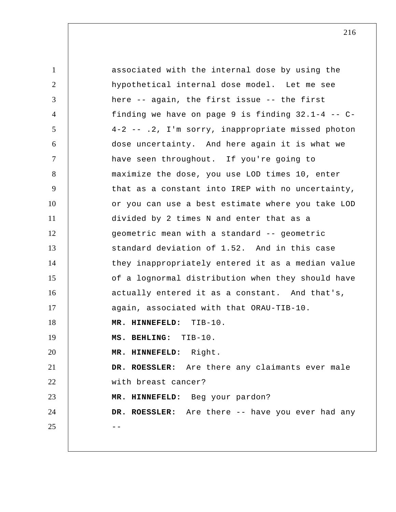1 2 3 4 5 6 7 8 9 10 11 12 13 14 15 16 17 18 19 20 21 22 23 24  $25$  -associated with the internal dose by using the hypothetical internal dose model. Let me see here -- again, the first issue -- the first finding we have on page 9 is finding 32.1-4 -- C-4-2 -- .2, I'm sorry, inappropriate missed photon dose uncertainty. And here again it is what we have seen throughout. If you're going to maximize the dose, you use LOD times 10, enter that as a constant into IREP with no uncertainty, or you can use a best estimate where you take LOD divided by 2 times N and enter that as a geometric mean with a standard -- geometric standard deviation of 1.52. And in this case they inappropriately entered it as a median value of a lognormal distribution when they should have actually entered it as a constant. And that's, again, associated with that ORAU-TIB-10.  **MR. HINNEFELD:** TIB-10.  **MS. BEHLING:** TIB-10.  **MR. HINNEFELD:** Right. **DR. ROESSLER:** Are there any claimants ever male with breast cancer?  **MR. HINNEFELD:** Beg your pardon? **DR. ROESSLER:** Are there -- have you ever had any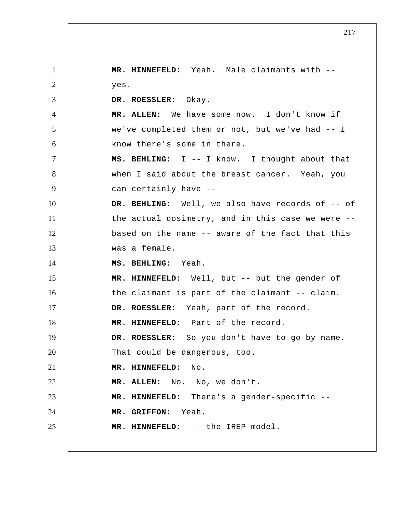1 2 3 4 5 6 7 8 9 10 11 12 13 14 15 16 17 18 19 20 21 22 23 24 25  **MR. HINNEFELD:** Yeah. Male claimants with - yes. **DR. ROESSLER:** Okay. **MR. ALLEN:** We have some now. I don't know if we've completed them or not, but we've had -- I know there's some in there.  **MS. BEHLING:** I -- I know. I thought about that when I said about the breast cancer. Yeah, you can certainly have --  **DR. BEHLING:** Well, we also have records of -- of the actual dosimetry, and in this case we were - based on the name -- aware of the fact that this was a female.  **MS. BEHLING:** Yeah.  **MR. HINNEFELD:** Well, but -- but the gender of the claimant is part of the claimant -- claim. **DR. ROESSLER:** Yeah, part of the record.  **MR. HINNEFELD:** Part of the record. **DR. ROESSLER:** So you don't have to go by name. That could be dangerous, too.  **MR. HINNEFELD:** No. **MR. ALLEN:** No. No, we don't.  **MR. HINNEFELD:** There's a gender-specific --  **MR. GRIFFON:** Yeah.  **MR. HINNEFELD:** -- the IREP model.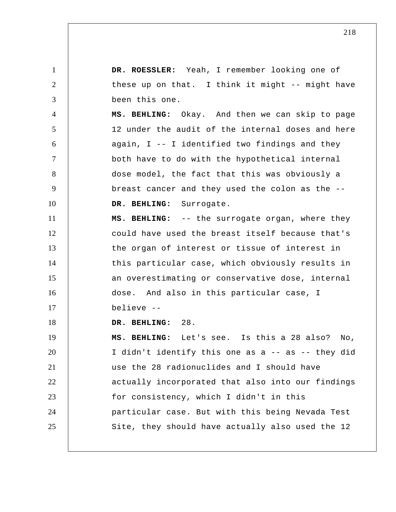1 2 3 4 5 6 7 8 9 10 11 12 13 14 15 16 17 18 19 20 21 22 23 24 25 **DR. ROESSLER:** Yeah, I remember looking one of these up on that. I think it might -- might have been this one.  **MS. BEHLING:** Okay. And then we can skip to page 12 under the audit of the internal doses and here again,  $I - - I$  identified two findings and they both have to do with the hypothetical internal dose model, the fact that this was obviously a breast cancer and they used the colon as the --  **DR. BEHLING:** Surrogate.  **MS. BEHLING:** -- the surrogate organ, where they could have used the breast itself because that's the organ of interest or tissue of interest in this particular case, which obviously results in an overestimating or conservative dose, internal dose. And also in this particular case, I believe --  **DR. BEHLING:** 28.  **MS. BEHLING:** Let's see. Is this a 28 also? No, I didn't identify this one as a -- as -- they did use the 28 radionuclides and I should have actually incorporated that also into our findings for consistency, which I didn't in this particular case. But with this being Nevada Test Site, they should have actually also used the 12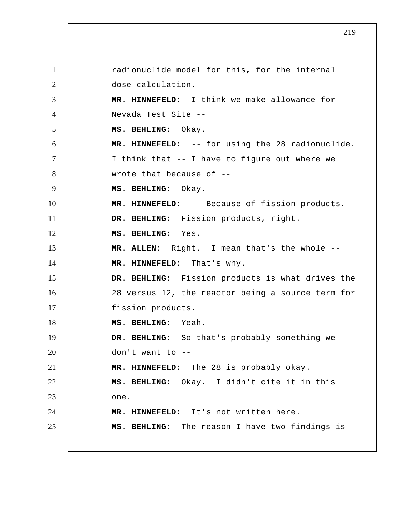1 2 3 4 5 6 7 8 9 10 11 12 13 14 15 16 17 18 19 20 21 22 23 24 25 radionuclide model for this, for the internal dose calculation.  **MR. HINNEFELD:** I think we make allowance for Nevada Test Site --  **MS. BEHLING:** Okay.  **MR. HINNEFELD:** -- for using the 28 radionuclide. I think that -- I have to figure out where we wrote that because of --  **MS. BEHLING:** Okay.  **MR. HINNEFELD:** -- Because of fission products.  **DR. BEHLING:** Fission products, right.  **MS. BEHLING:** Yes. **MR. ALLEN:** Right. I mean that's the whole --  **MR. HINNEFELD:** That's why.  **DR. BEHLING:** Fission products is what drives the 28 versus 12, the reactor being a source term for fission products.  **MS. BEHLING:** Yeah.  **DR. BEHLING:** So that's probably something we don't want to --  **MR. HINNEFELD:** The 28 is probably okay.  **MS. BEHLING:** Okay. I didn't cite it in this one.  **MR. HINNEFELD:** It's not written here.  **MS. BEHLING:** The reason I have two findings is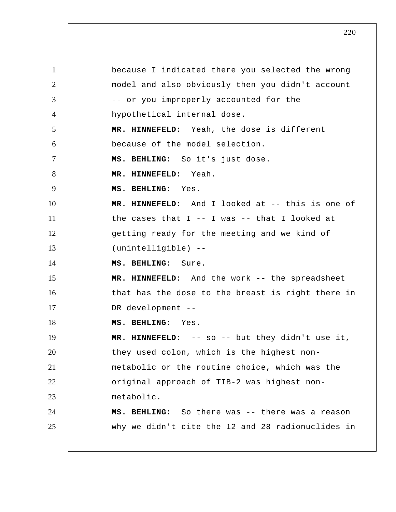1 2 3 4 5 6 7 8 9 10 11 12 13 14 15 16 17 18 19 20 21 22 23 24 25 because I indicated there you selected the wrong model and also obviously then you didn't account -- or you improperly accounted for the hypothetical internal dose.  **MR. HINNEFELD:** Yeah, the dose is different because of the model selection.  **MS. BEHLING:** So it's just dose.  **MR. HINNEFELD:** Yeah.  **MS. BEHLING:** Yes.  **MR. HINNEFELD:** And I looked at -- this is one of the cases that  $I$  -- I was -- that I looked at getting ready for the meeting and we kind of (unintelligible) --  **MS. BEHLING:** Sure.  **MR. HINNEFELD:** And the work -- the spreadsheet that has the dose to the breast is right there in DR development --  **MS. BEHLING:** Yes.  **MR. HINNEFELD:** -- so -- but they didn't use it, they used colon, which is the highest nonmetabolic or the routine choice, which was the original approach of TIB-2 was highest nonmetabolic.  **MS. BEHLING:** So there was -- there was a reason why we didn't cite the 12 and 28 radionuclides in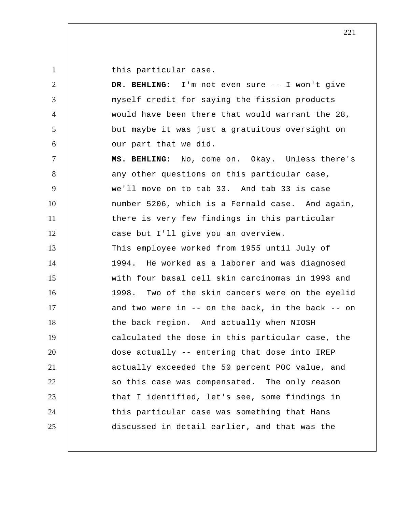this particular case.

1

| 2              | DR. BEHLING: I'm not even sure -- I won't give    |
|----------------|---------------------------------------------------|
| 3              | myself credit for saying the fission products     |
| $\overline{4}$ | would have been there that would warrant the 28,  |
| 5              | but maybe it was just a gratuitous oversight on   |
| 6              | our part that we did.                             |
| $\tau$         | MS. BEHLING: No, come on. Okay. Unless there's    |
| 8              | any other questions on this particular case,      |
| 9              | we'll move on to tab 33. And tab 33 is case       |
| 10             | number 5206, which is a Fernald case. And again,  |
| 11             | there is very few findings in this particular     |
| 12             | case but I'll give you an overview.               |
| 13             | This employee worked from 1955 until July of      |
| 14             | 1994. He worked as a laborer and was diagnosed    |
| 15             | with four basal cell skin carcinomas in 1993 and  |
| 16             | 1998. Two of the skin cancers were on the eyelid  |
| 17             | and two were in -- on the back, in the back -- on |
| 18             | the back region. And actually when NIOSH          |
| 19             | calculated the dose in this particular case, the  |
| 20             | dose actually -- entering that dose into IREP     |
| 21             | actually exceeded the 50 percent POC value, and   |
| 22             | so this case was compensated. The only reason     |
| 23             | that I identified, let's see, some findings in    |
| 24             | this particular case was something that Hans      |
| 25             | discussed in detail earlier, and that was the     |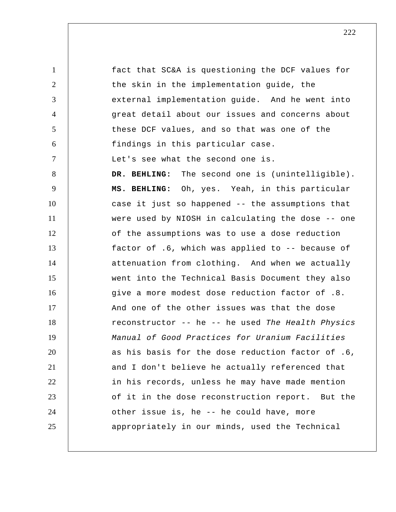1 2 3 4 5 6 7 8 9 10 11 12 13 14 15 16 17 18 19 20 21 22 23 24 25 fact that SC&A is questioning the DCF values for the skin in the implementation guide, the external implementation guide. And he went into great detail about our issues and concerns about these DCF values, and so that was one of the findings in this particular case. Let's see what the second one is. DR. BEHLING: The second one is (unintelligible).  **MS. BEHLING:** Oh, yes. Yeah, in this particular case it just so happened -- the assumptions that were used by NIOSH in calculating the dose -- one of the assumptions was to use a dose reduction factor of .6, which was applied to -- because of attenuation from clothing. And when we actually went into the Technical Basis Document they also give a more modest dose reduction factor of .8. And one of the other issues was that the dose reconstructor -- he -- he used *The Health Physics Manual of Good Practices for Uranium Facilities*  as his basis for the dose reduction factor of .6, and I don't believe he actually referenced that in his records, unless he may have made mention of it in the dose reconstruction report. But the other issue is, he -- he could have, more appropriately in our minds, used the Technical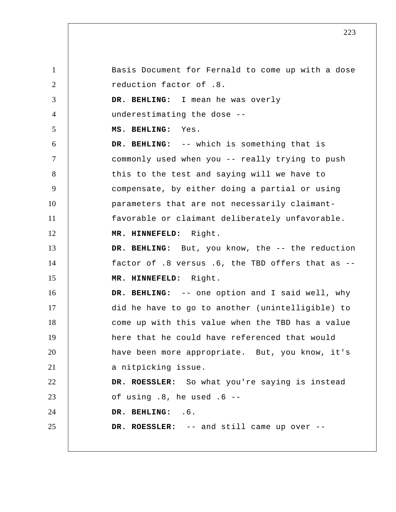1 2 3 4 5 6 7 8 9 10 11 12 13 14 15 16 17 18 19 20 21 22 23 24 25 Basis Document for Fernald to come up with a dose reduction factor of .8.  **DR. BEHLING:** I mean he was overly underestimating the dose --  **MS. BEHLING:** Yes.  **DR. BEHLING:** -- which is something that is commonly used when you -- really trying to push this to the test and saying will we have to compensate, by either doing a partial or using parameters that are not necessarily claimantfavorable or claimant deliberately unfavorable.  **MR. HINNEFELD:** Right.  **DR. BEHLING:** But, you know, the -- the reduction factor of .8 versus .6, the TBD offers that as --  **MR. HINNEFELD:** Right.  **DR. BEHLING:** -- one option and I said well, why did he have to go to another (unintelligible) to come up with this value when the TBD has a value here that he could have referenced that would have been more appropriate. But, you know, it's a nitpicking issue. **DR. ROESSLER:** So what you're saying is instead of using .8, he used .6 --  **DR. BEHLING:** .6. **DR. ROESSLER:** -- and still came up over --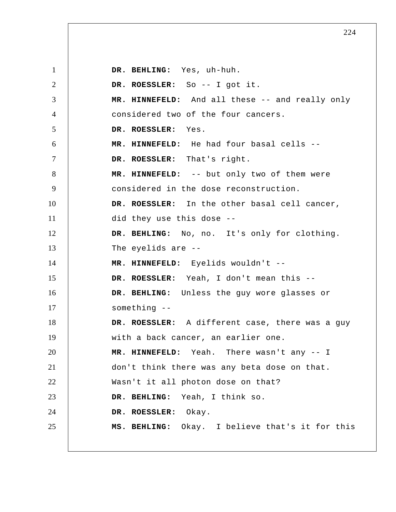1 2 3 4 5 6 7 8 9 10 11 12 13 14 15 16 17 18 19 20 21 22 23 24 25  **DR. BEHLING:** Yes, uh-huh. **DR. ROESSLER:** So -- I got it.  **MR. HINNEFELD:** And all these -- and really only considered two of the four cancers. **DR. ROESSLER:** Yes.  **MR. HINNEFELD:** He had four basal cells -- **DR. ROESSLER:** That's right.  **MR. HINNEFELD:** -- but only two of them were considered in the dose reconstruction. **DR. ROESSLER:** In the other basal cell cancer, did they use this dose --  **DR. BEHLING:** No, no. It's only for clothing. The eyelids are --  **MR. HINNEFELD:** Eyelids wouldn't -- **DR. ROESSLER:** Yeah, I don't mean this --  **DR. BEHLING:** Unless the guy wore glasses or something -- **DR. ROESSLER:** A different case, there was a guy with a back cancer, an earlier one.  **MR. HINNEFELD:** Yeah. There wasn't any -- I don't think there was any beta dose on that. Wasn't it all photon dose on that?  **DR. BEHLING:** Yeah, I think so. **DR. ROESSLER:** Okay.  **MS. BEHLING:** Okay. I believe that's it for this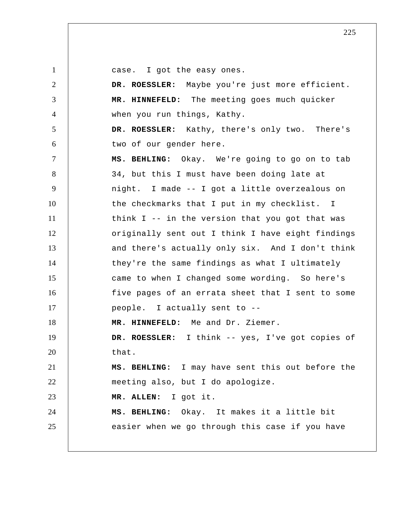1

case. I got the easy ones.

2 3 4 5 6 7 8 9 10 11 12 13 14 15 16 17 18 19 20 21 22 23 24 25 **DR. ROESSLER:** Maybe you're just more efficient.  **MR. HINNEFELD:** The meeting goes much quicker when you run things, Kathy. **DR. ROESSLER:** Kathy, there's only two. There's two of our gender here.  **MS. BEHLING:** Okay. We're going to go on to tab 34, but this I must have been doing late at night. I made -- I got a little overzealous on the checkmarks that I put in my checklist. I think I -- in the version that you got that was originally sent out I think I have eight findings and there's actually only six. And I don't think they're the same findings as what I ultimately came to when I changed some wording. So here's five pages of an errata sheet that I sent to some people. I actually sent to --  **MR. HINNEFELD:** Me and Dr. Ziemer. **DR. ROESSLER:** I think -- yes, I've got copies of that.  **MS. BEHLING:** I may have sent this out before the meeting also, but I do apologize. **MR. ALLEN:** I got it.  **MS. BEHLING:** Okay. It makes it a little bit easier when we go through this case if you have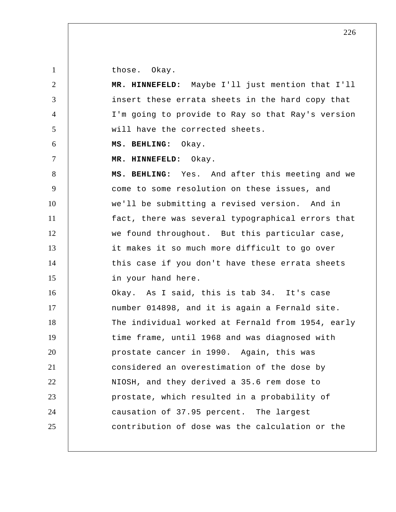those. Okay.

1

| $\overline{2}$ | MR. HINNEFELD: Maybe I'll just mention that I'll  |
|----------------|---------------------------------------------------|
| 3              | insert these errata sheets in the hard copy that  |
| $\overline{4}$ | I'm going to provide to Ray so that Ray's version |
| 5              | will have the corrected sheets.                   |
| 6              | MS. BEHLING: Okay.                                |
| $\tau$         | MR. HINNEFELD: Okay.                              |
| 8              | MS. BEHLING: Yes. And after this meeting and we   |
| 9              | come to some resolution on these issues, and      |
| 10             | we'll be submitting a revised version. And in     |
| 11             | fact, there was several typographical errors that |
| 12             | we found throughout. But this particular case,    |
| 13             | it makes it so much more difficult to go over     |
| 14             | this case if you don't have these errata sheets   |
| 15             | in your hand here.                                |
| 16             | Okay. As I said, this is tab 34. It's case        |
| 17             | number 014898, and it is again a Fernald site.    |
| 18             | The individual worked at Fernald from 1954, early |
| 19             | time frame, until 1968 and was diagnosed with     |
| 20             | prostate cancer in 1990. Again, this was          |
| 21             | considered an overestimation of the dose by       |
| 22             | NIOSH, and they derived a 35.6 rem dose to        |
| 23             | prostate, which resulted in a probability of      |
| 24             | causation of 37.95 percent. The largest           |
| 25             | contribution of dose was the calculation or the   |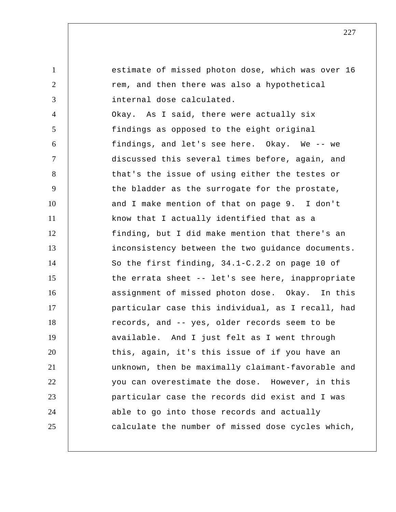1 2 3 4 5 6 7 8 9 10 11 12 13 14 15 16 17 18 19 20 21 22 23 24 25 estimate of missed photon dose, which was over 16 rem, and then there was also a hypothetical internal dose calculated. Okay. As I said, there were actually six findings as opposed to the eight original findings, and let's see here. Okay. We -- we discussed this several times before, again, and that's the issue of using either the testes or the bladder as the surrogate for the prostate, and I make mention of that on page 9. I don't know that I actually identified that as a finding, but I did make mention that there's an inconsistency between the two guidance documents. So the first finding, 34.1-C.2.2 on page 10 of the errata sheet -- let's see here, inappropriate assignment of missed photon dose. Okay. In this particular case this individual, as I recall, had records, and -- yes, older records seem to be available. And I just felt as I went through this, again, it's this issue of if you have an unknown, then be maximally claimant-favorable and you can overestimate the dose. However, in this particular case the records did exist and I was able to go into those records and actually calculate the number of missed dose cycles which,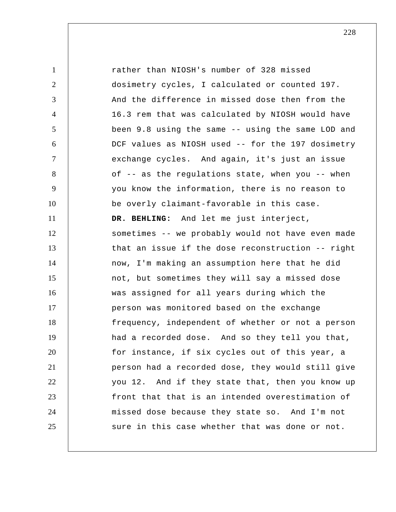1 2 3 4 5 6 7 8 9 10 11 12 13 14 15 16 17 18 19 20 21 22 23 24 25 rather than NIOSH's number of 328 missed dosimetry cycles, I calculated or counted 197. And the difference in missed dose then from the 16.3 rem that was calculated by NIOSH would have been 9.8 using the same -- using the same LOD and DCF values as NIOSH used -- for the 197 dosimetry exchange cycles. And again, it's just an issue of -- as the regulations state, when you -- when you know the information, there is no reason to be overly claimant-favorable in this case.  **DR. BEHLING:** And let me just interject, sometimes -- we probably would not have even made that an issue if the dose reconstruction -- right now, I'm making an assumption here that he did not, but sometimes they will say a missed dose was assigned for all years during which the person was monitored based on the exchange frequency, independent of whether or not a person had a recorded dose. And so they tell you that, for instance, if six cycles out of this year, a person had a recorded dose, they would still give you 12. And if they state that, then you know up front that that is an intended overestimation of missed dose because they state so. And I'm not sure in this case whether that was done or not.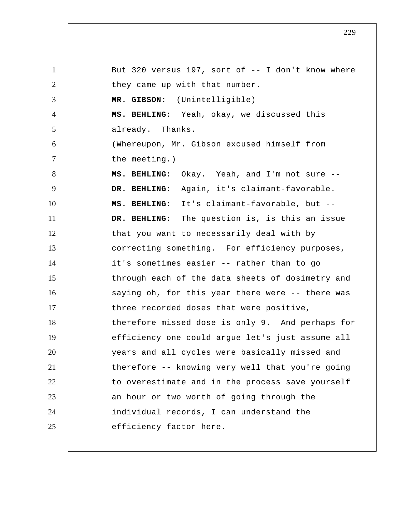1 2 3 4 5 6 7 8 9 10 11 12 13 14 15 16 17 18 19 20 21 22 23 24 25 But 320 versus 197, sort of -- I don't know where they came up with that number.  **MR. GIBSON:** (Unintelligible)  **MS. BEHLING:** Yeah, okay, we discussed this already. Thanks. (Whereupon, Mr. Gibson excused himself from the meeting.)  **MS. BEHLING:** Okay. Yeah, and I'm not sure --  **DR. BEHLING:** Again, it's claimant-favorable.  **MS. BEHLING:** It's claimant-favorable, but --  **DR. BEHLING:** The question is, is this an issue that you want to necessarily deal with by correcting something. For efficiency purposes, it's sometimes easier -- rather than to go through each of the data sheets of dosimetry and saying oh, for this year there were -- there was three recorded doses that were positive, therefore missed dose is only 9. And perhaps for efficiency one could argue let's just assume all years and all cycles were basically missed and therefore -- knowing very well that you're going to overestimate and in the process save yourself an hour or two worth of going through the individual records, I can understand the efficiency factor here.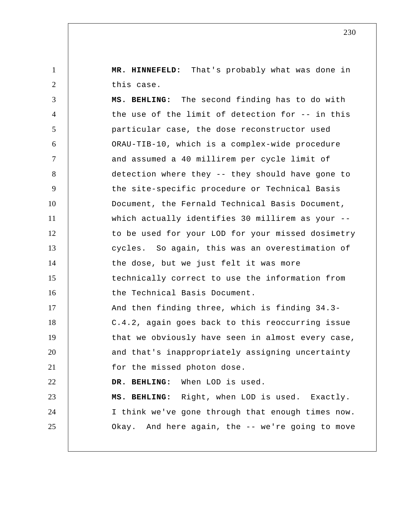**MR. HINNEFELD:** That's probably what was done in this case.

1

2

3 4 5 6 7 8 9 10 11 12 13 14 15 16 17 18 19 20 21 22 23 24 25  **MS. BEHLING:** The second finding has to do with the use of the limit of detection for -- in this particular case, the dose reconstructor used ORAU-TIB-10, which is a complex-wide procedure and assumed a 40 millirem per cycle limit of detection where they -- they should have gone to the site-specific procedure or Technical Basis Document, the Fernald Technical Basis Document, which actually identifies 30 millirem as your -to be used for your LOD for your missed dosimetry cycles. So again, this was an overestimation of the dose, but we just felt it was more technically correct to use the information from the Technical Basis Document. And then finding three, which is finding 34.3- C.4.2, again goes back to this reoccurring issue that we obviously have seen in almost every case, and that's inappropriately assigning uncertainty for the missed photon dose.  **DR. BEHLING:** When LOD is used.  **MS. BEHLING:** Right, when LOD is used. Exactly. I think we've gone through that enough times now. Okay. And here again, the -- we're going to move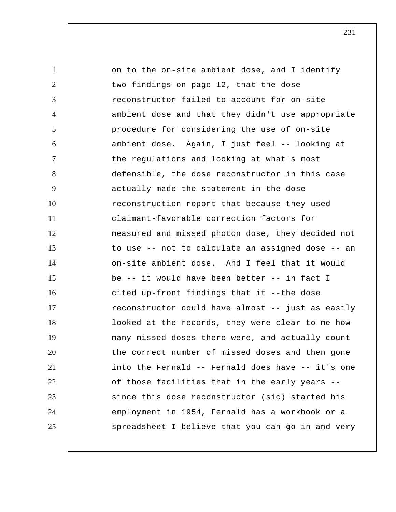1 2 3 4 5 6 7 8 9 10 11 12 13 14 15 16 17 18 19 20 21 22 23 24 25 on to the on-site ambient dose, and I identify two findings on page 12, that the dose reconstructor failed to account for on-site ambient dose and that they didn't use appropriate procedure for considering the use of on-site ambient dose. Again, I just feel -- looking at the regulations and looking at what's most defensible, the dose reconstructor in this case actually made the statement in the dose reconstruction report that because they used claimant-favorable correction factors for measured and missed photon dose, they decided not to use -- not to calculate an assigned dose -- an on-site ambient dose. And I feel that it would be -- it would have been better -- in fact I cited up-front findings that it --the dose reconstructor could have almost -- just as easily looked at the records, they were clear to me how many missed doses there were, and actually count the correct number of missed doses and then gone into the Fernald -- Fernald does have -- it's one of those facilities that in the early years - since this dose reconstructor (sic) started his employment in 1954, Fernald has a workbook or a spreadsheet I believe that you can go in and very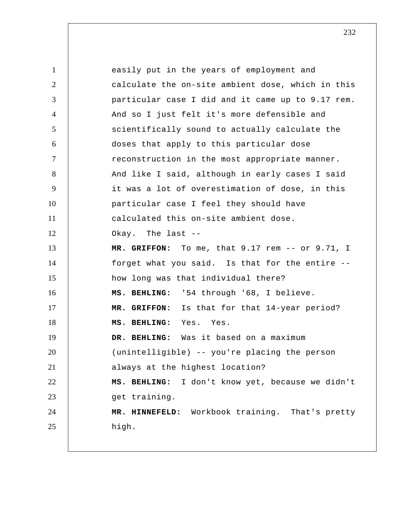1 2 3 4 5 6 7 8 9 10 11 12 13 14 15 16 17 18 19 20 21 22 23 24 25 easily put in the years of employment and calculate the on-site ambient dose, which in this particular case I did and it came up to 9.17 rem. And so I just felt it's more defensible and scientifically sound to actually calculate the doses that apply to this particular dose reconstruction in the most appropriate manner. And like I said, although in early cases I said it was a lot of overestimation of dose, in this particular case I feel they should have calculated this on-site ambient dose. Okay. The last --  **MR. GRIFFON:** To me, that 9.17 rem -- or 9.71, I forget what you said. Is that for the entire - how long was that individual there?  **MS. BEHLING:** '54 through '68, I believe.  **MR. GRIFFON:** Is that for that 14-year period?  **MS. BEHLING:** Yes. Yes.  **DR. BEHLING:** Was it based on a maximum (unintelligible) -- you're placing the person always at the highest location?  **MS. BEHLING:** I don't know yet, because we didn't get training.  **MR. HINNEFELD:** Workbook training. That's pretty high.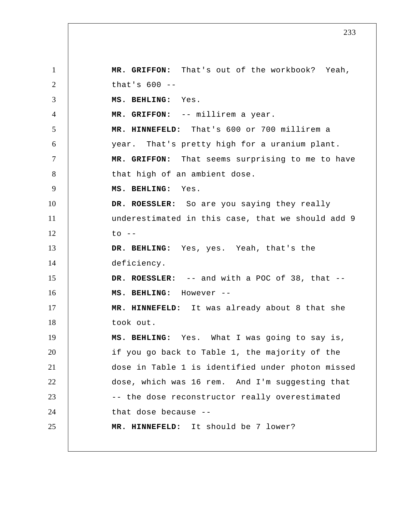1 2 3 4 5 6 7 8 9 10 11 12 13 14 15 16 17 18 19 20 21 22 23 24 25  **MR. GRIFFON:** That's out of the workbook? Yeah, that's  $600 - -$  **MS. BEHLING:** Yes.  **MR. GRIFFON:** -- millirem a year.  **MR. HINNEFELD:** That's 600 or 700 millirem a year. That's pretty high for a uranium plant.  **MR. GRIFFON:** That seems surprising to me to have that high of an ambient dose.  **MS. BEHLING:** Yes. **DR. ROESSLER:** So are you saying they really underestimated in this case, that we should add 9  $to$   $--$  **DR. BEHLING:** Yes, yes. Yeah, that's the deficiency. **DR. ROESSLER:** -- and with a POC of 38, that --  **MS. BEHLING:** However --  **MR. HINNEFELD:** It was already about 8 that she took out.  **MS. BEHLING:** Yes. What I was going to say is, if you go back to Table 1, the majority of the dose in Table 1 is identified under photon missed dose, which was 16 rem. And I'm suggesting that -- the dose reconstructor really overestimated that dose because --  **MR. HINNEFELD:** It should be 7 lower?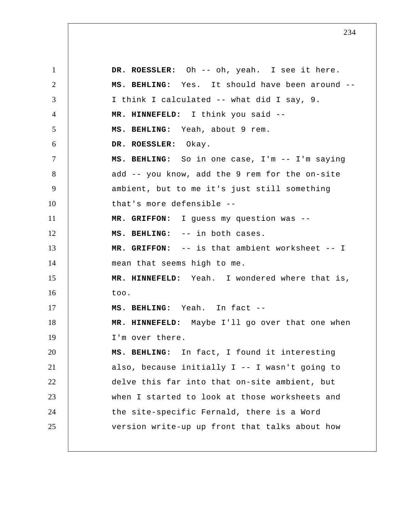1 2 3 4 5 6 7 8 9 10 11 12 13 14 15 16 17 18 19 20 21 22 23 24 25 **DR. ROESSLER:** Oh -- oh, yeah. I see it here.  **MS. BEHLING:** Yes. It should have been around -- I think I calculated -- what did I say, 9.  **MR. HINNEFELD:** I think you said --  **MS. BEHLING:** Yeah, about 9 rem. **DR. ROESSLER:** Okay.  **MS. BEHLING:** So in one case, I'm -- I'm saying add -- you know, add the 9 rem for the on-site ambient, but to me it's just still something that's more defensible --  **MR. GRIFFON:** I guess my question was --  **MS. BEHLING:** -- in both cases.  **MR. GRIFFON:** -- is that ambient worksheet -- I mean that seems high to me.  **MR. HINNEFELD:** Yeah. I wondered where that is, too.  **MS. BEHLING:** Yeah. In fact --  **MR. HINNEFELD:** Maybe I'll go over that one when I'm over there.  **MS. BEHLING:** In fact, I found it interesting also, because initially I -- I wasn't going to delve this far into that on-site ambient, but when I started to look at those worksheets and the site-specific Fernald, there is a Word version write-up up front that talks about how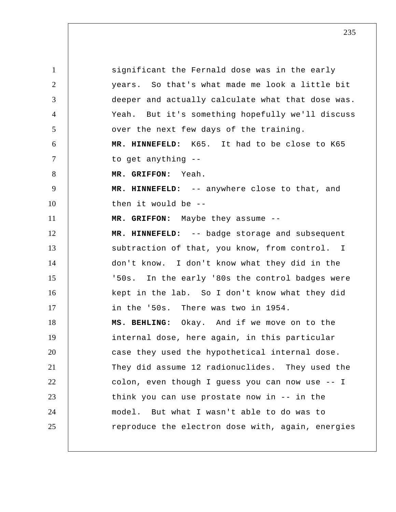1 2 3 4 5 6 7 8 9 10 11 12 13 14 15 16 17 18 19 20 21 22 23 24 25 significant the Fernald dose was in the early years. So that's what made me look a little bit deeper and actually calculate what that dose was. Yeah. But it's something hopefully we'll discuss over the next few days of the training.  **MR. HINNEFELD:** K65. It had to be close to K65 to get anything --  **MR. GRIFFON:** Yeah.  **MR. HINNEFELD:** -- anywhere close to that, and then it would be --  **MR. GRIFFON:** Maybe they assume --  **MR. HINNEFELD:** -- badge storage and subsequent subtraction of that, you know, from control. I don't know. I don't know what they did in the '50s. In the early '80s the control badges were kept in the lab. So I don't know what they did in the '50s. There was two in 1954.  **MS. BEHLING:** Okay. And if we move on to the internal dose, here again, in this particular case they used the hypothetical internal dose. They did assume 12 radionuclides. They used the colon, even though I guess you can now use -- I think you can use prostate now in -- in the model. But what I wasn't able to do was to reproduce the electron dose with, again, energies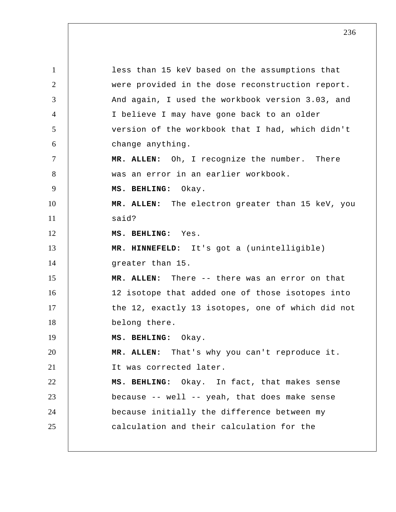1 2 3 4 5 6 7 8 9 10 11 12 13 14 15 16 17 18 19 20 21 22 23 24 25 less than 15 keV based on the assumptions that were provided in the dose reconstruction report. And again, I used the workbook version 3.03, and I believe I may have gone back to an older version of the workbook that I had, which didn't change anything. **MR. ALLEN:** Oh, I recognize the number. There was an error in an earlier workbook.  **MS. BEHLING:** Okay. **MR. ALLEN:** The electron greater than 15 keV, you said?  **MS. BEHLING:** Yes.  **MR. HINNEFELD:** It's got a (unintelligible) greater than 15. **MR. ALLEN:** There -- there was an error on that 12 isotope that added one of those isotopes into the 12, exactly 13 isotopes, one of which did not belong there.  **MS. BEHLING:** Okay. **MR. ALLEN:** That's why you can't reproduce it. It was corrected later.  **MS. BEHLING:** Okay. In fact, that makes sense because -- well -- yeah, that does make sense because initially the difference between my calculation and their calculation for the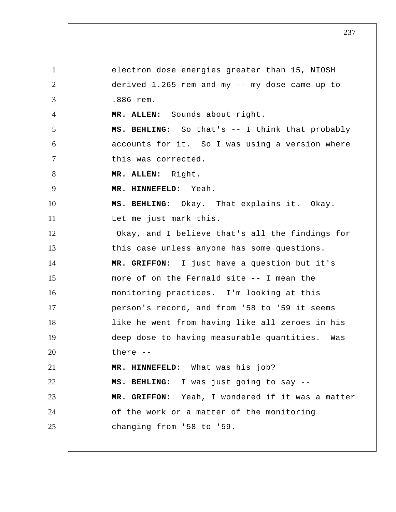1 2 3 4 5 6 7 8 9 10 11 12 13 14 15 16 17 18 19 20 21 22 23 24 25 electron dose energies greater than 15, NIOSH derived 1.265 rem and my -- my dose came up to .886 rem. **MR. ALLEN:** Sounds about right.  **MS. BEHLING:** So that's -- I think that probably accounts for it. So I was using a version where this was corrected. **MR. ALLEN:** Right.  **MR. HINNEFELD:** Yeah.  **MS. BEHLING:** Okay. That explains it. Okay. Let me just mark this. Okay, and I believe that's all the findings for this case unless anyone has some questions.  **MR. GRIFFON:** I just have a question but it's more of on the Fernald site -- I mean the monitoring practices. I'm looking at this person's record, and from '58 to '59 it seems like he went from having like all zeroes in his deep dose to having measurable quantities. Was there --  **MR. HINNEFELD:** What was his job?  **MS. BEHLING:** I was just going to say --  **MR. GRIFFON:** Yeah, I wondered if it was a matter of the work or a matter of the monitoring changing from '58 to '59.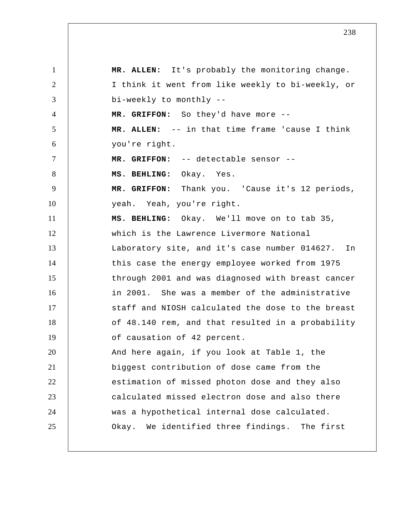1 2 3 4 5 6 7 8 9 10 11 12 13 14 15 16 17 18 19 20 21 22 23 24 25 **MR. ALLEN:** It's probably the monitoring change. I think it went from like weekly to bi-weekly, or bi-weekly to monthly --  **MR. GRIFFON:** So they'd have more -- **MR. ALLEN:** -- in that time frame 'cause I think you're right.  **MR. GRIFFON:** -- detectable sensor --  **MS. BEHLING:** Okay. Yes.  **MR. GRIFFON:** Thank you. 'Cause it's 12 periods, yeah. Yeah, you're right.  **MS. BEHLING:** Okay. We'll move on to tab 35, which is the Lawrence Livermore National Laboratory site, and it's case number 014627. In this case the energy employee worked from 1975 through 2001 and was diagnosed with breast cancer in 2001. She was a member of the administrative staff and NIOSH calculated the dose to the breast of 48.140 rem, and that resulted in a probability of causation of 42 percent. And here again, if you look at Table 1, the biggest contribution of dose came from the estimation of missed photon dose and they also calculated missed electron dose and also there was a hypothetical internal dose calculated. Okay. We identified three findings. The first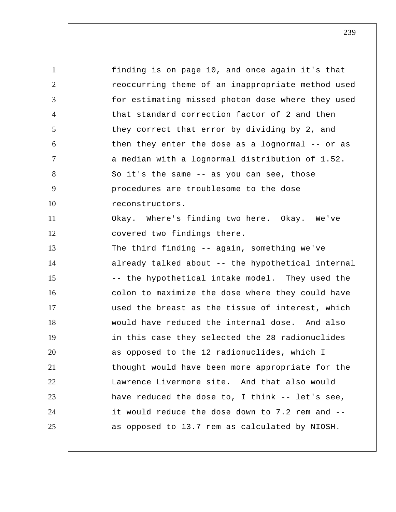1 2 3 4 5 6 7 8 9 10 11 12 13 14 15 16 17 18 19 20 21 22 23 24 25 finding is on page 10, and once again it's that reoccurring theme of an inappropriate method used for estimating missed photon dose where they used that standard correction factor of 2 and then they correct that error by dividing by 2, and then they enter the dose as a lognormal -- or as a median with a lognormal distribution of 1.52. So it's the same -- as you can see, those procedures are troublesome to the dose reconstructors. Okay. Where's finding two here. Okay. We've covered two findings there. The third finding -- again, something we've already talked about -- the hypothetical internal -- the hypothetical intake model. They used the colon to maximize the dose where they could have used the breast as the tissue of interest, which would have reduced the internal dose. And also in this case they selected the 28 radionuclides as opposed to the 12 radionuclides, which I thought would have been more appropriate for the Lawrence Livermore site. And that also would have reduced the dose to, I think -- let's see, it would reduce the dose down to 7.2 rem and - as opposed to 13.7 rem as calculated by NIOSH.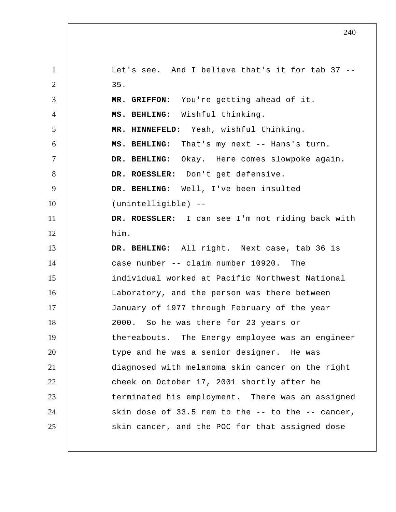1 2 3 4 5 6 7 8 9 10 11 12 13 14 15 16 17 18 19 20 21 22 23 24 25 Let's see. And I believe that's it for tab 37 -- 35.  **MR. GRIFFON:** You're getting ahead of it.  **MS. BEHLING:** Wishful thinking.  **MR. HINNEFELD:** Yeah, wishful thinking.  **MS. BEHLING:** That's my next -- Hans's turn.  **DR. BEHLING:** Okay. Here comes slowpoke again. **DR. ROESSLER:** Don't get defensive.  **DR. BEHLING:** Well, I've been insulted (unintelligible) -- **DR. ROESSLER:** I can see I'm not riding back with him.  **DR. BEHLING:** All right. Next case, tab 36 is case number -- claim number 10920. The individual worked at Pacific Northwest National Laboratory, and the person was there between January of 1977 through February of the year 2000. So he was there for 23 years or thereabouts. The Energy employee was an engineer type and he was a senior designer. He was diagnosed with melanoma skin cancer on the right cheek on October 17, 2001 shortly after he terminated his employment. There was an assigned skin dose of 33.5 rem to the -- to the -- cancer, skin cancer, and the POC for that assigned dose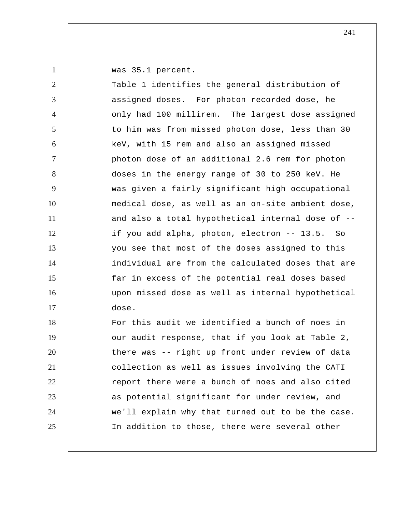was 35.1 percent.

1

20

21

22

23

24

25

| 2               | Table 1 identifies the general distribution of    |
|-----------------|---------------------------------------------------|
| 3               | assigned doses. For photon recorded dose, he      |
| $\overline{4}$  | only had 100 millirem. The largest dose assigned  |
| $5\overline{)}$ | to him was from missed photon dose, less than 30  |
| 6               | keV, with 15 rem and also an assigned missed      |
| $\overline{7}$  | photon dose of an additional 2.6 rem for photon   |
| 8               | doses in the energy range of 30 to 250 keV. He    |
| 9               | was given a fairly significant high occupational  |
| 10              | medical dose, as well as an on-site ambient dose, |
| 11              | and also a total hypothetical internal dose of -- |
| 12              | if you add alpha, photon, electron -- 13.5. So    |
| 13              | you see that most of the doses assigned to this   |
| 14              | individual are from the calculated doses that are |
| 15              | far in excess of the potential real doses based   |
| 16              | upon missed dose as well as internal hypothetical |
| 17              | dose.                                             |
| 18              | For this audit we identified a bunch of noes in   |
| 19              | our audit response, that if you look at Table 2,  |

our audit response, that if you look at Table 2, there was -- right up front under review of data collection as well as issues involving the CATI report there were a bunch of noes and also cited as potential significant for under review, and we'll explain why that turned out to be the case. In addition to those, there were several other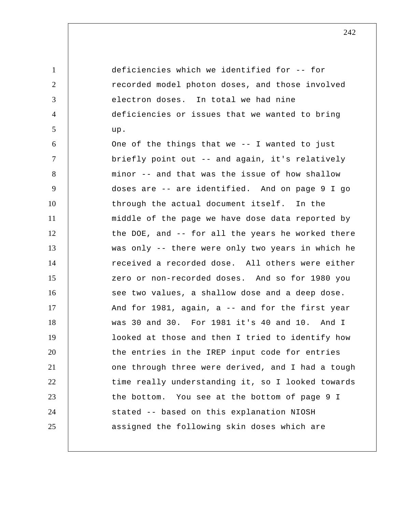1 2 3 4 5 6 7 8 9 10 11 12 13 14 15 16 17 18 19 20 21 22 23 24 25 deficiencies which we identified for -- for recorded model photon doses, and those involved electron doses. In total we had nine deficiencies or issues that we wanted to bring up. One of the things that we -- I wanted to just briefly point out -- and again, it's relatively minor -- and that was the issue of how shallow doses are -- are identified. And on page 9 I go through the actual document itself. In the middle of the page we have dose data reported by the DOE, and -- for all the years he worked there was only -- there were only two years in which he received a recorded dose. All others were either zero or non-recorded doses. And so for 1980 you see two values, a shallow dose and a deep dose. And for 1981, again, a -- and for the first year was 30 and 30. For 1981 it's 40 and 10. And I looked at those and then I tried to identify how the entries in the IREP input code for entries one through three were derived, and I had a tough time really understanding it, so I looked towards the bottom. You see at the bottom of page 9 I stated -- based on this explanation NIOSH assigned the following skin doses which are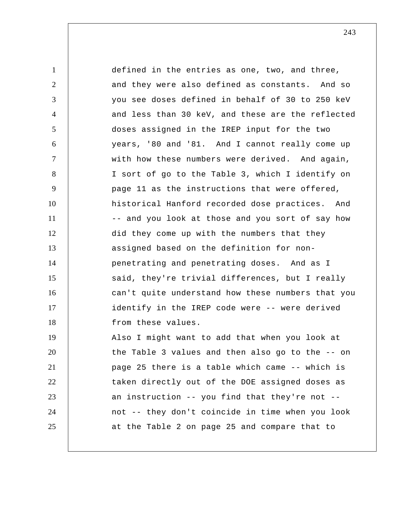1 2 3 4 5 6 7 8 9 10 11 12 13 14 15 16 17 18 19 20 21 22 23 24 25 defined in the entries as one, two, and three, and they were also defined as constants. And so you see doses defined in behalf of 30 to 250 keV and less than 30 keV, and these are the reflected doses assigned in the IREP input for the two years, '80 and '81. And I cannot really come up with how these numbers were derived. And again, I sort of go to the Table 3, which I identify on page 11 as the instructions that were offered, historical Hanford recorded dose practices. And -- and you look at those and you sort of say how did they come up with the numbers that they assigned based on the definition for nonpenetrating and penetrating doses. And as I said, they're trivial differences, but I really can't quite understand how these numbers that you identify in the IREP code were -- were derived from these values. Also I might want to add that when you look at the Table 3 values and then also go to the -- on page 25 there is a table which came -- which is taken directly out of the DOE assigned doses as an instruction -- you find that they're not - not -- they don't coincide in time when you look at the Table 2 on page 25 and compare that to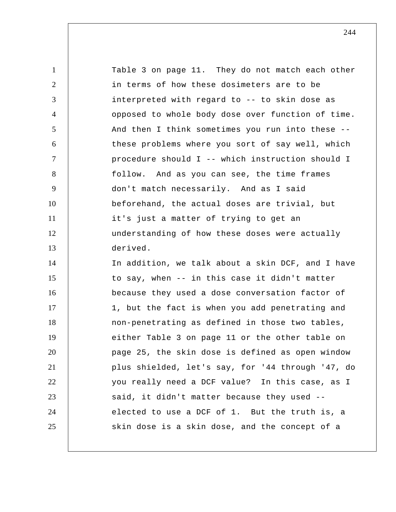1 2 3 4 5 6 7 8 9 10 11 12 13 14 15 16 17 18 19 20 21 22 23 24 25 Table 3 on page 11. They do not match each other in terms of how these dosimeters are to be interpreted with regard to -- to skin dose as opposed to whole body dose over function of time. And then I think sometimes you run into these - these problems where you sort of say well, which procedure should I -- which instruction should I follow. And as you can see, the time frames don't match necessarily. And as I said beforehand, the actual doses are trivial, but it's just a matter of trying to get an understanding of how these doses were actually derived. In addition, we talk about a skin DCF, and I have to say, when -- in this case it didn't matter because they used a dose conversation factor of 1, but the fact is when you add penetrating and non-penetrating as defined in those two tables, either Table 3 on page 11 or the other table on page 25, the skin dose is defined as open window plus shielded, let's say, for '44 through '47, do you really need a DCF value? In this case, as I said, it didn't matter because they used - elected to use a DCF of 1. But the truth is, a skin dose is a skin dose, and the concept of a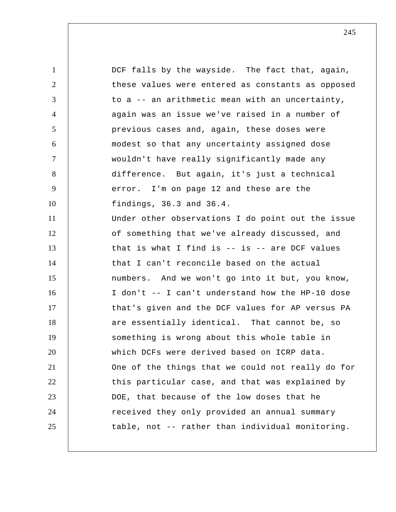1 2 3 4 5 6 7 8 9 10 11 12 13 14 15 16 17 18 19 20 21 22 23 24 25 DCF falls by the wayside. The fact that, again, these values were entered as constants as opposed to a -- an arithmetic mean with an uncertainty, again was an issue we've raised in a number of previous cases and, again, these doses were modest so that any uncertainty assigned dose wouldn't have really significantly made any difference. But again, it's just a technical error. I'm on page 12 and these are the findings, 36.3 and 36.4. Under other observations I do point out the issue of something that we've already discussed, and that is what I find is  $-$  is  $-$  are DCF values that I can't reconcile based on the actual numbers. And we won't go into it but, you know, I don't -- I can't understand how the HP-10 dose that's given and the DCF values for AP versus PA are essentially identical. That cannot be, so something is wrong about this whole table in which DCFs were derived based on ICRP data. One of the things that we could not really do for this particular case, and that was explained by DOE, that because of the low doses that he received they only provided an annual summary table, not -- rather than individual monitoring.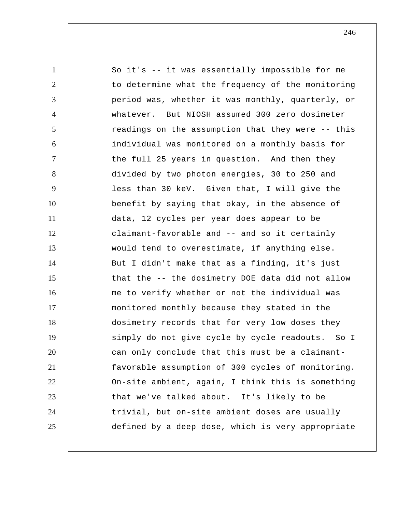1 2 3 4 5 6 7 8 9 10 11 12 13 14 15 16 17 18 19 20 21 22 23 24 25 So it's -- it was essentially impossible for me to determine what the frequency of the monitoring period was, whether it was monthly, quarterly, or whatever. But NIOSH assumed 300 zero dosimeter readings on the assumption that they were -- this individual was monitored on a monthly basis for the full 25 years in question. And then they divided by two photon energies, 30 to 250 and less than 30 keV. Given that, I will give the benefit by saying that okay, in the absence of data, 12 cycles per year does appear to be claimant-favorable and -- and so it certainly would tend to overestimate, if anything else. But I didn't make that as a finding, it's just that the -- the dosimetry DOE data did not allow me to verify whether or not the individual was monitored monthly because they stated in the dosimetry records that for very low doses they simply do not give cycle by cycle readouts. So I can only conclude that this must be a claimantfavorable assumption of 300 cycles of monitoring. On-site ambient, again, I think this is something that we've talked about. It's likely to be trivial, but on-site ambient doses are usually defined by a deep dose, which is very appropriate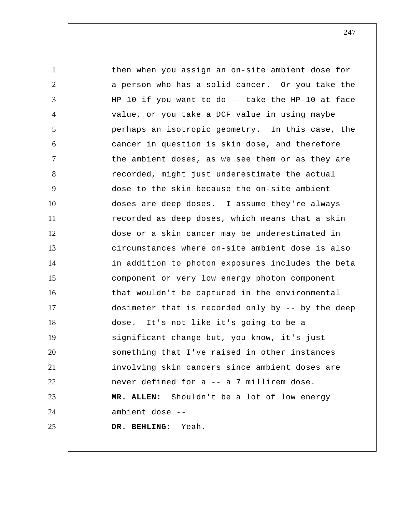1 2 3 4 5 6 7 8 9 10 11 12 13 14 15 16 17 18 19 20 21 22 23 24 25 then when you assign an on-site ambient dose for a person who has a solid cancer. Or you take the HP-10 if you want to do -- take the HP-10 at face value, or you take a DCF value in using maybe perhaps an isotropic geometry. In this case, the cancer in question is skin dose, and therefore the ambient doses, as we see them or as they are recorded, might just underestimate the actual dose to the skin because the on-site ambient doses are deep doses. I assume they're always recorded as deep doses, which means that a skin dose or a skin cancer may be underestimated in circumstances where on-site ambient dose is also in addition to photon exposures includes the beta component or very low energy photon component that wouldn't be captured in the environmental dosimeter that is recorded only by -- by the deep dose. It's not like it's going to be a significant change but, you know, it's just something that I've raised in other instances involving skin cancers since ambient doses are never defined for a -- a 7 millirem dose. **MR. ALLEN:** Shouldn't be a lot of low energy ambient dose --  **DR. BEHLING:** Yeah.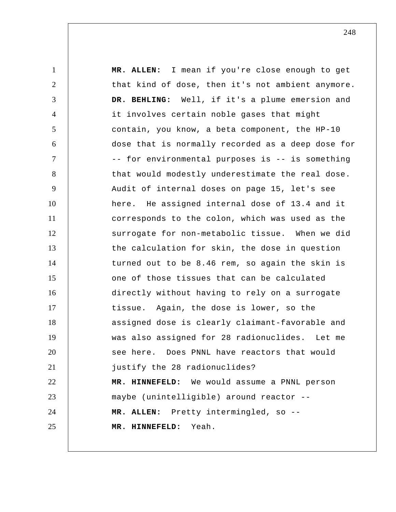1 2 3 4 5 6 7 8 9 10 11 12 13 14 15 16 17 18 19 20 21 22 23 24 25 **MR. ALLEN:** I mean if you're close enough to get that kind of dose, then it's not ambient anymore.  **DR. BEHLING:** Well, if it's a plume emersion and it involves certain noble gases that might contain, you know, a beta component, the HP-10 dose that is normally recorded as a deep dose for -- for environmental purposes is -- is something that would modestly underestimate the real dose. Audit of internal doses on page 15, let's see here. He assigned internal dose of 13.4 and it corresponds to the colon, which was used as the surrogate for non-metabolic tissue. When we did the calculation for skin, the dose in question turned out to be 8.46 rem, so again the skin is one of those tissues that can be calculated directly without having to rely on a surrogate tissue. Again, the dose is lower, so the assigned dose is clearly claimant-favorable and was also assigned for 28 radionuclides. Let me see here. Does PNNL have reactors that would justify the 28 radionuclides?  **MR. HINNEFELD:** We would assume a PNNL person maybe (unintelligible) around reactor -- **MR. ALLEN:** Pretty intermingled, so --  **MR. HINNEFELD:** Yeah.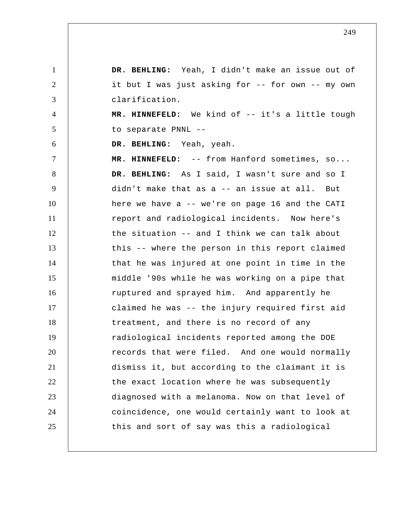1 2 3 4 5 6 7 8 9 10 11 12 13 14 15 16 17 18 19 20 21 22 23 24 25  **DR. BEHLING:** Yeah, I didn't make an issue out of it but I was just asking for -- for own -- my own clarification.  **MR. HINNEFELD:** We kind of -- it's a little tough to separate PNNL --  **DR. BEHLING:** Yeah, yeah.  **MR. HINNEFELD:** -- from Hanford sometimes, so...  **DR. BEHLING:** As I said, I wasn't sure and so I didn't make that as a -- an issue at all. But here we have a -- we're on page 16 and the CATI report and radiological incidents. Now here's the situation -- and I think we can talk about this -- where the person in this report claimed that he was injured at one point in time in the middle '90s while he was working on a pipe that ruptured and sprayed him. And apparently he claimed he was -- the injury required first aid treatment, and there is no record of any radiological incidents reported among the DOE records that were filed. And one would normally dismiss it, but according to the claimant it is the exact location where he was subsequently diagnosed with a melanoma. Now on that level of coincidence, one would certainly want to look at this and sort of say was this a radiological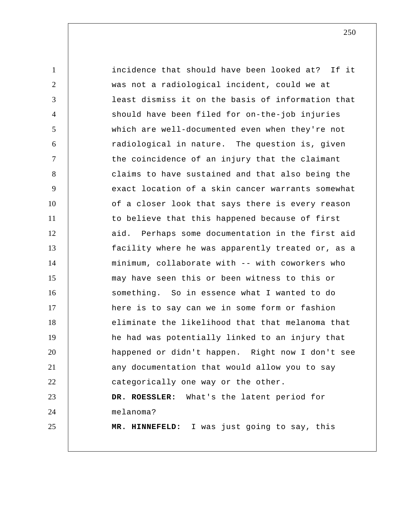1 2 3 4 5 6 7 8 9 10 11 12 13 14 15 16 17 18 19 20 21 22 23 24 25 incidence that should have been looked at? If it was not a radiological incident, could we at least dismiss it on the basis of information that should have been filed for on-the-job injuries which are well-documented even when they're not radiological in nature. The question is, given the coincidence of an injury that the claimant claims to have sustained and that also being the exact location of a skin cancer warrants somewhat of a closer look that says there is every reason to believe that this happened because of first aid. Perhaps some documentation in the first aid facility where he was apparently treated or, as a minimum, collaborate with -- with coworkers who may have seen this or been witness to this or something. So in essence what I wanted to do here is to say can we in some form or fashion eliminate the likelihood that that melanoma that he had was potentially linked to an injury that happened or didn't happen. Right now I don't see any documentation that would allow you to say categorically one way or the other. **DR. ROESSLER:** What's the latent period for melanoma?  **MR. HINNEFELD:** I was just going to say, this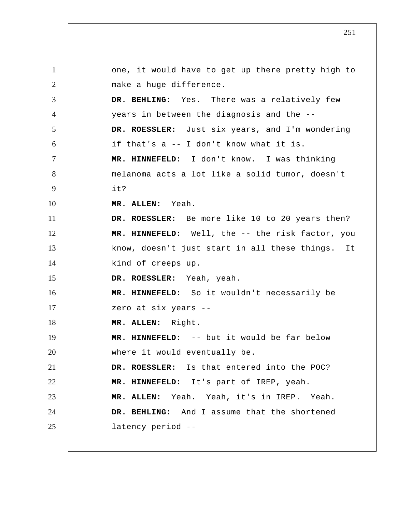1 2 3 4 5 6 7 8 9 10 11 12 13 14 15 16 17 18 19 20 21 22 23 24 25 one, it would have to get up there pretty high to make a huge difference.  **DR. BEHLING:** Yes. There was a relatively few years in between the diagnosis and the -- **DR. ROESSLER:** Just six years, and I'm wondering if that's a -- I don't know what it is.  **MR. HINNEFELD:** I don't know. I was thinking melanoma acts a lot like a solid tumor, doesn't it? **MR. ALLEN:** Yeah. **DR. ROESSLER:** Be more like 10 to 20 years then?  **MR. HINNEFELD:** Well, the -- the risk factor, you know, doesn't just start in all these things. It kind of creeps up. **DR. ROESSLER:** Yeah, yeah.  **MR. HINNEFELD:** So it wouldn't necessarily be zero at six years -- **MR. ALLEN:** Right.  **MR. HINNEFELD:** -- but it would be far below where it would eventually be. **DR. ROESSLER:** Is that entered into the POC?  **MR. HINNEFELD:** It's part of IREP, yeah. **MR. ALLEN:** Yeah. Yeah, it's in IREP. Yeah.  **DR. BEHLING:** And I assume that the shortened latency period --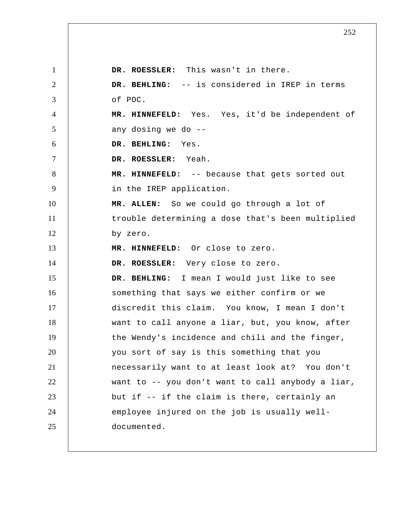1 2 3 4 5 6 7 8 9 10 11 12 13 14 15 16 17 18 19 20 21 22 23 24 25 **DR. ROESSLER:** This wasn't in there.  **DR. BEHLING:** -- is considered in IREP in terms of POC.  **MR. HINNEFELD:** Yes. Yes, it'd be independent of any dosing we do --  **DR. BEHLING:** Yes. **DR. ROESSLER:** Yeah.  **MR. HINNEFELD:** -- because that gets sorted out in the IREP application. **MR. ALLEN:** So we could go through a lot of trouble determining a dose that's been multiplied by zero.  **MR. HINNEFELD:** Or close to zero. **DR. ROESSLER:** Very close to zero.  **DR. BEHLING:** I mean I would just like to see something that says we either confirm or we discredit this claim. You know, I mean I don't want to call anyone a liar, but, you know, after the Wendy's incidence and chili and the finger, you sort of say is this something that you necessarily want to at least look at? You don't want to -- you don't want to call anybody a liar, but if -- if the claim is there, certainly an employee injured on the job is usually welldocumented.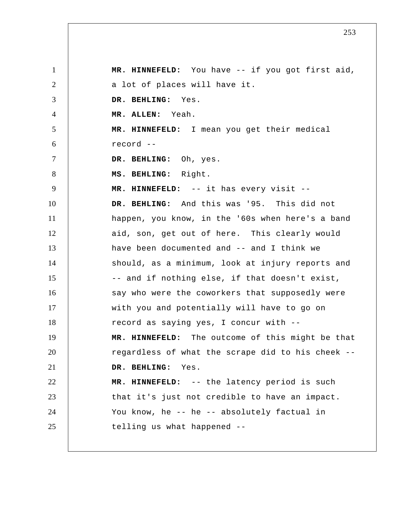1 2 3 4 5 6 7 8 9 10 11 12 13 14 15 16 17 18 19 20 21 22 23 24 25  **MR. HINNEFELD:** You have -- if you got first aid, a lot of places will have it.  **DR. BEHLING:** Yes. **MR. ALLEN:** Yeah.  **MR. HINNEFELD:** I mean you get their medical record --  **DR. BEHLING:** Oh, yes.  **MS. BEHLING:** Right.  **MR. HINNEFELD:** -- it has every visit --  **DR. BEHLING:** And this was '95. This did not happen, you know, in the '60s when here's a band aid, son, get out of here. This clearly would have been documented and -- and I think we should, as a minimum, look at injury reports and -- and if nothing else, if that doesn't exist, say who were the coworkers that supposedly were with you and potentially will have to go on record as saying yes, I concur with --  **MR. HINNEFELD:** The outcome of this might be that regardless of what the scrape did to his cheek --  **DR. BEHLING:** Yes.  **MR. HINNEFELD:** -- the latency period is such that it's just not credible to have an impact. You know, he -- he -- absolutely factual in telling us what happened --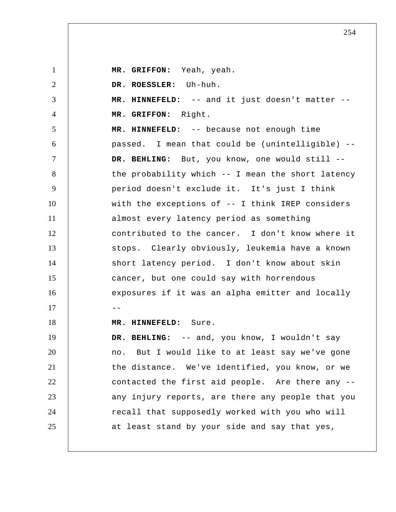1 2 3 4 5 6 7 8 9 10 11 12 13 14 15 16  $17$  --18 19 20 21 22 23 24 25  **MR. GRIFFON:** Yeah, yeah. **DR. ROESSLER:** Uh-huh.  **MR. HINNEFELD:** -- and it just doesn't matter --  **MR. GRIFFON:** Right.  **MR. HINNEFELD:** -- because not enough time passed. I mean that could be (unintelligible) --  **DR. BEHLING:** But, you know, one would still - the probability which -- I mean the short latency period doesn't exclude it. It's just I think with the exceptions of -- I think IREP considers almost every latency period as something contributed to the cancer. I don't know where it stops. Clearly obviously, leukemia have a known short latency period. I don't know about skin cancer, but one could say with horrendous exposures if it was an alpha emitter and locally  **MR. HINNEFELD:** Sure.  **DR. BEHLING:** -- and, you know, I wouldn't say no. But I would like to at least say we've gone the distance. We've identified, you know, or we contacted the first aid people. Are there any - any injury reports, are there any people that you recall that supposedly worked with you who will at least stand by your side and say that yes,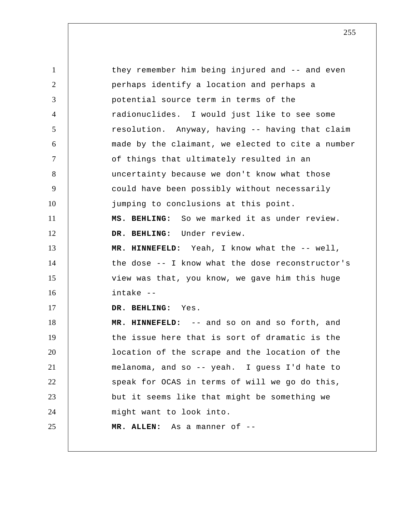1 2 3 4 5 6 7 8 9 10 11 12 13 14 15 16 17 18 19 20 21 22 23 24 25 they remember him being injured and -- and even perhaps identify a location and perhaps a potential source term in terms of the radionuclides. I would just like to see some resolution. Anyway, having -- having that claim made by the claimant, we elected to cite a number of things that ultimately resulted in an uncertainty because we don't know what those could have been possibly without necessarily jumping to conclusions at this point.  **MS. BEHLING:** So we marked it as under review.  **DR. BEHLING:** Under review.  **MR. HINNEFELD:** Yeah, I know what the -- well, the dose -- I know what the dose reconstructor's view was that, you know, we gave him this huge intake --  **DR. BEHLING:** Yes.  **MR. HINNEFELD:** -- and so on and so forth, and the issue here that is sort of dramatic is the location of the scrape and the location of the melanoma, and so -- yeah. I guess I'd hate to speak for OCAS in terms of will we go do this, but it seems like that might be something we might want to look into. **MR. ALLEN:** As a manner of --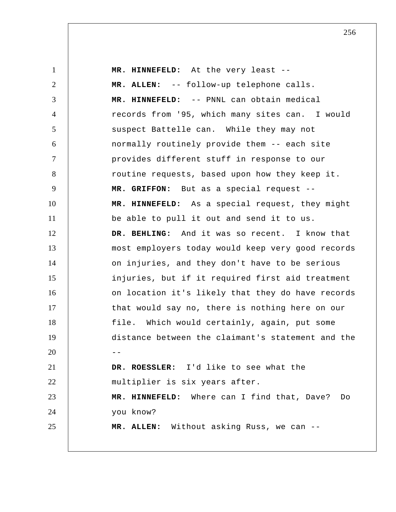1 2 3 4 5 6 7 8 9 10 11 12 13 14 15 16 17 18 19  $20$  --21 22 23 24 25  **MR. HINNEFELD:** At the very least -- **MR. ALLEN:** -- follow-up telephone calls.  **MR. HINNEFELD:** -- PNNL can obtain medical records from '95, which many sites can. I would suspect Battelle can. While they may not normally routinely provide them -- each site provides different stuff in response to our routine requests, based upon how they keep it.  **MR. GRIFFON:** But as a special request --  **MR. HINNEFELD:** As a special request, they might be able to pull it out and send it to us.  **DR. BEHLING:** And it was so recent. I know that most employers today would keep very good records on injuries, and they don't have to be serious injuries, but if it required first aid treatment on location it's likely that they do have records that would say no, there is nothing here on our file. Which would certainly, again, put some distance between the claimant's statement and the **DR. ROESSLER:** I'd like to see what the multiplier is six years after.  **MR. HINNEFELD:** Where can I find that, Dave? Do you know? **MR. ALLEN:** Without asking Russ, we can --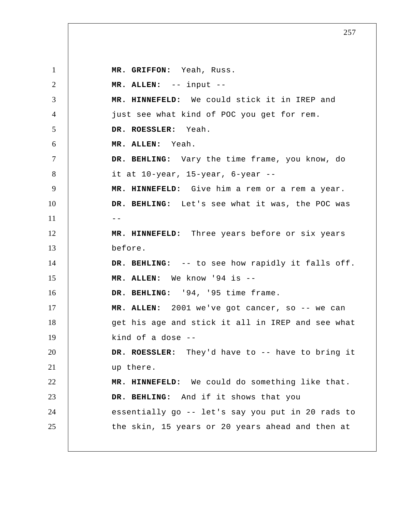1 2 3 4 5 6 7 8 9 10  $11$   $-$ 12 13 14 15 16 17 18 19 20 21 22 23 24 25  **MR. GRIFFON:** Yeah, Russ. **MR. ALLEN:** -- input --  **MR. HINNEFELD:** We could stick it in IREP and just see what kind of POC you get for rem. **DR. ROESSLER:** Yeah. **MR. ALLEN:** Yeah.  **DR. BEHLING:** Vary the time frame, you know, do it at 10-year, 15-year, 6-year --  **MR. HINNEFELD:** Give him a rem or a rem a year.  **DR. BEHLING:** Let's see what it was, the POC was  **MR. HINNEFELD:** Three years before or six years before.  **DR. BEHLING:** -- to see how rapidly it falls off. **MR. ALLEN:** We know '94 is --  **DR. BEHLING:** '94, '95 time frame. **MR. ALLEN:** 2001 we've got cancer, so -- we can get his age and stick it all in IREP and see what kind of a dose -- **DR. ROESSLER:** They'd have to -- have to bring it up there.  **MR. HINNEFELD:** We could do something like that.  **DR. BEHLING:** And if it shows that you essentially go -- let's say you put in 20 rads to the skin, 15 years or 20 years ahead and then at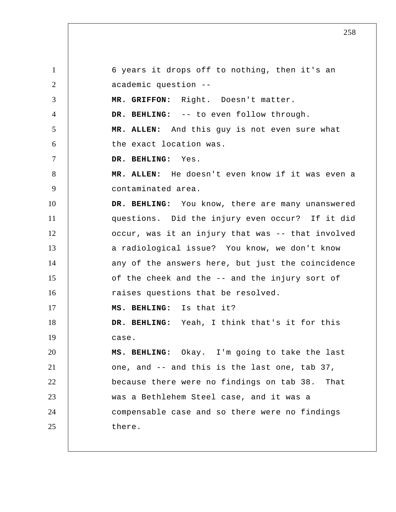1 2 3 4 5 6 7 8 9 10 11 12 13 14 15 16 17 18 19 20 21 22 23 24 25 6 years it drops off to nothing, then it's an academic question --  **MR. GRIFFON:** Right. Doesn't matter.  **DR. BEHLING:** -- to even follow through. **MR. ALLEN:** And this guy is not even sure what the exact location was.  **DR. BEHLING:** Yes. **MR. ALLEN:** He doesn't even know if it was even a contaminated area.  **DR. BEHLING:** You know, there are many unanswered questions. Did the injury even occur? If it did occur, was it an injury that was -- that involved a radiological issue? You know, we don't know any of the answers here, but just the coincidence of the cheek and the -- and the injury sort of raises questions that be resolved.  **MS. BEHLING:** Is that it?  **DR. BEHLING:** Yeah, I think that's it for this case.  **MS. BEHLING:** Okay. I'm going to take the last one, and -- and this is the last one, tab 37, because there were no findings on tab 38. That was a Bethlehem Steel case, and it was a compensable case and so there were no findings there.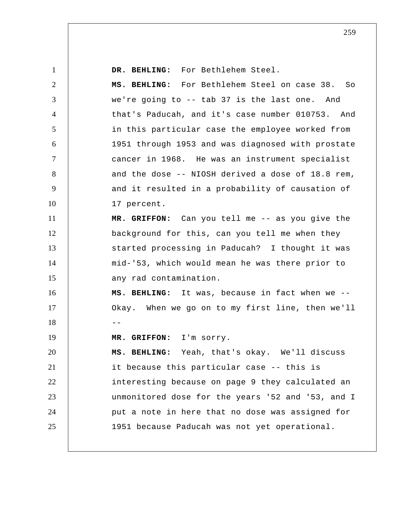1 2 3 4 5 6 7 8 9 10 11 12 13 14 15 16 17  $18$  --19 20 21 22 23 24 25  **DR. BEHLING:** For Bethlehem Steel.  **MS. BEHLING:** For Bethlehem Steel on case 38. So we're going to -- tab 37 is the last one. And that's Paducah, and it's case number 010753. And in this particular case the employee worked from 1951 through 1953 and was diagnosed with prostate cancer in 1968. He was an instrument specialist and the dose -- NIOSH derived a dose of 18.8 rem, and it resulted in a probability of causation of 17 percent.  **MR. GRIFFON:** Can you tell me -- as you give the background for this, can you tell me when they started processing in Paducah? I thought it was mid-'53, which would mean he was there prior to any rad contamination.  **MS. BEHLING:** It was, because in fact when we -- Okay. When we go on to my first line, then we'll  **MR. GRIFFON:** I'm sorry.  **MS. BEHLING:** Yeah, that's okay. We'll discuss it because this particular case -- this is interesting because on page 9 they calculated an unmonitored dose for the years '52 and '53, and I put a note in here that no dose was assigned for 1951 because Paducah was not yet operational.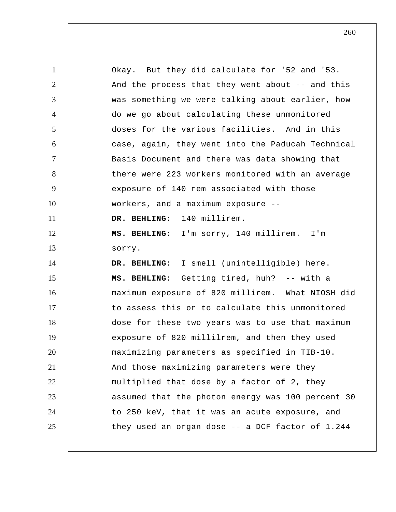1 2 3 4 5 6 7 8 9 10 11 12 13 14 15 16 17 18 19 20 21 22 23 24 25 Okay. But they did calculate for '52 and '53. And the process that they went about -- and this was something we were talking about earlier, how do we go about calculating these unmonitored doses for the various facilities. And in this case, again, they went into the Paducah Technical Basis Document and there was data showing that there were 223 workers monitored with an average exposure of 140 rem associated with those workers, and a maximum exposure --  **DR. BEHLING:** 140 millirem.  **MS. BEHLING:** I'm sorry, 140 millirem. I'm sorry.  **DR. BEHLING:** I smell (unintelligible) here.  **MS. BEHLING:** Getting tired, huh? -- with a maximum exposure of 820 millirem. What NIOSH did to assess this or to calculate this unmonitored dose for these two years was to use that maximum exposure of 820 millilrem, and then they used maximizing parameters as specified in TIB-10. And those maximizing parameters were they multiplied that dose by a factor of 2, they assumed that the photon energy was 100 percent 30 to 250 keV, that it was an acute exposure, and they used an organ dose -- a DCF factor of 1.244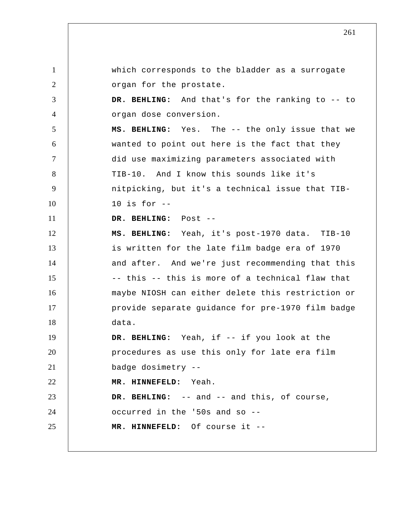1 2 3 4 5 6 7 8 9 10 11 12 13 14 15 16 17 18 19 20 21 22 23 24 25 which corresponds to the bladder as a surrogate organ for the prostate.  **DR. BEHLING:** And that's for the ranking to -- to organ dose conversion.  **MS. BEHLING:** Yes. The -- the only issue that we wanted to point out here is the fact that they did use maximizing parameters associated with TIB-10. And I know this sounds like it's nitpicking, but it's a technical issue that TIB-10 is for --  **DR. BEHLING:** Post --  **MS. BEHLING:** Yeah, it's post-1970 data. TIB-10 is written for the late film badge era of 1970 and after. And we're just recommending that this -- this -- this is more of a technical flaw that maybe NIOSH can either delete this restriction or provide separate guidance for pre-1970 film badge data.  **DR. BEHLING:** Yeah, if -- if you look at the procedures as use this only for late era film badge dosimetry --  **MR. HINNEFELD:** Yeah.  **DR. BEHLING:** -- and -- and this, of course, occurred in the '50s and so --  **MR. HINNEFELD:** Of course it --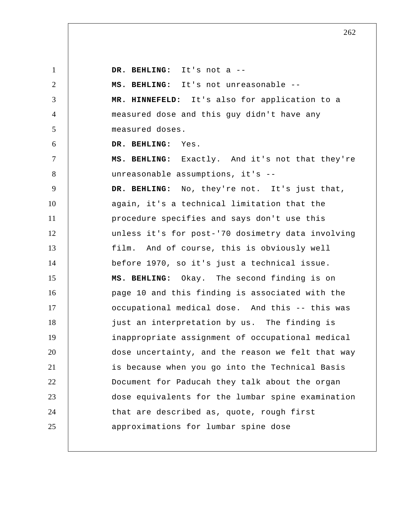1 2 3 4 5 6 7 8 9 10 11 12 13 14 15 16 17 18 19 20 21 22 23 24 25  **DR. BEHLING:** It's not a --  **MS. BEHLING:** It's not unreasonable --  **MR. HINNEFELD:** It's also for application to a measured dose and this guy didn't have any measured doses.  **DR. BEHLING:** Yes.  **MS. BEHLING:** Exactly. And it's not that they're unreasonable assumptions, it's --  **DR. BEHLING:** No, they're not. It's just that, again, it's a technical limitation that the procedure specifies and says don't use this unless it's for post-'70 dosimetry data involving film. And of course, this is obviously well before 1970, so it's just a technical issue.  **MS. BEHLING:** Okay. The second finding is on page 10 and this finding is associated with the occupational medical dose. And this -- this was just an interpretation by us. The finding is inappropriate assignment of occupational medical dose uncertainty, and the reason we felt that way is because when you go into the Technical Basis Document for Paducah they talk about the organ dose equivalents for the lumbar spine examination that are described as, quote, rough first approximations for lumbar spine dose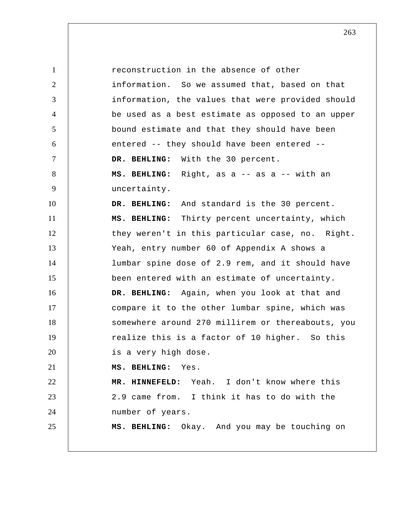1 2 3 4 5 6 7 8 9 10 11 12 13 14 15 16 17 18 19 20 21 22 23 24 25 reconstruction in the absence of other information. So we assumed that, based on that information, the values that were provided should be used as a best estimate as opposed to an upper bound estimate and that they should have been entered -- they should have been entered --  **DR. BEHLING:** With the 30 percent.  **MS. BEHLING:** Right, as a -- as a -- with an uncertainty.  **DR. BEHLING:** And standard is the 30 percent.  **MS. BEHLING:** Thirty percent uncertainty, which they weren't in this particular case, no. Right. Yeah, entry number 60 of Appendix A shows a lumbar spine dose of 2.9 rem, and it should have been entered with an estimate of uncertainty.  **DR. BEHLING:** Again, when you look at that and compare it to the other lumbar spine, which was somewhere around 270 millirem or thereabouts, you realize this is a factor of 10 higher. So this is a very high dose.  **MS. BEHLING:** Yes.  **MR. HINNEFELD:** Yeah. I don't know where this 2.9 came from. I think it has to do with the number of years.  **MS. BEHLING:** Okay. And you may be touching on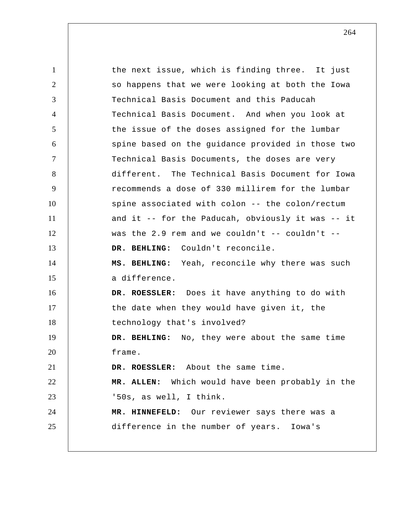1 2 3 4 5 6 7 8 9 10 11 12 13 14 15 16 17 18 19 20 21 22 23 24 25 the next issue, which is finding three. It just so happens that we were looking at both the Iowa Technical Basis Document and this Paducah Technical Basis Document. And when you look at the issue of the doses assigned for the lumbar spine based on the guidance provided in those two Technical Basis Documents, the doses are very different. The Technical Basis Document for Iowa recommends a dose of 330 millirem for the lumbar spine associated with colon -- the colon/rectum and it -- for the Paducah, obviously it was -- it was the 2.9 rem and we couldn't  $--$  couldn't  $--$  **DR. BEHLING:** Couldn't reconcile.  **MS. BEHLING:** Yeah, reconcile why there was such a difference. **DR. ROESSLER:** Does it have anything to do with the date when they would have given it, the technology that's involved?  **DR. BEHLING:** No, they were about the same time frame. **DR. ROESSLER:** About the same time. **MR. ALLEN:** Which would have been probably in the '50s, as well, I think.  **MR. HINNEFELD:** Our reviewer says there was a difference in the number of years. Iowa's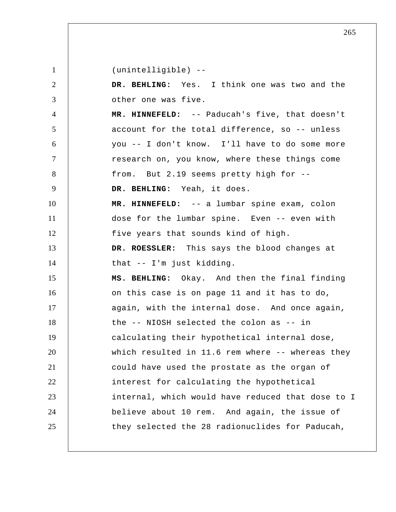1 2 3 4 5 6 7 8 9 10 11 12 13 14 15 16 17 18 19 20 21 22 23 24 25 (unintelligible) --  **DR. BEHLING:** Yes. I think one was two and the other one was five.  **MR. HINNEFELD:** -- Paducah's five, that doesn't account for the total difference, so -- unless you -- I don't know. I'll have to do some more research on, you know, where these things come from. But 2.19 seems pretty high for --  **DR. BEHLING:** Yeah, it does.  **MR. HINNEFELD:** -- a lumbar spine exam, colon dose for the lumbar spine. Even -- even with five years that sounds kind of high. **DR. ROESSLER:** This says the blood changes at that -- I'm just kidding.  **MS. BEHLING:** Okay. And then the final finding on this case is on page 11 and it has to do, again, with the internal dose. And once again, the -- NIOSH selected the colon as -- in calculating their hypothetical internal dose, which resulted in 11.6 rem where -- whereas they could have used the prostate as the organ of interest for calculating the hypothetical internal, which would have reduced that dose to I believe about 10 rem. And again, the issue of they selected the 28 radionuclides for Paducah,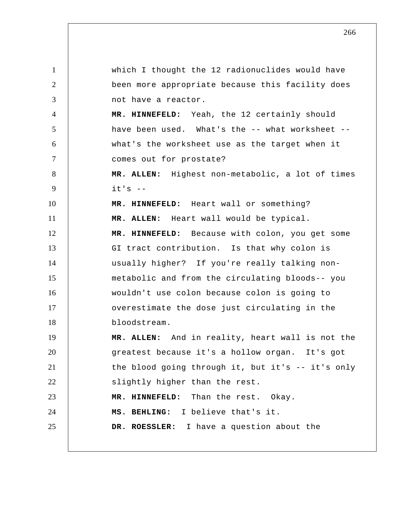1 2 3 4 5 6 7 8 9 10 11 12 13 14 15 16 17 18 19 20 21 22 23 24 25 which I thought the 12 radionuclides would have been more appropriate because this facility does not have a reactor.  **MR. HINNEFELD:** Yeah, the 12 certainly should have been used. What's the -- what worksheet - what's the worksheet use as the target when it comes out for prostate? **MR. ALLEN:** Highest non-metabolic, a lot of times  $it's$  -- **MR. HINNEFELD:** Heart wall or something? **MR. ALLEN:** Heart wall would be typical.  **MR. HINNEFELD:** Because with colon, you get some GI tract contribution. Is that why colon is usually higher? If you're really talking nonmetabolic and from the circulating bloods-- you wouldn't use colon because colon is going to overestimate the dose just circulating in the bloodstream. **MR. ALLEN:** And in reality, heart wall is not the greatest because it's a hollow organ. It's got the blood going through it, but it's -- it's only slightly higher than the rest.  **MR. HINNEFELD:** Than the rest. Okay.  **MS. BEHLING:** I believe that's it. **DR. ROESSLER:** I have a question about the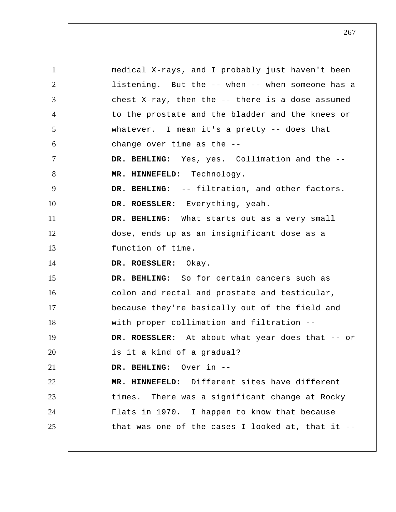1 2 3 4 5 6 7 8 9 10 11 12 13 14 15 16 17 18 19 20 21 22 23 24 25 medical X-rays, and I probably just haven't been listening. But the -- when -- when someone has a chest X-ray, then the -- there is a dose assumed to the prostate and the bladder and the knees or whatever. I mean it's a pretty -- does that change over time as the --  **DR. BEHLING:** Yes, yes. Collimation and the --  **MR. HINNEFELD:** Technology.  **DR. BEHLING:** -- filtration, and other factors. **DR. ROESSLER:** Everything, yeah.  **DR. BEHLING:** What starts out as a very small dose, ends up as an insignificant dose as a function of time. **DR. ROESSLER:** Okay.  **DR. BEHLING:** So for certain cancers such as colon and rectal and prostate and testicular, because they're basically out of the field and with proper collimation and filtration -- **DR. ROESSLER:** At about what year does that -- or is it a kind of a gradual?  **DR. BEHLING:** Over in --  **MR. HINNEFELD:** Different sites have different times. There was a significant change at Rocky Flats in 1970. I happen to know that because that was one of the cases I looked at, that it --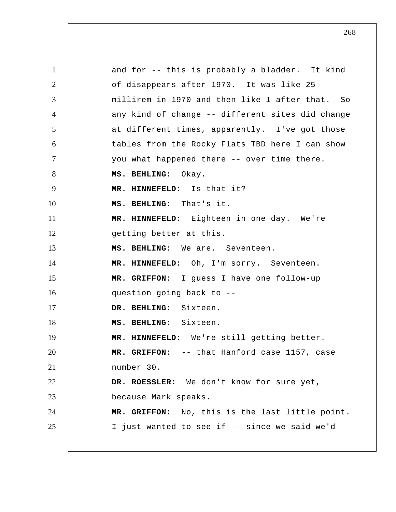1 2 3 4 5 6 7 8 9 10 11 12 13 14 15 16 17 18 19 20 21 22 23 24 25 and for -- this is probably a bladder. It kind of disappears after 1970. It was like 25 millirem in 1970 and then like 1 after that. So any kind of change -- different sites did change at different times, apparently. I've got those tables from the Rocky Flats TBD here I can show you what happened there -- over time there.  **MS. BEHLING:** Okay.  **MR. HINNEFELD:** Is that it?  **MS. BEHLING:** That's it.  **MR. HINNEFELD:** Eighteen in one day. We're getting better at this.  **MS. BEHLING:** We are. Seventeen.  **MR. HINNEFELD:** Oh, I'm sorry. Seventeen.  **MR. GRIFFON:** I guess I have one follow-up question going back to --  **DR. BEHLING:** Sixteen.  **MS. BEHLING:** Sixteen.  **MR. HINNEFELD:** We're still getting better.  **MR. GRIFFON:** -- that Hanford case 1157, case number 30. **DR. ROESSLER:** We don't know for sure yet, because Mark speaks.  **MR. GRIFFON:** No, this is the last little point. I just wanted to see if -- since we said we'd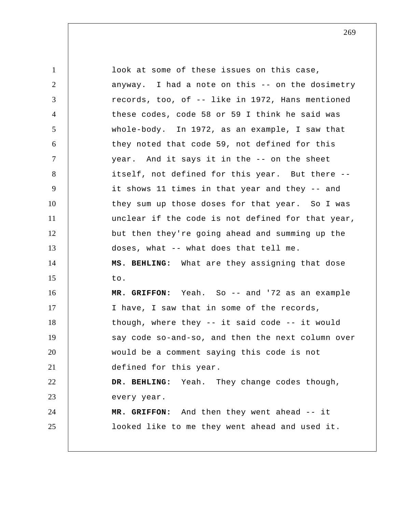1 2 3 4 5 6 7 8 9 10 11 12 13 14 15 16 17 18 19 20 21 22 23 24 25 look at some of these issues on this case, anyway. I had a note on this -- on the dosimetry records, too, of -- like in 1972, Hans mentioned these codes, code 58 or 59 I think he said was whole-body. In 1972, as an example, I saw that they noted that code 59, not defined for this year. And it says it in the -- on the sheet itself, not defined for this year. But there - it shows 11 times in that year and they -- and they sum up those doses for that year. So I was unclear if the code is not defined for that year, but then they're going ahead and summing up the doses, what -- what does that tell me.  **MS. BEHLING:** What are they assigning that dose to.  **MR. GRIFFON:** Yeah. So -- and '72 as an example I have, I saw that in some of the records, though, where they -- it said code -- it would say code so-and-so, and then the next column over would be a comment saying this code is not defined for this year.  **DR. BEHLING:** Yeah. They change codes though, every year.  **MR. GRIFFON:** And then they went ahead -- it looked like to me they went ahead and used it.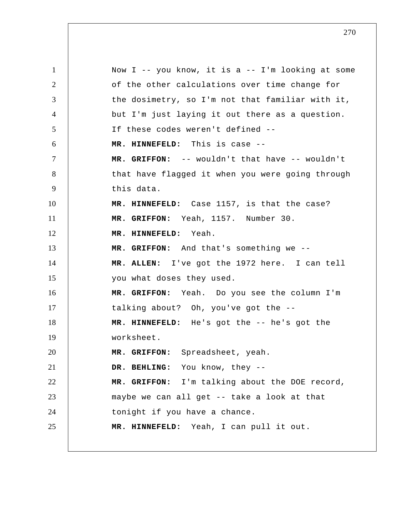1 2 3 4 5 6 7 8 9 10 11 12 13 14 15 16 17 18 19 20 21 22 23 24 25 Now  $I$  -- you know, it is a --  $I'm$  looking at some of the other calculations over time change for the dosimetry, so I'm not that familiar with it, but I'm just laying it out there as a question. If these codes weren't defined --  **MR. HINNEFELD:** This is case --  **MR. GRIFFON:** -- wouldn't that have -- wouldn't that have flagged it when you were going through this data.  **MR. HINNEFELD:** Case 1157, is that the case?  **MR. GRIFFON:** Yeah, 1157. Number 30.  **MR. HINNEFELD:** Yeah.  **MR. GRIFFON:** And that's something we -- **MR. ALLEN:** I've got the 1972 here. I can tell you what doses they used.  **MR. GRIFFON:** Yeah. Do you see the column I'm talking about? Oh, you've got the --  **MR. HINNEFELD:** He's got the -- he's got the worksheet.  **MR. GRIFFON:** Spreadsheet, yeah.  **DR. BEHLING:** You know, they --  **MR. GRIFFON:** I'm talking about the DOE record, maybe we can all get -- take a look at that tonight if you have a chance.  **MR. HINNEFELD:** Yeah, I can pull it out.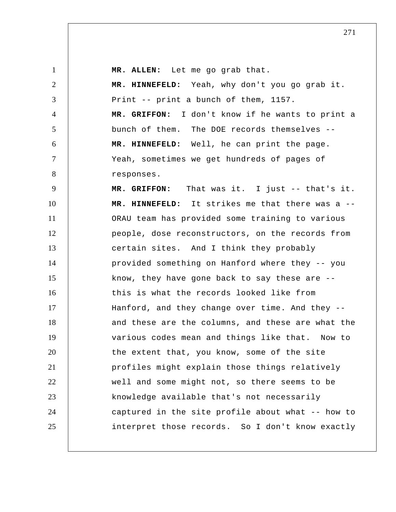**MR. ALLEN:** Let me go grab that.

1

2

3

4

5

6

7

8

 **MR. HINNEFELD:** Yeah, why don't you go grab it. Print -- print a bunch of them, 1157.  **MR. GRIFFON:** I don't know if he wants to print a bunch of them. The DOE records themselves --  **MR. HINNEFELD:** Well, he can print the page. Yeah, sometimes we get hundreds of pages of responses.

9 10 11 12 13 14 15 16 17 18 19 20 21 22 23 24 25  **MR. GRIFFON:** That was it. I just -- that's it.  **MR. HINNEFELD:** It strikes me that there was a -- ORAU team has provided some training to various people, dose reconstructors, on the records from certain sites. And I think they probably provided something on Hanford where they -- you know, they have gone back to say these are - this is what the records looked like from Hanford, and they change over time. And they - and these are the columns, and these are what the various codes mean and things like that. Now to the extent that, you know, some of the site profiles might explain those things relatively well and some might not, so there seems to be knowledge available that's not necessarily captured in the site profile about what -- how to interpret those records. So I don't know exactly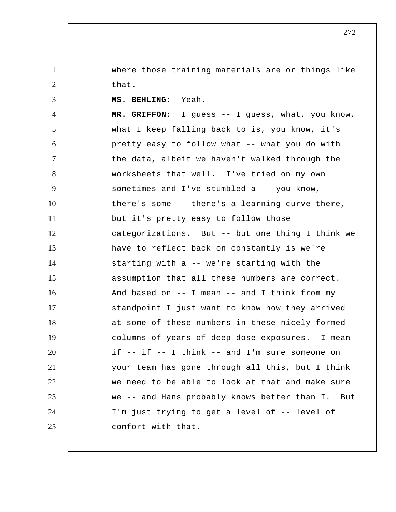where those training materials are or things like that.

1

2

3 4 5 6 7 8 9 10 11 12 13 14 15 16 17 18 19 20 21 22 23 24 25  **MS. BEHLING:** Yeah.  **MR. GRIFFON:** I guess -- I guess, what, you know, what I keep falling back to is, you know, it's pretty easy to follow what -- what you do with the data, albeit we haven't walked through the worksheets that well. I've tried on my own sometimes and I've stumbled a -- you know, there's some -- there's a learning curve there, but it's pretty easy to follow those categorizations. But -- but one thing I think we have to reflect back on constantly is we're starting with a -- we're starting with the assumption that all these numbers are correct. And based on -- I mean -- and I think from my standpoint I just want to know how they arrived at some of these numbers in these nicely-formed columns of years of deep dose exposures. I mean if -- if -- I think -- and I'm sure someone on your team has gone through all this, but I think we need to be able to look at that and make sure we -- and Hans probably knows better than I. But I'm just trying to get a level of -- level of comfort with that.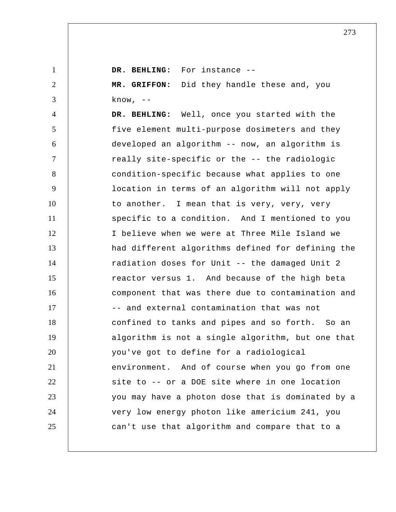1 2 3 4 5 6 7 8 9 10 11 12 13 14 15 16 17 18 19 20 21 22 23 24 25  **DR. BEHLING:** For instance --  **MR. GRIFFON:** Did they handle these and, you know,  $--$  **DR. BEHLING:** Well, once you started with the five element multi-purpose dosimeters and they developed an algorithm -- now, an algorithm is really site-specific or the -- the radiologic condition-specific because what applies to one location in terms of an algorithm will not apply to another. I mean that is very, very, very specific to a condition. And I mentioned to you I believe when we were at Three Mile Island we had different algorithms defined for defining the radiation doses for Unit -- the damaged Unit 2 reactor versus 1. And because of the high beta component that was there due to contamination and -- and external contamination that was not confined to tanks and pipes and so forth. So an algorithm is not a single algorithm, but one that you've got to define for a radiological environment. And of course when you go from one site to -- or a DOE site where in one location you may have a photon dose that is dominated by a very low energy photon like americium 241, you can't use that algorithm and compare that to a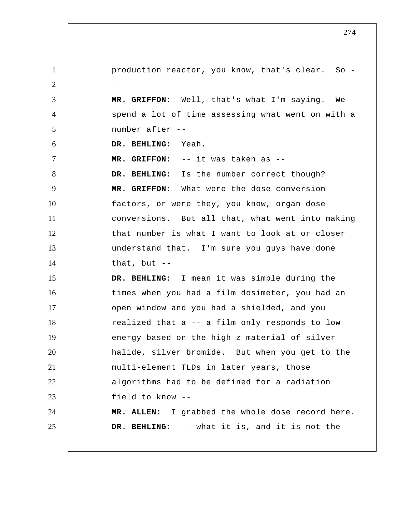1 2 3 4 5 6 7 8 9 10 11 12 13 14 15 16 17 18 19 20 21 22 23 24 25 production reactor, you know, that's clear. So - -  **MR. GRIFFON:** Well, that's what I'm saying. We spend a lot of time assessing what went on with a number after --  **DR. BEHLING:** Yeah.  **MR. GRIFFON:** -- it was taken as --  **DR. BEHLING:** Is the number correct though?  **MR. GRIFFON:** What were the dose conversion factors, or were they, you know, organ dose conversions. But all that, what went into making that number is what I want to look at or closer understand that. I'm sure you guys have done that, but  $--$  **DR. BEHLING:** I mean it was simple during the times when you had a film dosimeter, you had an open window and you had a shielded, and you realized that a -- a film only responds to low energy based on the high z material of silver halide, silver bromide. But when you get to the multi-element TLDs in later years, those algorithms had to be defined for a radiation field to know -- **MR. ALLEN:** I grabbed the whole dose record here.  **DR. BEHLING:** -- what it is, and it is not the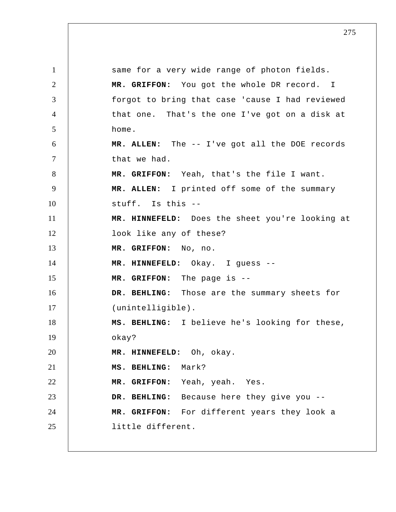1 2 3 4 5 6 7 8 9 10 11 12 13 14 15 16 17 18 19 20 21 22 23 24 25 same for a very wide range of photon fields.  **MR. GRIFFON:** You got the whole DR record. I forgot to bring that case 'cause I had reviewed that one. That's the one I've got on a disk at home. **MR. ALLEN:** The -- I've got all the DOE records that we had.  **MR. GRIFFON:** Yeah, that's the file I want. **MR. ALLEN:** I printed off some of the summary stuff. Is this --  **MR. HINNEFELD:** Does the sheet you're looking at look like any of these?  **MR. GRIFFON:** No, no.  **MR. HINNEFELD:** Okay. I guess --  **MR. GRIFFON:** The page is --  **DR. BEHLING:** Those are the summary sheets for (unintelligible).  **MS. BEHLING:** I believe he's looking for these, okay?  **MR. HINNEFELD:** Oh, okay.  **MS. BEHLING:** Mark?  **MR. GRIFFON:** Yeah, yeah. Yes.  **DR. BEHLING:** Because here they give you --  **MR. GRIFFON:** For different years they look a little different.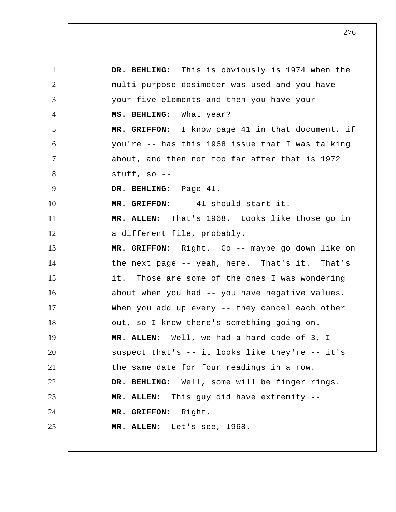1 2 3 4 5 6 7 8 9 10 11 12 13 14 15 16 17 18 19 20 21 22 23 24 25  **DR. BEHLING:** This is obviously is 1974 when the multi-purpose dosimeter was used and you have your five elements and then you have your --  **MS. BEHLING:** What year?  **MR. GRIFFON:** I know page 41 in that document, if you're -- has this 1968 issue that I was talking about, and then not too far after that is 1972 stuff, so --  **DR. BEHLING:** Page 41.  **MR. GRIFFON:** -- 41 should start it. **MR. ALLEN:** That's 1968. Looks like those go in a different file, probably.  **MR. GRIFFON:** Right. Go -- maybe go down like on the next page -- yeah, here. That's it. That's it. Those are some of the ones I was wondering about when you had -- you have negative values. When you add up every -- they cancel each other out, so I know there's something going on. **MR. ALLEN:** Well, we had a hard code of 3, I suspect that's -- it looks like they're -- it's the same date for four readings in a row.  **DR. BEHLING:** Well, some will be finger rings. **MR. ALLEN:** This guy did have extremity --  **MR. GRIFFON:** Right. **MR. ALLEN:** Let's see, 1968.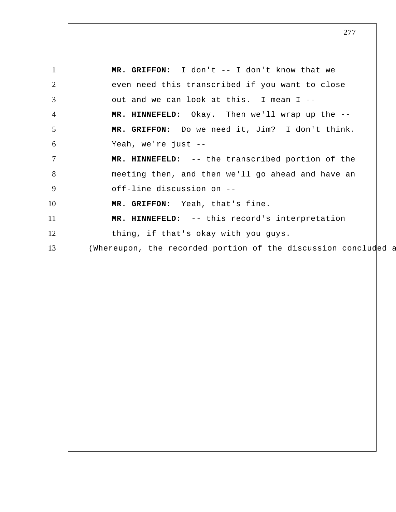1 2 3 4 5 6 7 8 9 10 11 12 13  **MR. GRIFFON:** I don't -- I don't know that we even need this transcribed if you want to close out and we can look at this. I mean I --  **MR. HINNEFELD:** Okay. Then we'll wrap up the --  **MR. GRIFFON:** Do we need it, Jim? I don't think. Yeah, we're just --  **MR. HINNEFELD:** -- the transcribed portion of the meeting then, and then we'll go ahead and have an off-line discussion on --  **MR. GRIFFON:** Yeah, that's fine.  **MR. HINNEFELD:** -- this record's interpretation thing, if that's okay with you guys. (Whereupon, the recorded portion of the discussion concluded a